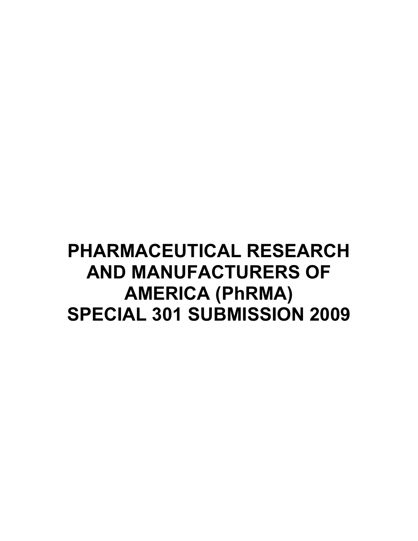### **PHARMACEUTICAL RESEARCH AND MANUFACTURERS OF AMERICA (PhRMA) SPECIAL 301 SUBMISSION 2009**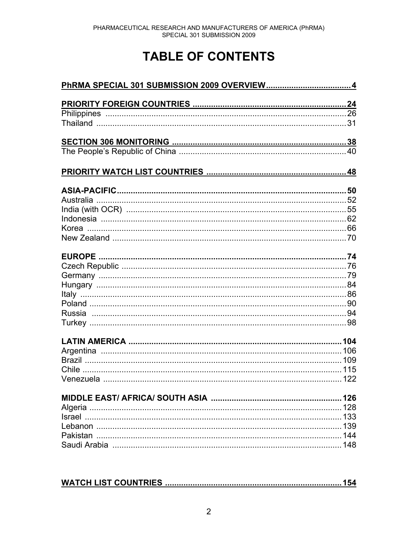### **TABLE OF CONTENTS**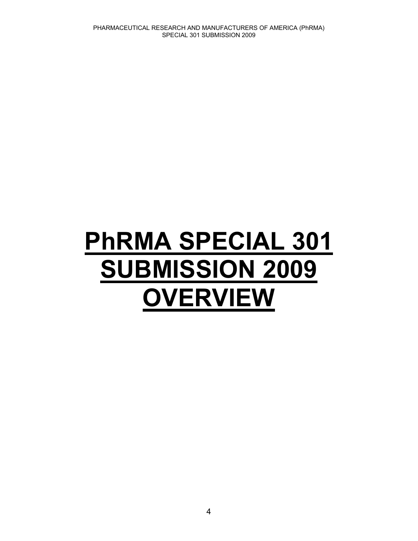# **PhRMA SPECIAL 301 SUBMISSION 2009 OVERVIEW**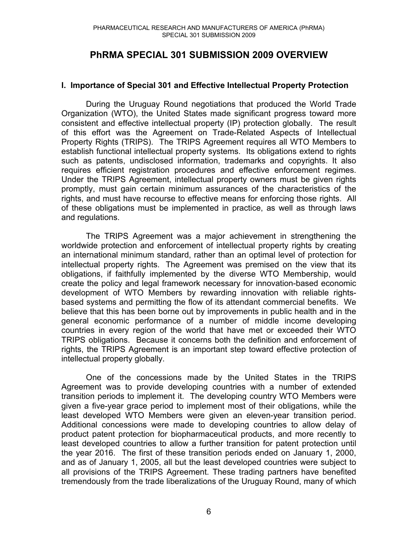#### **PhRMA SPECIAL 301 SUBMISSION 2009 OVERVIEW**

#### **I. Importance of Special 301 and Effective Intellectual Property Protection**

During the Uruguay Round negotiations that produced the World Trade Organization (WTO), the United States made significant progress toward more consistent and effective intellectual property (IP) protection globally. The result of this effort was the Agreement on Trade-Related Aspects of Intellectual Property Rights (TRIPS). The TRIPS Agreement requires all WTO Members to establish functional intellectual property systems. Its obligations extend to rights such as patents, undisclosed information, trademarks and copyrights. It also requires efficient registration procedures and effective enforcement regimes. Under the TRIPS Agreement, intellectual property owners must be given rights promptly, must gain certain minimum assurances of the characteristics of the rights, and must have recourse to effective means for enforcing those rights. All of these obligations must be implemented in practice, as well as through laws and regulations.

 The TRIPS Agreement was a major achievement in strengthening the worldwide protection and enforcement of intellectual property rights by creating an international minimum standard, rather than an optimal level of protection for intellectual property rights. The Agreement was premised on the view that its obligations, if faithfully implemented by the diverse WTO Membership, would create the policy and legal framework necessary for innovation-based economic development of WTO Members by rewarding innovation with reliable rightsbased systems and permitting the flow of its attendant commercial benefits. We believe that this has been borne out by improvements in public health and in the general economic performance of a number of middle income developing countries in every region of the world that have met or exceeded their WTO TRIPS obligations. Because it concerns both the definition and enforcement of rights, the TRIPS Agreement is an important step toward effective protection of intellectual property globally.

One of the concessions made by the United States in the TRIPS Agreement was to provide developing countries with a number of extended transition periods to implement it. The developing country WTO Members were given a five-year grace period to implement most of their obligations, while the least developed WTO Members were given an eleven-year transition period. Additional concessions were made to developing countries to allow delay of product patent protection for biopharmaceutical products, and more recently to least developed countries to allow a further transition for patent protection until the year 2016. The first of these transition periods ended on January 1, 2000, and as of January 1, 2005, all but the least developed countries were subject to all provisions of the TRIPS Agreement. These trading partners have benefited tremendously from the trade liberalizations of the Uruguay Round, many of which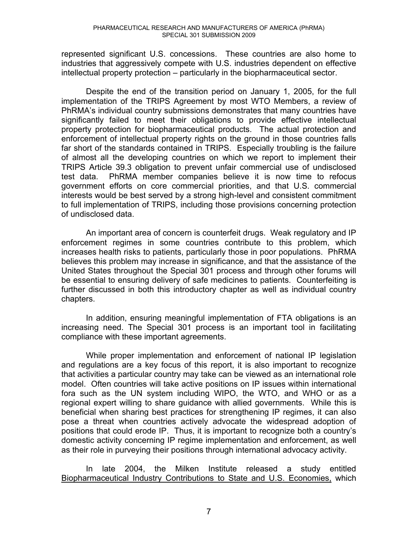represented significant U.S. concessions. These countries are also home to industries that aggressively compete with U.S. industries dependent on effective intellectual property protection – particularly in the biopharmaceutical sector.

 Despite the end of the transition period on January 1, 2005, for the full implementation of the TRIPS Agreement by most WTO Members, a review of PhRMA's individual country submissions demonstrates that many countries have significantly failed to meet their obligations to provide effective intellectual property protection for biopharmaceutical products. The actual protection and enforcement of intellectual property rights on the ground in those countries falls far short of the standards contained in TRIPS. Especially troubling is the failure of almost all the developing countries on which we report to implement their TRIPS Article 39.3 obligation to prevent unfair commercial use of undisclosed test data. PhRMA member companies believe it is now time to refocus government efforts on core commercial priorities, and that U.S. commercial interests would be best served by a strong high-level and consistent commitment to full implementation of TRIPS, including those provisions concerning protection of undisclosed data.

 An important area of concern is counterfeit drugs. Weak regulatory and IP enforcement regimes in some countries contribute to this problem, which increases health risks to patients, particularly those in poor populations. PhRMA believes this problem may increase in significance, and that the assistance of the United States throughout the Special 301 process and through other forums will be essential to ensuring delivery of safe medicines to patients. Counterfeiting is further discussed in both this introductory chapter as well as individual country chapters.

 In addition, ensuring meaningful implementation of FTA obligations is an increasing need. The Special 301 process is an important tool in facilitating compliance with these important agreements.

 While proper implementation and enforcement of national IP legislation and regulations are a key focus of this report, it is also important to recognize that activities a particular country may take can be viewed as an international role model. Often countries will take active positions on IP issues within international fora such as the UN system including WIPO, the WTO, and WHO or as a regional expert willing to share guidance with allied governments. While this is beneficial when sharing best practices for strengthening IP regimes, it can also pose a threat when countries actively advocate the widespread adoption of positions that could erode IP. Thus, it is important to recognize both a country's domestic activity concerning IP regime implementation and enforcement, as well as their role in purveying their positions through international advocacy activity.

 In late 2004, the Milken Institute released a study entitled Biopharmaceutical Industry Contributions to State and U.S. Economies, which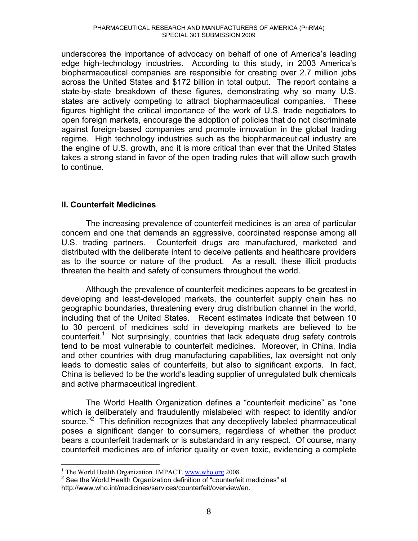underscores the importance of advocacy on behalf of one of America's leading edge high-technology industries. According to this study, in 2003 America's biopharmaceutical companies are responsible for creating over 2.7 million jobs across the United States and \$172 billion in total output. The report contains a state-by-state breakdown of these figures, demonstrating why so many U.S. states are actively competing to attract biopharmaceutical companies. These figures highlight the critical importance of the work of U.S. trade negotiators to open foreign markets, encourage the adoption of policies that do not discriminate against foreign-based companies and promote innovation in the global trading regime. High technology industries such as the biopharmaceutical industry are the engine of U.S. growth, and it is more critical than ever that the United States takes a strong stand in favor of the open trading rules that will allow such growth to continue.

#### **II. Counterfeit Medicines**

The increasing prevalence of counterfeit medicines is an area of particular concern and one that demands an aggressive, coordinated response among all U.S. trading partners. Counterfeit drugs are manufactured, marketed and distributed with the deliberate intent to deceive patients and healthcare providers as to the source or nature of the product. As a result, these illicit products threaten the health and safety of consumers throughout the world.

Although the prevalence of counterfeit medicines appears to be greatest in developing and least-developed markets, the counterfeit supply chain has no geographic boundaries, threatening every drug distribution channel in the world, including that of the United States. Recent estimates indicate that between 10 to 30 percent of medicines sold in developing markets are believed to be counterfeit.<sup>1</sup> Not surprisingly, countries that lack adequate drug safety controls tend to be most vulnerable to counterfeit medicines. Moreover, in China, India and other countries with drug manufacturing capabilities, lax oversight not only leads to domestic sales of counterfeits, but also to significant exports. In fact, China is believed to be the world's leading supplier of unregulated bulk chemicals and active pharmaceutical ingredient.

The World Health Organization defines a "counterfeit medicine" as "one which is deliberately and fraudulently mislabeled with respect to identity and/or source. $P^2$  This definition recognizes that any deceptively labeled pharmaceutical poses a significant danger to consumers, regardless of whether the product bears a counterfeit trademark or is substandard in any respect. Of course, many counterfeit medicines are of inferior quality or even toxic, evidencing a complete

 $\overline{a}$ <sup>1</sup> The World Health Organization. IMPACT. www.who.org 2008.

 $2$  See the World Health Organization definition of "counterfeit medicines" at http://www.who.int/medicines/services/counterfeit/overview/en.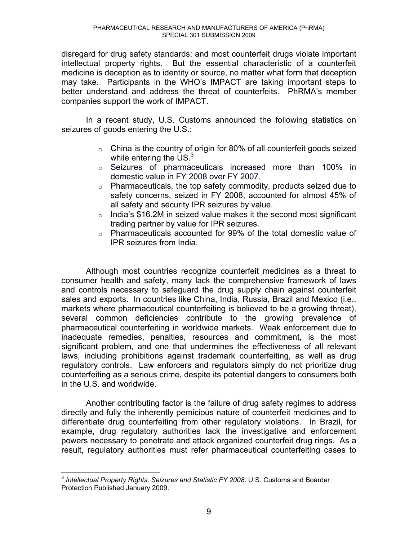disregard for drug safety standards; and most counterfeit drugs violate important intellectual property rights. But the essential characteristic of a counterfeit medicine is deception as to identity or source, no matter what form that deception may take. Participants in the WHO's IMPACT are taking important steps to better understand and address the threat of counterfeits. PhRMA's member companies support the work of IMPACT.

 In a recent study, U.S. Customs announced the following statistics on seizures of goods entering the U.S.:

- $\circ$  China is the country of origin for 80% of all counterfeit goods seized while entering the  $US^3$
- o Seizures of pharmaceuticals increased more than 100% in domestic value in FY 2008 over FY 2007.
- $\circ$  Pharmaceuticals, the top safety commodity, products seized due to safety concerns, seized in FY 2008, accounted for almost 45% of all safety and security IPR seizures by value.
- $\circ$  India's \$16.2M in seized value makes it the second most significant trading partner by value for IPR seizures.
- o Pharmaceuticals accounted for 99% of the total domestic value of IPR seizures from India.

 Although most countries recognize counterfeit medicines as a threat to consumer health and safety, many lack the comprehensive framework of laws and controls necessary to safeguard the drug supply chain against counterfeit sales and exports. In countries like China, India, Russia, Brazil and Mexico (i.e., markets where pharmaceutical counterfeiting is believed to be a growing threat), several common deficiencies contribute to the growing prevalence of pharmaceutical counterfeiting in worldwide markets. Weak enforcement due to inadequate remedies, penalties, resources and commitment, is the most significant problem, and one that undermines the effectiveness of all relevant laws, including prohibitions against trademark counterfeiting, as well as drug regulatory controls. Law enforcers and regulators simply do not prioritize drug counterfeiting as a serious crime, despite its potential dangers to consumers both in the U.S. and worldwide.

 Another contributing factor is the failure of drug safety regimes to address directly and fully the inherently pernicious nature of counterfeit medicines and to differentiate drug counterfeiting from other regulatory violations. In Brazil, for example, drug regulatory authorities lack the investigative and enforcement powers necessary to penetrate and attack organized counterfeit drug rings. As a result, regulatory authorities must refer pharmaceutical counterfeiting cases to

 $\overline{a}$ <sup>3</sup> *Intellectual Property Rights, Seizures and Statistic FY 2008*. U.S. Customs and Boarder Protection Published January 2009.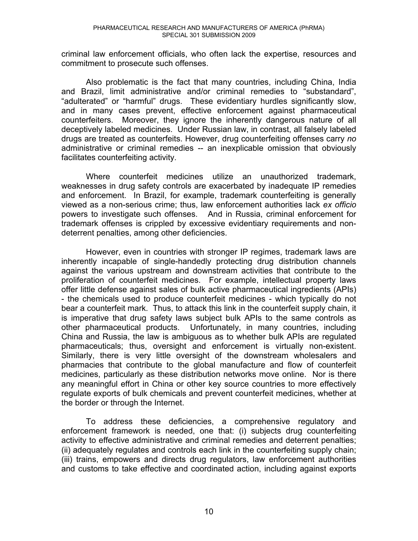criminal law enforcement officials, who often lack the expertise, resources and commitment to prosecute such offenses.

 Also problematic is the fact that many countries, including China, India and Brazil, limit administrative and/or criminal remedies to "substandard", "adulterated" or "harmful" drugs. These evidentiary hurdles significantly slow, and in many cases prevent, effective enforcement against pharmaceutical counterfeiters. Moreover, they ignore the inherently dangerous nature of all deceptively labeled medicines. Under Russian law, in contrast, all falsely labeled drugs are treated as counterfeits. However, drug counterfeiting offenses carry *no* administrative or criminal remedies -- an inexplicable omission that obviously facilitates counterfeiting activity.

Where counterfeit medicines utilize an unauthorized trademark, weaknesses in drug safety controls are exacerbated by inadequate IP remedies and enforcement. In Brazil, for example, trademark counterfeiting is generally viewed as a non-serious crime; thus, law enforcement authorities lack *ex officio* powers to investigate such offenses. And in Russia, criminal enforcement for trademark offenses is crippled by excessive evidentiary requirements and nondeterrent penalties, among other deficiencies.

However, even in countries with stronger IP regimes, trademark laws are inherently incapable of single-handedly protecting drug distribution channels against the various upstream and downstream activities that contribute to the proliferation of counterfeit medicines. For example, intellectual property laws offer little defense against sales of bulk active pharmaceutical ingredients (APIs) - the chemicals used to produce counterfeit medicines - which typically do not bear a counterfeit mark. Thus, to attack this link in the counterfeit supply chain, it is imperative that drug safety laws subject bulk APIs to the same controls as other pharmaceutical products. Unfortunately, in many countries, including China and Russia, the law is ambiguous as to whether bulk APIs are regulated pharmaceuticals; thus, oversight and enforcement is virtually non-existent. Similarly, there is very little oversight of the downstream wholesalers and pharmacies that contribute to the global manufacture and flow of counterfeit medicines, particularly as these distribution networks move online. Nor is there any meaningful effort in China or other key source countries to more effectively regulate exports of bulk chemicals and prevent counterfeit medicines, whether at the border or through the Internet.

 To address these deficiencies, a comprehensive regulatory and enforcement framework is needed, one that: (i) subjects drug counterfeiting activity to effective administrative and criminal remedies and deterrent penalties; (ii) adequately regulates and controls each link in the counterfeiting supply chain; (iii) trains, empowers and directs drug regulators, law enforcement authorities and customs to take effective and coordinated action, including against exports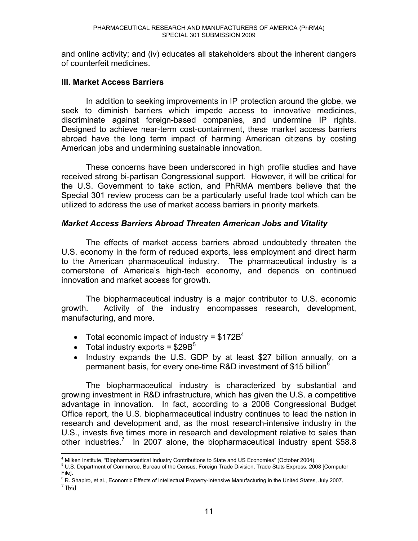and online activity; and (iv) educates all stakeholders about the inherent dangers of counterfeit medicines.

#### **III. Market Access Barriers**

In addition to seeking improvements in IP protection around the globe, we seek to diminish barriers which impede access to innovative medicines, discriminate against foreign-based companies, and undermine IP rights. Designed to achieve near-term cost-containment, these market access barriers abroad have the long term impact of harming American citizens by costing American jobs and undermining sustainable innovation.

These concerns have been underscored in high profile studies and have received strong bi-partisan Congressional support. However, it will be critical for the U.S. Government to take action, and PhRMA members believe that the Special 301 review process can be a particularly useful trade tool which can be utilized to address the use of market access barriers in priority markets.

#### *Market Access Barriers Abroad Threaten American Jobs and Vitality*

 The effects of market access barriers abroad undoubtedly threaten the U.S. economy in the form of reduced exports, less employment and direct harm to the American pharmaceutical industry. The pharmaceutical industry is a cornerstone of America's high-tech economy, and depends on continued innovation and market access for growth.

The biopharmaceutical industry is a major contributor to U.S. economic growth. Activity of the industry encompasses research, development, manufacturing, and more.

- Total economic impact of industry =  $$172B<sup>4</sup>$
- Total industry exports =  $$29B^5$
- Industry expands the U.S. GDP by at least \$27 billion annually, on a permanent basis, for every one-time R&D investment of \$15 billion<sup>6</sup>

The biopharmaceutical industry is characterized by substantial and growing investment in R&D infrastructure, which has given the U.S. a competitive advantage in innovation. In fact, according to a 2006 Congressional Budget Office report, the U.S. biopharmaceutical industry continues to lead the nation in research and development and, as the most research-intensive industry in the U.S., invests five times more in research and development relative to sales than other industries.<sup>7</sup> In 2007 alone, the biopharmaceutical industry spent \$58.8

 $7$  Ibid

 $\overline{a}$ <sup>4</sup> Milken Institute. "Biopharmaceutical Industry Contributions to State and US Economies" (October 2004).

<sup>&</sup>lt;sup>4</sup> Milken Institute, "Biopharmaceutical Industry Contributions to State and US Economies" (October 2004).<br><sup>5</sup> U.S. Department of Commerce, Bureau of the Census. Foreign Trade Division, Trade Stats Express, 2008 [Computer File].

<sup>&</sup>lt;sup>6</sup> R. Shapiro, et al., Economic Effects of Intellectual Property-Intensive Manufacturing in the United States, July 2007.<br><sup>7</sup> Ibid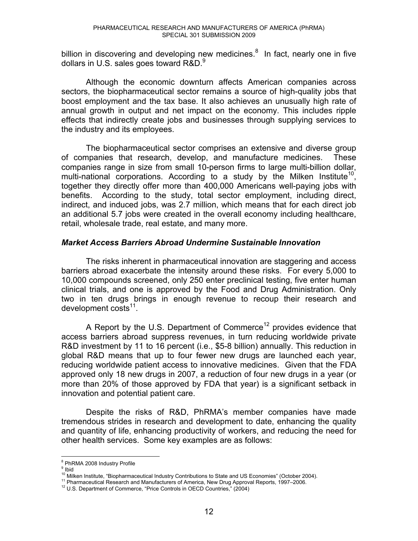billion in discovering and developing new medicines. $8$  In fact, nearly one in five dollars in U.S. sales goes toward  $R&D.9$ 

Although the economic downturn affects American companies across sectors, the biopharmaceutical sector remains a source of high-quality jobs that boost employment and the tax base. It also achieves an unusually high rate of annual growth in output and net impact on the economy. This includes ripple effects that indirectly create jobs and businesses through supplying services to the industry and its employees.

The biopharmaceutical sector comprises an extensive and diverse group of companies that research, develop, and manufacture medicines. These companies range in size from small 10-person firms to large multi-billion dollar, multi-national corporations. According to a study by the Milken Institute<sup>10</sup>, together they directly offer more than 400,000 Americans well-paying jobs with benefits. According to the study, total sector employment, including direct, indirect, and induced jobs, was 2.7 million, which means that for each direct job an additional 5.7 jobs were created in the overall economy including healthcare, retail, wholesale trade, real estate, and many more.

#### *Market Access Barriers Abroad Undermine Sustainable Innovation*

The risks inherent in pharmaceutical innovation are staggering and access barriers abroad exacerbate the intensity around these risks. For every 5,000 to 10,000 compounds screened, only 250 enter preclinical testing, five enter human clinical trials, and one is approved by the Food and Drug Administration. Only two in ten drugs brings in enough revenue to recoup their research and development costs<sup>11</sup>.

A Report by the U.S. Department of Commerce<sup>12</sup> provides evidence that access barriers abroad suppress revenues, in turn reducing worldwide private R&D investment by 11 to 16 percent (i.e., \$5-8 billion) annually. This reduction in global R&D means that up to four fewer new drugs are launched each year, reducing worldwide patient access to innovative medicines. Given that the FDA approved only 18 new drugs in 2007, a reduction of four new drugs in a year (or more than 20% of those approved by FDA that year) is a significant setback in innovation and potential patient care.

Despite the risks of R&D, PhRMA's member companies have made tremendous strides in research and development to date, enhancing the quality and quantity of life, enhancing productivity of workers, and reducing the need for other health services. Some key examples are as follows:

<sup>&</sup>lt;sup>8</sup> PhRMA 2008 Industry Profile

<sup>&</sup>lt;sup>9</sup> Ibid

<sup>&</sup>lt;sup>10</sup> Milken Institute, "Biopharmaceutical Industry Contributions to State and US Economies" (October 2004).<br><sup>11</sup> Pharmaceutical Research and Manufacturers of America, New Drug Approval Reports, 1997–2006.<br><sup>12</sup> U.S. Departm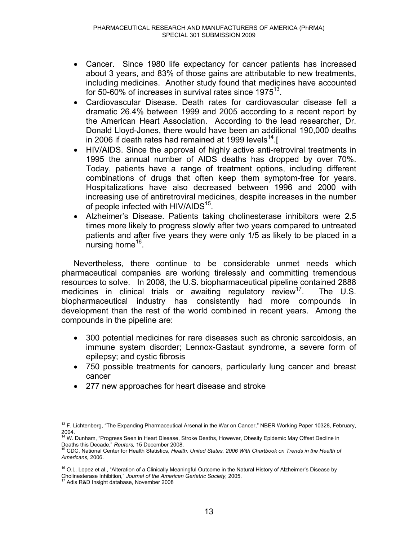- Cancer. Since 1980 life expectancy for cancer patients has increased about 3 years, and 83% of those gains are attributable to new treatments, including medicines. Another study found that medicines have accounted for 50-60% of increases in survival rates since  $1975^{13}$ .
- Cardiovascular Disease. Death rates for cardiovascular disease fell a dramatic 26.4% between 1999 and 2005 according to a recent report by the American Heart Association. According to the lead researcher, Dr. Donald Lloyd-Jones, there would have been an additional 190,000 deaths in 2006 if death rates had remained at 1999 levels<sup>14</sup>.[
- HIV/AIDS. Since the approval of highly active anti-retroviral treatments in 1995 the annual number of AIDS deaths has dropped by over 70%. Today, patients have a range of treatment options, including different combinations of drugs that often keep them symptom-free for years. Hospitalizations have also decreased between 1996 and 2000 with increasing use of antiretroviral medicines, despite increases in the number of people infected with HIV/AIDS<sup>15</sup>.
- Alzheimer's Disease. Patients taking cholinesterase inhibitors were 2.5 times more likely to progress slowly after two years compared to untreated patients and after five years they were only 1/5 as likely to be placed in a nursing home<sup>16</sup>.

 Nevertheless, there continue to be considerable unmet needs which pharmaceutical companies are working tirelessly and committing tremendous resources to solve. In 2008, the U.S. biopharmaceutical pipeline contained 2888 medicines in clinical trials or awaiting regulatory review<sup>17</sup>. The U.S. biopharmaceutical industry has consistently had more compounds in development than the rest of the world combined in recent years. Among the compounds in the pipeline are:

- 300 potential medicines for rare diseases such as chronic sarcoidosis, an immune system disorder; Lennox-Gastaut syndrome, a severe form of epilepsy; and cystic fibrosis
- 750 possible treatments for cancers, particularly lung cancer and breast cancer
- 277 new approaches for heart disease and stroke

 $\overline{a}$  $13$  F. Lichtenberg, "The Expanding Pharmaceutical Arsenal in the War on Cancer," NBER Working Paper 10328, February,

<sup>2004.&</sup>lt;br><sup>14</sup> W. Dunham, "Progress Seen in Heart Disease, Stroke Deaths, However, Obesity Epidemic May Offset Decline in Deaths this Decade,<sup>"</sup> Reuters, 15 December 2008.<br><sup>15</sup> CDC, National Center for Health Statistics, *Health, United States, 2006 With Chartbook on Trends in the Health of* 

*Americans,* 2006.

 $16$  O.L. Lopez et al., "Alteration of a Clinically Meaningful Outcome in the Natural History of Alzheimer's Disease by Cholinesterase Inhibition,f *Journal of the American Geriatric Society*, 2005. 17 Adis R&D Insight database, November 2008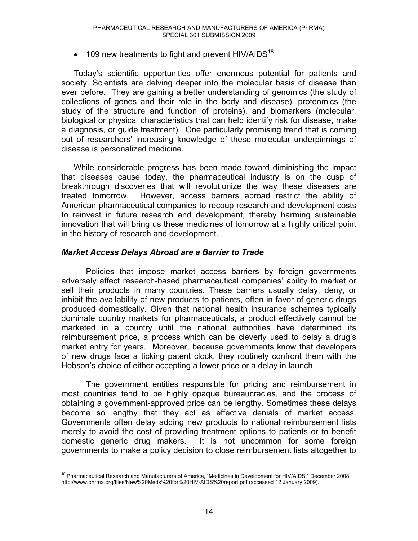$\bullet$  109 new treatments to fight and prevent HIV/AIDS<sup>18</sup>

Today's scientific opportunities offer enormous potential for patients and society. Scientists are delving deeper into the molecular basis of disease than ever before. They are gaining a better understanding of genomics (the study of collections of genes and their role in the body and disease), proteomics (the study of the structure and function of proteins), and biomarkers (molecular, biological or physical characteristics that can help identify risk for disease, make a diagnosis, or guide treatment). One particularly promising trend that is coming out of researchers' increasing knowledge of these molecular underpinnings of disease is personalized medicine.

While considerable progress has been made toward diminishing the impact that diseases cause today, the pharmaceutical industry is on the cusp of breakthrough discoveries that will revolutionize the way these diseases are treated tomorrow. However, access barriers abroad restrict the ability of American pharmaceutical companies to recoup research and development costs to reinvest in future research and development, thereby harming sustainable innovation that will bring us these medicines of tomorrow at a highly critical point in the history of research and development.

#### *Market Access Delays Abroad are a Barrier to Trade*

 Policies that impose market access barriers by foreign governments adversely affect research-based pharmaceutical companies' ability to market or sell their products in many countries. These barriers usually delay, deny, or inhibit the availability of new products to patients, often in favor of generic drugs produced domestically. Given that national health insurance schemes typically dominate country markets for pharmaceuticals, a product effectively cannot be marketed in a country until the national authorities have determined its reimbursement price, a process which can be cleverly used to delay a drug's market entry for years. Moreover, because governments know that developers of new drugs face a ticking patent clock, they routinely confront them with the Hobson's choice of either accepting a lower price or a delay in launch.

 The government entities responsible for pricing and reimbursement in most countries tend to be highly opaque bureaucracies, and the process of obtaining a government-approved price can be lengthy. Sometimes these delays become so lengthy that they act as effective denials of market access. Governments often delay adding new products to national reimbursement lists merely to avoid the cost of providing treatment options to patients or to benefit domestic generic drug makers. It is not uncommon for some foreign governments to make a policy decision to close reimbursement lists altogether to

 $\overline{a}$  $18$  Pharmaceutical Research and Manufacturers of America, "Medicines in Development for HIV/AIDS," December 2008, http://www.phrma.org/files/New%20Meds%20for%20HIV-AIDS%20report.pdf (accessed 12 January 2009).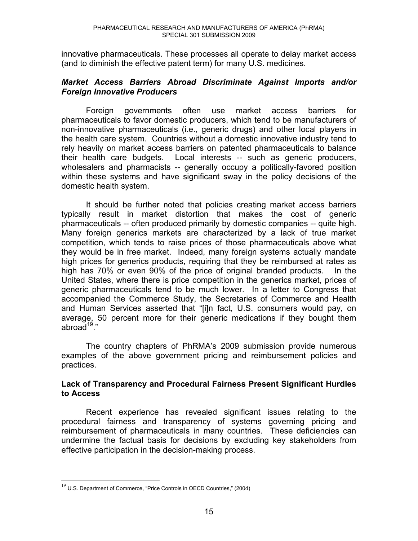innovative pharmaceuticals. These processes all operate to delay market access (and to diminish the effective patent term) for many U.S. medicines.

#### *Market Access Barriers Abroad Discriminate Against Imports and/or Foreign Innovative Producers*

 Foreign governments often use market access barriers for pharmaceuticals to favor domestic producers, which tend to be manufacturers of non-innovative pharmaceuticals (i.e., generic drugs) and other local players in the health care system. Countries without a domestic innovative industry tend to rely heavily on market access barriers on patented pharmaceuticals to balance their health care budgets. Local interests -- such as generic producers, wholesalers and pharmacists -- generally occupy a politically-favored position within these systems and have significant sway in the policy decisions of the domestic health system.

 It should be further noted that policies creating market access barriers typically result in market distortion that makes the cost of generic pharmaceuticals -- often produced primarily by domestic companies -- quite high. Many foreign generics markets are characterized by a lack of true market competition, which tends to raise prices of those pharmaceuticals above what they would be in free market. Indeed, many foreign systems actually mandate high prices for generics products, requiring that they be reimbursed at rates as high has 70% or even 90% of the price of original branded products. In the United States, where there is price competition in the generics market, prices of generic pharmaceuticals tend to be much lower. In a letter to Congress that accompanied the Commerce Study, the Secretaries of Commerce and Health and Human Services asserted that "[i]n fact, U.S. consumers would pay, on average, 50 percent more for their generic medications if they bought them abroad $19$ ."

The country chapters of PhRMA's 2009 submission provide numerous examples of the above government pricing and reimbursement policies and practices.

#### **Lack of Transparency and Procedural Fairness Present Significant Hurdles to Access**

 Recent experience has revealed significant issues relating to the procedural fairness and transparency of systems governing pricing and reimbursement of pharmaceuticals in many countries. These deficiencies can undermine the factual basis for decisions by excluding key stakeholders from effective participation in the decision-making process.

 $\overline{a}$ 

 $19$  U.S. Department of Commerce, "Price Controls in OECD Countries," (2004)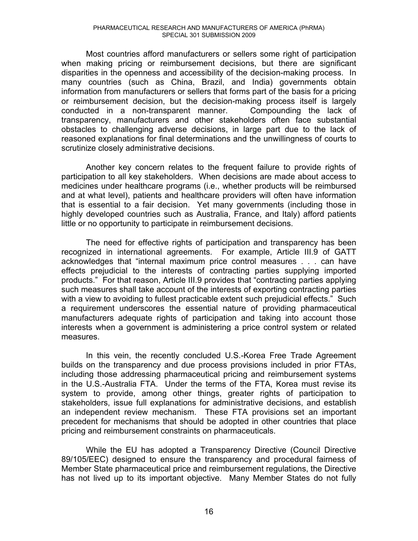Most countries afford manufacturers or sellers some right of participation when making pricing or reimbursement decisions, but there are significant disparities in the openness and accessibility of the decision-making process. In many countries (such as China, Brazil, and India) governments obtain information from manufacturers or sellers that forms part of the basis for a pricing or reimbursement decision, but the decision-making process itself is largely conducted in a non-transparent manner. Compounding the lack of transparency, manufacturers and other stakeholders often face substantial obstacles to challenging adverse decisions, in large part due to the lack of reasoned explanations for final determinations and the unwillingness of courts to scrutinize closely administrative decisions.

 Another key concern relates to the frequent failure to provide rights of participation to all key stakeholders. When decisions are made about access to medicines under healthcare programs (i.e., whether products will be reimbursed and at what level), patients and healthcare providers will often have information that is essential to a fair decision. Yet many governments (including those in highly developed countries such as Australia, France, and Italy) afford patients little or no opportunity to participate in reimbursement decisions.

 The need for effective rights of participation and transparency has been recognized in international agreements. For example, Article III.9 of GATT acknowledges that "internal maximum price control measures . . . can have effects prejudicial to the interests of contracting parties supplying imported products." For that reason, Article III.9 provides that "contracting parties applying such measures shall take account of the interests of exporting contracting parties with a view to avoiding to fullest practicable extent such prejudicial effects." Such a requirement underscores the essential nature of providing pharmaceutical manufacturers adequate rights of participation and taking into account those interests when a government is administering a price control system or related measures.

In this vein, the recently concluded U.S.-Korea Free Trade Agreement builds on the transparency and due process provisions included in prior FTAs, including those addressing pharmaceutical pricing and reimbursement systems in the U.S.-Australia FTA. Under the terms of the FTA, Korea must revise its system to provide, among other things, greater rights of participation to stakeholders, issue full explanations for administrative decisions, and establish an independent review mechanism. These FTA provisions set an important precedent for mechanisms that should be adopted in other countries that place pricing and reimbursement constraints on pharmaceuticals.

While the EU has adopted a Transparency Directive (Council Directive 89/105/EEC) designed to ensure the transparency and procedural fairness of Member State pharmaceutical price and reimbursement regulations, the Directive has not lived up to its important objective. Many Member States do not fully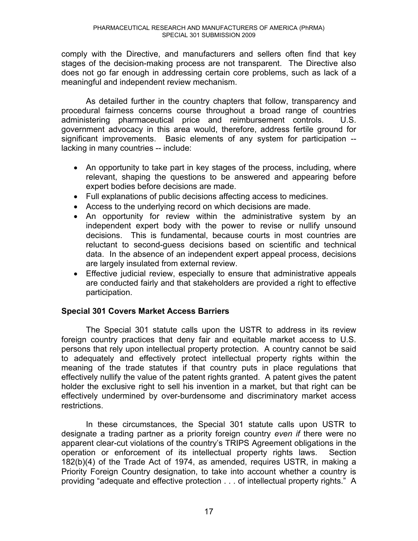comply with the Directive, and manufacturers and sellers often find that key stages of the decision-making process are not transparent. The Directive also does not go far enough in addressing certain core problems, such as lack of a meaningful and independent review mechanism.

As detailed further in the country chapters that follow, transparency and procedural fairness concerns course throughout a broad range of countries administering pharmaceutical price and reimbursement controls. U.S. government advocacy in this area would, therefore, address fertile ground for significant improvements. Basic elements of any system for participation - lacking in many countries -- include:

- An opportunity to take part in key stages of the process, including, where relevant, shaping the questions to be answered and appearing before expert bodies before decisions are made.
- Full explanations of public decisions affecting access to medicines.
- Access to the underlying record on which decisions are made.
- An opportunity for review within the administrative system by an independent expert body with the power to revise or nullify unsound decisions. This is fundamental, because courts in most countries are reluctant to second-guess decisions based on scientific and technical data. In the absence of an independent expert appeal process, decisions are largely insulated from external review.
- Effective judicial review, especially to ensure that administrative appeals are conducted fairly and that stakeholders are provided a right to effective participation.

#### **Special 301 Covers Market Access Barriers**

The Special 301 statute calls upon the USTR to address in its review foreign country practices that deny fair and equitable market access to U.S. persons that rely upon intellectual property protection. A country cannot be said to adequately and effectively protect intellectual property rights within the meaning of the trade statutes if that country puts in place regulations that effectively nullify the value of the patent rights granted. A patent gives the patent holder the exclusive right to sell his invention in a market, but that right can be effectively undermined by over-burdensome and discriminatory market access restrictions.

 In these circumstances, the Special 301 statute calls upon USTR to designate a trading partner as a priority foreign country *even if* there were no apparent clear-cut violations of the country's TRIPS Agreement obligations in the operation or enforcement of its intellectual property rights laws. Section 182(b)(4) of the Trade Act of 1974, as amended, requires USTR, in making a Priority Foreign Country designation, to take into account whether a country is providing "adequate and effective protection  $\ldots$  of intellectual property rights." A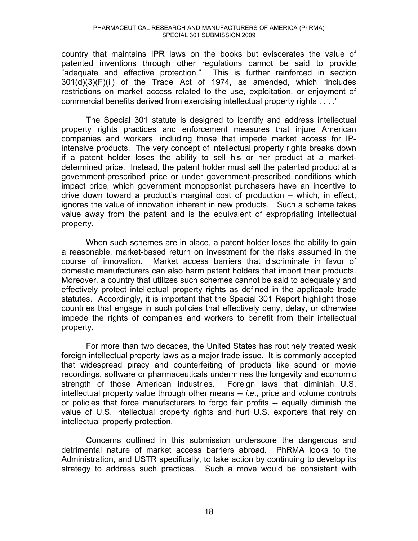country that maintains IPR laws on the books but eviscerates the value of patented inventions through other regulations cannot be said to provide "adequate and effective protection." This is further reinforced in section  $301(d)(3)(F)(ii)$  of the Trade Act of 1974, as amended, which "includes restrictions on market access related to the use, exploitation, or enjoyment of commercial benefits derived from exercising intellectual property rights . . . ."

 The Special 301 statute is designed to identify and address intellectual property rights practices and enforcement measures that injure American companies and workers, including those that impede market access for IPintensive products. The very concept of intellectual property rights breaks down if a patent holder loses the ability to sell his or her product at a marketdetermined price. Instead, the patent holder must sell the patented product at a government-prescribed price or under government-prescribed conditions which impact price, which government monopsonist purchasers have an incentive to drive down toward a product's marginal cost of production  $-$  which, in effect, ignores the value of innovation inherent in new products. Such a scheme takes value away from the patent and is the equivalent of expropriating intellectual property.

 When such schemes are in place, a patent holder loses the ability to gain a reasonable, market-based return on investment for the risks assumed in the course of innovation. Market access barriers that discriminate in favor of domestic manufacturers can also harm patent holders that import their products. Moreover, a country that utilizes such schemes cannot be said to adequately and effectively protect intellectual property rights as defined in the applicable trade statutes. Accordingly, it is important that the Special 301 Report highlight those countries that engage in such policies that effectively deny, delay, or otherwise impede the rights of companies and workers to benefit from their intellectual property.

 For more than two decades, the United States has routinely treated weak foreign intellectual property laws as a major trade issue. It is commonly accepted that widespread piracy and counterfeiting of products like sound or movie recordings, software or pharmaceuticals undermines the longevity and economic strength of those American industries. Foreign laws that diminish U.S. intellectual property value through other means -- *i.e*., price and volume controls or policies that force manufacturers to forgo fair profits -- equally diminish the value of U.S. intellectual property rights and hurt U.S. exporters that rely on intellectual property protection.

Concerns outlined in this submission underscore the dangerous and detrimental nature of market access barriers abroad. PhRMA looks to the Administration, and USTR specifically, to take action by continuing to develop its strategy to address such practices. Such a move would be consistent with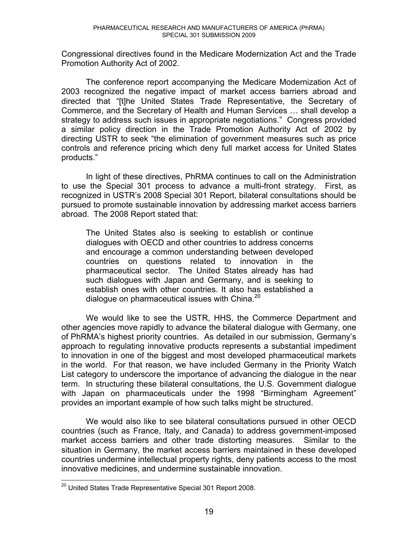Congressional directives found in the Medicare Modernization Act and the Trade Promotion Authority Act of 2002.

 The conference report accompanying the Medicare Modernization Act of 2003 recognized the negative impact of market access barriers abroad and directed that "[t]he United States Trade Representative, the Secretary of Commerce, and the Secretary of Health and Human Services ... shall develop a strategy to address such issues in appropriate negotiations." Congress provided a similar policy direction in the Trade Promotion Authority Act of 2002 by directing USTR to seek "the elimination of government measures such as price controls and reference pricing which deny full market access for United States products."

 In light of these directives, PhRMA continues to call on the Administration to use the Special 301 process to advance a multi-front strategy. First, as recognized in USTR's 2008 Special 301 Report, bilateral consultations should be pursued to promote sustainable innovation by addressing market access barriers abroad. The 2008 Report stated that:

The United States also is seeking to establish or continue dialogues with OECD and other countries to address concerns and encourage a common understanding between developed countries on questions related to innovation in the pharmaceutical sector. The United States already has had such dialogues with Japan and Germany, and is seeking to establish ones with other countries. It also has established a dialogue on pharmaceutical issues with China.<sup>20</sup>

We would like to see the USTR, HHS, the Commerce Department and other agencies move rapidly to advance the bilateral dialogue with Germany, one of PhRMA's highest priority countries. As detailed in our submission, Germany's approach to regulating innovative products represents a substantial impediment to innovation in one of the biggest and most developed pharmaceutical markets in the world. For that reason, we have included Germany in the Priority Watch List category to underscore the importance of advancing the dialogue in the near term. In structuring these bilateral consultations, the U.S. Government dialogue with Japan on pharmaceuticals under the 1998 "Birmingham Agreement" provides an important example of how such talks might be structured.

We would also like to see bilateral consultations pursued in other OECD countries (such as France, Italy, and Canada) to address government-imposed market access barriers and other trade distorting measures. Similar to the situation in Germany, the market access barriers maintained in these developed countries undermine intellectual property rights, deny patients access to the most innovative medicines, and undermine sustainable innovation.

 $\overline{a}$  $^{20}$  United States Trade Representative Special 301 Report 2008.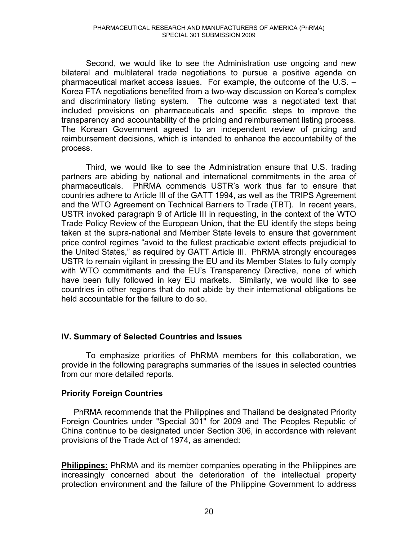Second, we would like to see the Administration use ongoing and new bilateral and multilateral trade negotiations to pursue a positive agenda on pharmaceutical market access issues. For example, the outcome of the U.S.  $-$ Korea FTA negotiations benefited from a two-way discussion on Korea's complex and discriminatory listing system. The outcome was a negotiated text that included provisions on pharmaceuticals and specific steps to improve the transparency and accountability of the pricing and reimbursement listing process. The Korean Government agreed to an independent review of pricing and reimbursement decisions, which is intended to enhance the accountability of the process.

 Third, we would like to see the Administration ensure that U.S. trading partners are abiding by national and international commitments in the area of pharmaceuticals. PhRMA commends USTR's work thus far to ensure that countries adhere to Article III of the GATT 1994, as well as the TRIPS Agreement and the WTO Agreement on Technical Barriers to Trade (TBT). In recent years, USTR invoked paragraph 9 of Article III in requesting, in the context of the WTO Trade Policy Review of the European Union, that the EU identify the steps being taken at the supra-national and Member State levels to ensure that government price control regimes "avoid to the fullest practicable extent effects prejudicial to the United States," as required by GATT Article III. PhRMA strongly encourages USTR to remain vigilant in pressing the EU and its Member States to fully comply with WTO commitments and the EU's Transparency Directive, none of which have been fully followed in key EU markets. Similarly, we would like to see countries in other regions that do not abide by their international obligations be held accountable for the failure to do so.

#### **IV. Summary of Selected Countries and Issues**

To emphasize priorities of PhRMA members for this collaboration, we provide in the following paragraphs summaries of the issues in selected countries from our more detailed reports.

#### **Priority Foreign Countries**

PhRMA recommends that the Philippines and Thailand be designated Priority Foreign Countries under "Special 301" for 2009 and The Peoples Republic of China continue to be designated under Section 306, in accordance with relevant provisions of the Trade Act of 1974, as amended:

**Philippines:** PhRMA and its member companies operating in the Philippines are increasingly concerned about the deterioration of the intellectual property protection environment and the failure of the Philippine Government to address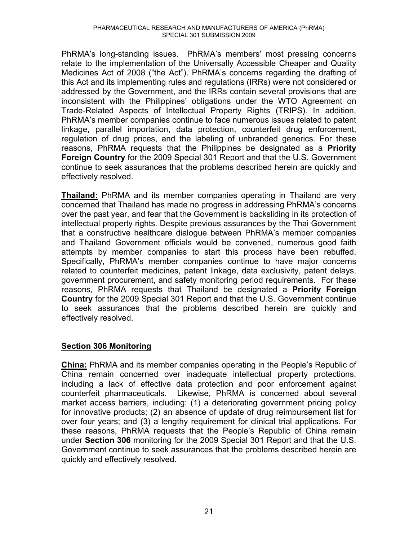PhRMA's long-standing issues. PhRMA's members' most pressing concerns relate to the implementation of the Universally Accessible Cheaper and Quality Medicines Act of 2008 ("the Act"). PhRMA's concerns regarding the drafting of this Act and its implementing rules and regulations (IRRs) were not considered or addressed by the Government, and the IRRs contain several provisions that are inconsistent with the Philippines' obligations under the WTO Agreement on Trade-Related Aspects of Intellectual Property Rights (TRIPS). In addition, PhRMA's member companies continue to face numerous issues related to patent linkage, parallel importation, data protection, counterfeit drug enforcement, regulation of drug prices, and the labeling of unbranded generics. For these reasons, PhRMA requests that the Philippines be designated as a **Priority Foreign Country** for the 2009 Special 301 Report and that the U.S. Government continue to seek assurances that the problems described herein are quickly and effectively resolved.

**Thailand:** PhRMA and its member companies operating in Thailand are very concerned that Thailand has made no progress in addressing PhRMA's concerns over the past year, and fear that the Government is backsliding in its protection of intellectual property rights. Despite previous assurances by the Thai Government that a constructive healthcare dialogue between PhRMA's member companies and Thailand Government officials would be convened, numerous good faith attempts by member companies to start this process have been rebuffed. Specifically, PhRMA's member companies continue to have major concerns related to counterfeit medicines, patent linkage, data exclusivity, patent delays, government procurement, and safety monitoring period requirements. For these reasons, PhRMA requests that Thailand be designated a **Priority Foreign Country** for the 2009 Special 301 Report and that the U.S. Government continue to seek assurances that the problems described herein are quickly and effectively resolved.

#### **Section 306 Monitoring**

**China:** PhRMA and its member companies operating in the People's Republic of China remain concerned over inadequate intellectual property protections, including a lack of effective data protection and poor enforcement against counterfeit pharmaceuticals. Likewise, PhRMA is concerned about several market access barriers, including: (1) a deteriorating government pricing policy for innovative products; (2) an absence of update of drug reimbursement list for over four years; and (3) a lengthy requirement for clinical trial applications. For these reasons, PhRMA requests that the People's Republic of China remain under **Section 306** monitoring for the 2009 Special 301 Report and that the U.S. Government continue to seek assurances that the problems described herein are quickly and effectively resolved.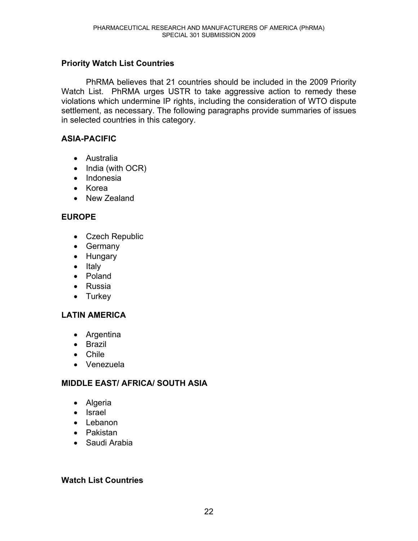#### **Priority Watch List Countries**

 PhRMA believes that 21 countries should be included in the 2009 Priority Watch List. PhRMA urges USTR to take aggressive action to remedy these violations which undermine IP rights, including the consideration of WTO dispute settlement, as necessary. The following paragraphs provide summaries of issues in selected countries in this category.

#### **ASIA-PACIFIC**

- Australia
- $\bullet$  India (with OCR)
- Indonesia
- $\bullet$  Korea
- New Zealand

#### **EUROPE**

- Czech Republic
- Germany
- Hungary
- Italy
- Poland
- Russia
- $\bullet$  Turkey

#### **LATIN AMERICA**

- Argentina
- $\bullet$  Brazil
- $\bullet$  Chile
- Venezuela

#### **MIDDLE EAST/ AFRICA/ SOUTH ASIA**

- $\bullet$  Algeria
- Israel
- $\bullet$  Lebanon
- Pakistan
- $\bullet$  Saudi Arabia

#### **Watch List Countries**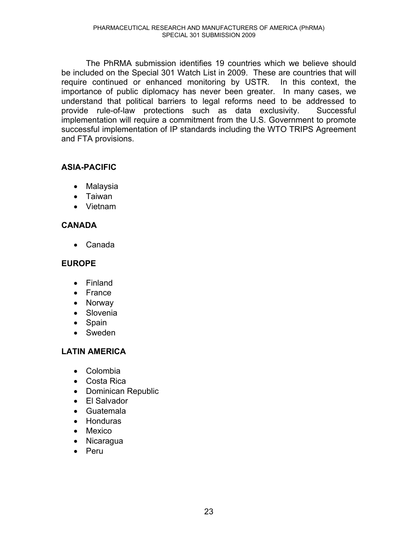The PhRMA submission identifies 19 countries which we believe should be included on the Special 301 Watch List in 2009. These are countries that will require continued or enhanced monitoring by USTR. In this context, the importance of public diplomacy has never been greater. In many cases, we understand that political barriers to legal reforms need to be addressed to provide rule-of-law protections such as data exclusivity. Successful implementation will require a commitment from the U.S. Government to promote successful implementation of IP standards including the WTO TRIPS Agreement and FTA provisions.

#### **ASIA-PACIFIC**

- Malaysia
- Taiwan
- Vietnam

#### **CANADA**

• Canada

#### **EUROPE**

- $\bullet$  Finland
- France
- Norway
- Slovenia
- $\bullet$  Spain
- Sweden

#### **LATIN AMERICA**

- Colombia
- Costa Rica
- Dominican Republic
- El Salvador
- Guatemala
- Honduras
- $\bullet$  Mexico
- Nicaragua
- $\bullet$  Peru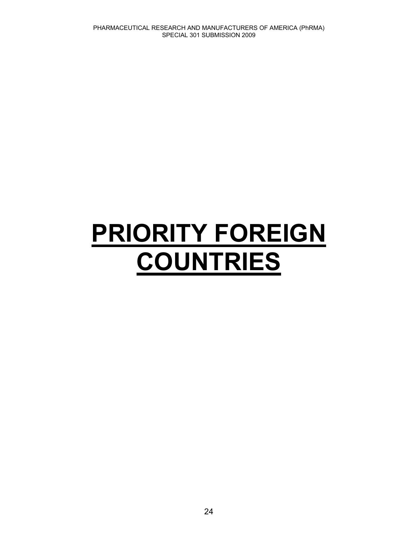# **PRIORITY FOREIGN COUNTRIES**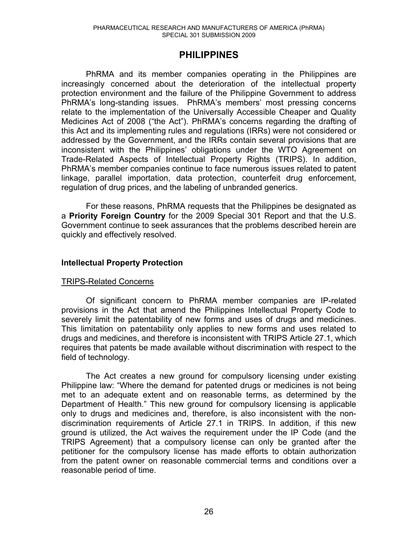#### **PHILIPPINES**

PhRMA and its member companies operating in the Philippines are increasingly concerned about the deterioration of the intellectual property protection environment and the failure of the Philippine Government to address PhRMA's long-standing issues. PhRMA's members' most pressing concerns relate to the implementation of the Universally Accessible Cheaper and Quality Medicines Act of 2008 ("the Act"). PhRMA's concerns regarding the drafting of this Act and its implementing rules and regulations (IRRs) were not considered or addressed by the Government, and the IRRs contain several provisions that are inconsistent with the Philippines' obligations under the WTO Agreement on Trade-Related Aspects of Intellectual Property Rights (TRIPS). In addition, PhRMA's member companies continue to face numerous issues related to patent linkage, parallel importation, data protection, counterfeit drug enforcement, regulation of drug prices, and the labeling of unbranded generics.

 For these reasons, PhRMA requests that the Philippines be designated as a **Priority Foreign Country** for the 2009 Special 301 Report and that the U.S. Government continue to seek assurances that the problems described herein are quickly and effectively resolved.

#### **Intellectual Property Protection**

#### TRIPS-Related Concerns

Of significant concern to PhRMA member companies are IP-related provisions in the Act that amend the Philippines Intellectual Property Code to severely limit the patentability of new forms and uses of drugs and medicines. This limitation on patentability only applies to new forms and uses related to drugs and medicines, and therefore is inconsistent with TRIPS Article 27.1, which requires that patents be made available without discrimination with respect to the field of technology.

The Act creates a new ground for compulsory licensing under existing Philippine law: "Where the demand for patented drugs or medicines is not being met to an adequate extent and on reasonable terms, as determined by the Department of Health." This new ground for compulsory licensing is applicable only to drugs and medicines and, therefore, is also inconsistent with the nondiscrimination requirements of Article 27.1 in TRIPS. In addition, if this new ground is utilized, the Act waives the requirement under the IP Code (and the TRIPS Agreement) that a compulsory license can only be granted after the petitioner for the compulsory license has made efforts to obtain authorization from the patent owner on reasonable commercial terms and conditions over a reasonable period of time.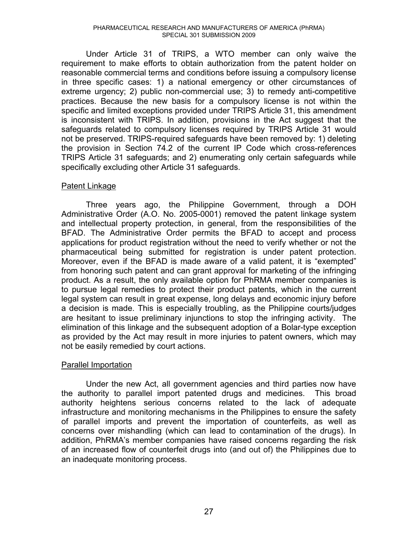Under Article 31 of TRIPS, a WTO member can only waive the requirement to make efforts to obtain authorization from the patent holder on reasonable commercial terms and conditions before issuing a compulsory license in three specific cases: 1) a national emergency or other circumstances of extreme urgency; 2) public non-commercial use; 3) to remedy anti-competitive practices. Because the new basis for a compulsory license is not within the specific and limited exceptions provided under TRIPS Article 31, this amendment is inconsistent with TRIPS. In addition, provisions in the Act suggest that the safeguards related to compulsory licenses required by TRIPS Article 31 would not be preserved. TRIPS-required safeguards have been removed by: 1) deleting the provision in Section 74.2 of the current IP Code which cross-references TRIPS Article 31 safeguards; and 2) enumerating only certain safeguards while specifically excluding other Article 31 safeguards.

#### Patent Linkage

Three years ago, the Philippine Government, through a DOH Administrative Order (A.O. No. 2005-0001) removed the patent linkage system and intellectual property protection, in general, from the responsibilities of the BFAD. The Administrative Order permits the BFAD to accept and process applications for product registration without the need to verify whether or not the pharmaceutical being submitted for registration is under patent protection. Moreover, even if the BFAD is made aware of a valid patent, it is "exempted" from honoring such patent and can grant approval for marketing of the infringing product. As a result, the only available option for PhRMA member companies is to pursue legal remedies to protect their product patents, which in the current legal system can result in great expense, long delays and economic injury before a decision is made. This is especially troubling, as the Philippine courts/judges are hesitant to issue preliminary injunctions to stop the infringing activity. The elimination of this linkage and the subsequent adoption of a Bolar-type exception as provided by the Act may result in more injuries to patent owners, which may not be easily remedied by court actions.

#### Parallel Importation

Under the new Act, all government agencies and third parties now have the authority to parallel import patented drugs and medicines. This broad authority heightens serious concerns related to the lack of adequate infrastructure and monitoring mechanisms in the Philippines to ensure the safety of parallel imports and prevent the importation of counterfeits, as well as concerns over mishandling (which can lead to contamination of the drugs). In addition, PhRMA's member companies have raised concerns regarding the risk of an increased flow of counterfeit drugs into (and out of) the Philippines due to an inadequate monitoring process.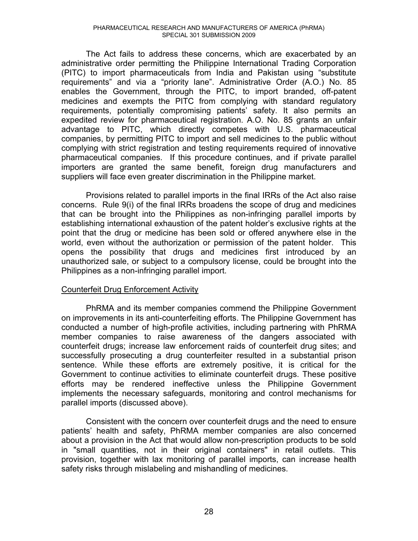The Act fails to address these concerns, which are exacerbated by an administrative order permitting the Philippine International Trading Corporation (PITC) to import pharmaceuticals from India and Pakistan using "substitute requirements" and via a "priority lane". Administrative Order (A.O.) No. 85 enables the Government, through the PITC, to import branded, off-patent medicines and exempts the PITC from complying with standard regulatory requirements, potentially compromising patients' safety. It also permits an expedited review for pharmaceutical registration. A.O. No. 85 grants an unfair advantage to PITC, which directly competes with U.S. pharmaceutical companies, by permitting PITC to import and sell medicines to the public without complying with strict registration and testing requirements required of innovative pharmaceutical companies. If this procedure continues, and if private parallel importers are granted the same benefit, foreign drug manufacturers and suppliers will face even greater discrimination in the Philippine market.

Provisions related to parallel imports in the final IRRs of the Act also raise concerns. Rule 9(i) of the final IRRs broadens the scope of drug and medicines that can be brought into the Philippines as non-infringing parallel imports by establishing international exhaustion of the patent holder's exclusive rights at the point that the drug or medicine has been sold or offered anywhere else in the world, even without the authorization or permission of the patent holder. This opens the possibility that drugs and medicines first introduced by an unauthorized sale, or subject to a compulsory license, could be brought into the Philippines as a non-infringing parallel import.

#### Counterfeit Drug Enforcement Activity

PhRMA and its member companies commend the Philippine Government on improvements in its anti-counterfeiting efforts. The Philippine Government has conducted a number of high-profile activities, including partnering with PhRMA member companies to raise awareness of the dangers associated with counterfeit drugs; increase law enforcement raids of counterfeit drug sites; and successfully prosecuting a drug counterfeiter resulted in a substantial prison sentence. While these efforts are extremely positive, it is critical for the Government to continue activities to eliminate counterfeit drugs. These positive efforts may be rendered ineffective unless the Philippine Government implements the necessary safeguards, monitoring and control mechanisms for parallel imports (discussed above).

Consistent with the concern over counterfeit drugs and the need to ensure patients' health and safety, PhRMA member companies are also concerned about a provision in the Act that would allow non-prescription products to be sold in "small quantities, not in their original containers" in retail outlets. This provision, together with lax monitoring of parallel imports, can increase health safety risks through mislabeling and mishandling of medicines.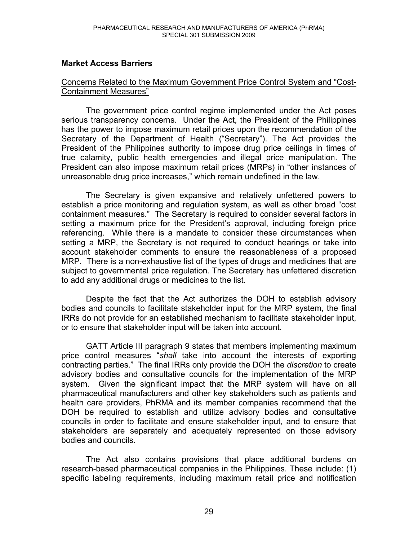#### **Market Access Barriers**

#### Concerns Related to the Maximum Government Price Control System and "Cost-Containment Measures"

The government price control regime implemented under the Act poses serious transparency concerns. Under the Act, the President of the Philippines has the power to impose maximum retail prices upon the recommendation of the Secretary of the Department of Health ("Secretary"). The Act provides the President of the Philippines authority to impose drug price ceilings in times of true calamity, public health emergencies and illegal price manipulation. The President can also impose maximum retail prices (MRPs) in "other instances of unreasonable drug price increases," which remain undefined in the law.

The Secretary is given expansive and relatively unfettered powers to establish a price monitoring and regulation system, as well as other broad "cost containment measures." The Secretary is required to consider several factors in setting a maximum price for the President's approval, including foreign price referencing. While there is a mandate to consider these circumstances when setting a MRP, the Secretary is not required to conduct hearings or take into account stakeholder comments to ensure the reasonableness of a proposed MRP. There is a non-exhaustive list of the types of drugs and medicines that are subject to governmental price regulation. The Secretary has unfettered discretion to add any additional drugs or medicines to the list.

Despite the fact that the Act authorizes the DOH to establish advisory bodies and councils to facilitate stakeholder input for the MRP system, the final IRRs do not provide for an established mechanism to facilitate stakeholder input, or to ensure that stakeholder input will be taken into account.

GATT Article III paragraph 9 states that members implementing maximum price control measures e*shall* take into account the interests of exporting contracting parties.<sup>"</sup> The final IRRs only provide the DOH the *discretion* to create advisory bodies and consultative councils for the implementation of the MRP system. Given the significant impact that the MRP system will have on all pharmaceutical manufacturers and other key stakeholders such as patients and health care providers, PhRMA and its member companies recommend that the DOH be required to establish and utilize advisory bodies and consultative councils in order to facilitate and ensure stakeholder input, and to ensure that stakeholders are separately and adequately represented on those advisory bodies and councils.

The Act also contains provisions that place additional burdens on research-based pharmaceutical companies in the Philippines. These include: (1) specific labeling requirements, including maximum retail price and notification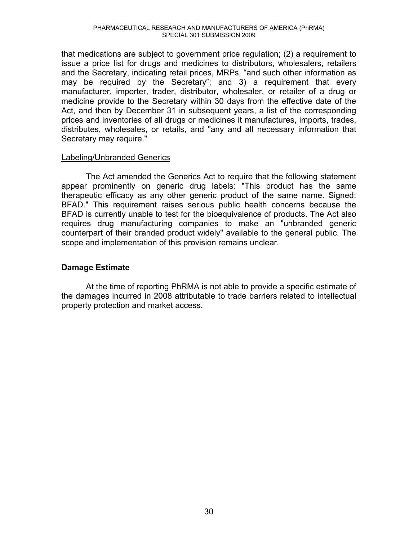that medications are subject to government price regulation; (2) a requirement to issue a price list for drugs and medicines to distributors, wholesalers, retailers and the Secretary, indicating retail prices, MRPs, "and such other information as may be required by the Secretary"; and 3) a requirement that every manufacturer, importer, trader, distributor, wholesaler, or retailer of a drug or medicine provide to the Secretary within 30 days from the effective date of the Act, and then by December 31 in subsequent years, a list of the corresponding prices and inventories of all drugs or medicines it manufactures, imports, trades, distributes, wholesales, or retails, and "any and all necessary information that Secretary may require."

#### Labeling/Unbranded Generics

The Act amended the Generics Act to require that the following statement appear prominently on generic drug labels: "This product has the same therapeutic efficacy as any other generic product of the same name. Signed: BFAD." This requirement raises serious public health concerns because the BFAD is currently unable to test for the bioequivalence of products. The Act also requires drug manufacturing companies to make an "unbranded generic counterpart of their branded product widely" available to the general public. The scope and implementation of this provision remains unclear.

#### **Damage Estimate**

At the time of reporting PhRMA is not able to provide a specific estimate of the damages incurred in 2008 attributable to trade barriers related to intellectual property protection and market access.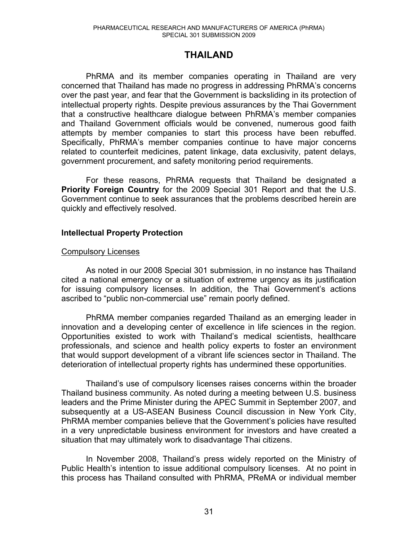#### **THAILAND**

PhRMA and its member companies operating in Thailand are very concerned that Thailand has made no progress in addressing PhRMA's concerns over the past year, and fear that the Government is backsliding in its protection of intellectual property rights. Despite previous assurances by the Thai Government that a constructive healthcare dialogue between PhRMA's member companies and Thailand Government officials would be convened, numerous good faith attempts by member companies to start this process have been rebuffed. Specifically, PhRMA's member companies continue to have major concerns related to counterfeit medicines, patent linkage, data exclusivity, patent delays, government procurement, and safety monitoring period requirements.

 For these reasons, PhRMA requests that Thailand be designated a **Priority Foreign Country** for the 2009 Special 301 Report and that the U.S. Government continue to seek assurances that the problems described herein are quickly and effectively resolved.

#### **Intellectual Property Protection**

#### Compulsory Licenses

As noted in our 2008 Special 301 submission, in no instance has Thailand cited a national emergency or a situation of extreme urgency as its justification for issuing compulsory licenses. In addition, the Thai Government's actions ascribed to "public non-commercial use" remain poorly defined.

PhRMA member companies regarded Thailand as an emerging leader in innovation and a developing center of excellence in life sciences in the region. Opportunities existed to work with Thailand's medical scientists, healthcare professionals, and science and health policy experts to foster an environment that would support development of a vibrant life sciences sector in Thailand. The deterioration of intellectual property rights has undermined these opportunities.

Thailand's use of compulsory licenses raises concerns within the broader Thailand business community. As noted during a meeting between U.S. business leaders and the Prime Minister during the APEC Summit in September 2007, and subsequently at a US-ASEAN Business Council discussion in New York City, PhRMA member companies believe that the Government's policies have resulted in a very unpredictable business environment for investors and have created a situation that may ultimately work to disadvantage Thai citizens.

In November 2008, Thailand's press widely reported on the Ministry of Public Health's intention to issue additional compulsory licenses. At no point in this process has Thailand consulted with PhRMA, PReMA or individual member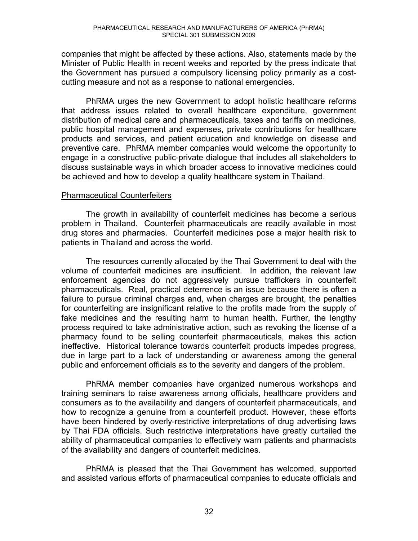companies that might be affected by these actions. Also, statements made by the Minister of Public Health in recent weeks and reported by the press indicate that the Government has pursued a compulsory licensing policy primarily as a costcutting measure and not as a response to national emergencies.

PhRMA urges the new Government to adopt holistic healthcare reforms that address issues related to overall healthcare expenditure, government distribution of medical care and pharmaceuticals, taxes and tariffs on medicines, public hospital management and expenses, private contributions for healthcare products and services, and patient education and knowledge on disease and preventive care. PhRMA member companies would welcome the opportunity to engage in a constructive public-private dialogue that includes all stakeholders to discuss sustainable ways in which broader access to innovative medicines could be achieved and how to develop a quality healthcare system in Thailand.

#### Pharmaceutical Counterfeiters

The growth in availability of counterfeit medicines has become a serious problem in Thailand. Counterfeit pharmaceuticals are readily available in most drug stores and pharmacies. Counterfeit medicines pose a major health risk to patients in Thailand and across the world.

The resources currently allocated by the Thai Government to deal with the volume of counterfeit medicines are insufficient. In addition, the relevant law enforcement agencies do not aggressively pursue traffickers in counterfeit pharmaceuticals. Real, practical deterrence is an issue because there is often a failure to pursue criminal charges and, when charges are brought, the penalties for counterfeiting are insignificant relative to the profits made from the supply of fake medicines and the resulting harm to human health. Further, the lengthy process required to take administrative action, such as revoking the license of a pharmacy found to be selling counterfeit pharmaceuticals, makes this action ineffective. Historical tolerance towards counterfeit products impedes progress, due in large part to a lack of understanding or awareness among the general public and enforcement officials as to the severity and dangers of the problem.

PhRMA member companies have organized numerous workshops and training seminars to raise awareness among officials, healthcare providers and consumers as to the availability and dangers of counterfeit pharmaceuticals, and how to recognize a genuine from a counterfeit product. However, these efforts have been hindered by overly-restrictive interpretations of drug advertising laws by Thai FDA officials. Such restrictive interpretations have greatly curtailed the ability of pharmaceutical companies to effectively warn patients and pharmacists of the availability and dangers of counterfeit medicines.

PhRMA is pleased that the Thai Government has welcomed, supported and assisted various efforts of pharmaceutical companies to educate officials and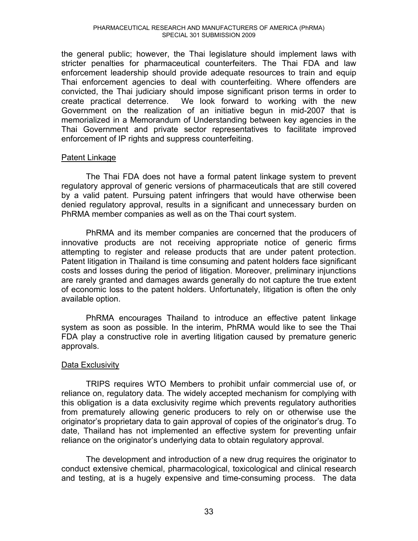the general public; however, the Thai legislature should implement laws with stricter penalties for pharmaceutical counterfeiters. The Thai FDA and law enforcement leadership should provide adequate resources to train and equip Thai enforcement agencies to deal with counterfeiting. Where offenders are convicted, the Thai judiciary should impose significant prison terms in order to create practical deterrence. We look forward to working with the new Government on the realization of an initiative begun in mid-2007 that is memorialized in a Memorandum of Understanding between key agencies in the Thai Government and private sector representatives to facilitate improved enforcement of IP rights and suppress counterfeiting.

#### Patent Linkage

The Thai FDA does not have a formal patent linkage system to prevent regulatory approval of generic versions of pharmaceuticals that are still covered by a valid patent. Pursuing patent infringers that would have otherwise been denied regulatory approval, results in a significant and unnecessary burden on PhRMA member companies as well as on the Thai court system.

PhRMA and its member companies are concerned that the producers of innovative products are not receiving appropriate notice of generic firms attempting to register and release products that are under patent protection. Patent litigation in Thailand is time consuming and patent holders face significant costs and losses during the period of litigation. Moreover, preliminary injunctions are rarely granted and damages awards generally do not capture the true extent of economic loss to the patent holders. Unfortunately, litigation is often the only available option.

PhRMA encourages Thailand to introduce an effective patent linkage system as soon as possible. In the interim, PhRMA would like to see the Thai FDA play a constructive role in averting litigation caused by premature generic approvals.

#### Data Exclusivity

TRIPS requires WTO Members to prohibit unfair commercial use of, or reliance on, regulatory data. The widely accepted mechanism for complying with this obligation is a data exclusivity regime which prevents regulatory authorities from prematurely allowing generic producers to rely on or otherwise use the originator's proprietary data to gain approval of copies of the originator's drug. To date, Thailand has not implemented an effective system for preventing unfair reliance on the originator's underlying data to obtain regulatory approval.

The development and introduction of a new drug requires the originator to conduct extensive chemical, pharmacological, toxicological and clinical research and testing, at is a hugely expensive and time-consuming process. The data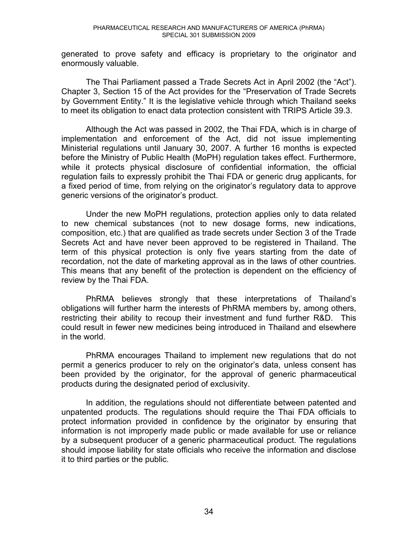generated to prove safety and efficacy is proprietary to the originator and enormously valuable.

The Thai Parliament passed a Trade Secrets Act in April 2002 (the "Act"). Chapter 3, Section 15 of the Act provides for the "Preservation of Trade Secrets by Government Entity." It is the legislative vehicle through which Thailand seeks to meet its obligation to enact data protection consistent with TRIPS Article 39.3.

Although the Act was passed in 2002, the Thai FDA, which is in charge of implementation and enforcement of the Act, did not issue implementing Ministerial regulations until January 30, 2007. A further 16 months is expected before the Ministry of Public Health (MoPH) regulation takes effect. Furthermore, while it protects physical disclosure of confidential information, the official regulation fails to expressly prohibit the Thai FDA or generic drug applicants, for a fixed period of time, from relying on the originator's regulatory data to approve generic versions of the originator's product.

Under the new MoPH regulations, protection applies only to data related to new chemical substances (not to new dosage forms, new indications, composition, etc.) that are qualified as trade secrets under Section 3 of the Trade Secrets Act and have never been approved to be registered in Thailand. The term of this physical protection is only five years starting from the date of recordation, not the date of marketing approval as in the laws of other countries. This means that any benefit of the protection is dependent on the efficiency of review by the Thai FDA.

PhRMA believes strongly that these interpretations of Thailand's obligations will further harm the interests of PhRMA members by, among others, restricting their ability to recoup their investment and fund further R&D. This could result in fewer new medicines being introduced in Thailand and elsewhere in the world.

PhRMA encourages Thailand to implement new regulations that do not permit a generics producer to rely on the originator's data, unless consent has been provided by the originator, for the approval of generic pharmaceutical products during the designated period of exclusivity.

In addition, the regulations should not differentiate between patented and unpatented products. The regulations should require the Thai FDA officials to protect information provided in confidence by the originator by ensuring that information is not improperly made public or made available for use or reliance by a subsequent producer of a generic pharmaceutical product. The regulations should impose liability for state officials who receive the information and disclose it to third parties or the public.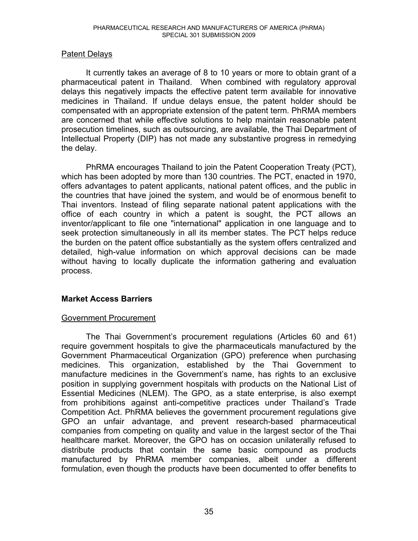#### Patent Delays

 It currently takes an average of 8 to 10 years or more to obtain grant of a pharmaceutical patent in Thailand. When combined with regulatory approval delays this negatively impacts the effective patent term available for innovative medicines in Thailand. If undue delays ensue, the patent holder should be compensated with an appropriate extension of the patent term. PhRMA members are concerned that while effective solutions to help maintain reasonable patent prosecution timelines, such as outsourcing, are available, the Thai Department of Intellectual Property (DIP) has not made any substantive progress in remedying the delay.

PhRMA encourages Thailand to join the Patent Cooperation Treaty (PCT), which has been adopted by more than 130 countries. The PCT, enacted in 1970, offers advantages to patent applicants, national patent offices, and the public in the countries that have joined the system, and would be of enormous benefit to Thai inventors. Instead of filing separate national patent applications with the office of each country in which a patent is sought, the PCT allows an inventor/applicant to file one "international" application in one language and to seek protection simultaneously in all its member states. The PCT helps reduce the burden on the patent office substantially as the system offers centralized and detailed, high-value information on which approval decisions can be made without having to locally duplicate the information gathering and evaluation process.

#### **Market Access Barriers**

#### Government Procurement

The Thai Government's procurement regulations (Articles 60 and 61) require government hospitals to give the pharmaceuticals manufactured by the Government Pharmaceutical Organization (GPO) preference when purchasing medicines. This organization, established by the Thai Government to manufacture medicines in the Government's name, has rights to an exclusive position in supplying government hospitals with products on the National List of Essential Medicines (NLEM). The GPO, as a state enterprise, is also exempt from prohibitions against anti-competitive practices under Thailand's Trade Competition Act. PhRMA believes the government procurement regulations give GPO an unfair advantage, and prevent research-based pharmaceutical companies from competing on quality and value in the largest sector of the Thai healthcare market. Moreover, the GPO has on occasion unilaterally refused to distribute products that contain the same basic compound as products manufactured by PhRMA member companies, albeit under a different formulation, even though the products have been documented to offer benefits to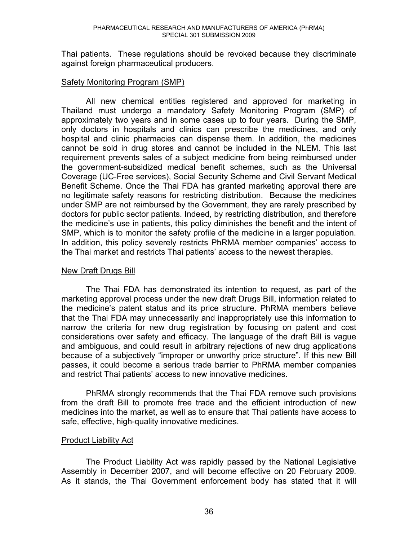Thai patients. These regulations should be revoked because they discriminate against foreign pharmaceutical producers.

#### Safety Monitoring Program (SMP)

All new chemical entities registered and approved for marketing in Thailand must undergo a mandatory Safety Monitoring Program (SMP) of approximately two years and in some cases up to four years. During the SMP, only doctors in hospitals and clinics can prescribe the medicines, and only hospital and clinic pharmacies can dispense them. In addition, the medicines cannot be sold in drug stores and cannot be included in the NLEM. This last requirement prevents sales of a subject medicine from being reimbursed under the government-subsidized medical benefit schemes, such as the Universal Coverage (UC-Free services), Social Security Scheme and Civil Servant Medical Benefit Scheme. Once the Thai FDA has granted marketing approval there are no legitimate safety reasons for restricting distribution. Because the medicines under SMP are not reimbursed by the Government, they are rarely prescribed by doctors for public sector patients. Indeed, by restricting distribution, and therefore the medicine's use in patients, this policy diminishes the benefit and the intent of SMP, which is to monitor the safety profile of the medicine in a larger population. In addition, this policy severely restricts PhRMA member companies' access to the Thai market and restricts Thai patients' access to the newest therapies.

#### New Draft Drugs Bill

 The Thai FDA has demonstrated its intention to request, as part of the marketing approval process under the new draft Drugs Bill, information related to the medicine's patent status and its price structure. PhRMA members believe that the Thai FDA may unnecessarily and inappropriately use this information to narrow the criteria for new drug registration by focusing on patent and cost considerations over safety and efficacy. The language of the draft Bill is vague and ambiguous, and could result in arbitrary rejections of new drug applications because of a subjectively "improper or unworthy price structure". If this new Bill passes, it could become a serious trade barrier to PhRMA member companies and restrict Thai patients' access to new innovative medicines.

PhRMA strongly recommends that the Thai FDA remove such provisions from the draft Bill to promote free trade and the efficient introduction of new medicines into the market, as well as to ensure that Thai patients have access to safe, effective, high-quality innovative medicines.

# Product Liability Act

 The Product Liability Act was rapidly passed by the National Legislative Assembly in December 2007, and will become effective on 20 February 2009. As it stands, the Thai Government enforcement body has stated that it will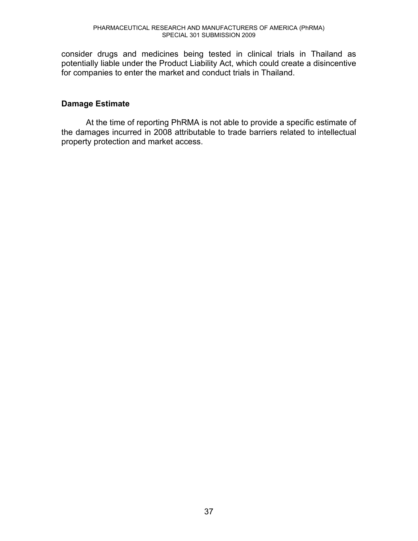consider drugs and medicines being tested in clinical trials in Thailand as potentially liable under the Product Liability Act, which could create a disincentive for companies to enter the market and conduct trials in Thailand.

# **Damage Estimate**

At the time of reporting PhRMA is not able to provide a specific estimate of the damages incurred in 2008 attributable to trade barriers related to intellectual property protection and market access.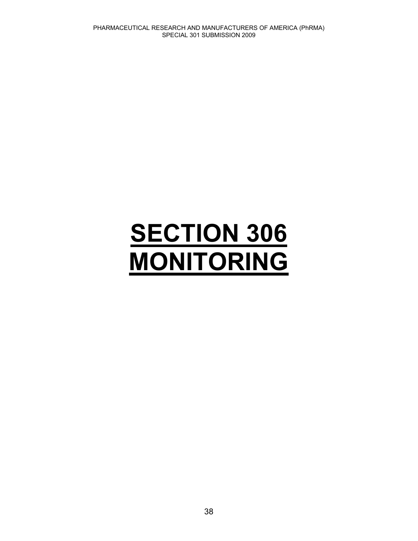# **SECTION 306 MONITORING**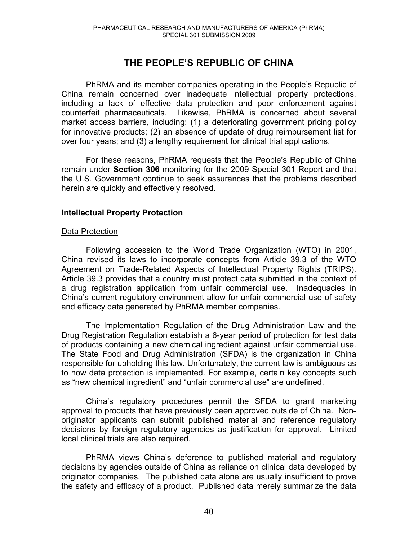# **THE PEOPLE'S REPUBLIC OF CHINA**

PhRMA and its member companies operating in the People's Republic of China remain concerned over inadequate intellectual property protections, including a lack of effective data protection and poor enforcement against counterfeit pharmaceuticals. Likewise, PhRMA is concerned about several market access barriers, including: (1) a deteriorating government pricing policy for innovative products; (2) an absence of update of drug reimbursement list for over four years; and (3) a lengthy requirement for clinical trial applications.

For these reasons, PhRMA requests that the People's Republic of China remain under **Section 306** monitoring for the 2009 Special 301 Report and that the U.S. Government continue to seek assurances that the problems described herein are quickly and effectively resolved.

# **Intellectual Property Protection**

#### Data Protection

Following accession to the World Trade Organization (WTO) in 2001, China revised its laws to incorporate concepts from Article 39.3 of the WTO Agreement on Trade-Related Aspects of Intellectual Property Rights (TRIPS). Article 39.3 provides that a country must protect data submitted in the context of a drug registration application from unfair commercial use. Inadequacies in China's current regulatory environment allow for unfair commercial use of safety and efficacy data generated by PhRMA member companies.

The Implementation Regulation of the Drug Administration Law and the Drug Registration Regulation establish a 6-year period of protection for test data of products containing a new chemical ingredient against unfair commercial use. The State Food and Drug Administration (SFDA) is the organization in China responsible for upholding this law. Unfortunately, the current law is ambiguous as to how data protection is implemented. For example, certain key concepts such as "new chemical ingredient" and "unfair commercial use" are undefined.

China's regulatory procedures permit the SFDA to grant marketing approval to products that have previously been approved outside of China. Nonoriginator applicants can submit published material and reference regulatory decisions by foreign regulatory agencies as justification for approval. Limited local clinical trials are also required.

PhRMA views China's deference to published material and regulatory decisions by agencies outside of China as reliance on clinical data developed by originator companies. The published data alone are usually insufficient to prove the safety and efficacy of a product. Published data merely summarize the data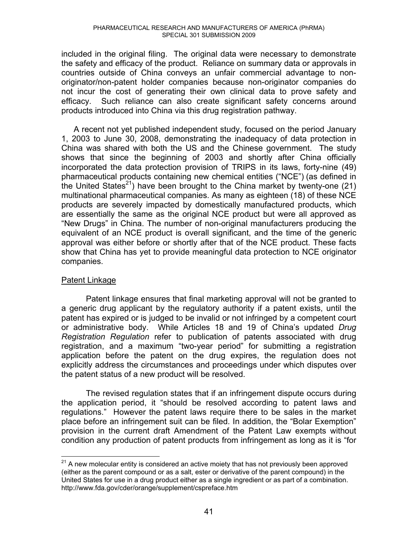included in the original filing. The original data were necessary to demonstrate the safety and efficacy of the product. Reliance on summary data or approvals in countries outside of China conveys an unfair commercial advantage to nonoriginator/non-patent holder companies because non-originator companies do not incur the cost of generating their own clinical data to prove safety and efficacy. Such reliance can also create significant safety concerns around products introduced into China via this drug registration pathway.

A recent not yet published independent study, focused on the period January 1, 2003 to June 30, 2008, demonstrating the inadequacy of data protection in China was shared with both the US and the Chinese government. The study shows that since the beginning of 2003 and shortly after China officially incorporated the data protection provision of TRIPS in its laws, forty-nine (49) pharmaceutical products containing new chemical entities ("NCE") (as defined in the United States<sup>21</sup>) have been brought to the China market by twenty-one (21) multinational pharmaceutical companies. As many as eighteen (18) of these NCE products are severely impacted by domestically manufactured products, which are essentially the same as the original NCE product but were all approved as "New Drugs" in China. The number of non-original manufacturers producing the equivalent of an NCE product is overall significant, and the time of the generic approval was either before or shortly after that of the NCE product. These facts show that China has yet to provide meaningful data protection to NCE originator companies.

# Patent Linkage

 Patent linkage ensures that final marketing approval will not be granted to a generic drug applicant by the regulatory authority if a patent exists, until the patent has expired or is judged to be invalid or not infringed by a competent court or administrative body. While Articles 18 and 19 of China's updated *Drug Registration Regulation* refer to publication of patents associated with drug registration, and a maximum "two-year period" for submitting a registration application before the patent on the drug expires, the regulation does not explicitly address the circumstances and proceedings under which disputes over the patent status of a new product will be resolved.

 The revised regulation states that if an infringement dispute occurs during the application period, it "should be resolved according to patent laws and regulations." However the patent laws require there to be sales in the market place before an infringement suit can be filed. In addition, the "Bolar Exemption" provision in the current draft Amendment of the Patent Law exempts without condition any production of patent products from infringement as long as it is "for

 $\overline{a}$  $21$  A new molecular entity is considered an active moiety that has not previously been approved (either as the parent compound or as a salt, ester or derivative of the parent compound) in the United States for use in a drug product either as a single ingredient or as part of a combination. http://www.fda.gov/cder/orange/supplement/cspreface.htm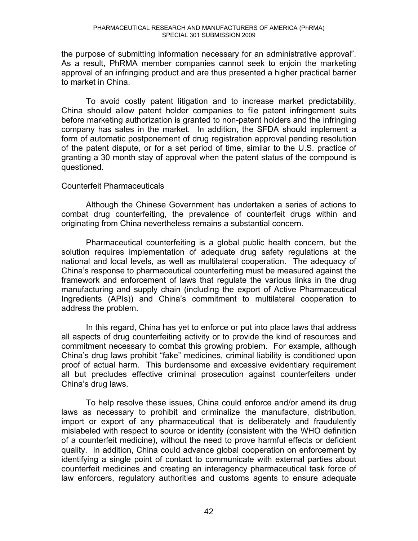the purpose of submitting information necessary for an administrative approval". As a result, PhRMA member companies cannot seek to enjoin the marketing approval of an infringing product and are thus presented a higher practical barrier to market in China.

 To avoid costly patent litigation and to increase market predictability, China should allow patent holder companies to file patent infringement suits before marketing authorization is granted to non-patent holders and the infringing company has sales in the market. In addition, the SFDA should implement a form of automatic postponement of drug registration approval pending resolution of the patent dispute, or for a set period of time, similar to the U.S. practice of granting a 30 month stay of approval when the patent status of the compound is questioned.

#### Counterfeit Pharmaceuticals

Although the Chinese Government has undertaken a series of actions to combat drug counterfeiting, the prevalence of counterfeit drugs within and originating from China nevertheless remains a substantial concern.

Pharmaceutical counterfeiting is a global public health concern, but the solution requires implementation of adequate drug safety regulations at the national and local levels, as well as multilateral cooperation. The adequacy of China's response to pharmaceutical counterfeiting must be measured against the framework and enforcement of laws that regulate the various links in the drug manufacturing and supply chain (including the export of Active Pharmaceutical Ingredients (APIs)) and China's commitment to multilateral cooperation to address the problem.

In this regard, China has yet to enforce or put into place laws that address all aspects of drug counterfeiting activity or to provide the kind of resources and commitment necessary to combat this growing problem. For example, although China's drug laws prohibit "fake" medicines, criminal liability is conditioned upon proof of actual harm. This burdensome and excessive evidentiary requirement all but precludes effective criminal prosecution against counterfeiters under China's drug laws.

To help resolve these issues, China could enforce and/or amend its drug laws as necessary to prohibit and criminalize the manufacture, distribution, import or export of any pharmaceutical that is deliberately and fraudulently mislabeled with respect to source or identity (consistent with the WHO definition of a counterfeit medicine), without the need to prove harmful effects or deficient quality. In addition, China could advance global cooperation on enforcement by identifying a single point of contact to communicate with external parties about counterfeit medicines and creating an interagency pharmaceutical task force of law enforcers, regulatory authorities and customs agents to ensure adequate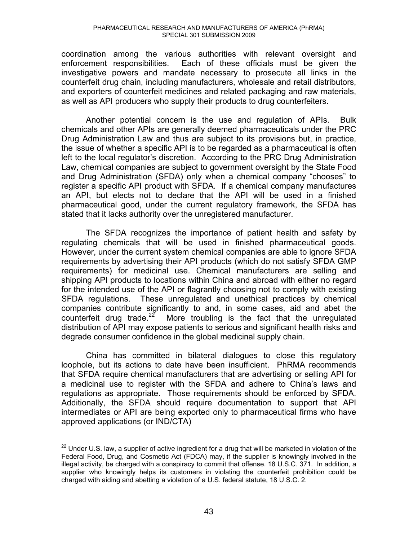coordination among the various authorities with relevant oversight and enforcement responsibilities. Each of these officials must be given the investigative powers and mandate necessary to prosecute all links in the counterfeit drug chain, including manufacturers, wholesale and retail distributors, and exporters of counterfeit medicines and related packaging and raw materials, as well as API producers who supply their products to drug counterfeiters.

Another potential concern is the use and regulation of APIs. Bulk chemicals and other APIs are generally deemed pharmaceuticals under the PRC Drug Administration Law and thus are subject to its provisions but, in practice, the issue of whether a specific API is to be regarded as a pharmaceutical is often left to the local regulator's discretion. According to the PRC Drug Administration Law, chemical companies are subject to government oversight by the State Food and Drug Administration (SFDA) only when a chemical company "chooses" to register a specific API product with SFDA. If a chemical company manufactures an API, but elects not to declare that the API will be used in a finished pharmaceutical good, under the current regulatory framework, the SFDA has stated that it lacks authority over the unregistered manufacturer.

The SFDA recognizes the importance of patient health and safety by regulating chemicals that will be used in finished pharmaceutical goods. However, under the current system chemical companies are able to ignore SFDA requirements by advertising their API products (which do not satisfy SFDA GMP requirements) for medicinal use. Chemical manufacturers are selling and shipping API products to locations within China and abroad with either no regard for the intended use of the API or flagrantly choosing not to comply with existing SFDA regulations. These unregulated and unethical practices by chemical companies contribute significantly to and, in some cases, aid and abet the counterfeit drug trade. $22$  More troubling is the fact that the unregulated distribution of API may expose patients to serious and significant health risks and degrade consumer confidence in the global medicinal supply chain.

China has committed in bilateral dialogues to close this regulatory loophole, but its actions to date have been insufficient. PhRMA recommends that SFDA require chemical manufacturers that are advertising or selling API for a medicinal use to register with the SFDA and adhere to China's laws and regulations as appropriate. Those requirements should be enforced by SFDA. Additionally, the SFDA should require documentation to support that API intermediates or API are being exported only to pharmaceutical firms who have approved applications (or IND/CTA)

 $\overline{a}$ 

 $22$  Under U.S. law, a supplier of active ingredient for a drug that will be marketed in violation of the Federal Food, Drug, and Cosmetic Act (FDCA) may, if the supplier is knowingly involved in the illegal activity, be charged with a conspiracy to commit that offense. 18 U.S.C. 371. In addition, a supplier who knowingly helps its customers in violating the counterfeit prohibition could be charged with aiding and abetting a violation of a U.S. federal statute, 18 U.S.C. 2.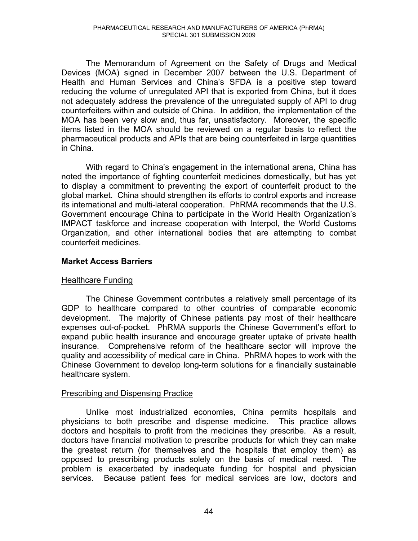The Memorandum of Agreement on the Safety of Drugs and Medical Devices (MOA) signed in December 2007 between the U.S. Department of Health and Human Services and China's SFDA is a positive step toward reducing the volume of unregulated API that is exported from China, but it does not adequately address the prevalence of the unregulated supply of API to drug counterfeiters within and outside of China. In addition, the implementation of the MOA has been very slow and, thus far, unsatisfactory. Moreover, the specific items listed in the MOA should be reviewed on a regular basis to reflect the pharmaceutical products and APIs that are being counterfeited in large quantities in China.

With regard to China's engagement in the international arena, China has noted the importance of fighting counterfeit medicines domestically, but has yet to display a commitment to preventing the export of counterfeit product to the global market. China should strengthen its efforts to control exports and increase its international and multi-lateral cooperation. PhRMA recommends that the U.S. Government encourage China to participate in the World Health Organization's IMPACT taskforce and increase cooperation with Interpol, the World Customs Organization, and other international bodies that are attempting to combat counterfeit medicines.

# **Market Access Barriers**

# Healthcare Funding

The Chinese Government contributes a relatively small percentage of its GDP to healthcare compared to other countries of comparable economic development. The majority of Chinese patients pay most of their healthcare expenses out-of-pocket. PhRMA supports the Chinese Government's effort to expand public health insurance and encourage greater uptake of private health insurance. Comprehensive reform of the healthcare sector will improve the quality and accessibility of medical care in China. PhRMA hopes to work with the Chinese Government to develop long-term solutions for a financially sustainable healthcare system.

# Prescribing and Dispensing Practice

Unlike most industrialized economies, China permits hospitals and physicians to both prescribe and dispense medicine. This practice allows doctors and hospitals to profit from the medicines they prescribe. As a result, doctors have financial motivation to prescribe products for which they can make the greatest return (for themselves and the hospitals that employ them) as opposed to prescribing products solely on the basis of medical need. The problem is exacerbated by inadequate funding for hospital and physician services. Because patient fees for medical services are low, doctors and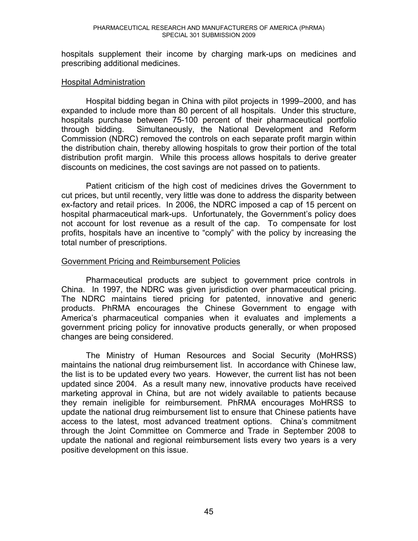hospitals supplement their income by charging mark-ups on medicines and prescribing additional medicines.

#### Hospital Administration

Hospital bidding began in China with pilot projects in 1999–2000, and has expanded to include more than 80 percent of all hospitals. Under this structure, hospitals purchase between 75-100 percent of their pharmaceutical portfolio through bidding. Simultaneously, the National Development and Reform Commission (NDRC) removed the controls on each separate profit margin within the distribution chain, thereby allowing hospitals to grow their portion of the total distribution profit margin. While this process allows hospitals to derive greater discounts on medicines, the cost savings are not passed on to patients.

Patient criticism of the high cost of medicines drives the Government to cut prices, but until recently, very little was done to address the disparity between ex-factory and retail prices. In 2006, the NDRC imposed a cap of 15 percent on hospital pharmaceutical mark-ups. Unfortunately, the Government's policy does not account for lost revenue as a result of the cap. To compensate for lost profits, hospitals have an incentive to "comply" with the policy by increasing the total number of prescriptions.

# Government Pricing and Reimbursement Policies

Pharmaceutical products are subject to government price controls in China. In 1997, the NDRC was given jurisdiction over pharmaceutical pricing. The NDRC maintains tiered pricing for patented, innovative and generic products. PhRMA encourages the Chinese Government to engage with America's pharmaceutical companies when it evaluates and implements a government pricing policy for innovative products generally, or when proposed changes are being considered.

The Ministry of Human Resources and Social Security (MoHRSS) maintains the national drug reimbursement list. In accordance with Chinese law, the list is to be updated every two years. However, the current list has not been updated since 2004. As a result many new, innovative products have received marketing approval in China, but are not widely available to patients because they remain ineligible for reimbursement. PhRMA encourages MoHRSS to update the national drug reimbursement list to ensure that Chinese patients have access to the latest, most advanced treatment options. China's commitment through the Joint Committee on Commerce and Trade in September 2008 to update the national and regional reimbursement lists every two years is a very positive development on this issue.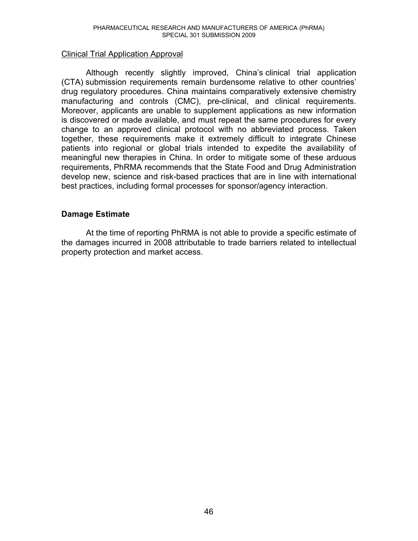#### Clinical Trial Application Approval

Although recently slightly improved, China's clinical trial application (CTA) submission requirements remain burdensome relative to other countries' drug regulatory procedures. China maintains comparatively extensive chemistry manufacturing and controls (CMC), pre-clinical, and clinical requirements. Moreover, applicants are unable to supplement applications as new information is discovered or made available, and must repeat the same procedures for every change to an approved clinical protocol with no abbreviated process. Taken together, these requirements make it extremely difficult to integrate Chinese patients into regional or global trials intended to expedite the availability of meaningful new therapies in China. In order to mitigate some of these arduous requirements, PhRMA recommends that the State Food and Drug Administration develop new, science and risk-based practices that are in line with international best practices, including formal processes for sponsor/agency interaction.

# **Damage Estimate**

At the time of reporting PhRMA is not able to provide a specific estimate of the damages incurred in 2008 attributable to trade barriers related to intellectual property protection and market access.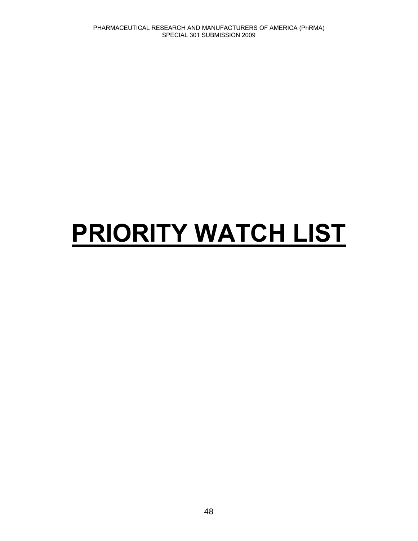# **PRIORITY WATCH LIST**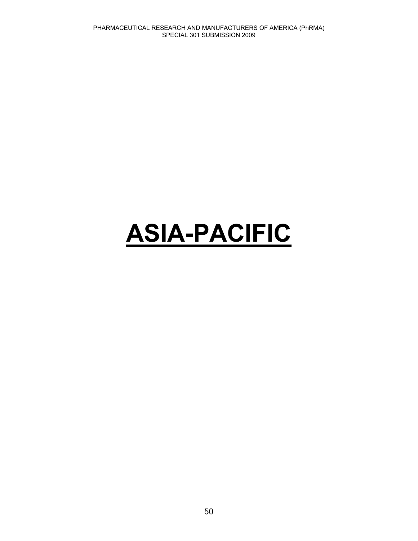# **ASIA-PACIFIC**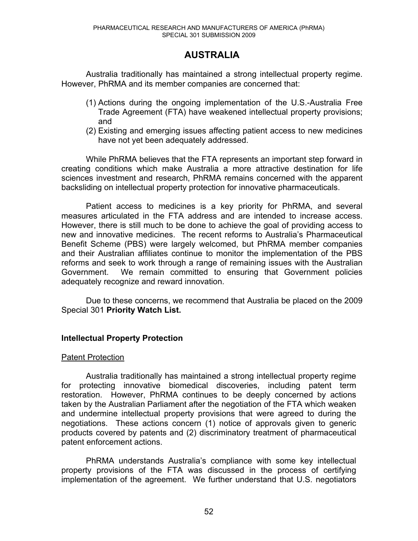# **AUSTRALIA**

Australia traditionally has maintained a strong intellectual property regime. However, PhRMA and its member companies are concerned that:

- (1) Actions during the ongoing implementation of the U.S.-Australia Free Trade Agreement (FTA) have weakened intellectual property provisions; and
- (2) Existing and emerging issues affecting patient access to new medicines have not yet been adequately addressed.

While PhRMA believes that the FTA represents an important step forward in creating conditions which make Australia a more attractive destination for life sciences investment and research, PhRMA remains concerned with the apparent backsliding on intellectual property protection for innovative pharmaceuticals.

Patient access to medicines is a key priority for PhRMA, and several measures articulated in the FTA address and are intended to increase access. However, there is still much to be done to achieve the goal of providing access to new and innovative medicines. The recent reforms to Australia's Pharmaceutical Benefit Scheme (PBS) were largely welcomed, but PhRMA member companies and their Australian affiliates continue to monitor the implementation of the PBS reforms and seek to work through a range of remaining issues with the Australian Government. We remain committed to ensuring that Government policies adequately recognize and reward innovation.

Due to these concerns, we recommend that Australia be placed on the 2009 Special 301 **Priority Watch List.** 

# **Intellectual Property Protection**

#### Patent Protection

Australia traditionally has maintained a strong intellectual property regime for protecting innovative biomedical discoveries, including patent term restoration. However, PhRMA continues to be deeply concerned by actions taken by the Australian Parliament after the negotiation of the FTA which weaken and undermine intellectual property provisions that were agreed to during the negotiations. These actions concern (1) notice of approvals given to generic products covered by patents and (2) discriminatory treatment of pharmaceutical patent enforcement actions.

PhRMA understands Australia's compliance with some key intellectual property provisions of the FTA was discussed in the process of certifying implementation of the agreement. We further understand that U.S. negotiators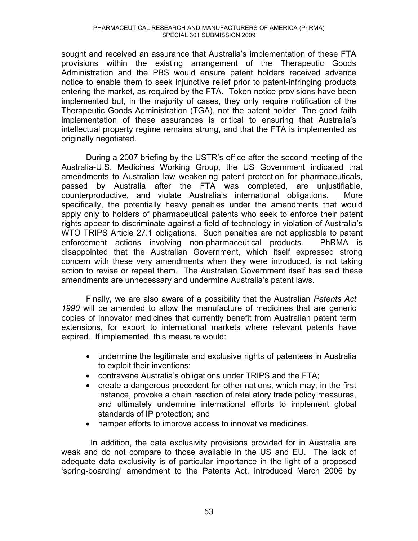sought and received an assurance that Australia's implementation of these FTA provisions within the existing arrangement of the Therapeutic Goods Administration and the PBS would ensure patent holders received advance notice to enable them to seek injunctive relief prior to patent-infringing products entering the market, as required by the FTA. Token notice provisions have been implemented but, in the majority of cases, they only require notification of the Therapeutic Goods Administration (TGA), not the patent holder The good faith implementation of these assurances is critical to ensuring that Australia's intellectual property regime remains strong, and that the FTA is implemented as originally negotiated.

During a 2007 briefing by the USTR's office after the second meeting of the Australia-U.S. Medicines Working Group, the US Government indicated that amendments to Australian law weakening patent protection for pharmaceuticals, passed by Australia after the FTA was completed, are unjustifiable, counterproductive, and violate Australia's international obligations. More specifically, the potentially heavy penalties under the amendments that would apply only to holders of pharmaceutical patents who seek to enforce their patent rights appear to discriminate against a field of technology in violation of Australia's WTO TRIPS Article 27.1 obligations. Such penalties are not applicable to patent enforcement actions involving non-pharmaceutical products. PhRMA is disappointed that the Australian Government, which itself expressed strong concern with these very amendments when they were introduced, is not taking action to revise or repeal them. The Australian Government itself has said these amendments are unnecessary and undermine Australia's patent laws.

Finally, we are also aware of a possibility that the Australian *Patents Act 1990* will be amended to allow the manufacture of medicines that are generic copies of innovator medicines that currently benefit from Australian patent term extensions, for export to international markets where relevant patents have expired. If implemented, this measure would:

- undermine the legitimate and exclusive rights of patentees in Australia to exploit their inventions;
- $\bullet$  contravene Australia's obligations under TRIPS and the FTA;
- $\bullet$  create a dangerous precedent for other nations, which may, in the first instance, provoke a chain reaction of retaliatory trade policy measures, and ultimately undermine international efforts to implement global standards of IP protection; and
- hamper efforts to improve access to innovative medicines.

 In addition, the data exclusivity provisions provided for in Australia are weak and do not compare to those available in the US and EU. The lack of adequate data exclusivity is of particular importance in the light of a proposed 'spring-boarding' amendment to the Patents Act, introduced March 2006 by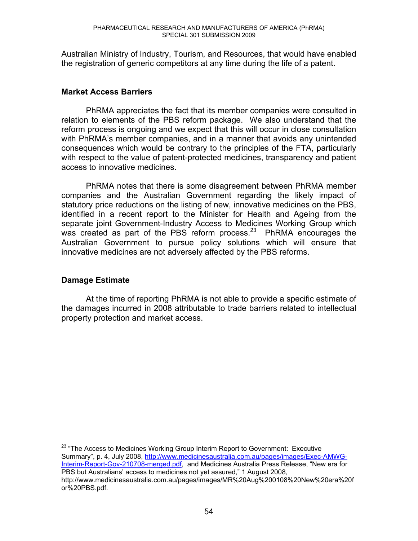Australian Ministry of Industry, Tourism, and Resources, that would have enabled the registration of generic competitors at any time during the life of a patent.

# **Market Access Barriers**

PhRMA appreciates the fact that its member companies were consulted in relation to elements of the PBS reform package. We also understand that the reform process is ongoing and we expect that this will occur in close consultation with PhRMA's member companies, and in a manner that avoids any unintended consequences which would be contrary to the principles of the FTA, particularly with respect to the value of patent-protected medicines, transparency and patient access to innovative medicines.

PhRMA notes that there is some disagreement between PhRMA member companies and the Australian Government regarding the likely impact of statutory price reductions on the listing of new, innovative medicines on the PBS, identified in a recent report to the Minister for Health and Ageing from the separate joint Government-Industry Access to Medicines Working Group which was created as part of the PBS reform process.<sup>23</sup> PhRMA encourages the Australian Government to pursue policy solutions which will ensure that innovative medicines are not adversely affected by the PBS reforms.

# **Damage Estimate**

 $\overline{a}$ 

At the time of reporting PhRMA is not able to provide a specific estimate of the damages incurred in 2008 attributable to trade barriers related to intellectual property protection and market access.

 $^{23}$  "The Access to Medicines Working Group Interim Report to Government: Executive Summary", p. 4, July 2008, http://www.medicinesaustralia.com.au/pages/images/Exec-AMWG-Interim-Report-Gov-210708-merged.pdf, and Medicines Australia Press Release, "New era for PBS but Australians' access to medicines not yet assured," 1 August 2008, http://www.medicinesaustralia.com.au/pages/images/MR%20Aug%200108%20New%20era%20f or%20PBS.pdf.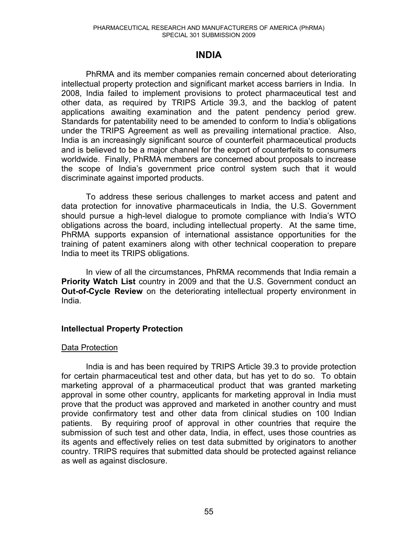# **INDIA**

PhRMA and its member companies remain concerned about deteriorating intellectual property protection and significant market access barriers in India. In 2008, India failed to implement provisions to protect pharmaceutical test and other data, as required by TRIPS Article 39.3, and the backlog of patent applications awaiting examination and the patent pendency period grew. Standards for patentability need to be amended to conform to India's obligations under the TRIPS Agreement as well as prevailing international practice. Also, India is an increasingly significant source of counterfeit pharmaceutical products and is believed to be a major channel for the export of counterfeits to consumers worldwide. Finally, PhRMA members are concerned about proposals to increase the scope of India's government price control system such that it would discriminate against imported products.

To address these serious challenges to market access and patent and data protection for innovative pharmaceuticals in India, the U.S. Government should pursue a high-level dialogue to promote compliance with India's WTO obligations across the board, including intellectual property. At the same time, PhRMA supports expansion of international assistance opportunities for the training of patent examiners along with other technical cooperation to prepare India to meet its TRIPS obligations.

In view of all the circumstances, PhRMA recommends that India remain a **Priority Watch List** country in 2009 and that the U.S. Government conduct an **Out-of-Cycle Review** on the deteriorating intellectual property environment in India.

# **Intellectual Property Protection**

# Data Protection

India is and has been required by TRIPS Article 39.3 to provide protection for certain pharmaceutical test and other data, but has yet to do so. To obtain marketing approval of a pharmaceutical product that was granted marketing approval in some other country, applicants for marketing approval in India must prove that the product was approved and marketed in another country and must provide confirmatory test and other data from clinical studies on 100 Indian patients. By requiring proof of approval in other countries that require the submission of such test and other data, India, in effect, uses those countries as its agents and effectively relies on test data submitted by originators to another country. TRIPS requires that submitted data should be protected against reliance as well as against disclosure.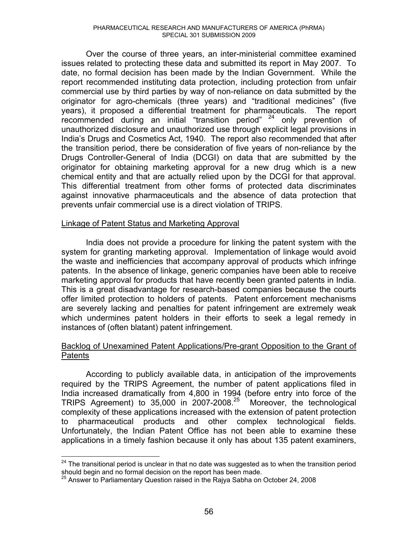Over the course of three years, an inter-ministerial committee examined issues related to protecting these data and submitted its report in May 2007. To date, no formal decision has been made by the Indian Government. While the report recommended instituting data protection, including protection from unfair commercial use by third parties by way of non-reliance on data submitted by the originator for agro-chemicals (three years) and "traditional medicines" (five years), it proposed a differential treatment for pharmaceuticals. The report recommended during an initial "transition period"  $24$  only prevention of unauthorized disclosure and unauthorized use through explicit legal provisions in India's Drugs and Cosmetics Act, 1940. The report also recommended that after the transition period, there be consideration of five years of non-reliance by the Drugs Controller-General of India (DCGI) on data that are submitted by the originator for obtaining marketing approval for a new drug which is a new chemical entity and that are actually relied upon by the DCGI for that approval. This differential treatment from other forms of protected data discriminates against innovative pharmaceuticals and the absence of data protection that prevents unfair commercial use is a direct violation of TRIPS.

# Linkage of Patent Status and Marketing Approval

 India does not provide a procedure for linking the patent system with the system for granting marketing approval. Implementation of linkage would avoid the waste and inefficiencies that accompany approval of products which infringe patents. In the absence of linkage, generic companies have been able to receive marketing approval for products that have recently been granted patents in India. This is a great disadvantage for research-based companies because the courts offer limited protection to holders of patents. Patent enforcement mechanisms are severely lacking and penalties for patent infringement are extremely weak which undermines patent holders in their efforts to seek a legal remedy in instances of (often blatant) patent infringement.

# Backlog of Unexamined Patent Applications/Pre-grant Opposition to the Grant of Patents

 According to publicly available data, in anticipation of the improvements required by the TRIPS Agreement, the number of patent applications filed in India increased dramatically from 4,800 in 1994 (before entry into force of the TRIPS Agreement) to 35,000 in 2007-2008.25 Moreover, the technological complexity of these applications increased with the extension of patent protection to pharmaceutical products and other complex technological fields. Unfortunately, the Indian Patent Office has not been able to examine these applications in a timely fashion because it only has about 135 patent examiners,

 $\overline{a}$ 

 $24$  The transitional period is unclear in that no date was suggested as to when the transition period should begin and no formal decision on the report has been made.

 $25$  Answer to Parliamentary Question raised in the Rajya Sabha on October 24, 2008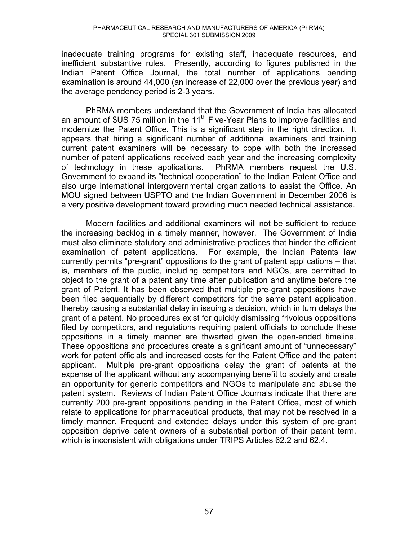inadequate training programs for existing staff, inadequate resources, and inefficient substantive rules. Presently, according to figures published in the Indian Patent Office Journal, the total number of applications pending examination is around 44,000 (an increase of 22,000 over the previous year) and the average pendency period is 2-3 years.

PhRMA members understand that the Government of India has allocated an amount of  $US 75$  million in the 11<sup>th</sup> Five-Year Plans to improve facilities and modernize the Patent Office. This is a significant step in the right direction. It appears that hiring a significant number of additional examiners and training current patent examiners will be necessary to cope with both the increased number of patent applications received each year and the increasing complexity of technology in these applications. PhRMA members request the U.S. Government to expand its "technical cooperation" to the Indian Patent Office and also urge international intergovernmental organizations to assist the Office. An MOU signed between USPTO and the Indian Government in December 2006 is a very positive development toward providing much needed technical assistance.

Modern facilities and additional examiners will not be sufficient to reduce the increasing backlog in a timely manner, however. The Government of India must also eliminate statutory and administrative practices that hinder the efficient examination of patent applications. For example, the Indian Patents law currently permits "pre-grant" oppositions to the grant of patent applications – that is, members of the public, including competitors and NGOs, are permitted to object to the grant of a patent any time after publication and anytime before the grant of Patent. It has been observed that multiple pre-grant oppositions have been filed sequentially by different competitors for the same patent application, thereby causing a substantial delay in issuing a decision, which in turn delays the grant of a patent. No procedures exist for quickly dismissing frivolous oppositions filed by competitors, and regulations requiring patent officials to conclude these oppositions in a timely manner are thwarted given the open-ended timeline. These oppositions and procedures create a significant amount of "unnecessary" work for patent officials and increased costs for the Patent Office and the patent applicant. Multiple pre-grant oppositions delay the grant of patents at the expense of the applicant without any accompanying benefit to society and create an opportunity for generic competitors and NGOs to manipulate and abuse the patent system. Reviews of Indian Patent Office Journals indicate that there are currently 200 pre-grant oppositions pending in the Patent Office, most of which relate to applications for pharmaceutical products, that may not be resolved in a timely manner. Frequent and extended delays under this system of pre-grant opposition deprive patent owners of a substantial portion of their patent term, which is inconsistent with obligations under TRIPS Articles 62.2 and 62.4.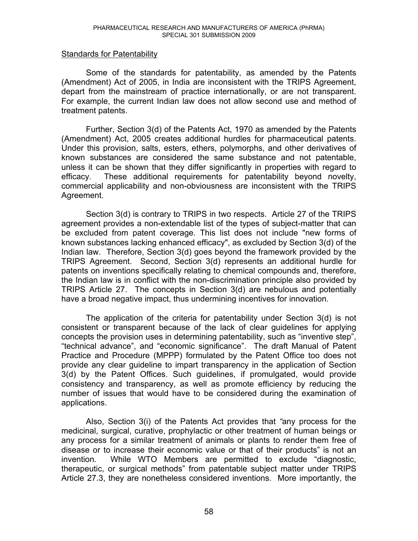#### Standards for Patentability

 Some of the standards for patentability, as amended by the Patents (Amendment) Act of 2005, in India are inconsistent with the TRIPS Agreement, depart from the mainstream of practice internationally, or are not transparent. For example, the current Indian law does not allow second use and method of treatment patents.

Further, Section 3(d) of the Patents Act, 1970 as amended by the Patents (Amendment) Act, 2005 creates additional hurdles for pharmaceutical patents. Under this provision, salts, esters, ethers, polymorphs, and other derivatives of known substances are considered the same substance and not patentable, unless it can be shown that they differ significantly in properties with regard to efficacy. These additional requirements for patentability beyond novelty, commercial applicability and non-obviousness are inconsistent with the TRIPS Agreement.

Section 3(d) is contrary to TRIPS in two respects. Article 27 of the TRIPS agreement provides a non-extendable list of the types of subject-matter that can be excluded from patent coverage. This list does not include "new forms of known substances lacking enhanced efficacy", as excluded by Section 3(d) of the Indian law. Therefore, Section 3(d) goes beyond the framework provided by the TRIPS Agreement. Second, Section 3(d) represents an additional hurdle for patents on inventions specifically relating to chemical compounds and, therefore, the Indian law is in conflict with the non-discrimination principle also provided by TRIPS Article 27. The concepts in Section 3(d) are nebulous and potentially have a broad negative impact, thus undermining incentives for innovation.

The application of the criteria for patentability under Section 3(d) is not consistent or transparent because of the lack of clear guidelines for applying concepts the provision uses in determining patentability, such as "inventive step", "technical advance", and "economic significance". The draft Manual of Patent Practice and Procedure (MPPP) formulated by the Patent Office too does not provide any clear guideline to impart transparency in the application of Section 3(d) by the Patent Offices. Such guidelines, if promulgated, would provide consistency and transparency, as well as promote efficiency by reducing the number of issues that would have to be considered during the examination of applications.

Also, Section 3(i) of the Patents Act provides that *"*any process for the medicinal, surgical, curative, prophylactic or other treatment of human beings or any process for a similar treatment of animals or plants to render them free of disease or to increase their economic value or that of their products" is not an  $invention.$  While WTO Members are permitted to exclude "diagnostic, therapeutic, or surgical methods" from patentable subject matter under TRIPS Article 27.3, they are nonetheless considered inventions. More importantly, the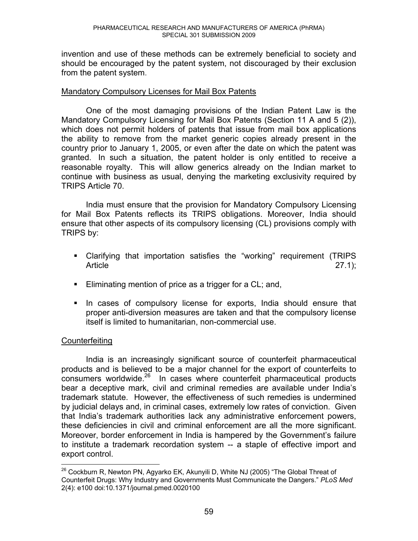invention and use of these methods can be extremely beneficial to society and should be encouraged by the patent system, not discouraged by their exclusion from the patent system.

#### Mandatory Compulsory Licenses for Mail Box Patents

One of the most damaging provisions of the Indian Patent Law is the Mandatory Compulsory Licensing for Mail Box Patents (Section 11 A and 5 (2)), which does not permit holders of patents that issue from mail box applications the ability to remove from the market generic copies already present in the country prior to January 1, 2005, or even after the date on which the patent was granted. In such a situation, the patent holder is only entitled to receive a reasonable royalty. This will allow generics already on the Indian market to continue with business as usual, denying the marketing exclusivity required by TRIPS Article 70.

India must ensure that the provision for Mandatory Compulsory Licensing for Mail Box Patents reflects its TRIPS obligations. Moreover, India should ensure that other aspects of its compulsory licensing (CL) provisions comply with TRIPS by:

- Clarifying that importation satisfies the "working" requirement (TRIPS Article 27.1);
- **Eliminating mention of price as a trigger for a CL; and,**
- **If** In cases of compulsory license for exports, India should ensure that proper anti-diversion measures are taken and that the compulsory license itself is limited to humanitarian, non-commercial use.

# **Counterfeiting**

 India is an increasingly significant source of counterfeit pharmaceutical products and is believed to be a major channel for the export of counterfeits to consumers worldwide.<sup>26</sup> In cases where counterfeit pharmaceutical products bear a deceptive mark, civil and criminal remedies are available under India's trademark statute. However, the effectiveness of such remedies is undermined by judicial delays and, in criminal cases, extremely low rates of conviction. Given that India's trademark authorities lack any administrative enforcement powers, these deficiencies in civil and criminal enforcement are all the more significant. Moreover, border enforcement in India is hampered by the Government's failure to institute a trademark recordation system -- a staple of effective import and export control.

 $\overline{a}$  $^{26}$  Cockburn R, Newton PN, Agyarko EK, Akunyili D, White NJ (2005) "The Global Threat of Counterfeit Drugs: Why Industry and Governments Must Communicate the Dangers.f *PLoS Med* 2(4): e100 doi:10.1371/journal.pmed.0020100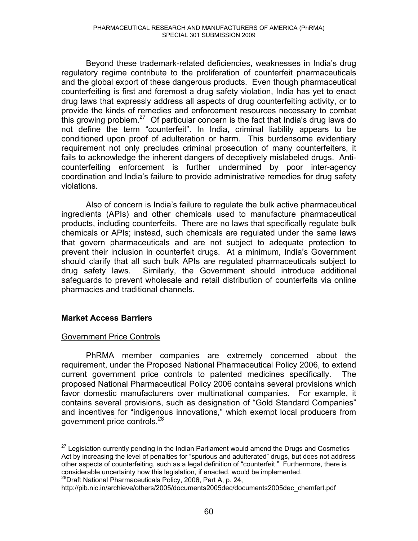Beyond these trademark-related deficiencies, weaknesses in India's drug regulatory regime contribute to the proliferation of counterfeit pharmaceuticals and the global export of these dangerous products. Even though pharmaceutical counterfeiting is first and foremost a drug safety violation, India has yet to enact drug laws that expressly address all aspects of drug counterfeiting activity, or to provide the kinds of remedies and enforcement resources necessary to combat this growing problem.<sup>27</sup> Of particular concern is the fact that India's drug laws do not define the term "counterfeit". In India, criminal liability appears to be conditioned upon proof of adulteration or harm. This burdensome evidentiary requirement not only precludes criminal prosecution of many counterfeiters, it fails to acknowledge the inherent dangers of deceptively mislabeled drugs. Anticounterfeiting enforcement is further undermined by poor inter-agency coordination and India's failure to provide administrative remedies for drug safety violations.

Also of concern is India's failure to regulate the bulk active pharmaceutical ingredients (APIs) and other chemicals used to manufacture pharmaceutical products, including counterfeits. There are no laws that specifically regulate bulk chemicals or APIs; instead, such chemicals are regulated under the same laws that govern pharmaceuticals and are not subject to adequate protection to prevent their inclusion in counterfeit drugs. At a minimum, India's Government should clarify that all such bulk APIs are regulated pharmaceuticals subject to drug safety laws. Similarly, the Government should introduce additional safeguards to prevent wholesale and retail distribution of counterfeits via online pharmacies and traditional channels.

# **Market Access Barriers**

# Government Price Controls

PhRMA member companies are extremely concerned about the requirement, under the Proposed National Pharmaceutical Policy 2006, to extend current government price controls to patented medicines specifically. The proposed National Pharmaceutical Policy 2006 contains several provisions which favor domestic manufacturers over multinational companies. For example, it contains several provisions, such as designation of "Gold Standard Companies" and incentives for "indigenous innovations," which exempt local producers from government price controls.<sup>28</sup>

considerable increase uncertainty how the implemented. 28Draft National Pharmaceuticals Policy, 2006, Part A, p. 24,

 $\overline{a}$  $27$  Legislation currently pending in the Indian Parliament would amend the Drugs and Cosmetics Act by increasing the level of penalties for "spurious and adulterated" drugs, but does not address other aspects of counterfeiting, such as a legal definition of "counterfeit." Furthermore, there is considerable uncertainty how this legislation, if enacted, would be implemented.

http://pib.nic.in/archieve/others/2005/documents2005dec/documents2005dec\_chemfert.pdf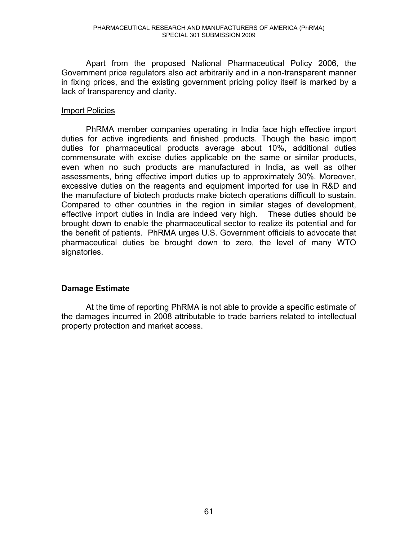Apart from the proposed National Pharmaceutical Policy 2006, the Government price regulators also act arbitrarily and in a non-transparent manner in fixing prices, and the existing government pricing policy itself is marked by a lack of transparency and clarity.

# Import Policies

 PhRMA member companies operating in India face high effective import duties for active ingredients and finished products. Though the basic import duties for pharmaceutical products average about 10%, additional duties commensurate with excise duties applicable on the same or similar products, even when no such products are manufactured in India, as well as other assessments, bring effective import duties up to approximately 30%. Moreover, excessive duties on the reagents and equipment imported for use in R&D and the manufacture of biotech products make biotech operations difficult to sustain. Compared to other countries in the region in similar stages of development, effective import duties in India are indeed very high. These duties should be brought down to enable the pharmaceutical sector to realize its potential and for the benefit of patients. PhRMA urges U.S. Government officials to advocate that pharmaceutical duties be brought down to zero, the level of many WTO signatories.

# **Damage Estimate**

At the time of reporting PhRMA is not able to provide a specific estimate of the damages incurred in 2008 attributable to trade barriers related to intellectual property protection and market access.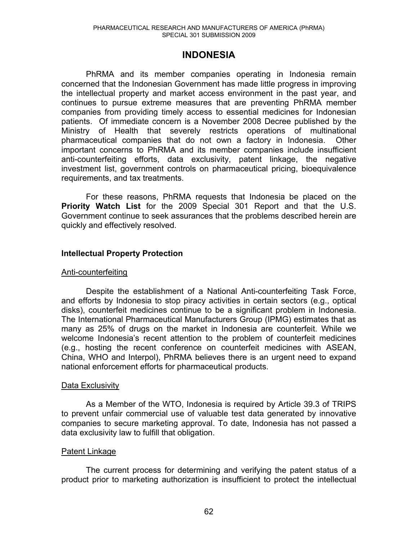# **INDONESIA**

PhRMA and its member companies operating in Indonesia remain concerned that the Indonesian Government has made little progress in improving the intellectual property and market access environment in the past year, and continues to pursue extreme measures that are preventing PhRMA member companies from providing timely access to essential medicines for Indonesian patients. Of immediate concern is a November 2008 Decree published by the Ministry of Health that severely restricts operations of multinational pharmaceutical companies that do not own a factory in Indonesia. Other important concerns to PhRMA and its member companies include insufficient anti-counterfeiting efforts, data exclusivity, patent linkage, the negative investment list, government controls on pharmaceutical pricing, bioequivalence requirements, and tax treatments.

 For these reasons, PhRMA requests that Indonesia be placed on the **Priority Watch List** for the 2009 Special 301 Report and that the U.S. Government continue to seek assurances that the problems described herein are quickly and effectively resolved.

# **Intellectual Property Protection**

#### Anti-counterfeiting

Despite the establishment of a National Anti-counterfeiting Task Force, and efforts by Indonesia to stop piracy activities in certain sectors (e.g., optical disks), counterfeit medicines continue to be a significant problem in Indonesia. The International Pharmaceutical Manufacturers Group (IPMG) estimates that as many as 25% of drugs on the market in Indonesia are counterfeit. While we welcome Indonesia's recent attention to the problem of counterfeit medicines (e.g., hosting the recent conference on counterfeit medicines with ASEAN, China, WHO and Interpol), PhRMA believes there is an urgent need to expand national enforcement efforts for pharmaceutical products.

#### Data Exclusivity

As a Member of the WTO, Indonesia is required by Article 39.3 of TRIPS to prevent unfair commercial use of valuable test data generated by innovative companies to secure marketing approval. To date, Indonesia has not passed a data exclusivity law to fulfill that obligation.

#### Patent Linkage

The current process for determining and verifying the patent status of a product prior to marketing authorization is insufficient to protect the intellectual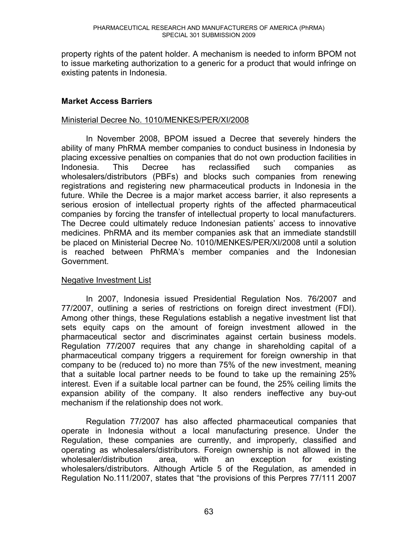property rights of the patent holder. A mechanism is needed to inform BPOM not to issue marketing authorization to a generic for a product that would infringe on existing patents in Indonesia.

# **Market Access Barriers**

#### Ministerial Decree No. 1010/MENKES/PER/XI/2008

In November 2008, BPOM issued a Decree that severely hinders the ability of many PhRMA member companies to conduct business in Indonesia by placing excessive penalties on companies that do not own production facilities in Indonesia. This Decree has reclassified such companies as wholesalers/distributors (PBFs) and blocks such companies from renewing registrations and registering new pharmaceutical products in Indonesia in the future. While the Decree is a major market access barrier, it also represents a serious erosion of intellectual property rights of the affected pharmaceutical companies by forcing the transfer of intellectual property to local manufacturers. The Decree could ultimately reduce Indonesian patients' access to innovative medicines. PhRMA and its member companies ask that an immediate standstill be placed on Ministerial Decree No. 1010/MENKES/PER/XI/2008 until a solution is reached between PhRMA's member companies and the Indonesian Government.

# Negative Investment List

In 2007, Indonesia issued Presidential Regulation Nos. 76/2007 and 77/2007, outlining a series of restrictions on foreign direct investment (FDI). Among other things, these Regulations establish a negative investment list that sets equity caps on the amount of foreign investment allowed in the pharmaceutical sector and discriminates against certain business models. Regulation 77/2007 requires that any change in shareholding capital of a pharmaceutical company triggers a requirement for foreign ownership in that company to be (reduced to) no more than 75% of the new investment, meaning that a suitable local partner needs to be found to take up the remaining 25% interest. Even if a suitable local partner can be found, the 25% ceiling limits the expansion ability of the company. It also renders ineffective any buy-out mechanism if the relationship does not work.

Regulation 77/2007 has also affected pharmaceutical companies that operate in Indonesia without a local manufacturing presence. Under the Regulation, these companies are currently, and improperly, classified and operating as wholesalers/distributors. Foreign ownership is not allowed in the wholesaler/distribution area, with an exception for existing wholesalers/distributors. Although Article 5 of the Regulation, as amended in Regulation No.111/2007, states that "the provisions of this Perpres 77/111 2007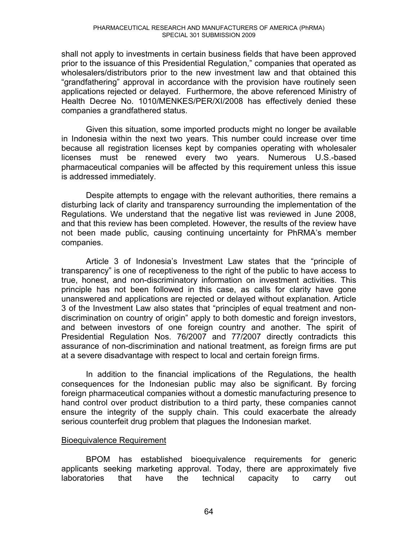shall not apply to investments in certain business fields that have been approved prior to the issuance of this Presidential Regulation," companies that operated as wholesalers/distributors prior to the new investment law and that obtained this "grandfathering" approval in accordance with the provision have routinely seen applications rejected or delayed. Furthermore, the above referenced Ministry of Health Decree No. 1010/MENKES/PER/XI/2008 has effectively denied these companies a grandfathered status.

Given this situation, some imported products might no longer be available in Indonesia within the next two years. This number could increase over time because all registration licenses kept by companies operating with wholesaler licenses must be renewed every two years. Numerous U.S.-based pharmaceutical companies will be affected by this requirement unless this issue is addressed immediately.

Despite attempts to engage with the relevant authorities, there remains a disturbing lack of clarity and transparency surrounding the implementation of the Regulations. We understand that the negative list was reviewed in June 2008, and that this review has been completed. However, the results of the review have not been made public, causing continuing uncertainty for PhRMA's member companies.

Article 3 of Indonesia's Investment Law states that the "principle of transparency" is one of receptiveness to the right of the public to have access to true, honest, and non-discriminatory information on investment activities. This principle has not been followed in this case, as calls for clarity have gone unanswered and applications are rejected or delayed without explanation. Article 3 of the Investment Law also states that "principles of equal treatment and nondiscrimination on country of origin" apply to both domestic and foreign investors, and between investors of one foreign country and another. The spirit of Presidential Regulation Nos. 76/2007 and 77/2007 directly contradicts this assurance of non-discrimination and national treatment, as foreign firms are put at a severe disadvantage with respect to local and certain foreign firms.

In addition to the financial implications of the Regulations, the health consequences for the Indonesian public may also be significant. By forcing foreign pharmaceutical companies without a domestic manufacturing presence to hand control over product distribution to a third party, these companies cannot ensure the integrity of the supply chain. This could exacerbate the already serious counterfeit drug problem that plagues the Indonesian market.

#### Bioequivalence Requirement

BPOM has established bioequivalence requirements for generic applicants seeking marketing approval. Today, there are approximately five laboratories that have the technical capacity to carry out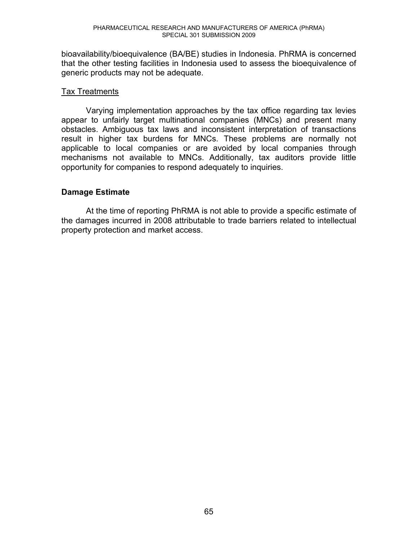bioavailability/bioequivalence (BA/BE) studies in Indonesia. PhRMA is concerned that the other testing facilities in Indonesia used to assess the bioequivalence of generic products may not be adequate.

# Tax Treatments

Varying implementation approaches by the tax office regarding tax levies appear to unfairly target multinational companies (MNCs) and present many obstacles. Ambiguous tax laws and inconsistent interpretation of transactions result in higher tax burdens for MNCs. These problems are normally not applicable to local companies or are avoided by local companies through mechanisms not available to MNCs. Additionally, tax auditors provide little opportunity for companies to respond adequately to inquiries.

# **Damage Estimate**

At the time of reporting PhRMA is not able to provide a specific estimate of the damages incurred in 2008 attributable to trade barriers related to intellectual property protection and market access.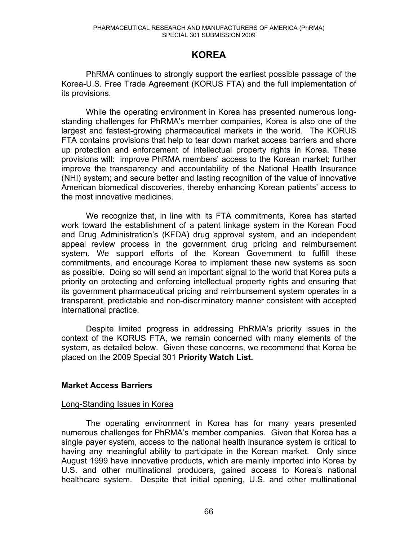# **KOREA**

PhRMA continues to strongly support the earliest possible passage of the Korea-U.S. Free Trade Agreement (KORUS FTA) and the full implementation of its provisions.

While the operating environment in Korea has presented numerous longstanding challenges for PhRMA's member companies, Korea is also one of the largest and fastest-growing pharmaceutical markets in the world. The KORUS FTA contains provisions that help to tear down market access barriers and shore up protection and enforcement of intellectual property rights in Korea. These provisions will: improve PhRMA members' access to the Korean market; further improve the transparency and accountability of the National Health Insurance (NHI) system; and secure better and lasting recognition of the value of innovative American biomedical discoveries, thereby enhancing Korean patients' access to the most innovative medicines.

We recognize that, in line with its FTA commitments, Korea has started work toward the establishment of a patent linkage system in the Korean Food and Drug Administration's (KFDA) drug approval system, and an independent appeal review process in the government drug pricing and reimbursement system. We support efforts of the Korean Government to fulfill these commitments, and encourage Korea to implement these new systems as soon as possible. Doing so will send an important signal to the world that Korea puts a priority on protecting and enforcing intellectual property rights and ensuring that its government pharmaceutical pricing and reimbursement system operates in a transparent, predictable and non-discriminatory manner consistent with accepted international practice.

Despite limited progress in addressing PhRMA's priority issues in the context of the KORUS FTA, we remain concerned with many elements of the system, as detailed below. Given these concerns, we recommend that Korea be placed on the 2009 Special 301 **Priority Watch List.**

# **Market Access Barriers**

#### Long-Standing Issues in Korea

The operating environment in Korea has for many years presented numerous challenges for PhRMA's member companies. Given that Korea has a single payer system, access to the national health insurance system is critical to having any meaningful ability to participate in the Korean market. Only since August 1999 have innovative products, which are mainly imported into Korea by U.S. and other multinational producers, gained access to Korea's national healthcare system. Despite that initial opening, U.S. and other multinational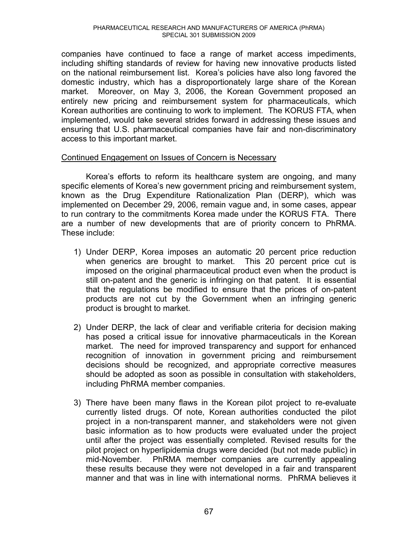companies have continued to face a range of market access impediments, including shifting standards of review for having new innovative products listed on the national reimbursement list. Korea's policies have also long favored the domestic industry, which has a disproportionately large share of the Korean market. Moreover, on May 3, 2006, the Korean Government proposed an entirely new pricing and reimbursement system for pharmaceuticals, which Korean authorities are continuing to work to implement. The KORUS FTA, when implemented, would take several strides forward in addressing these issues and ensuring that U.S. pharmaceutical companies have fair and non-discriminatory access to this important market.

# Continued Engagement on Issues of Concern is Necessary

Korea's efforts to reform its healthcare system are ongoing, and many specific elements of Korea's new government pricing and reimbursement system, known as the Drug Expenditure Rationalization Plan (DERP), which was implemented on December 29, 2006, remain vague and, in some cases, appear to run contrary to the commitments Korea made under the KORUS FTA. There are a number of new developments that are of priority concern to PhRMA. These include:

- 1) Under DERP, Korea imposes an automatic 20 percent price reduction when generics are brought to market. This 20 percent price cut is imposed on the original pharmaceutical product even when the product is still on-patent and the generic is infringing on that patent. It is essential that the regulations be modified to ensure that the prices of on-patent products are not cut by the Government when an infringing generic product is brought to market.
- 2) Under DERP, the lack of clear and verifiable criteria for decision making has posed a critical issue for innovative pharmaceuticals in the Korean market. The need for improved transparency and support for enhanced recognition of innovation in government pricing and reimbursement decisions should be recognized, and appropriate corrective measures should be adopted as soon as possible in consultation with stakeholders, including PhRMA member companies.
- 3) There have been many flaws in the Korean pilot project to re-evaluate currently listed drugs. Of note, Korean authorities conducted the pilot project in a non-transparent manner, and stakeholders were not given basic information as to how products were evaluated under the project until after the project was essentially completed. Revised results for the pilot project on hyperlipidemia drugs were decided (but not made public) in mid-November. PhRMA member companies are currently appealing these results because they were not developed in a fair and transparent manner and that was in line with international norms. PhRMA believes it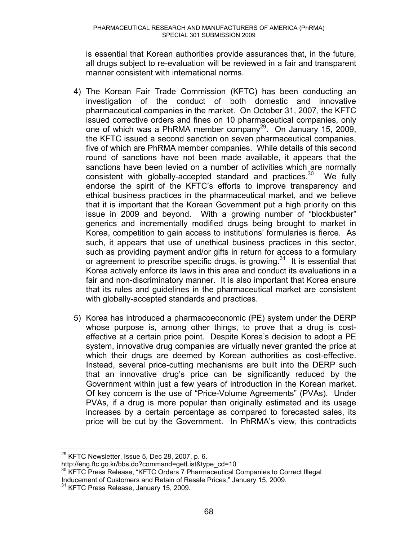is essential that Korean authorities provide assurances that, in the future, all drugs subject to re-evaluation will be reviewed in a fair and transparent manner consistent with international norms.

- 4) The Korean Fair Trade Commission (KFTC) has been conducting an investigation of the conduct of both domestic and innovative pharmaceutical companies in the market. On October 31, 2007, the KFTC issued corrective orders and fines on 10 pharmaceutical companies, only one of which was a PhRMA member company<sup>29</sup>. On January 15, 2009, the KFTC issued a second sanction on seven pharmaceutical companies, five of which are PhRMA member companies. While details of this second round of sanctions have not been made available, it appears that the sanctions have been levied on a number of activities which are normally consistent with globally-accepted standard and practices.<sup>30</sup> We fully endorse the spirit of the KFTC's efforts to improve transparency and ethical business practices in the pharmaceutical market, and we believe that it is important that the Korean Government put a high priority on this issue in 2009 and beyond. With a growing number of "blockbuster" generics and incrementally modified drugs being brought to market in Korea, competition to gain access to institutions' formularies is fierce. As such, it appears that use of unethical business practices in this sector, such as providing payment and/or gifts in return for access to a formulary or agreement to prescribe specific drugs, is growing. $31$  It is essential that Korea actively enforce its laws in this area and conduct its evaluations in a fair and non-discriminatory manner. It is also important that Korea ensure that its rules and guidelines in the pharmaceutical market are consistent with globally-accepted standards and practices.
- 5) Korea has introduced a pharmacoeconomic (PE) system under the DERP whose purpose is, among other things, to prove that a drug is costeffective at a certain price point. Despite Korea's decision to adopt a PE system, innovative drug companies are virtually never granted the price at which their drugs are deemed by Korean authorities as cost-effective. Instead, several price-cutting mechanisms are built into the DERP such that an innovative drug's price can be significantly reduced by the Government within just a few years of introduction in the Korean market. Of key concern is the use of "Price-Volume Agreements" (PVAs). Under PVAs, if a drug is more popular than originally estimated and its usage increases by a certain percentage as compared to forecasted sales, its price will be cut by the Government. In PhRMA's view, this contradicts

 $\overline{a}$  $^{29}$  KFTC Newsletter, Issue 5, Dec 28, 2007, p. 6.

http://eng.ftc.go.kr/bbs.do?command=getList&type\_cd=10<br><sup>30</sup> KFTC Press Release, "KFTC Orders 7 Pharmaceutical Companies to Correct Illegal Inducement of Customers and Retain of Resale Prices," January 15, 2009.<br><sup>31</sup> KFTC Press Release, January 15, 2009.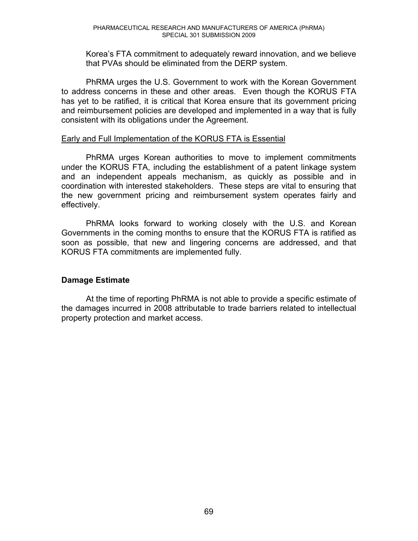Korea's FTA commitment to adequately reward innovation, and we believe that PVAs should be eliminated from the DERP system.

PhRMA urges the U.S. Government to work with the Korean Government to address concerns in these and other areas. Even though the KORUS FTA has yet to be ratified, it is critical that Korea ensure that its government pricing and reimbursement policies are developed and implemented in a way that is fully consistent with its obligations under the Agreement.

#### Early and Full Implementation of the KORUS FTA is Essential

PhRMA urges Korean authorities to move to implement commitments under the KORUS FTA, including the establishment of a patent linkage system and an independent appeals mechanism, as quickly as possible and in coordination with interested stakeholders. These steps are vital to ensuring that the new government pricing and reimbursement system operates fairly and effectively.

PhRMA looks forward to working closely with the U.S. and Korean Governments in the coming months to ensure that the KORUS FTA is ratified as soon as possible, that new and lingering concerns are addressed, and that KORUS FTA commitments are implemented fully.

# **Damage Estimate**

At the time of reporting PhRMA is not able to provide a specific estimate of the damages incurred in 2008 attributable to trade barriers related to intellectual property protection and market access.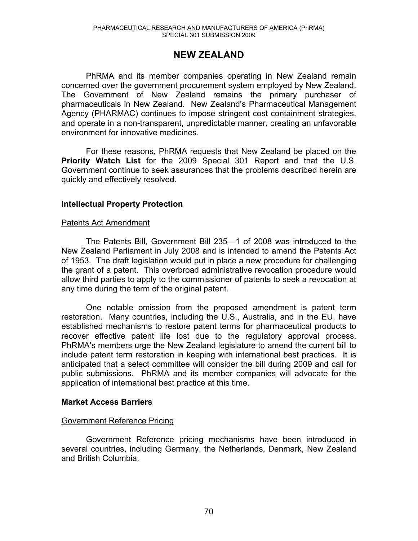# **NEW ZEALAND**

PhRMA and its member companies operating in New Zealand remain concerned over the government procurement system employed by New Zealand. The Government of New Zealand remains the primary purchaser of pharmaceuticals in New Zealand. New Zealand's Pharmaceutical Management Agency (PHARMAC) continues to impose stringent cost containment strategies, and operate in a non-transparent, unpredictable manner, creating an unfavorable environment for innovative medicines.

 For these reasons, PhRMA requests that New Zealand be placed on the **Priority Watch List** for the 2009 Special 301 Report and that the U.S. Government continue to seek assurances that the problems described herein are quickly and effectively resolved.

# **Intellectual Property Protection**

#### Patents Act Amendment

The Patents Bill, Government Bill 235-1 of 2008 was introduced to the New Zealand Parliament in July 2008 and is intended to amend the Patents Act of 1953. The draft legislation would put in place a new procedure for challenging the grant of a patent. This overbroad administrative revocation procedure would allow third parties to apply to the commissioner of patents to seek a revocation at any time during the term of the original patent.

One notable omission from the proposed amendment is patent term restoration. Many countries, including the U.S., Australia, and in the EU, have established mechanisms to restore patent terms for pharmaceutical products to recover effective patent life lost due to the regulatory approval process. PhRMA's members urge the New Zealand legislature to amend the current bill to include patent term restoration in keeping with international best practices. It is anticipated that a select committee will consider the bill during 2009 and call for public submissions. PhRMA and its member companies will advocate for the application of international best practice at this time.

# **Market Access Barriers**

#### Government Reference Pricing

Government Reference pricing mechanisms have been introduced in several countries, including Germany, the Netherlands, Denmark, New Zealand and British Columbia.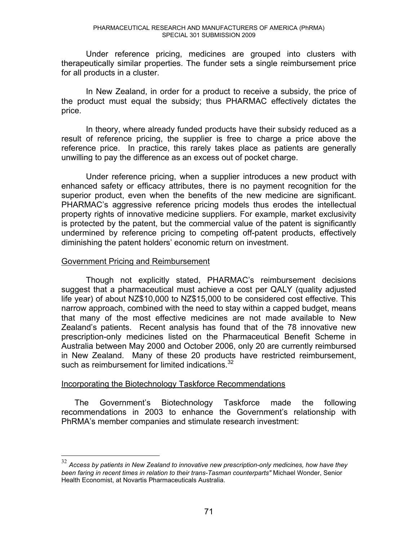Under reference pricing, medicines are grouped into clusters with therapeutically similar properties. The funder sets a single reimbursement price for all products in a cluster.

In New Zealand, in order for a product to receive a subsidy, the price of the product must equal the subsidy; thus PHARMAC effectively dictates the price.

In theory, where already funded products have their subsidy reduced as a result of reference pricing, the supplier is free to charge a price above the reference price. In practice, this rarely takes place as patients are generally unwilling to pay the difference as an excess out of pocket charge.

Under reference pricing, when a supplier introduces a new product with enhanced safety or efficacy attributes, there is no payment recognition for the superior product, even when the benefits of the new medicine are significant. PHARMAC's aggressive reference pricing models thus erodes the intellectual property rights of innovative medicine suppliers. For example, market exclusivity is protected by the patent, but the commercial value of the patent is significantly undermined by reference pricing to competing off-patent products, effectively diminishing the patent holders' economic return on investment.

#### Government Pricing and Reimbursement

 $\overline{a}$ 

Though not explicitly stated, PHARMAC's reimbursement decisions suggest that a pharmaceutical must achieve a cost per QALY (quality adjusted life year) of about NZ\$10,000 to NZ\$15,000 to be considered cost effective. This narrow approach, combined with the need to stay within a capped budget, means that many of the most effective medicines are not made available to New Zealand's patients. Recent analysis has found that of the 78 innovative new prescription-only medicines listed on the Pharmaceutical Benefit Scheme in Australia between May 2000 and October 2006, only 20 are currently reimbursed in New Zealand. Many of these 20 products have restricted reimbursement, such as reimbursement for limited indications.<sup>32</sup>

# Incorporating the Biotechnology Taskforce Recommendations

The Government's Biotechnology Taskforce made the following recommendations in 2003 to enhance the Government's relationship with PhRMA's member companies and stimulate research investment:

<sup>32</sup> *Access by patients in New Zealand to innovative new prescription-only medicines, how have they been faring in recent times in relation to their trans-Tasman counterparts"* Michael Wonder, Senior Health Economist, at Novartis Pharmaceuticals Australia.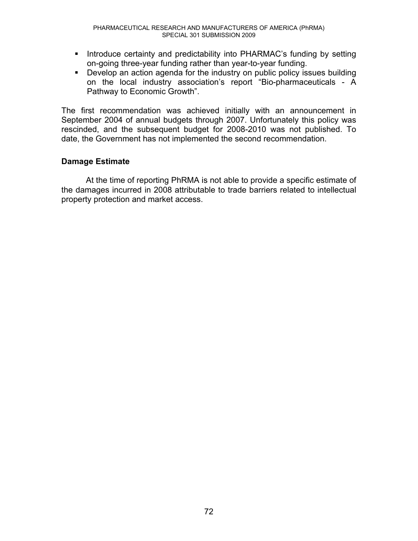- **Introduce certainty and predictability into PHARMAC's funding by setting** on-going three-year funding rather than year-to-year funding.
- Develop an action agenda for the industry on public policy issues building on the local industry association's report "Bio-pharmaceuticals - A Pathway to Economic Growth".

The first recommendation was achieved initially with an announcement in September 2004 of annual budgets through 2007. Unfortunately this policy was rescinded, and the subsequent budget for 2008-2010 was not published. To date, the Government has not implemented the second recommendation.

## **Damage Estimate**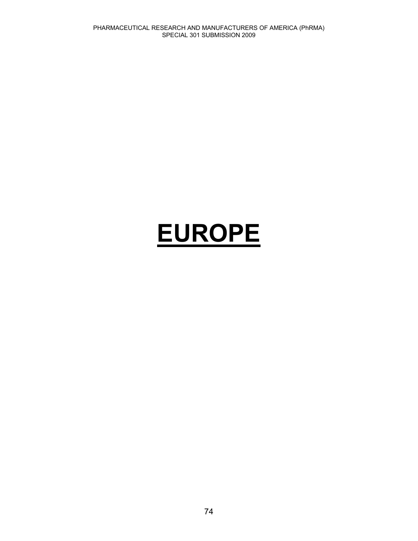# **EUROPE**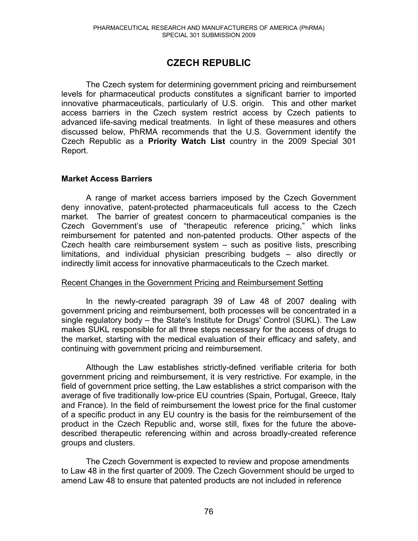# **CZECH REPUBLIC**

The Czech system for determining government pricing and reimbursement levels for pharmaceutical products constitutes a significant barrier to imported innovative pharmaceuticals, particularly of U.S. origin. This and other market access barriers in the Czech system restrict access by Czech patients to advanced life-saving medical treatments. In light of these measures and others discussed below, PhRMA recommends that the U.S. Government identify the Czech Republic as a **Priority Watch List** country in the 2009 Special 301 Report.

#### **Market Access Barriers**

A range of market access barriers imposed by the Czech Government deny innovative, patent-protected pharmaceuticals full access to the Czech market. The barrier of greatest concern to pharmaceutical companies is the Czech Government's use of "therapeutic reference pricing," which links reimbursement for patented and non-patented products. Other aspects of the Czech health care reimbursement system  $-$  such as positive lists, prescribing  $limitations, and individual physical representation of the boundary conditions are given by:\n $\begin{bmatrix}\n a & b \\
c & d\n \end{bmatrix}$$ indirectly limit access for innovative pharmaceuticals to the Czech market.

#### Recent Changes in the Government Pricing and Reimbursement Setting

In the newly-created paragraph 39 of Law 48 of 2007 dealing with government pricing and reimbursement, both processes will be concentrated in a single regulatory body – the State's Institute for Drugs' Control (SUKL). The Law makes SUKL responsible for all three steps necessary for the access of drugs to the market, starting with the medical evaluation of their efficacy and safety, and continuing with government pricing and reimbursement.

Although the Law establishes strictly-defined verifiable criteria for both government pricing and reimbursement, it is very restrictive. For example, in the field of government price setting, the Law establishes a strict comparison with the average of five traditionally low-price EU countries (Spain, Portugal, Greece, Italy and France). In the field of reimbursement the lowest price for the final customer of a specific product in any EU country is the basis for the reimbursement of the product in the Czech Republic and, worse still, fixes for the future the abovedescribed therapeutic referencing within and across broadly-created reference groups and clusters.

The Czech Government is expected to review and propose amendments to Law 48 in the first quarter of 2009. The Czech Government should be urged to amend Law 48 to ensure that patented products are not included in reference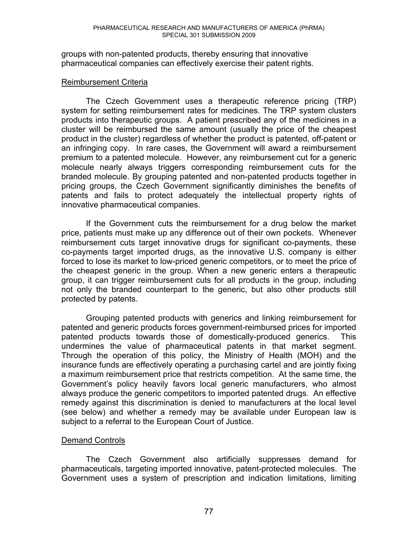groups with non-patented products, thereby ensuring that innovative pharmaceutical companies can effectively exercise their patent rights.

#### Reimbursement Criteria

The Czech Government uses a therapeutic reference pricing (TRP) system for setting reimbursement rates for medicines. The TRP system clusters products into therapeutic groups. A patient prescribed any of the medicines in a cluster will be reimbursed the same amount (usually the price of the cheapest product in the cluster) regardless of whether the product is patented, off-patent or an infringing copy. In rare cases, the Government will award a reimbursement premium to a patented molecule. However, any reimbursement cut for a generic molecule nearly always triggers corresponding reimbursement cuts for the branded molecule. By grouping patented and non-patented products together in pricing groups, the Czech Government significantly diminishes the benefits of patents and fails to protect adequately the intellectual property rights of innovative pharmaceutical companies.

If the Government cuts the reimbursement for a drug below the market price, patients must make up any difference out of their own pockets. Whenever reimbursement cuts target innovative drugs for significant co-payments, these co-payments target imported drugs, as the innovative U.S. company is either forced to lose its market to low-priced generic competitors, or to meet the price of the cheapest generic in the group. When a new generic enters a therapeutic group, it can trigger reimbursement cuts for all products in the group, including not only the branded counterpart to the generic, but also other products still protected by patents.

Grouping patented products with generics and linking reimbursement for patented and generic products forces government-reimbursed prices for imported patented products towards those of domestically-produced generics. This undermines the value of pharmaceutical patents in that market segment. Through the operation of this policy, the Ministry of Health (MOH) and the insurance funds are effectively operating a purchasing cartel and are jointly fixing a maximum reimbursement price that restricts competition. At the same time, the Government's policy heavily favors local generic manufacturers, who almost always produce the generic competitors to imported patented drugs. An effective remedy against this discrimination is denied to manufacturers at the local level (see below) and whether a remedy may be available under European law is subject to a referral to the European Court of Justice.

#### Demand Controls

The Czech Government also artificially suppresses demand for pharmaceuticals, targeting imported innovative, patent-protected molecules. The Government uses a system of prescription and indication limitations, limiting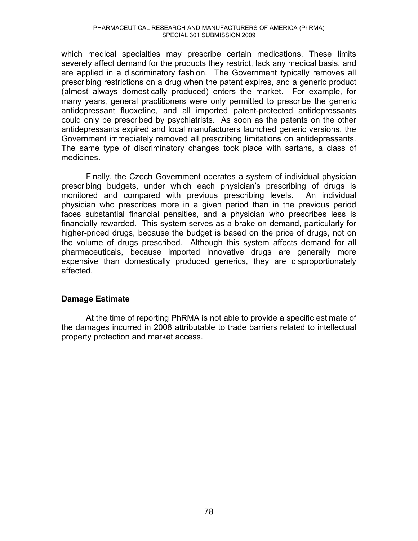which medical specialties may prescribe certain medications. These limits severely affect demand for the products they restrict, lack any medical basis, and are applied in a discriminatory fashion. The Government typically removes all prescribing restrictions on a drug when the patent expires, and a generic product (almost always domestically produced) enters the market. For example, for many years, general practitioners were only permitted to prescribe the generic antidepressant fluoxetine, and all imported patent-protected antidepressants could only be prescribed by psychiatrists. As soon as the patents on the other antidepressants expired and local manufacturers launched generic versions, the Government immediately removed all prescribing limitations on antidepressants. The same type of discriminatory changes took place with sartans, a class of medicines.

Finally, the Czech Government operates a system of individual physician prescribing budgets, under which each physician's prescribing of drugs is monitored and compared with previous prescribing levels. An individual physician who prescribes more in a given period than in the previous period faces substantial financial penalties, and a physician who prescribes less is financially rewarded. This system serves as a brake on demand, particularly for higher-priced drugs, because the budget is based on the price of drugs, not on the volume of drugs prescribed. Although this system affects demand for all pharmaceuticals, because imported innovative drugs are generally more expensive than domestically produced generics, they are disproportionately affected.

#### **Damage Estimate**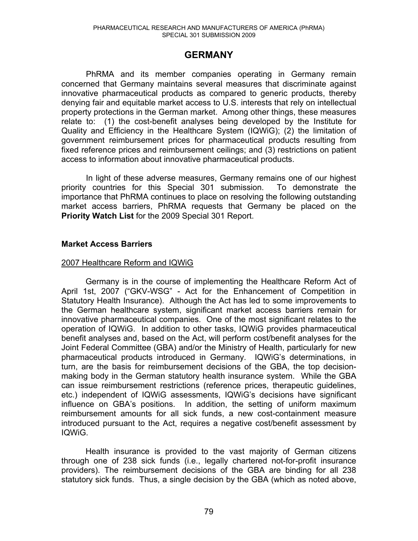# **GERMANY**

PhRMA and its member companies operating in Germany remain concerned that Germany maintains several measures that discriminate against innovative pharmaceutical products as compared to generic products, thereby denying fair and equitable market access to U.S. interests that rely on intellectual property protections in the German market. Among other things, these measures relate to: (1) the cost-benefit analyses being developed by the Institute for Quality and Efficiency in the Healthcare System (IQWiG); (2) the limitation of government reimbursement prices for pharmaceutical products resulting from fixed reference prices and reimbursement ceilings; and (3) restrictions on patient access to information about innovative pharmaceutical products.

In light of these adverse measures, Germany remains one of our highest priority countries for this Special 301 submission. To demonstrate the importance that PhRMA continues to place on resolving the following outstanding market access barriers, PhRMA requests that Germany be placed on the **Priority Watch List** for the 2009 Special 301 Report.

## **Market Access Barriers**

#### 2007 Healthcare Reform and IQWiG

Germany is in the course of implementing the Healthcare Reform Act of April 1st, 2007 ("GKV-WSG" - Act for the Enhancement of Competition in Statutory Health Insurance). Although the Act has led to some improvements to the German healthcare system, significant market access barriers remain for innovative pharmaceutical companies. One of the most significant relates to the operation of IQWiG. In addition to other tasks, IQWiG provides pharmaceutical benefit analyses and, based on the Act, will perform cost/benefit analyses for the Joint Federal Committee (GBA) and/or the Ministry of Health, particularly for new pharmaceutical products introduced in Germany. IQWiG's determinations, in turn, are the basis for reimbursement decisions of the GBA, the top decisionmaking body in the German statutory health insurance system. While the GBA can issue reimbursement restrictions (reference prices, therapeutic guidelines, etc.) independent of IQWiG assessments, IQWiG's decisions have significant influence on GBA's positions. In addition, the setting of uniform maximum reimbursement amounts for all sick funds, a new cost-containment measure introduced pursuant to the Act, requires a negative cost/benefit assessment by IQWiG.

Health insurance is provided to the vast majority of German citizens through one of 238 sick funds (i.e., legally chartered not-for-profit insurance providers). The reimbursement decisions of the GBA are binding for all 238 statutory sick funds. Thus, a single decision by the GBA (which as noted above,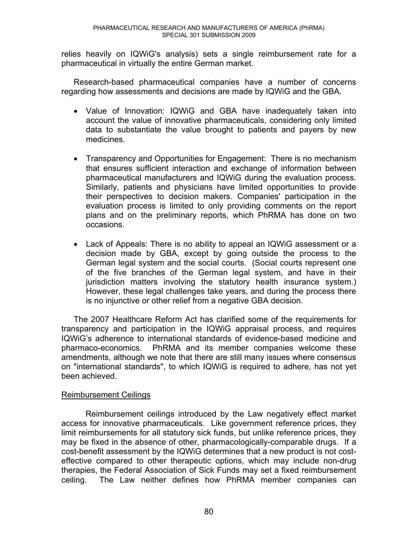relies heavily on IQWiG's analysis) sets a single reimbursement rate for a pharmaceutical in virtually the entire German market.

Research-based pharmaceutical companies have a number of concerns regarding how assessments and decisions are made by IQWiG and the GBA.

- Value of Innovation: IQWiG and GBA have inadequately taken into account the value of innovative pharmaceuticals, considering only limited data to substantiate the value brought to patients and payers by new medicines.
- Transparency and Opportunities for Engagement: There is no mechanism that ensures sufficient interaction and exchange of information between pharmaceutical manufacturers and IQWiG during the evaluation process. Similarly, patients and physicians have limited opportunities to provide their perspectives to decision makers. Companies' participation in the evaluation process is limited to only providing comments on the report plans and on the preliminary reports, which PhRMA has done on two occasions.
- Lack of Appeals: There is no ability to appeal an IQWiG assessment or a decision made by GBA, except by going outside the process to the German legal system and the social courts. (Social courts represent one of the five branches of the German legal system, and have in their jurisdiction matters involving the statutory health insurance system.) However, these legal challenges take years, and during the process there is no injunctive or other relief from a negative GBA decision.

The 2007 Healthcare Reform Act has clarified some of the requirements for transparency and participation in the IQWiG appraisal process, and requires IQWIG's adherence to international standards of evidence-based medicine and pharmaco-economics. PhRMA and its member companies welcome these amendments, although we note that there are still many issues where consensus on "international standards", to which IQWiG is required to adhere, has not yet been achieved.

#### Reimbursement Ceilings

Reimbursement ceilings introduced by the Law negatively effect market access for innovative pharmaceuticals. Like government reference prices, they limit reimbursements for all statutory sick funds, but unlike reference prices, they may be fixed in the absence of other, pharmacologically-comparable drugs. If a cost-benefit assessment by the IQWiG determines that a new product is not costeffective compared to other therapeutic options, which may include non-drug therapies, the Federal Association of Sick Funds may set a fixed reimbursement ceiling. The Law neither defines how PhRMA member companies can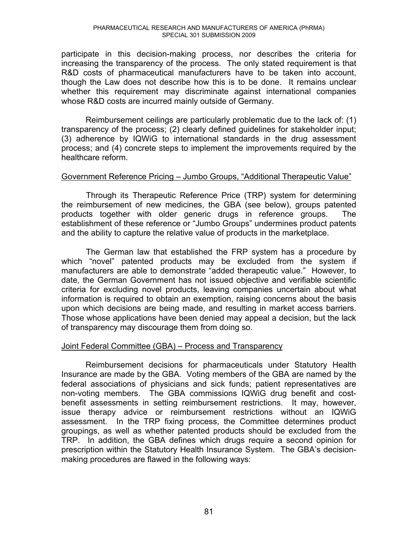participate in this decision-making process, nor describes the criteria for increasing the transparency of the process. The only stated requirement is that R&D costs of pharmaceutical manufacturers have to be taken into account, though the Law does not describe how this is to be done. It remains unclear whether this requirement may discriminate against international companies whose R&D costs are incurred mainly outside of Germany.

Reimbursement ceilings are particularly problematic due to the lack of: (1) transparency of the process; (2) clearly defined guidelines for stakeholder input; (3) adherence by IQWiG to international standards in the drug assessment process; and (4) concrete steps to implement the improvements required by the healthcare reform.

#### Government Reference Pricing - Jumbo Groups, "Additional Therapeutic Value"

Through its Therapeutic Reference Price (TRP) system for determining the reimbursement of new medicines, the GBA (see below), groups patented products together with older generic drugs in reference groups. The establishment of these reference or "Jumbo Groups" undermines product patents and the ability to capture the relative value of products in the marketplace.

The German law that established the FRP system has a procedure by which "novel" patented products may be excluded from the system if manufacturers are able to demonstrate "added therapeutic value." However, to date, the German Government has not issued objective and verifiable scientific criteria for excluding novel products, leaving companies uncertain about what information is required to obtain an exemption, raising concerns about the basis upon which decisions are being made, and resulting in market access barriers. Those whose applications have been denied may appeal a decision, but the lack of transparency may discourage them from doing so.

#### Joint Federal Committee (GBA) – Process and Transparency

Reimbursement decisions for pharmaceuticals under Statutory Health Insurance are made by the GBA. Voting members of the GBA are named by the federal associations of physicians and sick funds; patient representatives are non-voting members. The GBA commissions IQWiG drug benefit and costbenefit assessments in setting reimbursement restrictions. It may, however, issue therapy advice or reimbursement restrictions without an IQWiG assessment. In the TRP fixing process, the Committee determines product groupings, as well as whether patented products should be excluded from the TRP. In addition, the GBA defines which drugs require a second opinion for prescription within the Statutory Health Insurance System. The GBA's decisionmaking procedures are flawed in the following ways: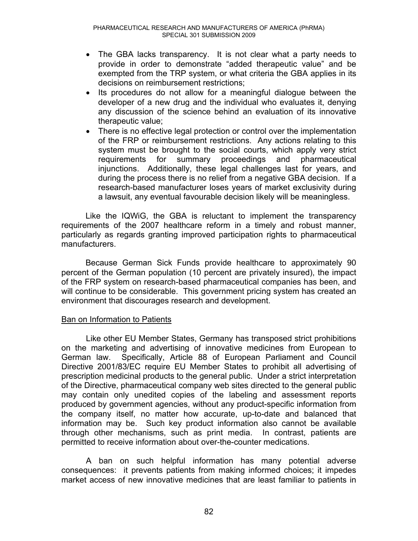- The GBA lacks transparency. It is not clear what a party needs to provide in order to demonstrate "added therapeutic value" and be exempted from the TRP system, or what criteria the GBA applies in its decisions on reimbursement restrictions;
- Its procedures do not allow for a meaningful dialogue between the developer of a new drug and the individual who evaluates it, denying any discussion of the science behind an evaluation of its innovative therapeutic value;
- There is no effective legal protection or control over the implementation of the FRP or reimbursement restrictions. Any actions relating to this system must be brought to the social courts, which apply very strict requirements for summary proceedings and pharmaceutical injunctions. Additionally, these legal challenges last for years, and during the process there is no relief from a negative GBA decision. If a research-based manufacturer loses years of market exclusivity during a lawsuit, any eventual favourable decision likely will be meaningless.

Like the IQWiG, the GBA is reluctant to implement the transparency requirements of the 2007 healthcare reform in a timely and robust manner, particularly as regards granting improved participation rights to pharmaceutical manufacturers.

Because German Sick Funds provide healthcare to approximately 90 percent of the German population (10 percent are privately insured), the impact of the FRP system on research-based pharmaceutical companies has been, and will continue to be considerable. This government pricing system has created an environment that discourages research and development.

#### Ban on Information to Patients

 Like other EU Member States, Germany has transposed strict prohibitions on the marketing and advertising of innovative medicines from European to German law. Specifically, Article 88 of European Parliament and Council Directive 2001/83/EC require EU Member States to prohibit all advertising of prescription medicinal products to the general public. Under a strict interpretation of the Directive, pharmaceutical company web sites directed to the general public may contain only unedited copies of the labeling and assessment reports produced by government agencies, without any product-specific information from the company itself, no matter how accurate, up-to-date and balanced that information may be. Such key product information also cannot be available through other mechanisms, such as print media. In contrast, patients are permitted to receive information about over-the-counter medications.

 A ban on such helpful information has many potential adverse consequences: it prevents patients from making informed choices; it impedes market access of new innovative medicines that are least familiar to patients in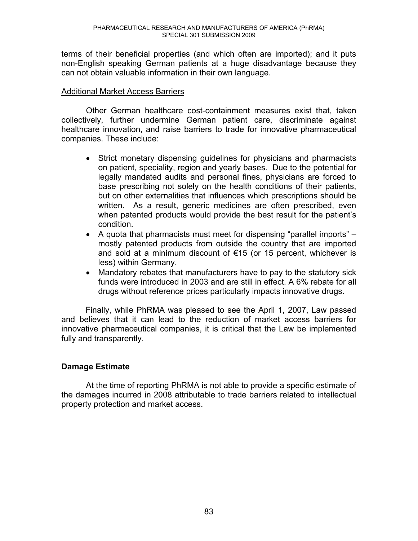terms of their beneficial properties (and which often are imported); and it puts non-English speaking German patients at a huge disadvantage because they can not obtain valuable information in their own language.

### Additional Market Access Barriers

Other German healthcare cost-containment measures exist that, taken collectively, further undermine German patient care, discriminate against healthcare innovation, and raise barriers to trade for innovative pharmaceutical companies. These include:

- Strict monetary dispensing quidelines for physicians and pharmacists on patient, speciality, region and yearly bases. Due to the potential for legally mandated audits and personal fines, physicians are forced to base prescribing not solely on the health conditions of their patients, but on other externalities that influences which prescriptions should be written. As a result, generic medicines are often prescribed, even when patented products would provide the best result for the patient's condition.
- A quota that pharmacists must meet for dispensing "parallel imports"  $$ mostly patented products from outside the country that are imported and sold at a minimum discount of  $\epsilon$ 15 (or 15 percent, whichever is less) within Germany.
- Mandatory rebates that manufacturers have to pay to the statutory sick funds were introduced in 2003 and are still in effect. A 6% rebate for all drugs without reference prices particularly impacts innovative drugs.

Finally, while PhRMA was pleased to see the April 1, 2007, Law passed and believes that it can lead to the reduction of market access barriers for innovative pharmaceutical companies, it is critical that the Law be implemented fully and transparently.

# **Damage Estimate**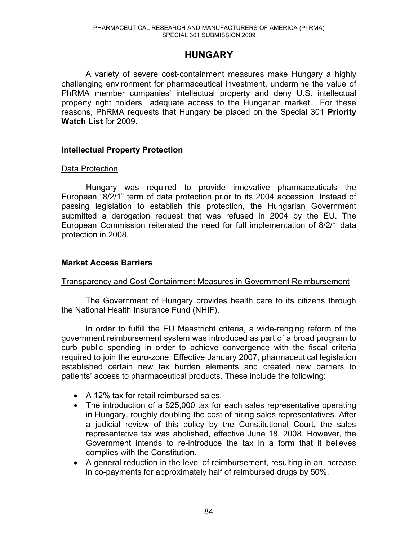# **HUNGARY**

A variety of severe cost-containment measures make Hungary a highly challenging environment for pharmaceutical investment, undermine the value of PhRMA member companies' intellectual property and deny U.S. intellectual property right holders adequate access to the Hungarian market. For these reasons, PhRMA requests that Hungary be placed on the Special 301 **Priority Watch List** for 2009.

#### **Intellectual Property Protection**

#### Data Protection

Hungary was required to provide innovative pharmaceuticals the European "8/2/1" term of data protection prior to its 2004 accession. Instead of passing legislation to establish this protection, the Hungarian Government submitted a derogation request that was refused in 2004 by the EU. The European Commission reiterated the need for full implementation of 8/2/1 data protection in 2008.

#### **Market Access Barriers**

#### Transparency and Cost Containment Measures in Government Reimbursement

The Government of Hungary provides health care to its citizens through the National Health Insurance Fund (NHIF).

In order to fulfill the EU Maastricht criteria, a wide-ranging reform of the government reimbursement system was introduced as part of a broad program to curb public spending in order to achieve convergence with the fiscal criteria required to join the euro-zone. Effective January 2007, pharmaceutical legislation established certain new tax burden elements and created new barriers to patients' access to pharmaceutical products. These include the following:

- A 12% tax for retail reimbursed sales.
- The introduction of a \$25,000 tax for each sales representative operating in Hungary, roughly doubling the cost of hiring sales representatives. After a judicial review of this policy by the Constitutional Court, the sales representative tax was abolished, effective June 18, 2008. However, the Government intends to re-introduce the tax in a form that it believes complies with the Constitution.
- A general reduction in the level of reimbursement, resulting in an increase in co-payments for approximately half of reimbursed drugs by 50%.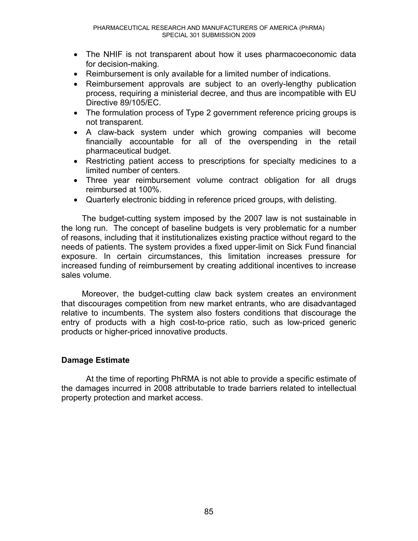- The NHIF is not transparent about how it uses pharmacoeconomic data for decision-making.
- $\bullet$  Reimbursement is only available for a limited number of indications.
- Reimbursement approvals are subject to an overly-lengthy publication process, requiring a ministerial decree, and thus are incompatible with EU Directive 89/105/EC.
- The formulation process of Type 2 government reference pricing groups is not transparent.
- A claw-back system under which growing companies will become financially accountable for all of the overspending in the retail pharmaceutical budget.
- Restricting patient access to prescriptions for specialty medicines to a limited number of centers.
- Three year reimbursement volume contract obligation for all drugs reimbursed at 100%.
- Quarterly electronic bidding in reference priced groups, with delisting.

The budget-cutting system imposed by the 2007 law is not sustainable in the long run. The concept of baseline budgets is very problematic for a number of reasons, including that it institutionalizes existing practice without regard to the needs of patients. The system provides a fixed upper-limit on Sick Fund financial exposure. In certain circumstances, this limitation increases pressure for increased funding of reimbursement by creating additional incentives to increase sales volume.

Moreover, the budget-cutting claw back system creates an environment that discourages competition from new market entrants, who are disadvantaged relative to incumbents. The system also fosters conditions that discourage the entry of products with a high cost-to-price ratio, such as low-priced generic products or higher-priced innovative products.

# **Damage Estimate**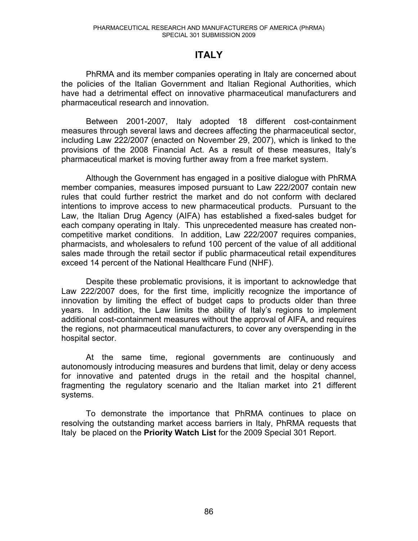# **ITALY**

PhRMA and its member companies operating in Italy are concerned about the policies of the Italian Government and Italian Regional Authorities, which have had a detrimental effect on innovative pharmaceutical manufacturers and pharmaceutical research and innovation.

Between 2001-2007, Italy adopted 18 different cost-containment measures through several laws and decrees affecting the pharmaceutical sector, including Law 222/2007 (enacted on November 29, 2007), which is linked to the provisions of the 2008 Financial Act. As a result of these measures, Italy's pharmaceutical market is moving further away from a free market system.

Although the Government has engaged in a positive dialogue with PhRMA member companies, measures imposed pursuant to Law 222/2007 contain new rules that could further restrict the market and do not conform with declared intentions to improve access to new pharmaceutical products. Pursuant to the Law, the Italian Drug Agency (AIFA) has established a fixed-sales budget for each company operating in Italy. This unprecedented measure has created noncompetitive market conditions. In addition, Law 222/2007 requires companies, pharmacists, and wholesalers to refund 100 percent of the value of all additional sales made through the retail sector if public pharmaceutical retail expenditures exceed 14 percent of the National Healthcare Fund (NHF).

Despite these problematic provisions, it is important to acknowledge that Law 222/2007 does, for the first time, implicitly recognize the importance of innovation by limiting the effect of budget caps to products older than three years. In addition, the Law limits the ability of Italy's regions to implement additional cost-containment measures without the approval of AIFA, and requires the regions, not pharmaceutical manufacturers, to cover any overspending in the hospital sector.

At the same time, regional governments are continuously and autonomously introducing measures and burdens that limit, delay or deny access for innovative and patented drugs in the retail and the hospital channel, fragmenting the regulatory scenario and the Italian market into 21 different systems.

To demonstrate the importance that PhRMA continues to place on resolving the outstanding market access barriers in Italy, PhRMA requests that Italy be placed on the **Priority Watch List** for the 2009 Special 301 Report.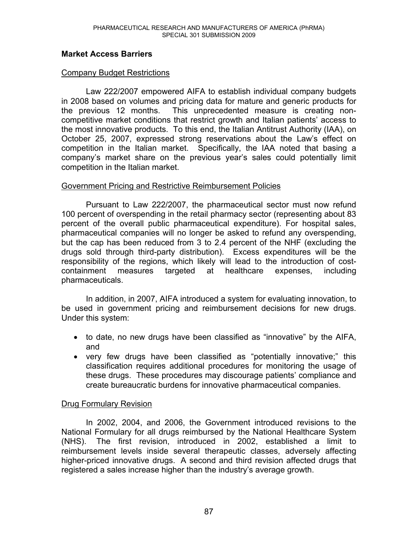## **Market Access Barriers**

### Company Budget Restrictions

Law 222/2007 empowered AIFA to establish individual company budgets in 2008 based on volumes and pricing data for mature and generic products for the previous 12 months. This unprecedented measure is creating noncompetitive market conditions that restrict growth and Italian patients' access to the most innovative products. To this end, the Italian Antitrust Authority (IAA), on October 25, 2007, expressed strong reservations about the Law's effect on competition in the Italian market. Specifically, the IAA noted that basing a company's market share on the previous year's sales could potentially limit competition in the Italian market.

#### Government Pricing and Restrictive Reimbursement Policies

Pursuant to Law 222/2007, the pharmaceutical sector must now refund 100 percent of overspending in the retail pharmacy sector (representing about 83 percent of the overall public pharmaceutical expenditure). For hospital sales, pharmaceutical companies will no longer be asked to refund any overspending, but the cap has been reduced from 3 to 2.4 percent of the NHF (excluding the drugs sold through third-party distribution). Excess expenditures will be the responsibility of the regions, which likely will lead to the introduction of costcontainment measures targeted at healthcare expenses, including pharmaceuticals.

In addition, in 2007, AIFA introduced a system for evaluating innovation, to be used in government pricing and reimbursement decisions for new drugs. Under this system:

- $\bullet$  to date, no new drugs have been classified as "innovative" by the AIFA, and
- very few drugs have been classified as "potentially innovative;" this classification requires additional procedures for monitoring the usage of these drugs. These procedures may discourage patients' compliance and create bureaucratic burdens for innovative pharmaceutical companies.

#### Drug Formulary Revision

In 2002, 2004, and 2006, the Government introduced revisions to the National Formulary for all drugs reimbursed by the National Healthcare System (NHS). The first revision, introduced in 2002, established a limit to reimbursement levels inside several therapeutic classes, adversely affecting higher-priced innovative drugs. A second and third revision affected drugs that registered a sales increase higher than the industry's average growth.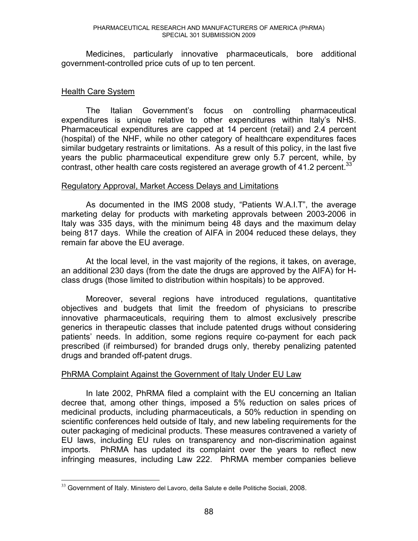Medicines, particularly innovative pharmaceuticals, bore additional government-controlled price cuts of up to ten percent.

#### Health Care System

 $\overline{a}$ 

The Italian Government's focus on controlling pharmaceutical expenditures is unique relative to other expenditures within Italy's NHS. Pharmaceutical expenditures are capped at 14 percent (retail) and 2.4 percent (hospital) of the NHF, while no other category of healthcare expenditures faces similar budgetary restraints or limitations. As a result of this policy, in the last five years the public pharmaceutical expenditure grew only 5.7 percent, while, by contrast, other health care costs registered an average growth of 41.2 percent.<sup>33</sup>

#### Regulatory Approval, Market Access Delays and Limitations

As documented in the IMS 2008 study, "Patients W.A.I.T", the average marketing delay for products with marketing approvals between 2003-2006 in Italy was 335 days, with the minimum being 48 days and the maximum delay being 817 days. While the creation of AIFA in 2004 reduced these delays, they remain far above the EU average.

At the local level, in the vast majority of the regions, it takes, on average, an additional 230 days (from the date the drugs are approved by the AIFA) for Hclass drugs (those limited to distribution within hospitals) to be approved.

Moreover, several regions have introduced regulations, quantitative objectives and budgets that limit the freedom of physicians to prescribe innovative pharmaceuticals, requiring them to almost exclusively prescribe generics in therapeutic classes that include patented drugs without considering patients' needs. In addition, some regions require co-payment for each pack prescribed (if reimbursed) for branded drugs only, thereby penalizing patented drugs and branded off-patent drugs.

#### PhRMA Complaint Against the Government of Italy Under EU Law

In late 2002, PhRMA filed a complaint with the EU concerning an Italian decree that, among other things, imposed a 5% reduction on sales prices of medicinal products, including pharmaceuticals, a 50% reduction in spending on scientific conferences held outside of Italy, and new labeling requirements for the outer packaging of medicinal products. These measures contravened a variety of EU laws, including EU rules on transparency and non-discrimination against imports. PhRMA has updated its complaint over the years to reflect new infringing measures, including Law 222. PhRMA member companies believe

<sup>&</sup>lt;sup>33</sup> Government of Italy. Ministero del Lavoro, della Salute e delle Politiche Sociali, 2008.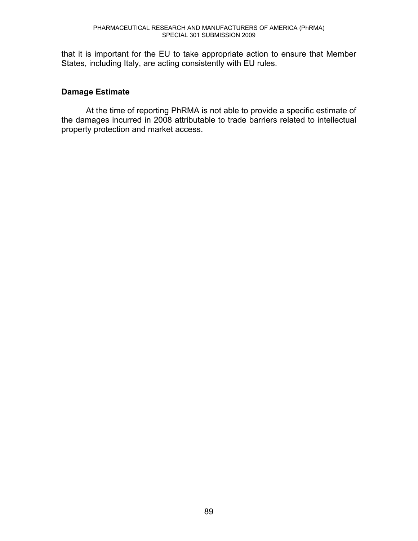that it is important for the EU to take appropriate action to ensure that Member States, including Italy, are acting consistently with EU rules.

## **Damage Estimate**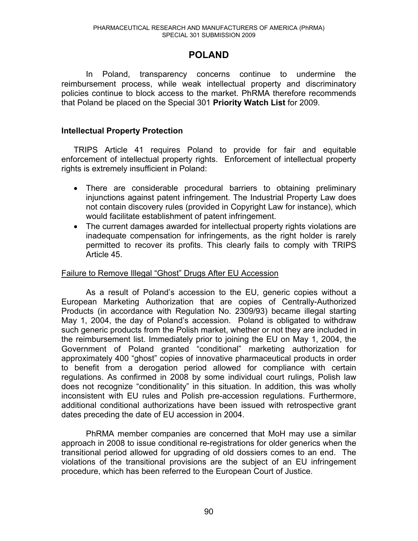# **POLAND**

In Poland, transparency concerns continue to undermine the reimbursement process, while weak intellectual property and discriminatory policies continue to block access to the market. PhRMA therefore recommends that Poland be placed on the Special 301 **Priority Watch List** for 2009.

## **Intellectual Property Protection**

TRIPS Article 41 requires Poland to provide for fair and equitable enforcement of intellectual property rights. Enforcement of intellectual property rights is extremely insufficient in Poland:

- There are considerable procedural barriers to obtaining preliminary injunctions against patent infringement. The Industrial Property Law does not contain discovery rules (provided in Copyright Law for instance), which would facilitate establishment of patent infringement.
- The current damages awarded for intellectual property rights violations are inadequate compensation for infringements, as the right holder is rarely permitted to recover its profits. This clearly fails to comply with TRIPS Article 45.

### Failure to Remove Illegal "Ghost" Drugs After EU Accession

As a result of Poland's accession to the EU, generic copies without a European Marketing Authorization that are copies of Centrally-Authorized Products (in accordance with Regulation No. 2309/93) became illegal starting May 1, 2004, the day of Poland's accession. Poland is obligated to withdraw such generic products from the Polish market, whether or not they are included in the reimbursement list. Immediately prior to joining the EU on May 1, 2004, the Government of Poland granted "conditional" marketing authorization for approximately 400 "ghost" copies of innovative pharmaceutical products in order to benefit from a derogation period allowed for compliance with certain regulations. As confirmed in 2008 by some individual court rulings, Polish law does not recognize "conditionality" in this situation. In addition, this was wholly inconsistent with EU rules and Polish pre-accession regulations. Furthermore, additional conditional authorizations have been issued with retrospective grant dates preceding the date of EU accession in 2004.

PhRMA member companies are concerned that MoH may use a similar approach in 2008 to issue conditional re-registrations for older generics when the transitional period allowed for upgrading of old dossiers comes to an end. The violations of the transitional provisions are the subject of an EU infringement procedure, which has been referred to the European Court of Justice.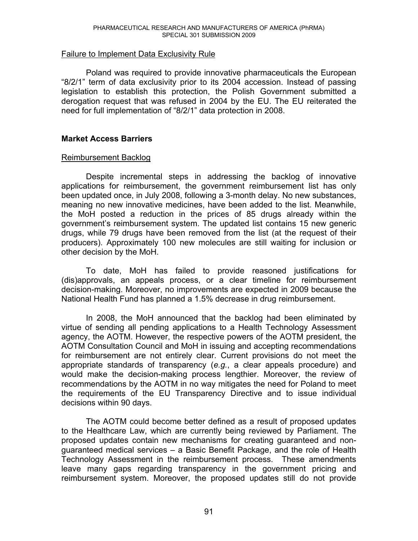#### Failure to Implement Data Exclusivity Rule

Poland was required to provide innovative pharmaceuticals the European  $8/2/1$  term of data exclusivity prior to its 2004 accession. Instead of passing legislation to establish this protection, the Polish Government submitted a derogation request that was refused in 2004 by the EU. The EU reiterated the need for full implementation of "8/2/1" data protection in 2008.

#### **Market Access Barriers**

#### Reimbursement Backlog

Despite incremental steps in addressing the backlog of innovative applications for reimbursement, the government reimbursement list has only been updated once, in July 2008, following a 3-month delay. No new substances, meaning no new innovative medicines, have been added to the list. Meanwhile, the MoH posted a reduction in the prices of 85 drugs already within the government's reimbursement system. The updated list contains 15 new generic drugs, while 79 drugs have been removed from the list (at the request of their producers). Approximately 100 new molecules are still waiting for inclusion or other decision by the MoH.

To date, MoH has failed to provide reasoned justifications for (dis)approvals, an appeals process, or a clear timeline for reimbursement decision-making. Moreover, no improvements are expected in 2009 because the National Health Fund has planned a 1.5% decrease in drug reimbursement.

In 2008, the MoH announced that the backlog had been eliminated by virtue of sending all pending applications to a Health Technology Assessment agency, the AOTM. However, the respective powers of the AOTM president, the AOTM Consultation Council and MoH in issuing and accepting recommendations for reimbursement are not entirely clear. Current provisions do not meet the appropriate standards of transparency (*e.g.*, a clear appeals procedure) and would make the decision-making process lengthier. Moreover, the review of recommendations by the AOTM in no way mitigates the need for Poland to meet the requirements of the EU Transparency Directive and to issue individual decisions within 90 days.

The AOTM could become better defined as a result of proposed updates to the Healthcare Law, which are currently being reviewed by Parliament. The proposed updates contain new mechanisms for creating guaranteed and nonguaranteed medical services – a Basic Benefit Package, and the role of Health Technology Assessment in the reimbursement process. These amendments leave many gaps regarding transparency in the government pricing and reimbursement system. Moreover, the proposed updates still do not provide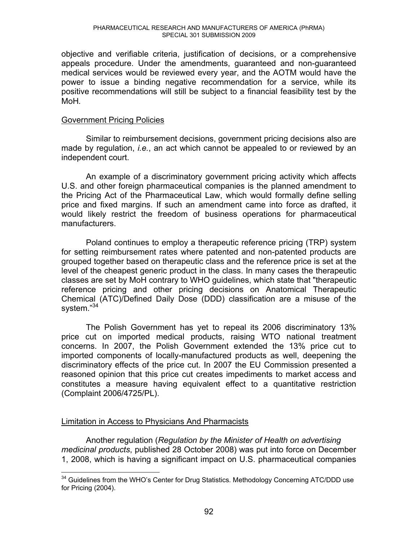objective and verifiable criteria, justification of decisions, or a comprehensive appeals procedure. Under the amendments, guaranteed and non-guaranteed medical services would be reviewed every year, and the AOTM would have the power to issue a binding negative recommendation for a service, while its positive recommendations will still be subject to a financial feasibility test by the MoH*.* 

#### Government Pricing Policies

Similar to reimbursement decisions, government pricing decisions also are made by regulation, *i.e.*, an act which cannot be appealed to or reviewed by an independent court.

An example of a discriminatory government pricing activity which affects U.S. and other foreign pharmaceutical companies is the planned amendment to the Pricing Act of the Pharmaceutical Law, which would formally define selling price and fixed margins. If such an amendment came into force as drafted, it would likely restrict the freedom of business operations for pharmaceutical manufacturers.

Poland continues to employ a therapeutic reference pricing (TRP) system for setting reimbursement rates where patented and non-patented products are grouped together based on therapeutic class and the reference price is set at the level of the cheapest generic product in the class. In many cases the therapeutic classes are set by MoH contrary to WHO guidelines, which state that "therapeutic reference pricing and other pricing decisions on Anatomical Therapeutic Chemical (ATC)/Defined Daily Dose (DDD) classification are a misuse of the system."<sup>34</sup>

The Polish Government has yet to repeal its 2006 discriminatory 13% price cut on imported medical products, raising WTO national treatment concerns. In 2007, the Polish Government extended the 13% price cut to imported components of locally-manufactured products as well, deepening the discriminatory effects of the price cut. In 2007 the EU Commission presented a reasoned opinion that this price cut creates impediments to market access and constitutes a measure having equivalent effect to a quantitative restriction (Complaint 2006/4725/PL).

#### Limitation in Access to Physicians And Pharmacists

Another regulation (*Regulation by the Minister of Health on advertising medicinal products*, published 28 October 2008) was put into force on December 1, 2008, which is having a significant impact on U.S. pharmaceutical companies

 $\overline{a}$  $34$  Guidelines from the WHO's Center for Drug Statistics. Methodology Concerning ATC/DDD use for Pricing (2004).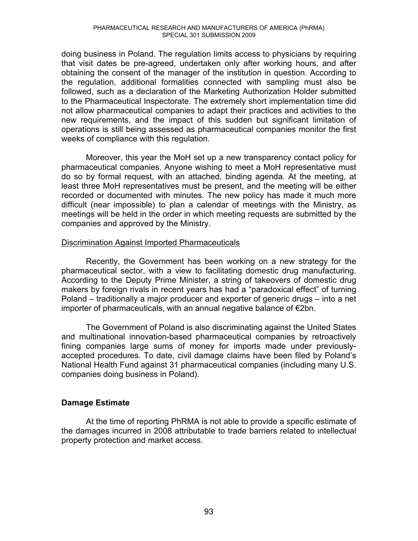doing business in Poland. The regulation limits access to physicians by requiring that visit dates be pre-agreed, undertaken only after working hours, and after obtaining the consent of the manager of the institution in question. According to the regulation, additional formalities connected with sampling must also be followed, such as a declaration of the Marketing Authorization Holder submitted to the Pharmaceutical Inspectorate. The extremely short implementation time did not allow pharmaceutical companies to adapt their practices and activities to the new requirements, and the impact of this sudden but significant limitation of operations is still being assessed as pharmaceutical companies monitor the first weeks of compliance with this regulation.

Moreover, this year the MoH set up a new transparency contact policy for pharmaceutical companies. Anyone wishing to meet a MoH representative must do so by formal request, with an attached, binding agenda. At the meeting, at least three MoH representatives must be present, and the meeting will be either recorded or documented with minutes. The new policy has made it much more difficult (near impossible) to plan a calendar of meetings with the Ministry, as meetings will be held in the order in which meeting requests are submitted by the companies and approved by the Ministry.

#### Discrimination Against Imported Pharmaceuticals

Recently, the Government has been working on a new strategy for the pharmaceutical sector, with a view to facilitating domestic drug manufacturing. According to the Deputy Prime Minister, a string of takeovers of domestic drug makers by foreign rivals in recent years has had a "paradoxical effect" of turning Poland  $-$  traditionally a major producer and exporter of generic drugs  $-$  into a net importer of pharmaceuticals, with an annual negative balance of  $E$ 2bn.

The Government of Poland is also discriminating against the United States and multinational innovation-based pharmaceutical companies by retroactively fining companies large sums of money for imports made under previouslyaccepted procedures. To date, civil damage claims have been filed by Poland's National Health Fund against 31 pharmaceutical companies (including many U.S. companies doing business in Poland).

# **Damage Estimate**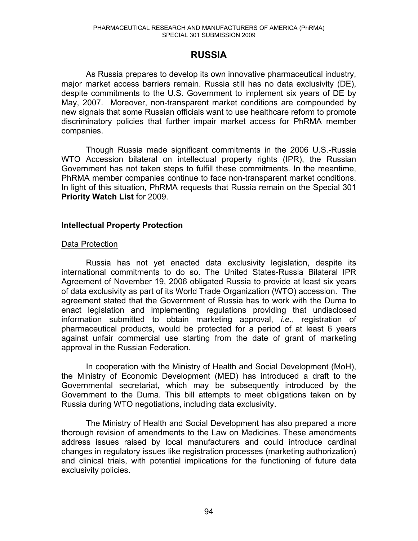# **RUSSIA**

As Russia prepares to develop its own innovative pharmaceutical industry, major market access barriers remain. Russia still has no data exclusivity (DE), despite commitments to the U.S. Government to implement six years of DE by May, 2007. Moreover, non-transparent market conditions are compounded by new signals that some Russian officials want to use healthcare reform to promote discriminatory policies that further impair market access for PhRMA member companies.

Though Russia made significant commitments in the 2006 U.S.-Russia WTO Accession bilateral on intellectual property rights (IPR), the Russian Government has not taken steps to fulfill these commitments. In the meantime, PhRMA member companies continue to face non-transparent market conditions. In light of this situation, PhRMA requests that Russia remain on the Special 301 **Priority Watch List** for 2009.

#### **Intellectual Property Protection**

## Data Protection

Russia has not yet enacted data exclusivity legislation, despite its international commitments to do so. The United States-Russia Bilateral IPR Agreement of November 19, 2006 obligated Russia to provide at least six years of data exclusivity as part of its World Trade Organization (WTO) accession. The agreement stated that the Government of Russia has to work with the Duma to enact legislation and implementing regulations providing that undisclosed information submitted to obtain marketing approval, *i.e.*, registration of pharmaceutical products, would be protected for a period of at least 6 years against unfair commercial use starting from the date of grant of marketing approval in the Russian Federation.

 In cooperation with the Ministry of Health and Social Development (MoH), the Ministry of Economic Development (MED) has introduced a draft to the Governmental secretariat, which may be subsequently introduced by the Government to the Duma. This bill attempts to meet obligations taken on by Russia during WTO negotiations, including data exclusivity.

The Ministry of Health and Social Development has also prepared a more thorough revision of amendments to the Law on Medicines. These amendments address issues raised by local manufacturers and could introduce cardinal changes in regulatory issues like registration processes (marketing authorization) and clinical trials, with potential implications for the functioning of future data exclusivity policies.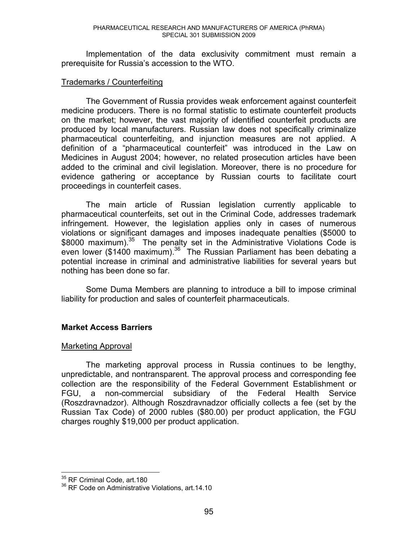Implementation of the data exclusivity commitment must remain a prerequisite for Russia's accession to the WTO.

#### Trademarks / Counterfeiting

The Government of Russia provides weak enforcement against counterfeit medicine producers. There is no formal statistic to estimate counterfeit products on the market; however, the vast majority of identified counterfeit products are produced by local manufacturers. Russian law does not specifically criminalize pharmaceutical counterfeiting, and injunction measures are not applied. A definition of a "pharmaceutical counterfeit" was introduced in the Law on Medicines in August 2004; however, no related prosecution articles have been added to the criminal and civil legislation. Moreover, there is no procedure for evidence gathering or acceptance by Russian courts to facilitate court proceedings in counterfeit cases.

The main article of Russian legislation currently applicable to pharmaceutical counterfeits, set out in the Criminal Code, addresses trademark infringement. However, the legislation applies only in cases of numerous violations or significant damages and imposes inadequate penalties (\$5000 to \$8000 maximum).<sup>35</sup> The penalty set in the Administrative Violations Code is even lower (\$1400 maximum). $36$  The Russian Parliament has been debating a potential increase in criminal and administrative liabilities for several years but nothing has been done so far.

Some Duma Members are planning to introduce a bill to impose criminal liability for production and sales of counterfeit pharmaceuticals.

#### **Market Access Barriers**

#### Marketing Approval

The marketing approval process in Russia continues to be lengthy, unpredictable, and nontransparent. The approval process and corresponding fee collection are the responsibility of the Federal Government Establishment or FGU, a non-commercial subsidiary of the Federal Health Service (Roszdravnadzor). Although Roszdravnadzor officially collects a fee (set by the Russian Tax Code) of 2000 rubles (\$80.00) per product application, the FGU charges roughly \$19,000 per product application.

 $\overline{a}$ 

<sup>&</sup>lt;sup>35</sup> RF Criminal Code, art.180

<sup>&</sup>lt;sup>36</sup> RF Code on Administrative Violations, art.14.10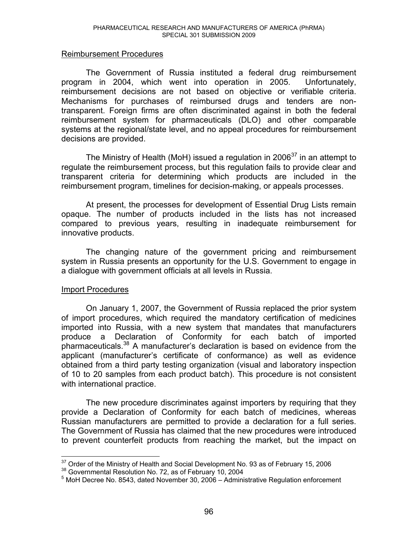#### Reimbursement Procedures

The Government of Russia instituted a federal drug reimbursement program in 2004, which went into operation in 2005. Unfortunately, reimbursement decisions are not based on objective or verifiable criteria. Mechanisms for purchases of reimbursed drugs and tenders are nontransparent. Foreign firms are often discriminated against in both the federal reimbursement system for pharmaceuticals (DLO) and other comparable systems at the regional/state level, and no appeal procedures for reimbursement decisions are provided.

The Ministry of Health (MoH) issued a regulation in 2006<sup>37</sup> in an attempt to regulate the reimbursement process, but this regulation fails to provide clear and transparent criteria for determining which products are included in the reimbursement program, timelines for decision-making, or appeals processes.

 At present, the processes for development of Essential Drug Lists remain opaque. The number of products included in the lists has not increased compared to previous years, resulting in inadequate reimbursement for innovative products.

 The changing nature of the government pricing and reimbursement system in Russia presents an opportunity for the U.S. Government to engage in a dialogue with government officials at all levels in Russia.

#### Import Procedures

On January 1, 2007, the Government of Russia replaced the prior system of import procedures, which required the mandatory certification of medicines imported into Russia, with a new system that mandates that manufacturers produce a Declaration of Conformity for each batch of imported pharmaceuticals.<sup>38</sup> A manufacturer's declaration is based on evidence from the applicant (manufacturer's certificate of conformance) as well as evidence obtained from a third party testing organization (visual and laboratory inspection of 10 to 20 samples from each product batch). This procedure is not consistent with international practice.

The new procedure discriminates against importers by requiring that they provide a Declaration of Conformity for each batch of medicines, whereas Russian manufacturers are permitted to provide a declaration for a full series. The Government of Russia has claimed that the new procedures were introduced to prevent counterfeit products from reaching the market, but the impact on

 $\overline{a}$ <sup>37</sup> Order of the Ministry of Health and Social Development No. 93 as of February 15, 2006<br><sup>38</sup> Governmental Resolution No. 72, as of February 10, 2004<br><sup>5</sup> MoH Deeree No. 8543, dated November 30, 2006 . Administrative Beg

 $5$  MoH Decree No. 8543, dated November 30, 2006 - Administrative Regulation enforcement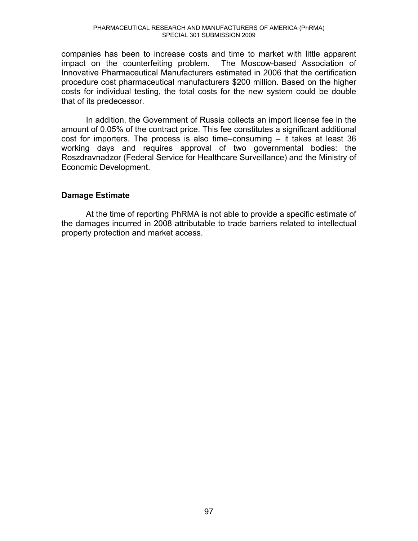companies has been to increase costs and time to market with little apparent impact on the counterfeiting problem. The Moscow-based Association of Innovative Pharmaceutical Manufacturers estimated in 2006 that the certification procedure cost pharmaceutical manufacturers \$200 million. Based on the higher costs for individual testing, the total costs for the new system could be double that of its predecessor.

In addition, the Government of Russia collects an import license fee in the amount of 0.05% of the contract price. This fee constitutes a significant additional cost for importers. The process is also time-consuming  $-$  it takes at least 36 working days and requires approval of two governmental bodies: the Roszdravnadzor (Federal Service for Healthcare Surveillance) and the Ministry of Economic Development.

#### **Damage Estimate**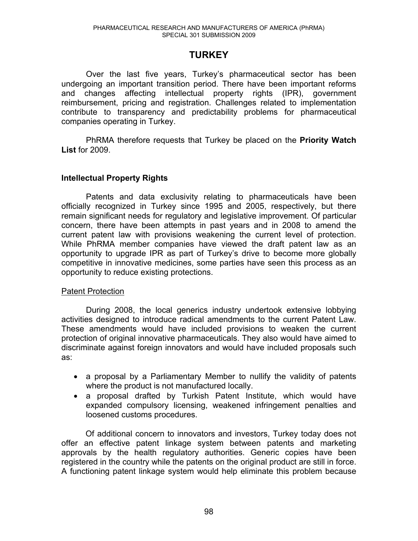# **TURKEY**

Over the last five years, Turkey's pharmaceutical sector has been undergoing an important transition period. There have been important reforms and changes affecting intellectual property rights (IPR), government reimbursement, pricing and registration. Challenges related to implementation contribute to transparency and predictability problems for pharmaceutical companies operating in Turkey.

PhRMA therefore requests that Turkey be placed on the **Priority Watch List** for 2009.

## **Intellectual Property Rights**

Patents and data exclusivity relating to pharmaceuticals have been officially recognized in Turkey since 1995 and 2005, respectively, but there remain significant needs for regulatory and legislative improvement. Of particular concern, there have been attempts in past years and in 2008 to amend the current patent law with provisions weakening the current level of protection. While PhRMA member companies have viewed the draft patent law as an opportunity to upgrade IPR as part of Turkey's drive to become more globally competitive in innovative medicines, some parties have seen this process as an opportunity to reduce existing protections.

#### Patent Protection

During 2008, the local generics industry undertook extensive lobbying activities designed to introduce radical amendments to the current Patent Law. These amendments would have included provisions to weaken the current protection of original innovative pharmaceuticals. They also would have aimed to discriminate against foreign innovators and would have included proposals such as:

- a proposal by a Parliamentary Member to nullify the validity of patents where the product is not manufactured locally.
- a proposal drafted by Turkish Patent Institute, which would have expanded compulsory licensing, weakened infringement penalties and loosened customs procedures.

Of additional concern to innovators and investors, Turkey today does not offer an effective patent linkage system between patents and marketing approvals by the health regulatory authorities. Generic copies have been registered in the country while the patents on the original product are still in force. A functioning patent linkage system would help eliminate this problem because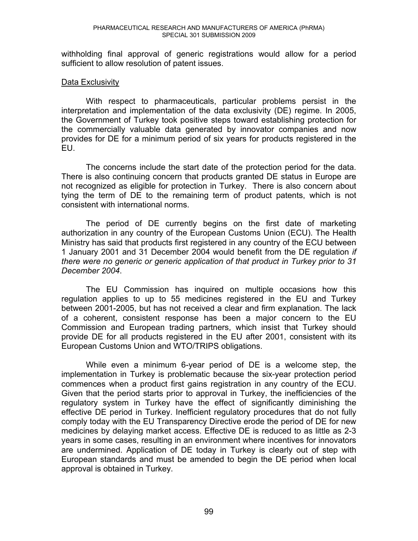withholding final approval of generic registrations would allow for a period sufficient to allow resolution of patent issues.

#### Data Exclusivity

With respect to pharmaceuticals, particular problems persist in the interpretation and implementation of the data exclusivity (DE) regime. In 2005, the Government of Turkey took positive steps toward establishing protection for the commercially valuable data generated by innovator companies and now provides for DE for a minimum period of six years for products registered in the EU.

The concerns include the start date of the protection period for the data. There is also continuing concern that products granted DE status in Europe are not recognized as eligible for protection in Turkey. There is also concern about tying the term of DE to the remaining term of product patents, which is not consistent with international norms.

The period of DE currently begins on the first date of marketing authorization in any country of the European Customs Union (ECU). The Health Ministry has said that products first registered in any country of the ECU between 1 January 2001 and 31 December 2004 would benefit from the DE regulation *if there were no generic or generic application of that product in Turkey prior to 31 December 2004*.

The EU Commission has inquired on multiple occasions how this regulation applies to up to 55 medicines registered in the EU and Turkey between 2001-2005, but has not received a clear and firm explanation. The lack of a coherent, consistent response has been a major concern to the EU Commission and European trading partners, which insist that Turkey should provide DE for all products registered in the EU after 2001, consistent with its European Customs Union and WTO/TRIPS obligations.

While even a minimum 6-year period of DE is a welcome step, the implementation in Turkey is problematic because the six-year protection period commences when a product first gains registration in any country of the ECU. Given that the period starts prior to approval in Turkey, the inefficiencies of the regulatory system in Turkey have the effect of significantly diminishing the effective DE period in Turkey. Inefficient regulatory procedures that do not fully comply today with the EU Transparency Directive erode the period of DE for new medicines by delaying market access. Effective DE is reduced to as little as 2-3 years in some cases, resulting in an environment where incentives for innovators are undermined. Application of DE today in Turkey is clearly out of step with European standards and must be amended to begin the DE period when local approval is obtained in Turkey.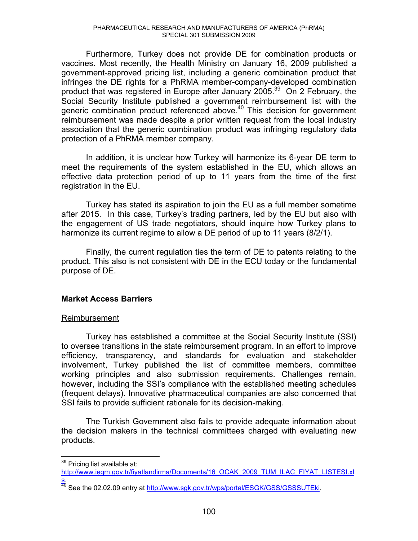Furthermore, Turkey does not provide DE for combination products or vaccines. Most recently, the Health Ministry on January 16, 2009 published a government-approved pricing list, including a generic combination product that infringes the DE rights for a PhRMA member-company-developed combination product that was registered in Europe after January 2005.<sup>39</sup> On 2 February, the Social Security Institute published a government reimbursement list with the generic combination product referenced above.<sup>40</sup> This decision for government reimbursement was made despite a prior written request from the local industry association that the generic combination product was infringing regulatory data protection of a PhRMA member company.

In addition, it is unclear how Turkey will harmonize its 6-year DE term to meet the requirements of the system established in the EU, which allows an effective data protection period of up to 11 years from the time of the first registration in the EU.

Turkey has stated its aspiration to join the EU as a full member sometime after 2015. In this case, Turkey's trading partners, led by the EU but also with the engagement of US trade negotiators, should inquire how Turkey plans to harmonize its current regime to allow a DE period of up to 11 years (8/2/1).

Finally, the current regulation ties the term of DE to patents relating to the product. This also is not consistent with DE in the ECU today or the fundamental purpose of DE.

# **Market Access Barriers**

#### Reimbursement

Turkey has established a committee at the Social Security Institute (SSI) to oversee transitions in the state reimbursement program. In an effort to improve efficiency, transparency, and standards for evaluation and stakeholder involvement, Turkey published the list of committee members, committee working principles and also submission requirements. Challenges remain, however, including the SSI's compliance with the established meeting schedules (frequent delays). Innovative pharmaceutical companies are also concerned that SSI fails to provide sufficient rationale for its decision-making.

The Turkish Government also fails to provide adequate information about the decision makers in the technical committees charged with evaluating new products.

 $\overline{a}$ 

<sup>&</sup>lt;sup>39</sup> Pricing list available at:

http://www.iegm.gov.tr/fiyatlandirma/Documents/16\_OCAK\_2009\_TUM\_ILAC\_FIYAT\_LISTESI.xl s.

<sup>&</sup>lt;sup>40</sup> See the 02.02.09 entry at http://www.sgk.gov.tr/wps/portal/ESGK/GSS/GSSSUTEki.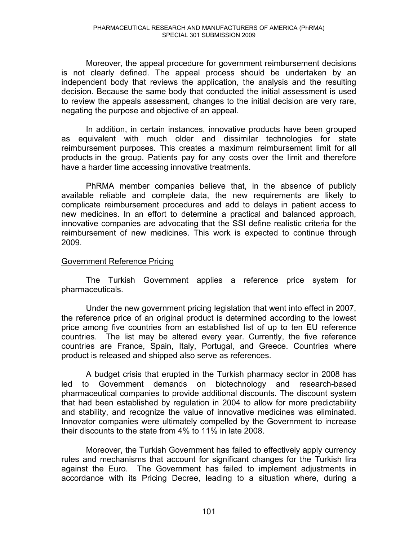Moreover, the appeal procedure for government reimbursement decisions is not clearly defined. The appeal process should be undertaken by an independent body that reviews the application, the analysis and the resulting decision. Because the same body that conducted the initial assessment is used to review the appeals assessment, changes to the initial decision are very rare, negating the purpose and objective of an appeal.

In addition, in certain instances, innovative products have been grouped as equivalent with much older and dissimilar technologies for state reimbursement purposes. This creates a maximum reimbursement limit for all products in the group. Patients pay for any costs over the limit and therefore have a harder time accessing innovative treatments.

PhRMA member companies believe that, in the absence of publicly available reliable and complete data, the new requirements are likely to complicate reimbursement procedures and add to delays in patient access to new medicines. In an effort to determine a practical and balanced approach, innovative companies are advocating that the SSI define realistic criteria for the reimbursement of new medicines. This work is expected to continue through 2009.

#### Government Reference Pricing

The Turkish Government applies a reference price system for pharmaceuticals.

Under the new government pricing legislation that went into effect in 2007, the reference price of an original product is determined according to the lowest price among five countries from an established list of up to ten EU reference countries. The list may be altered every year. Currently, the five reference countries are France, Spain, Italy, Portugal, and Greece. Countries where product is released and shipped also serve as references.

A budget crisis that erupted in the Turkish pharmacy sector in 2008 has led to Government demands on biotechnology and research-based pharmaceutical companies to provide additional discounts. The discount system that had been established by regulation in 2004 to allow for more predictability and stability, and recognize the value of innovative medicines was eliminated. Innovator companies were ultimately compelled by the Government to increase their discounts to the state from 4% to 11% in late 2008.

Moreover, the Turkish Government has failed to effectively apply currency rules and mechanisms that account for significant changes for the Turkish lira against the Euro. The Government has failed to implement adjustments in accordance with its Pricing Decree, leading to a situation where, during a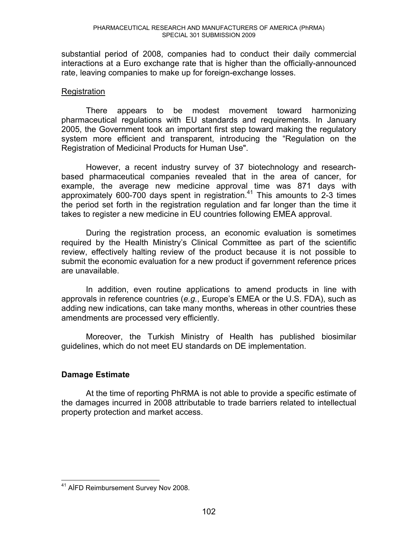substantial period of 2008, companies had to conduct their daily commercial interactions at a Euro exchange rate that is higher than the officially-announced rate, leaving companies to make up for foreign-exchange losses.

#### **Registration**

There appears to be modest movement toward harmonizing pharmaceutical regulations with EU standards and requirements. In January 2005, the Government took an important first step toward making the regulatory system more efficient and transparent, introducing the "Regulation on the Registration of Medicinal Products for Human Use".

However, a recent industry survey of 37 biotechnology and researchbased pharmaceutical companies revealed that in the area of cancer, for example, the average new medicine approval time was 871 days with approximately 600-700 days spent in registration.<sup>41</sup> This amounts to 2-3 times the period set forth in the registration regulation and far longer than the time it takes to register a new medicine in EU countries following EMEA approval.

During the registration process, an economic evaluation is sometimes required by the Health Ministry's Clinical Committee as part of the scientific review, effectively halting review of the product because it is not possible to submit the economic evaluation for a new product if government reference prices are unavailable.

In addition, even routine applications to amend products in line with approvals in reference countries (e.g., Europe's EMEA or the U.S. FDA), such as adding new indications, can take many months, whereas in other countries these amendments are processed very efficiently.

Moreover, the Turkish Ministry of Health has published biosimilar guidelines, which do not meet EU standards on DE implementation.

#### **Damage Estimate**

 $\overline{a}$ <sup>41</sup> AIFD Reimbursement Survey Nov 2008.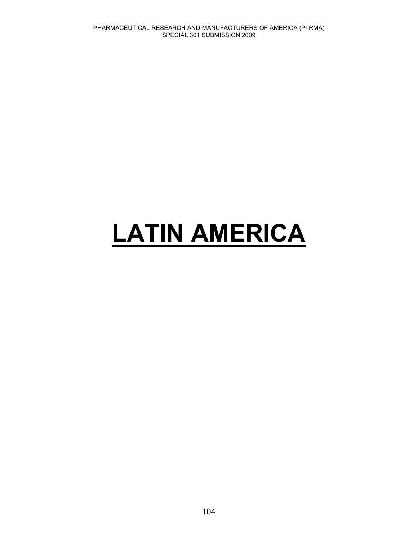# **LATIN AMERICA**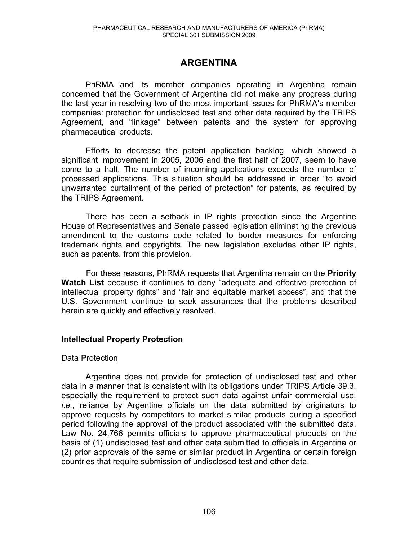# **ARGENTINA**

PhRMA and its member companies operating in Argentina remain concerned that the Government of Argentina did not make any progress during the last year in resolving two of the most important issues for PhRMA's member companies: protection for undisclosed test and other data required by the TRIPS Agreement, and "linkage" between patents and the system for approving pharmaceutical products.

Efforts to decrease the patent application backlog, which showed a significant improvement in 2005, 2006 and the first half of 2007, seem to have come to a halt. The number of incoming applications exceeds the number of processed applications. This situation should be addressed in order "to avoid unwarranted curtailment of the period of protection" for patents, as required by the TRIPS Agreement.

There has been a setback in IP rights protection since the Argentine House of Representatives and Senate passed legislation eliminating the previous amendment to the customs code related to border measures for enforcing trademark rights and copyrights. The new legislation excludes other IP rights, such as patents, from this provision.

 For these reasons, PhRMA requests that Argentina remain on the **Priority Watch List** because it continues to deny "adequate and effective protection of intellectual property rights" and "fair and equitable market access", and that the U.S. Government continue to seek assurances that the problems described herein are quickly and effectively resolved.

#### **Intellectual Property Protection**

#### Data Protection

Argentina does not provide for protection of undisclosed test and other data in a manner that is consistent with its obligations under TRIPS Article 39.3, especially the requirement to protect such data against unfair commercial use, *i.e.,* reliance by Argentine officials on the data submitted by originators to approve requests by competitors to market similar products during a specified period following the approval of the product associated with the submitted data. Law No. 24,766 permits officials to approve pharmaceutical products on the basis of (1) undisclosed test and other data submitted to officials in Argentina or (2) prior approvals of the same or similar product in Argentina or certain foreign countries that require submission of undisclosed test and other data.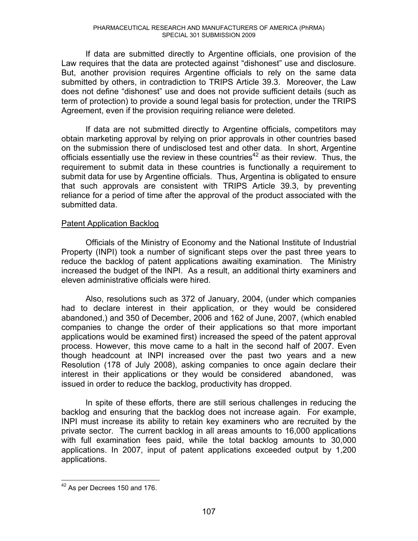If data are submitted directly to Argentine officials, one provision of the Law requires that the data are protected against "dishonest" use and disclosure. But, another provision requires Argentine officials to rely on the same data submitted by others, in contradiction to TRIPS Article 39.3. Moreover, the Law does not define "dishonest" use and does not provide sufficient details (such as term of protection) to provide a sound legal basis for protection, under the TRIPS Agreement, even if the provision requiring reliance were deleted.

If data are not submitted directly to Argentine officials, competitors may obtain marketing approval by relying on prior approvals in other countries based on the submission there of undisclosed test and other data. In short, Argentine officials essentially use the review in these countries<sup>42</sup> as their review. Thus, the requirement to submit data in these countries is functionally a requirement to submit data for use by Argentine officials. Thus, Argentina is obligated to ensure that such approvals are consistent with TRIPS Article 39.3, by preventing reliance for a period of time after the approval of the product associated with the submitted data.

#### Patent Application Backlog

Officials of the Ministry of Economy and the National Institute of Industrial Property (INPI) took a number of significant steps over the past three years to reduce the backlog of patent applications awaiting examination. The Ministry increased the budget of the INPI. As a result, an additional thirty examiners and eleven administrative officials were hired.

Also, resolutions such as 372 of January, 2004, (under which companies had to declare interest in their application, or they would be considered abandoned,) and 350 of December, 2006 and 162 of June, 2007, (which enabled companies to change the order of their applications so that more important applications would be examined first) increased the speed of the patent approval process. However, this move came to a halt in the second half of 2007. Even though headcount at INPI increased over the past two years and a new Resolution (178 of July 2008), asking companies to once again declare their interest in their applications or they would be considered abandoned, was issued in order to reduce the backlog, productivity has dropped.

In spite of these efforts, there are still serious challenges in reducing the backlog and ensuring that the backlog does not increase again. For example, INPI must increase its ability to retain key examiners who are recruited by the private sector. The current backlog in all areas amounts to 16,000 applications with full examination fees paid, while the total backlog amounts to 30,000 applications. In 2007, input of patent applications exceeded output by 1,200 applications.

 $\overline{a}$  $42$  As per Decrees 150 and 176.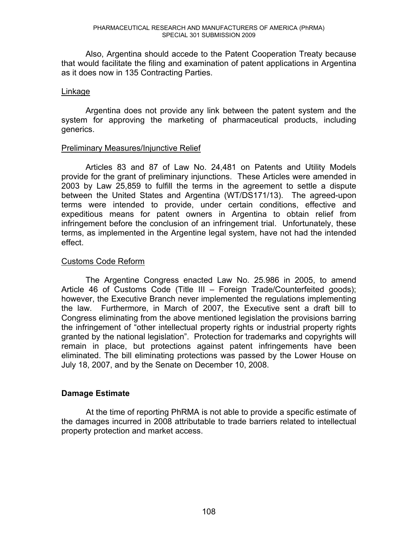Also, Argentina should accede to the Patent Cooperation Treaty because that would facilitate the filing and examination of patent applications in Argentina as it does now in 135 Contracting Parties.

### Linkage

Argentina does not provide any link between the patent system and the system for approving the marketing of pharmaceutical products, including generics.

### Preliminary Measures/Injunctive Relief

Articles 83 and 87 of Law No. 24,481 on Patents and Utility Models provide for the grant of preliminary injunctions. These Articles were amended in 2003 by Law 25,859 to fulfill the terms in the agreement to settle a dispute between the United States and Argentina (WT/DS171/13). The agreed-upon terms were intended to provide, under certain conditions, effective and expeditious means for patent owners in Argentina to obtain relief from infringement before the conclusion of an infringement trial. Unfortunately, these terms, as implemented in the Argentine legal system, have not had the intended effect.

# Customs Code Reform

The Argentine Congress enacted Law No. 25.986 in 2005, to amend Article 46 of Customs Code (Title III  $-$  Foreign Trade/Counterfeited goods); however, the Executive Branch never implemented the regulations implementing the law. Furthermore, in March of 2007, the Executive sent a draft bill to Congress eliminating from the above mentioned legislation the provisions barring the infringement of "other intellectual property rights or industrial property rights granted by the national legislation". Protection for trademarks and copyrights will remain in place, but protections against patent infringements have been eliminated. The bill eliminating protections was passed by the Lower House on July 18, 2007, and by the Senate on December 10, 2008.

# **Damage Estimate**

At the time of reporting PhRMA is not able to provide a specific estimate of the damages incurred in 2008 attributable to trade barriers related to intellectual property protection and market access.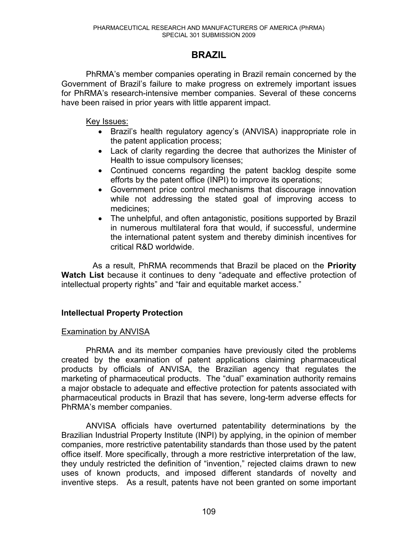# **BRAZIL**

PhRMA's member companies operating in Brazil remain concerned by the Government of Brazil's failure to make progress on extremely important issues for PhRMA's research-intensive member companies. Several of these concerns have been raised in prior years with little apparent impact.

Key Issues:

- Brazil's health regulatory agency's (ANVISA) inappropriate role in the patent application process;
- Lack of clarity regarding the decree that authorizes the Minister of Health to issue compulsory licenses;
- Continued concerns regarding the patent backlog despite some efforts by the patent office (INPI) to improve its operations;
- Government price control mechanisms that discourage innovation while not addressing the stated goal of improving access to medicines;
- The unhelpful, and often antagonistic, positions supported by Brazil in numerous multilateral fora that would, if successful, undermine the international patent system and thereby diminish incentives for critical R&D worldwide.

 As a result, PhRMA recommends that Brazil be placed on the **Priority Watch List** because it continues to deny "adequate and effective protection of intellectual property rights" and "fair and equitable market access."

# **Intellectual Property Protection**

# Examination by ANVISA

PhRMA and its member companies have previously cited the problems created by the examination of patent applications claiming pharmaceutical products by officials of ANVISA, the Brazilian agency that regulates the marketing of pharmaceutical products. The "dual" examination authority remains a major obstacle to adequate and effective protection for patents associated with pharmaceutical products in Brazil that has severe, long-term adverse effects for PhRMA's member companies.

ANVISA officials have overturned patentability determinations by the Brazilian Industrial Property Institute (INPI) by applying, in the opinion of member companies, more restrictive patentability standards than those used by the patent office itself. More specifically, through a more restrictive interpretation of the law, they unduly restricted the definition of "invention," rejected claims drawn to new uses of known products, and imposed different standards of novelty and inventive steps. As a result, patents have not been granted on some important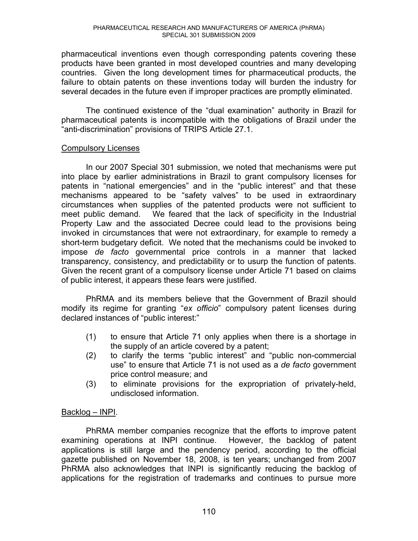pharmaceutical inventions even though corresponding patents covering these products have been granted in most developed countries and many developing countries. Given the long development times for pharmaceutical products, the failure to obtain patents on these inventions today will burden the industry for several decades in the future even if improper practices are promptly eliminated.

The continued existence of the "dual examination" authority in Brazil for pharmaceutical patents is incompatible with the obligations of Brazil under the "anti-discrimination" provisions of TRIPS Article 27.1.

# Compulsory Licenses

In our 2007 Special 301 submission, we noted that mechanisms were put into place by earlier administrations in Brazil to grant compulsory licenses for patents in "national emergencies" and in the "public interest" and that these mechanisms appeared to be "safety valves" to be used in extraordinary circumstances when supplies of the patented products were not sufficient to meet public demand. We feared that the lack of specificity in the Industrial Property Law and the associated Decree could lead to the provisions being invoked in circumstances that were not extraordinary, for example to remedy a short-term budgetary deficit. We noted that the mechanisms could be invoked to impose *de facto* governmental price controls in a manner that lacked transparency, consistency, and predictability or to usurp the function of patents. Given the recent grant of a compulsory license under Article 71 based on claims of public interest, it appears these fears were justified.

PhRMA and its members believe that the Government of Brazil should modify its regime for granting "ex officio" compulsory patent licenses during declared instances of "public interest:"

- (1) to ensure that Article 71 only applies when there is a shortage in the supply of an article covered by a patent;
- $(2)$  to clarify the terms "public interest" and "public non-commercial use" to ensure that Article 71 is not used as a *de facto* government price control measure; and
- (3) to eliminate provisions for the expropriation of privately-held, undisclosed information.

# $Backlog - INPI.$

PhRMA member companies recognize that the efforts to improve patent examining operations at INPI continue. However, the backlog of patent applications is still large and the pendency period, according to the official gazette published on November 18, 2008, is ten years; unchanged from 2007 PhRMA also acknowledges that INPI is significantly reducing the backlog of applications for the registration of trademarks and continues to pursue more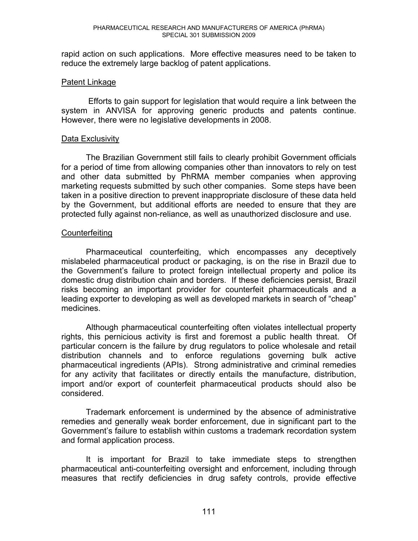rapid action on such applications. More effective measures need to be taken to reduce the extremely large backlog of patent applications.

### Patent Linkage

Efforts to gain support for legislation that would require a link between the system in ANVISA for approving generic products and patents continue. However, there were no legislative developments in 2008.

### Data Exclusivity

The Brazilian Government still fails to clearly prohibit Government officials for a period of time from allowing companies other than innovators to rely on test and other data submitted by PhRMA member companies when approving marketing requests submitted by such other companies. Some steps have been taken in a positive direction to prevent inappropriate disclosure of these data held by the Government, but additional efforts are needed to ensure that they are protected fully against non-reliance, as well as unauthorized disclosure and use.

# **Counterfeiting**

Pharmaceutical counterfeiting, which encompasses any deceptively mislabeled pharmaceutical product or packaging, is on the rise in Brazil due to the Government's failure to protect foreign intellectual property and police its domestic drug distribution chain and borders. If these deficiencies persist, Brazil risks becoming an important provider for counterfeit pharmaceuticals and a leading exporter to developing as well as developed markets in search of "cheap" medicines.

 Although pharmaceutical counterfeiting often violates intellectual property rights, this pernicious activity is first and foremost a public health threat. Of particular concern is the failure by drug regulators to police wholesale and retail distribution channels and to enforce regulations governing bulk active pharmaceutical ingredients (APIs). Strong administrative and criminal remedies for any activity that facilitates or directly entails the manufacture, distribution, import and/or export of counterfeit pharmaceutical products should also be considered.

 Trademark enforcement is undermined by the absence of administrative remedies and generally weak border enforcement, due in significant part to the Government's failure to establish within customs a trademark recordation system and formal application process.

 It is important for Brazil to take immediate steps to strengthen pharmaceutical anti-counterfeiting oversight and enforcement, including through measures that rectify deficiencies in drug safety controls, provide effective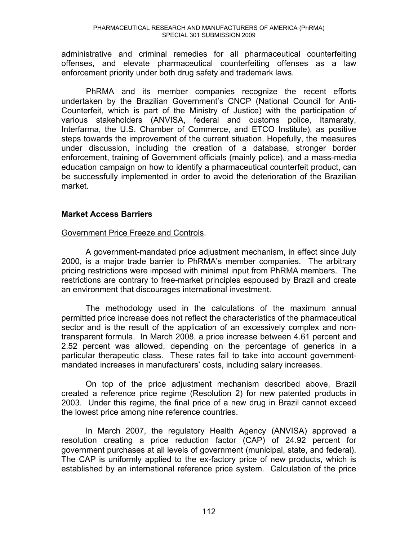administrative and criminal remedies for all pharmaceutical counterfeiting offenses, and elevate pharmaceutical counterfeiting offenses as a law enforcement priority under both drug safety and trademark laws.

PhRMA and its member companies recognize the recent efforts undertaken by the Brazilian Government's CNCP (National Council for Anti-Counterfeit, which is part of the Ministry of Justice) with the participation of various stakeholders (ANVISA, federal and customs police, Itamaraty, Interfarma, the U.S. Chamber of Commerce, and ETCO Institute), as positive steps towards the improvement of the current situation. Hopefully, the measures under discussion, including the creation of a database, stronger border enforcement, training of Government officials (mainly police), and a mass-media education campaign on how to identify a pharmaceutical counterfeit product, can be successfully implemented in order to avoid the deterioration of the Brazilian market.

# **Market Access Barriers**

# Government Price Freeze and Controls.

A government-mandated price adjustment mechanism, in effect since July 2000, is a major trade barrier to PhRMA's member companies. The arbitrary pricing restrictions were imposed with minimal input from PhRMA members. The restrictions are contrary to free-market principles espoused by Brazil and create an environment that discourages international investment.

The methodology used in the calculations of the maximum annual permitted price increase does not reflect the characteristics of the pharmaceutical sector and is the result of the application of an excessively complex and nontransparent formula. In March 2008, a price increase between 4.61 percent and 2.52 percent was allowed, depending on the percentage of generics in a particular therapeutic class. These rates fail to take into account governmentmandated increases in manufacturers' costs, including salary increases.

On top of the price adjustment mechanism described above, Brazil created a reference price regime (Resolution 2) for new patented products in 2003. Under this regime, the final price of a new drug in Brazil cannot exceed the lowest price among nine reference countries.

In March 2007, the regulatory Health Agency (ANVISA) approved a resolution creating a price reduction factor (CAP) of 24.92 percent for government purchases at all levels of government (municipal, state, and federal). The CAP is uniformly applied to the ex-factory price of new products, which is established by an international reference price system. Calculation of the price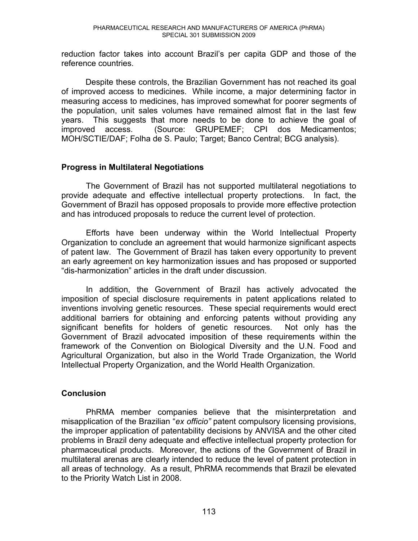reduction factor takes into account Brazil's per capita GDP and those of the reference countries.

Despite these controls, the Brazilian Government has not reached its goal of improved access to medicines. While income, a major determining factor in measuring access to medicines, has improved somewhat for poorer segments of the population, unit sales volumes have remained almost flat in the last few years. This suggests that more needs to be done to achieve the goal of improved access. (Source: GRUPEMEF; CPI dos Medicamentos; MOH/SCTIE/DAF; Folha de S. Paulo; Target; Banco Central; BCG analysis).

# **Progress in Multilateral Negotiations**

The Government of Brazil has not supported multilateral negotiations to provide adequate and effective intellectual property protections. In fact, the Government of Brazil has opposed proposals to provide more effective protection and has introduced proposals to reduce the current level of protection.

Efforts have been underway within the World Intellectual Property Organization to conclude an agreement that would harmonize significant aspects of patent law. The Government of Brazil has taken every opportunity to prevent an early agreement on key harmonization issues and has proposed or supported "dis-harmonization" articles in the draft under discussion.

In addition, the Government of Brazil has actively advocated the imposition of special disclosure requirements in patent applications related to inventions involving genetic resources. These special requirements would erect additional barriers for obtaining and enforcing patents without providing any significant benefits for holders of genetic resources. Not only has the Government of Brazil advocated imposition of these requirements within the framework of the Convention on Biological Diversity and the U.N. Food and Agricultural Organization, but also in the World Trade Organization, the World Intellectual Property Organization, and the World Health Organization.

# **Conclusion**

PhRMA member companies believe that the misinterpretation and misapplication of the Brazilian "ex officio" patent compulsory licensing provisions, the improper application of patentability decisions by ANVISA and the other cited problems in Brazil deny adequate and effective intellectual property protection for pharmaceutical products. Moreover, the actions of the Government of Brazil in multilateral arenas are clearly intended to reduce the level of patent protection in all areas of technology. As a result, PhRMA recommends that Brazil be elevated to the Priority Watch List in 2008.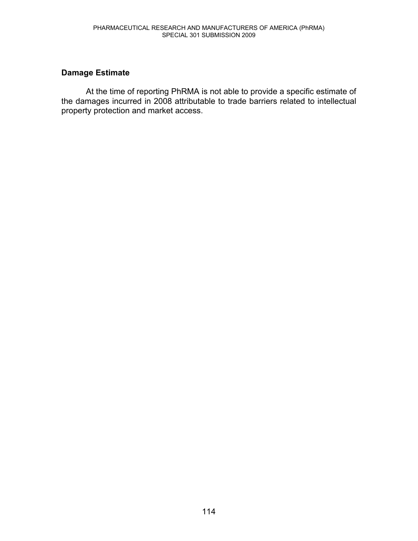# **Damage Estimate**

At the time of reporting PhRMA is not able to provide a specific estimate of the damages incurred in 2008 attributable to trade barriers related to intellectual property protection and market access.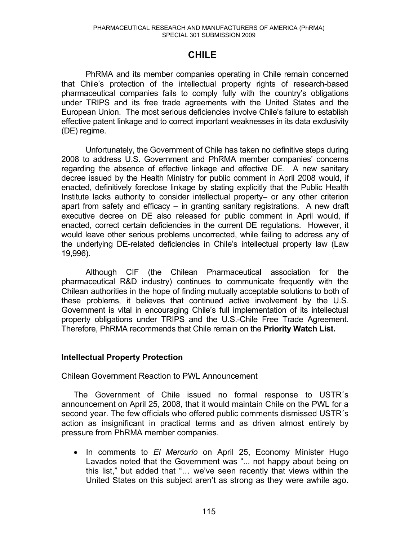# **CHILE**

PhRMA and its member companies operating in Chile remain concerned that Chile's protection of the intellectual property rights of research-based pharmaceutical companies fails to comply fully with the country's obligations under TRIPS and its free trade agreements with the United States and the European Union. The most serious deficiencies involve Chile's failure to establish effective patent linkage and to correct important weaknesses in its data exclusivity (DE) regime.

Unfortunately, the Government of Chile has taken no definitive steps during 2008 to address U.S. Government and PhRMA member companies' concerns regarding the absence of effective linkage and effective DE. A new sanitary decree issued by the Health Ministry for public comment in April 2008 would, if enacted, definitively foreclose linkage by stating explicitly that the Public Health Institute lacks authority to consider intellectual property- or any other criterion apart from safety and efficacy  $-$  in granting sanitary registrations. A new draft executive decree on DE also released for public comment in April would, if enacted, correct certain deficiencies in the current DE regulations. However, it would leave other serious problems uncorrected, while failing to address any of the underlying DE-related deficiencies in Chile's intellectual property law (Law 19,996).

Although CIF (the Chilean Pharmaceutical association for the pharmaceutical R&D industry) continues to communicate frequently with the Chilean authorities in the hope of finding mutually acceptable solutions to both of these problems, it believes that continued active involvement by the U.S. Government is vital in encouraging Chile's full implementation of its intellectual property obligations under TRIPS and the U.S.-Chile Free Trade Agreement. Therefore, PhRMA recommends that Chile remain on the **Priority Watch List.**

### **Intellectual Property Protection**

### Chilean Government Reaction to PWL Announcement

The Government of Chile issued no formal response to USTR´s announcement on April 25, 2008, that it would maintain Chile on the PWL for a second year. The few officials who offered public comments dismissed USTR´s action as insignificant in practical terms and as driven almost entirely by pressure from PhRMA member companies.

x In comments to *El Mercurio* on April 25, Economy Minister Hugo Lavados noted that the Government was "... not happy about being on this list," but added that "... we've seen recently that views within the United States on this subject aren't as strong as they were awhile ago.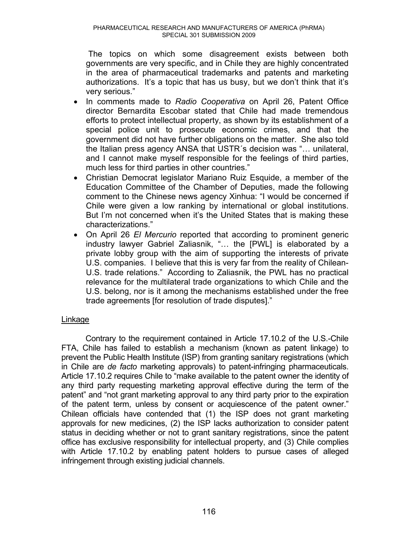The topics on which some disagreement exists between both governments are very specific, and in Chile they are highly concentrated in the area of pharmaceutical trademarks and patents and marketing authorizations. It's a topic that has us busy, but we don't think that it's very serious."

- x In comments made to *Radio Cooperativa* on April 26, Patent Office director Bernardita Escobar stated that Chile had made tremendous efforts to protect intellectual property, as shown by its establishment of a special police unit to prosecute economic crimes, and that the government did not have further obligations on the matter. She also told the Italian press agency ANSA that USTR's decision was " $\ldots$  unilateral, and I cannot make myself responsible for the feelings of third parties, much less for third parties in other countries."
- Christian Democrat legislator Mariano Ruiz Esquide, a member of the Education Committee of the Chamber of Deputies, made the following comment to the Chinese news agency Xinhua: "I would be concerned if Chile were given a low ranking by international or global institutions. But I'm not concerned when it's the United States that is making these characterizations."
- On April 26 *El Mercurio* reported that according to prominent generic industry lawyer Gabriel Zaliasnik, "... the [PWL] is elaborated by a private lobby group with the aim of supporting the interests of private U.S. companies. I believe that this is very far from the reality of Chilean-U.S. trade relations." According to Zaliasnik, the PWL has no practical relevance for the multilateral trade organizations to which Chile and the U.S. belong, nor is it among the mechanisms established under the free trade agreements [for resolution of trade disputes]."

# Linkage

Contrary to the requirement contained in Article 17.10.2 of the U.S.-Chile FTA, Chile has failed to establish a mechanism (known as patent linkage) to prevent the Public Health Institute (ISP) from granting sanitary registrations (which in Chile are *de facto* marketing approvals) to patent-infringing pharmaceuticals. Article 17.10.2 requires Chile to "make available to the patent owner the identity of any third party requesting marketing approval effective during the term of the patent" and "not grant marketing approval to any third party prior to the expiration of the patent term, unless by consent or acquiescence of the patent owner." Chilean officials have contended that (1) the ISP does not grant marketing approvals for new medicines, (2) the ISP lacks authorization to consider patent status in deciding whether or not to grant sanitary registrations, since the patent office has exclusive responsibility for intellectual property, and (3) Chile complies with Article 17.10.2 by enabling patent holders to pursue cases of alleged infringement through existing judicial channels.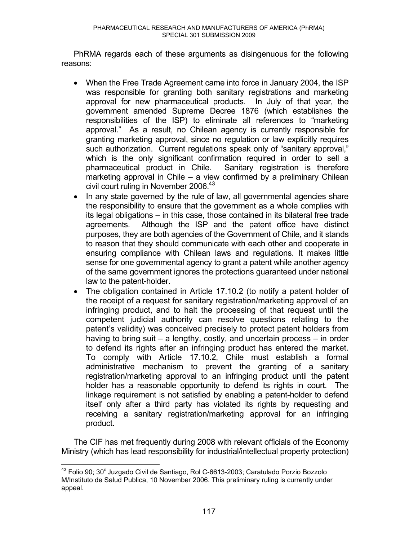PhRMA regards each of these arguments as disingenuous for the following reasons:

- When the Free Trade Agreement came into force in January 2004, the ISP was responsible for granting both sanitary registrations and marketing approval for new pharmaceutical products. In July of that year, the government amended Supreme Decree 1876 (which establishes the responsibilities of the ISP) to eliminate all references to "marketing approval." As a result, no Chilean agency is currently responsible for granting marketing approval, since no regulation or law explicitly requires such authorization. Current regulations speak only of "sanitary approval," which is the only significant confirmation required in order to sell a pharmaceutical product in Chile. Sanitary registration is therefore marketing approval in Chile  $-$  a view confirmed by a preliminary Chilean civil court ruling in November 2006.<sup>43</sup>
- In any state governed by the rule of law, all governmental agencies share the responsibility to ensure that the government as a whole complies with its legal obligations  $-$  in this case, those contained in its bilateral free trade agreements. Although the ISP and the patent office have distinct purposes, they are both agencies of the Government of Chile, and it stands to reason that they should communicate with each other and cooperate in ensuring compliance with Chilean laws and regulations. It makes little sense for one governmental agency to grant a patent while another agency of the same government ignores the protections guaranteed under national law to the patent-holder.
- The obligation contained in Article 17.10.2 (to notify a patent holder of the receipt of a request for sanitary registration/marketing approval of an infringing product, and to halt the processing of that request until the competent judicial authority can resolve questions relating to the patent's validity) was conceived precisely to protect patent holders from having to bring suit  $-$  a lengthy, costly, and uncertain process  $-$  in order to defend its rights after an infringing product has entered the market. To comply with Article 17.10.2, Chile must establish a formal administrative mechanism to prevent the granting of a sanitary registration/marketing approval to an infringing product until the patent holder has a reasonable opportunity to defend its rights in court. The linkage requirement is not satisfied by enabling a patent-holder to defend itself only after a third party has violated its rights by requesting and receiving a sanitary registration/marketing approval for an infringing product.

The CIF has met frequently during 2008 with relevant officials of the Economy Ministry (which has lead responsibility for industrial/intellectual property protection)

 $\overline{a}$  $^{43}$  Folio 90; 30 $^{\circ}$ Juzgado Civil de Santiago, Rol C-6613-2003; Caratulado Porzio Bozzolo M/Instituto de Salud Publica, 10 November 2006. This preliminary ruling is currently under appeal.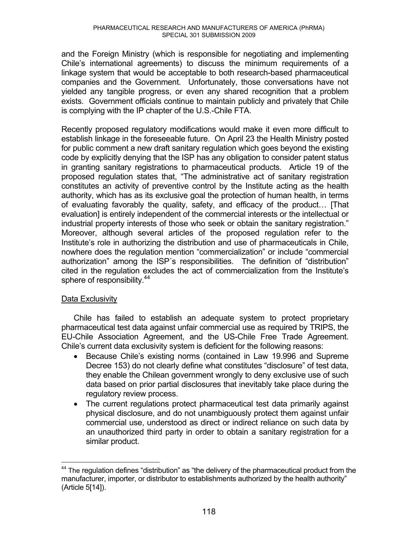and the Foreign Ministry (which is responsible for negotiating and implementing Chile's international agreements) to discuss the minimum requirements of a linkage system that would be acceptable to both research-based pharmaceutical companies and the Government. Unfortunately, those conversations have not yielded any tangible progress, or even any shared recognition that a problem exists. Government officials continue to maintain publicly and privately that Chile is complying with the IP chapter of the U.S.-Chile FTA.

Recently proposed regulatory modifications would make it even more difficult to establish linkage in the foreseeable future. On April 23 the Health Ministry posted for public comment a new draft sanitary regulation which goes beyond the existing code by explicitly denying that the ISP has any obligation to consider patent status in granting sanitary registrations to pharmaceutical products. Article 19 of the proposed regulation states that, "The administrative act of sanitary registration constitutes an activity of preventive control by the Institute acting as the health authority, which has as its exclusive goal the protection of human health, in terms of evaluating favorably the quality, safety, and efficacy of the product... [That evaluation] is entirely independent of the commercial interests or the intellectual or industrial property interests of those who seek or obtain the sanitary registration." Moreover, although several articles of the proposed regulation refer to the Institute's role in authorizing the distribution and use of pharmaceuticals in Chile, nowhere does the regulation mention "commercialization" or include "commercial authorization" among the ISP's responsibilities. The definition of "distribution" cited in the regulation excludes the act of commercialization from the Institute's sphere of responsibility.<sup>44</sup>

# Data Exclusivity

Chile has failed to establish an adequate system to protect proprietary pharmaceutical test data against unfair commercial use as required by TRIPS, the EU-Chile Association Agreement, and the US-Chile Free Trade Agreement. Chile's current data exclusivity system is deficient for the following reasons:

- Because Chile's existing norms (contained in Law 19.996 and Supreme Decree 153) do not clearly define what constitutes "disclosure" of test data, they enable the Chilean government wrongly to deny exclusive use of such data based on prior partial disclosures that inevitably take place during the regulatory review process.
- The current regulations protect pharmaceutical test data primarily against physical disclosure, and do not unambiguously protect them against unfair commercial use, understood as direct or indirect reliance on such data by an unauthorized third party in order to obtain a sanitary registration for a similar product.

 $\overline{a}$  $44$  The regulation defines "distribution" as "the delivery of the pharmaceutical product from the manufacturer, importer, or distributor to establishments authorized by the health authority" (Article 5[14]).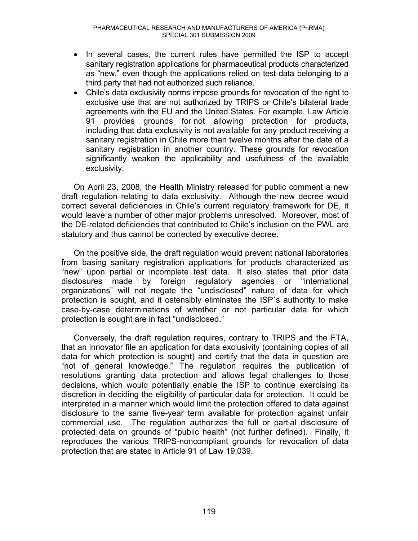- In several cases, the current rules have permitted the ISP to accept sanitary registration applications for pharmaceutical products characterized as "new," even though the applications relied on test data belonging to a third party that had not authorized such reliance.
- Chile's data exclusivity norms impose grounds for revocation of the right to exclusive use that are not authorized by TRIPS or Chile's bilateral trade agreements with the EU and the United States. For example, Law Article 91 provides grounds for not allowing protection for products, including that data exclusivity is not available for any product receiving a sanitary registration in Chile more than twelve months after the date of a sanitary registration in another country. These grounds for revocation significantly weaken the applicability and usefulness of the available exclusivity.

On April 23, 2008, the Health Ministry released for public comment a new draft regulation relating to data exclusivity. Although the new decree would correct several deficiencies in Chile's current regulatory framework for DE, it would leave a number of other major problems unresolved. Moreover, most of the DE-related deficiencies that contributed to Chile's inclusion on the PWL are statutory and thus cannot be corrected by executive decree.

On the positive side, the draft regulation would prevent national laboratories from basing sanitary registration applications for products characterized as "new" upon partial or incomplete test data. It also states that prior data disclosures made by foreign regulatory agencies or "international organizations" will not negate the "undisclosed" nature of data for which protection is sought, and it ostensibly eliminates the ISP´s authority to make case-by-case determinations of whether or not particular data for which protection is sought are in fact "undisclosed."

Conversely, the draft regulation requires, contrary to TRIPS and the FTA, that an innovator file an application for data exclusivity (containing copies of all data for which protection is sought) and certify that the data in question are "not of general knowledge." The regulation requires the publication of resolutions granting data protection and allows legal challenges to those decisions, which would potentially enable the ISP to continue exercising its discretion in deciding the eligibility of particular data for protection. It could be interpreted in a manner which would limit the protection offered to data against disclosure to the same five-year term available for protection against unfair commercial use. The regulation authorizes the full or partial disclosure of protected data on grounds of "public health" (not further defined). Finally, it reproduces the various TRIPS-noncompliant grounds for revocation of data protection that are stated in Article 91 of Law 19,039.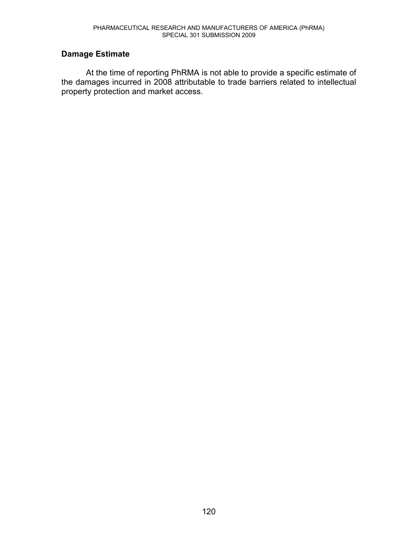# **Damage Estimate**

At the time of reporting PhRMA is not able to provide a specific estimate of the damages incurred in 2008 attributable to trade barriers related to intellectual property protection and market access.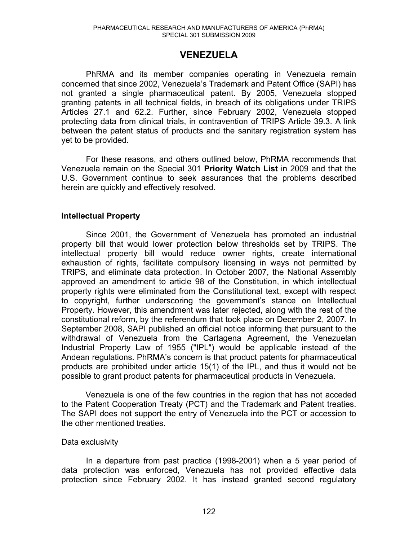# **VENEZUELA**

PhRMA and its member companies operating in Venezuela remain concerned that since 2002, Venezuela's Trademark and Patent Office (SAPI) has not granted a single pharmaceutical patent. By 2005, Venezuela stopped granting patents in all technical fields, in breach of its obligations under TRIPS Articles 27.1 and 62.2. Further, since February 2002, Venezuela stopped protecting data from clinical trials, in contravention of TRIPS Article 39.3. A link between the patent status of products and the sanitary registration system has yet to be provided.

 For these reasons, and others outlined below, PhRMA recommends that Venezuela remain on the Special 301 **Priority Watch List** in 2009 and that the U.S. Government continue to seek assurances that the problems described herein are quickly and effectively resolved.

# **Intellectual Property**

Since 2001, the Government of Venezuela has promoted an industrial property bill that would lower protection below thresholds set by TRIPS. The intellectual property bill would reduce owner rights, create international exhaustion of rights, facilitate compulsory licensing in ways not permitted by TRIPS, and eliminate data protection. In October 2007, the National Assembly approved an amendment to article 98 of the Constitution, in which intellectual property rights were eliminated from the Constitutional text, except with respect to copyright, further underscoring the government's stance on Intellectual Property. However, this amendment was later rejected, along with the rest of the constitutional reform, by the referendum that took place on December 2, 2007. In September 2008, SAPI published an official notice informing that pursuant to the withdrawal of Venezuela from the Cartagena Agreement, the Venezuelan Industrial Property Law of 1955 ("IPL") would be applicable instead of the Andean regulations. PhRMA's concern is that product patents for pharmaceutical products are prohibited under article 15(1) of the IPL, and thus it would not be possible to grant product patents for pharmaceutical products in Venezuela.

Venezuela is one of the few countries in the region that has not acceded to the Patent Cooperation Treaty (PCT) and the Trademark and Patent treaties. The SAPI does not support the entry of Venezuela into the PCT or accession to the other mentioned treaties.

# Data exclusivity

In a departure from past practice (1998-2001) when a 5 year period of data protection was enforced, Venezuela has not provided effective data protection since February 2002. It has instead granted second regulatory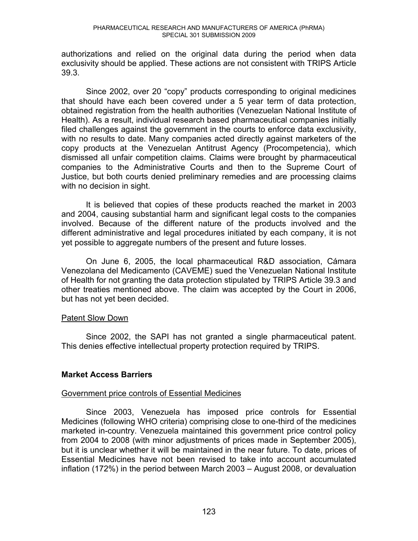authorizations and relied on the original data during the period when data exclusivity should be applied. These actions are not consistent with TRIPS Article 39.3.

Since 2002, over 20 "copy" products corresponding to original medicines that should have each been covered under a 5 year term of data protection, obtained registration from the health authorities (Venezuelan National Institute of Health). As a result, individual research based pharmaceutical companies initially filed challenges against the government in the courts to enforce data exclusivity, with no results to date. Many companies acted directly against marketers of the copy products at the Venezuelan Antitrust Agency (Procompetencia), which dismissed all unfair competition claims. Claims were brought by pharmaceutical companies to the Administrative Courts and then to the Supreme Court of Justice, but both courts denied preliminary remedies and are processing claims with no decision in sight.

It is believed that copies of these products reached the market in 2003 and 2004, causing substantial harm and significant legal costs to the companies involved. Because of the different nature of the products involved and the different administrative and legal procedures initiated by each company, it is not yet possible to aggregate numbers of the present and future losses.

On June 6, 2005, the local pharmaceutical R&D association, Cámara Venezolana del Medicamento (CAVEME) sued the Venezuelan National Institute of Health for not granting the data protection stipulated by TRIPS Article 39.3 and other treaties mentioned above. The claim was accepted by the Court in 2006, but has not yet been decided.

# Patent Slow Down

Since 2002, the SAPI has not granted a single pharmaceutical patent. This denies effective intellectual property protection required by TRIPS.

# **Market Access Barriers**

# Government price controls of Essential Medicines

Since 2003, Venezuela has imposed price controls for Essential Medicines (following WHO criteria) comprising close to one-third of the medicines marketed in-country. Venezuela maintained this government price control policy from 2004 to 2008 (with minor adjustments of prices made in September 2005), but it is unclear whether it will be maintained in the near future. To date, prices of Essential Medicines have not been revised to take into account accumulated inflation (172%) in the period between March 2003  $-$  August 2008, or devaluation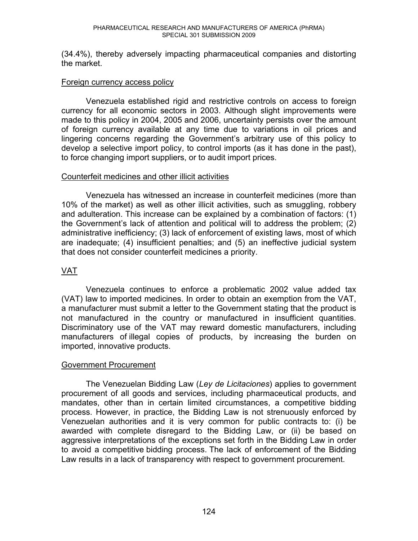(34.4%), thereby adversely impacting pharmaceutical companies and distorting the market.

### Foreign currency access policy

Venezuela established rigid and restrictive controls on access to foreign currency for all economic sectors in 2003. Although slight improvements were made to this policy in 2004, 2005 and 2006, uncertainty persists over the amount of foreign currency available at any time due to variations in oil prices and lingering concerns regarding the Government's arbitrary use of this policy to develop a selective import policy, to control imports (as it has done in the past), to force changing import suppliers, or to audit import prices.

### Counterfeit medicines and other illicit activities

Venezuela has witnessed an increase in counterfeit medicines (more than 10% of the market) as well as other illicit activities, such as smuggling, robbery and adulteration. This increase can be explained by a combination of factors: (1) the Government's lack of attention and political will to address the problem;  $(2)$ administrative inefficiency; (3) lack of enforcement of existing laws, most of which are inadequate; (4) insufficient penalties; and (5) an ineffective judicial system that does not consider counterfeit medicines a priority.

# VAT

Venezuela continues to enforce a problematic 2002 value added tax (VAT) law to imported medicines. In order to obtain an exemption from the VAT, a manufacturer must submit a letter to the Government stating that the product is not manufactured in the country or manufactured in insufficient quantities. Discriminatory use of the VAT may reward domestic manufacturers, including manufacturers of illegal copies of products, by increasing the burden on imported, innovative products.

# Government Procurement

The Venezuelan Bidding Law (*Ley de Licitaciones*) applies to government procurement of all goods and services, including pharmaceutical products, and mandates, other than in certain limited circumstances, a competitive bidding process. However, in practice, the Bidding Law is not strenuously enforced by Venezuelan authorities and it is very common for public contracts to: (i) be awarded with complete disregard to the Bidding Law, or (ii) be based on aggressive interpretations of the exceptions set forth in the Bidding Law in order to avoid a competitive bidding process. The lack of enforcement of the Bidding Law results in a lack of transparency with respect to government procurement.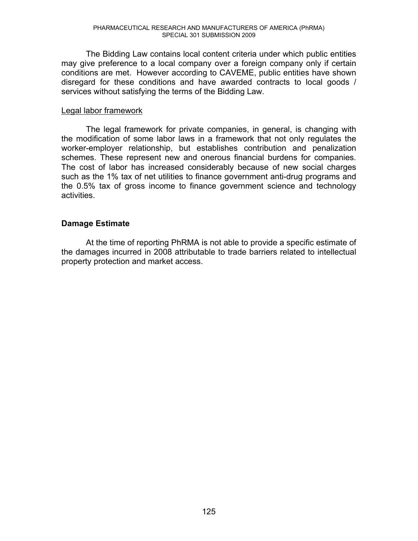The Bidding Law contains local content criteria under which public entities may give preference to a local company over a foreign company only if certain conditions are met. However according to CAVEME, public entities have shown disregard for these conditions and have awarded contracts to local goods / services without satisfying the terms of the Bidding Law.

### Legal labor framework

 The legal framework for private companies, in general, is changing with the modification of some labor laws in a framework that not only regulates the worker-employer relationship, but establishes contribution and penalization schemes. These represent new and onerous financial burdens for companies. The cost of labor has increased considerably because of new social charges such as the 1% tax of net utilities to finance government anti-drug programs and the 0.5% tax of gross income to finance government science and technology activities.

# **Damage Estimate**

At the time of reporting PhRMA is not able to provide a specific estimate of the damages incurred in 2008 attributable to trade barriers related to intellectual property protection and market access.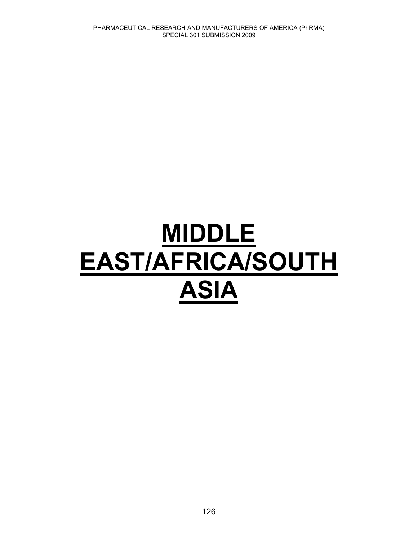# **MIDDLE EAST/AFRICA/SOUTH ASIA**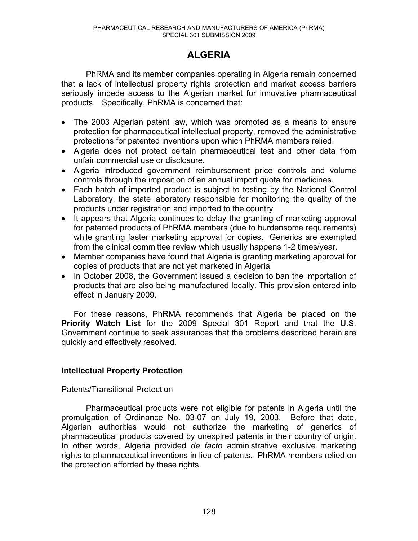# **ALGERIA**

PhRMA and its member companies operating in Algeria remain concerned that a lack of intellectual property rights protection and market access barriers seriously impede access to the Algerian market for innovative pharmaceutical products. Specifically, PhRMA is concerned that:

- The 2003 Algerian patent law, which was promoted as a means to ensure protection for pharmaceutical intellectual property, removed the administrative protections for patented inventions upon which PhRMA members relied.
- Algeria does not protect certain pharmaceutical test and other data from unfair commercial use or disclosure.
- Algeria introduced government reimbursement price controls and volume controls through the imposition of an annual import quota for medicines.
- Each batch of imported product is subject to testing by the National Control Laboratory, the state laboratory responsible for monitoring the quality of the products under registration and imported to the country
- It appears that Algeria continues to delay the granting of marketing approval for patented products of PhRMA members (due to burdensome requirements) while granting faster marketing approval for copies. Generics are exempted from the clinical committee review which usually happens 1-2 times/year.
- Member companies have found that Algeria is granting marketing approval for copies of products that are not yet marketed in Algeria
- In October 2008, the Government issued a decision to ban the importation of products that are also being manufactured locally. This provision entered into effect in January 2009.

For these reasons, PhRMA recommends that Algeria be placed on the **Priority Watch List** for the 2009 Special 301 Report and that the U.S. Government continue to seek assurances that the problems described herein are quickly and effectively resolved.

# **Intellectual Property Protection**

# Patents/Transitional Protection

Pharmaceutical products were not eligible for patents in Algeria until the promulgation of Ordinance No. 03-07 on July 19, 2003. Before that date, Algerian authorities would not authorize the marketing of generics of pharmaceutical products covered by unexpired patents in their country of origin. In other words, Algeria provided *de facto* administrative exclusive marketing rights to pharmaceutical inventions in lieu of patents. PhRMA members relied on the protection afforded by these rights.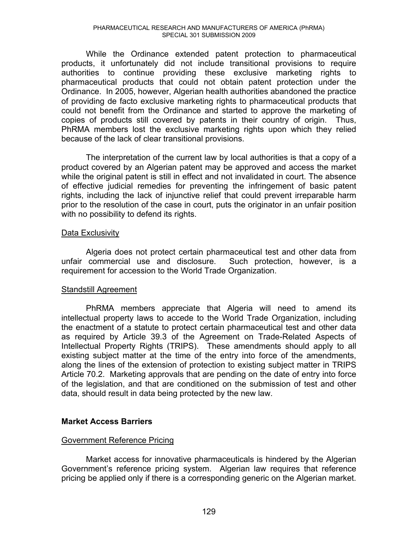While the Ordinance extended patent protection to pharmaceutical products, it unfortunately did not include transitional provisions to require authorities to continue providing these exclusive marketing rights to pharmaceutical products that could not obtain patent protection under the Ordinance. In 2005, however, Algerian health authorities abandoned the practice of providing de facto exclusive marketing rights to pharmaceutical products that could not benefit from the Ordinance and started to approve the marketing of copies of products still covered by patents in their country of origin. Thus, PhRMA members lost the exclusive marketing rights upon which they relied because of the lack of clear transitional provisions.

The interpretation of the current law by local authorities is that a copy of a product covered by an Algerian patent may be approved and access the market while the original patent is still in effect and not invalidated in court. The absence of effective judicial remedies for preventing the infringement of basic patent rights, including the lack of injunctive relief that could prevent irreparable harm prior to the resolution of the case in court, puts the originator in an unfair position with no possibility to defend its rights.

### Data Exclusivity

Algeria does not protect certain pharmaceutical test and other data from unfair commercial use and disclosure. Such protection, however, is a requirement for accession to the World Trade Organization.

# Standstill Agreement

PhRMA members appreciate that Algeria will need to amend its intellectual property laws to accede to the World Trade Organization, including the enactment of a statute to protect certain pharmaceutical test and other data as required by Article 39.3 of the Agreement on Trade-Related Aspects of Intellectual Property Rights (TRIPS). These amendments should apply to all existing subject matter at the time of the entry into force of the amendments, along the lines of the extension of protection to existing subject matter in TRIPS Article 70.2. Marketing approvals that are pending on the date of entry into force of the legislation, and that are conditioned on the submission of test and other data, should result in data being protected by the new law.

# **Market Access Barriers**

### Government Reference Pricing

Market access for innovative pharmaceuticals is hindered by the Algerian Government's reference pricing system. Algerian law requires that reference pricing be applied only if there is a corresponding generic on the Algerian market.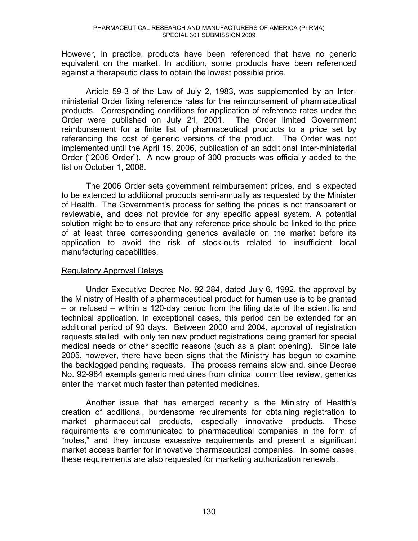However, in practice, products have been referenced that have no generic equivalent on the market. In addition, some products have been referenced against a therapeutic class to obtain the lowest possible price.

Article 59-3 of the Law of July 2, 1983, was supplemented by an Interministerial Order fixing reference rates for the reimbursement of pharmaceutical products. Corresponding conditions for application of reference rates under the Order were published on July 21, 2001. The Order limited Government reimbursement for a finite list of pharmaceutical products to a price set by referencing the cost of generic versions of the product. The Order was not implemented until the April 15, 2006, publication of an additional Inter-ministerial Order ("2006 Order"). A new group of 300 products was officially added to the list on October 1, 2008.

The 2006 Order sets government reimbursement prices, and is expected to be extended to additional products semi-annually as requested by the Minister of Health. The Government's process for setting the prices is not transparent or reviewable, and does not provide for any specific appeal system. A potential solution might be to ensure that any reference price should be linked to the price of at least three corresponding generics available on the market before its application to avoid the risk of stock-outs related to insufficient local manufacturing capabilities.

### Regulatory Approval Delays

Under Executive Decree No. 92-284, dated July 6, 1992, the approval by the Ministry of Health of a pharmaceutical product for human use is to be granted  $-$  or refused  $-$  within a 120-day period from the filing date of the scientific and technical application. In exceptional cases, this period can be extended for an additional period of 90 days. Between 2000 and 2004, approval of registration requests stalled, with only ten new product registrations being granted for special medical needs or other specific reasons (such as a plant opening). Since late 2005, however, there have been signs that the Ministry has begun to examine the backlogged pending requests. The process remains slow and, since Decree No. 92-984 exempts generic medicines from clinical committee review, generics enter the market much faster than patented medicines.

Another issue that has emerged recently is the Ministry of Health's creation of additional, burdensome requirements for obtaining registration to market pharmaceutical products, especially innovative products. These requirements are communicated to pharmaceutical companies in the form of "notes," and they impose excessive requirements and present a significant market access barrier for innovative pharmaceutical companies. In some cases, these requirements are also requested for marketing authorization renewals.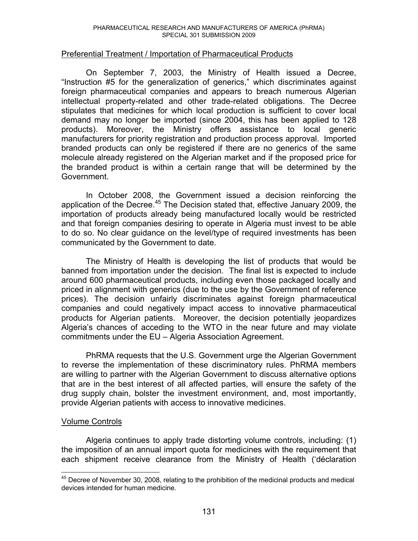# Preferential Treatment / Importation of Pharmaceutical Products

On September 7, 2003, the Ministry of Health issued a Decree, "Instruction #5 for the generalization of generics," which discriminates against foreign pharmaceutical companies and appears to breach numerous Algerian intellectual property-related and other trade-related obligations. The Decree stipulates that medicines for which local production is sufficient to cover local demand may no longer be imported (since 2004, this has been applied to 128 products). Moreover, the Ministry offers assistance to local generic manufacturers for priority registration and production process approval. Imported branded products can only be registered if there are no generics of the same molecule already registered on the Algerian market and if the proposed price for the branded product is within a certain range that will be determined by the Government.

In October 2008, the Government issued a decision reinforcing the application of the Decree.<sup>45</sup> The Decision stated that, effective January 2009, the importation of products already being manufactured locally would be restricted and that foreign companies desiring to operate in Algeria must invest to be able to do so. No clear guidance on the level/type of required investments has been communicated by the Government to date.

The Ministry of Health is developing the list of products that would be banned from importation under the decision. The final list is expected to include around 600 pharmaceutical products, including even those packaged locally and priced in alignment with generics (due to the use by the Government of reference prices). The decision unfairly discriminates against foreign pharmaceutical companies and could negatively impact access to innovative pharmaceutical products for Algerian patients. Moreover, the decision potentially jeopardizes Algeria's chances of acceding to the WTO in the near future and may violate commitments under the EU - Algeria Association Agreement.

PhRMA requests that the U.S. Government urge the Algerian Government to reverse the implementation of these discriminatory rules. PhRMA members are willing to partner with the Algerian Government to discuss alternative options that are in the best interest of all affected parties, will ensure the safety of the drug supply chain, bolster the investment environment, and, most importantly, provide Algerian patients with access to innovative medicines.

# Volume Controls

Algeria continues to apply trade distorting volume controls, including: (1) the imposition of an annual import quota for medicines with the requirement that each shipment receive clearance from the Ministry of Health ('déclaration

 $\overline{a}$  $45$  Decree of November 30, 2008, relating to the prohibition of the medicinal products and medical devices intended for human medicine.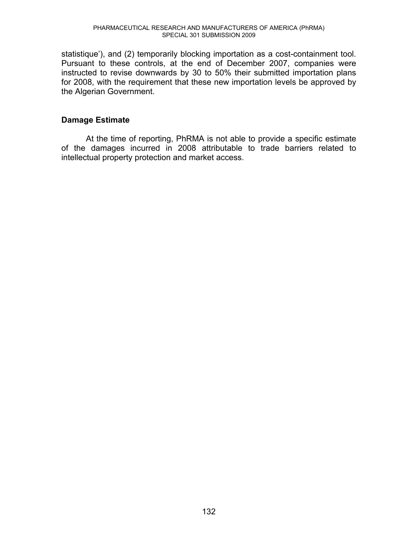statistique'), and (2) temporarily blocking importation as a cost-containment tool. Pursuant to these controls, at the end of December 2007, companies were instructed to revise downwards by 30 to 50% their submitted importation plans for 2008, with the requirement that these new importation levels be approved by the Algerian Government.

# **Damage Estimate**

At the time of reporting, PhRMA is not able to provide a specific estimate of the damages incurred in 2008 attributable to trade barriers related to intellectual property protection and market access.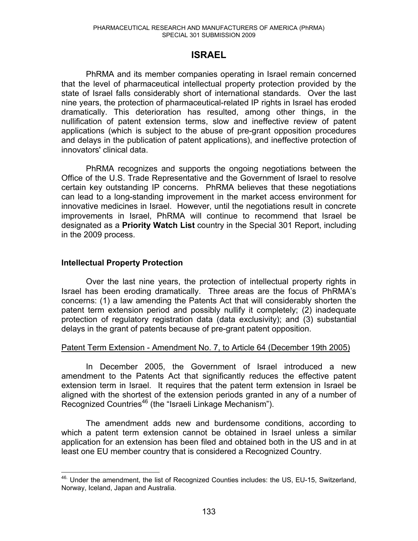# **ISRAEL**

PhRMA and its member companies operating in Israel remain concerned that the level of pharmaceutical intellectual property protection provided by the state of Israel falls considerably short of international standards. Over the last nine years, the protection of pharmaceutical-related IP rights in Israel has eroded dramatically. This deterioration has resulted, among other things, in the nullification of patent extension terms, slow and ineffective review of patent applications (which is subject to the abuse of pre-grant opposition procedures and delays in the publication of patent applications), and ineffective protection of innovators' clinical data.

PhRMA recognizes and supports the ongoing negotiations between the Office of the U.S. Trade Representative and the Government of Israel to resolve certain key outstanding IP concerns. PhRMA believes that these negotiations can lead to a long-standing improvement in the market access environment for innovative medicines in Israel. However, until the negotiations result in concrete improvements in Israel, PhRMA will continue to recommend that Israel be designated as a **Priority Watch List** country in the Special 301 Report, including in the 2009 process.

# **Intellectual Property Protection**

Over the last nine years, the protection of intellectual property rights in Israel has been eroding dramatically. Three areas are the focus of PhRMA's concerns: (1) a law amending the Patents Act that will considerably shorten the patent term extension period and possibly nullify it completely; (2) inadequate protection of regulatory registration data (data exclusivity); and (3) substantial delays in the grant of patents because of pre-grant patent opposition.

# Patent Term Extension - Amendment No. 7, to Article 64 (December 19th 2005)

In December 2005, the Government of Israel introduced a new amendment to the Patents Act that significantly reduces the effective patent extension term in Israel. It requires that the patent term extension in Israel be aligned with the shortest of the extension periods granted in any of a number of Recognized Countries<sup>46</sup> (the "Israeli Linkage Mechanism").

The amendment adds new and burdensome conditions, according to which a patent term extension cannot be obtained in Israel unless a similar application for an extension has been filed and obtained both in the US and in at least one EU member country that is considered a Recognized Country.

 $\overline{a}$ <sup>46.</sup> Under the amendment, the list of Recognized Counties includes: the US, EU-15, Switzerland, Norway, Iceland, Japan and Australia.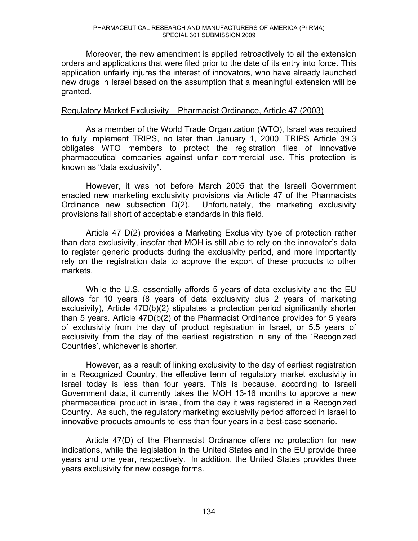Moreover, the new amendment is applied retroactively to all the extension orders and applications that were filed prior to the date of its entry into force. This application unfairly injures the interest of innovators, who have already launched new drugs in Israel based on the assumption that a meaningful extension will be granted.

### Regulatory Market Exclusivity – Pharmacist Ordinance, Article 47 (2003)

As a member of the World Trade Organization (WTO), Israel was required to fully implement TRIPS, no later than January 1, 2000. TRIPS Article 39.3 obligates WTO members to protect the registration files of innovative pharmaceutical companies against unfair commercial use. This protection is known as "data exclusivity".

However, it was not before March 2005 that the Israeli Government enacted new marketing exclusivity provisions via Article 47 of the Pharmacists Ordinance new subsection D(2). Unfortunately, the marketing exclusivity provisions fall short of acceptable standards in this field.

Article 47 D(2) provides a Marketing Exclusivity type of protection rather than data exclusivity, insofar that MOH is still able to rely on the innovator's data to register generic products during the exclusivity period, and more importantly rely on the registration data to approve the export of these products to other markets.

While the U.S. essentially affords 5 years of data exclusivity and the EU allows for 10 years (8 years of data exclusivity plus 2 years of marketing exclusivity), Article 47D(b)(2) stipulates a protection period significantly shorter than 5 years. Article 47D(b(2) of the Pharmacist Ordinance provides for 5 years of exclusivity from the day of product registration in Israel, or 5.5 years of exclusivity from the day of the earliest registration in any of the 'Recognized Countries', whichever is shorter.

However, as a result of linking exclusivity to the day of earliest registration in a Recognized Country, the effective term of regulatory market exclusivity in Israel today is less than four years. This is because, according to Israeli Government data, it currently takes the MOH 13-16 months to approve a new pharmaceutical product in Israel, from the day it was registered in a Recognized Country. As such, the regulatory marketing exclusivity period afforded in Israel to innovative products amounts to less than four years in a best-case scenario.

Article 47(D) of the Pharmacist Ordinance offers no protection for new indications, while the legislation in the United States and in the EU provide three years and one year, respectively. In addition, the United States provides three years exclusivity for new dosage forms.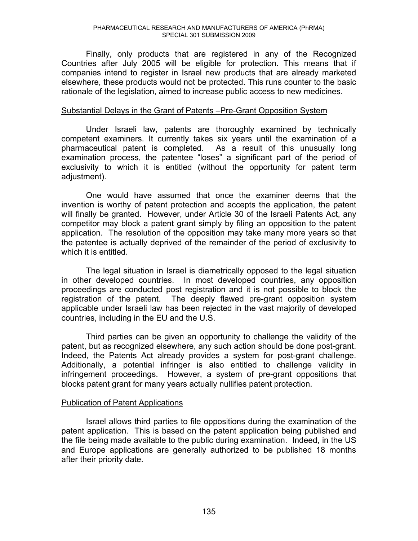Finally, only products that are registered in any of the Recognized Countries after July 2005 will be eligible for protection. This means that if companies intend to register in Israel new products that are already marketed elsewhere, these products would not be protected. This runs counter to the basic rationale of the legislation, aimed to increase public access to new medicines.

### Substantial Delays in the Grant of Patents – Pre-Grant Opposition System

Under Israeli law, patents are thoroughly examined by technically competent examiners. It currently takes six years until the examination of a pharmaceutical patent is completed. As a result of this unusually long examination process, the patentee "loses" a significant part of the period of exclusivity to which it is entitled (without the opportunity for patent term adjustment).

One would have assumed that once the examiner deems that the invention is worthy of patent protection and accepts the application, the patent will finally be granted. However, under Article 30 of the Israeli Patents Act, any competitor may block a patent grant simply by filing an opposition to the patent application. The resolution of the opposition may take many more years so that the patentee is actually deprived of the remainder of the period of exclusivity to which it is entitled.

The legal situation in Israel is diametrically opposed to the legal situation in other developed countries. In most developed countries, any opposition proceedings are conducted post registration and it is not possible to block the registration of the patent. The deeply flawed pre-grant opposition system applicable under Israeli law has been rejected in the vast majority of developed countries, including in the EU and the U.S.

Third parties can be given an opportunity to challenge the validity of the patent, but as recognized elsewhere, any such action should be done post-grant. Indeed, the Patents Act already provides a system for post-grant challenge. Additionally, a potential infringer is also entitled to challenge validity in infringement proceedings. However, a system of pre-grant oppositions that blocks patent grant for many years actually nullifies patent protection.

# Publication of Patent Applications

Israel allows third parties to file oppositions during the examination of the patent application. This is based on the patent application being published and the file being made available to the public during examination. Indeed, in the US and Europe applications are generally authorized to be published 18 months after their priority date.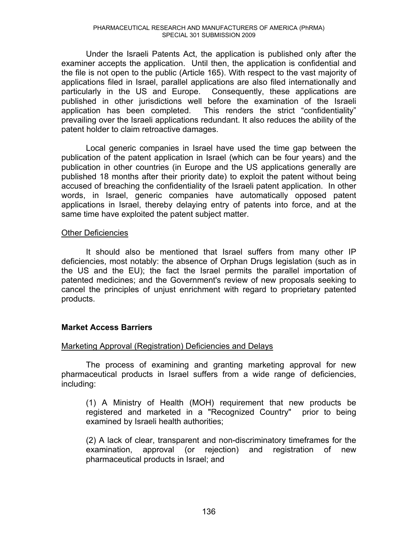Under the Israeli Patents Act, the application is published only after the examiner accepts the application. Until then, the application is confidential and the file is not open to the public (Article 165). With respect to the vast majority of applications filed in Israel, parallel applications are also filed internationally and particularly in the US and Europe. Consequently, these applications are published in other jurisdictions well before the examination of the Israeli application has been completed. This renders the strict "confidentiality" prevailing over the Israeli applications redundant. It also reduces the ability of the patent holder to claim retroactive damages.

Local generic companies in Israel have used the time gap between the publication of the patent application in Israel (which can be four years) and the publication in other countries (in Europe and the US applications generally are published 18 months after their priority date) to exploit the patent without being accused of breaching the confidentiality of the Israeli patent application. In other words, in Israel, generic companies have automatically opposed patent applications in Israel, thereby delaying entry of patents into force, and at the same time have exploited the patent subject matter.

# Other Deficiencies

It should also be mentioned that Israel suffers from many other IP deficiencies, most notably: the absence of Orphan Drugs legislation (such as in the US and the EU); the fact the Israel permits the parallel importation of patented medicines; and the Government's review of new proposals seeking to cancel the principles of unjust enrichment with regard to proprietary patented products.

# **Market Access Barriers**

# Marketing Approval (Registration) Deficiencies and Delays

The process of examining and granting marketing approval for new pharmaceutical products in Israel suffers from a wide range of deficiencies, including:

(1) A Ministry of Health (MOH) requirement that new products be registered and marketed in a "Recognized Country" prior to being examined by Israeli health authorities;

(2) A lack of clear, transparent and non-discriminatory timeframes for the examination, approval (or rejection) and registration of new pharmaceutical products in Israel; and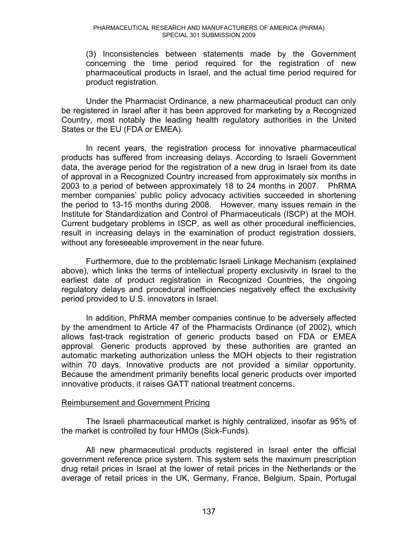(3) Inconsistencies between statements made by the Government concerning the time period required for the registration of new pharmaceutical products in Israel, and the actual time period required for product registration.

Under the Pharmacist Ordinance, a new pharmaceutical product can only be registered in Israel after it has been approved for marketing by a Recognized Country, most notably the leading health regulatory authorities in the United States or the EU (FDA or EMEA).

In recent years, the registration process for innovative pharmaceutical products has suffered from increasing delays. According to Israeli Government data, the average period for the registration of a new drug in Israel from its date of approval in a Recognized Country increased from approximately six months in 2003 to a period of between approximately 18 to 24 months in 2007. PhRMA member companies' public policy advocacy activities succeeded in shortening the period to 13-15 months during 2008. However, many issues remain in the Institute for Standardization and Control of Pharmaceuticals (ISCP) at the MOH. Current budgetary problems in ISCP, as well as other procedural inefficiencies, result in increasing delays in the examination of product registration dossiers, without any foreseeable improvement in the near future.

Furthermore, due to the problematic Israeli Linkage Mechanism (explained above), which links the terms of intellectual property exclusivity in Israel to the earliest date of product registration in Recognized Countries, the ongoing regulatory delays and procedural inefficiencies negatively effect the exclusivity period provided to U.S. innovators in Israel.

In addition, PhRMA member companies continue to be adversely affected by the amendment to Article 47 of the Pharmacists Ordinance (of 2002), which allows fast-track registration of generic products based on FDA or EMEA approval. Generic products approved by these authorities are granted an automatic marketing authorization unless the MOH objects to their registration within 70 days. Innovative products are not provided a similar opportunity. Because the amendment primarily benefits local generic products over imported innovative products, it raises GATT national treatment concerns.

# Reimbursement and Government Pricing

The Israeli pharmaceutical market is highly centralized, insofar as 95% of the market is controlled by four HMOs (Sick-Funds).

All new pharmaceutical products registered in Israel enter the official government reference price system. This system sets the maximum prescription drug retail prices in Israel at the lower of retail prices in the Netherlands or the average of retail prices in the UK, Germany, France, Belgium, Spain, Portugal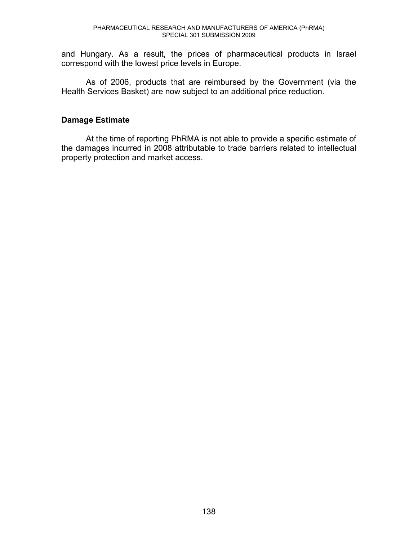and Hungary. As a result, the prices of pharmaceutical products in Israel correspond with the lowest price levels in Europe.

As of 2006, products that are reimbursed by the Government (via the Health Services Basket) are now subject to an additional price reduction.

# **Damage Estimate**

At the time of reporting PhRMA is not able to provide a specific estimate of the damages incurred in 2008 attributable to trade barriers related to intellectual property protection and market access.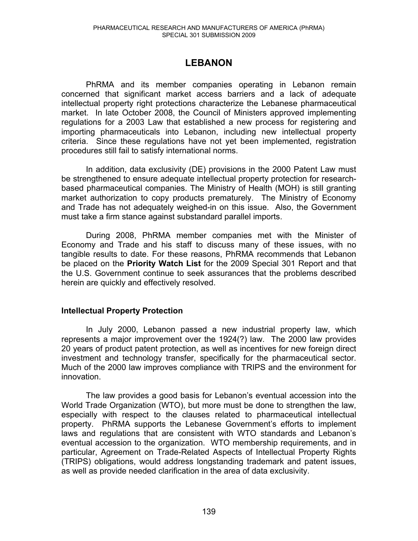# **LEBANON**

PhRMA and its member companies operating in Lebanon remain concerned that significant market access barriers and a lack of adequate intellectual property right protections characterize the Lebanese pharmaceutical market. In late October 2008, the Council of Ministers approved implementing regulations for a 2003 Law that established a new process for registering and importing pharmaceuticals into Lebanon, including new intellectual property criteria. Since these regulations have not yet been implemented, registration procedures still fail to satisfy international norms.

In addition, data exclusivity (DE) provisions in the 2000 Patent Law must be strengthened to ensure adequate intellectual property protection for researchbased pharmaceutical companies. The Ministry of Health (MOH) is still granting market authorization to copy products prematurely. The Ministry of Economy and Trade has not adequately weighed-in on this issue. Also, the Government must take a firm stance against substandard parallel imports.

During 2008, PhRMA member companies met with the Minister of Economy and Trade and his staff to discuss many of these issues, with no tangible results to date. For these reasons, PhRMA recommends that Lebanon be placed on the **Priority Watch List** for the 2009 Special 301 Report and that the U.S. Government continue to seek assurances that the problems described herein are quickly and effectively resolved.

# **Intellectual Property Protection**

In July 2000, Lebanon passed a new industrial property law, which represents a major improvement over the 1924(?) law. The 2000 law provides 20 years of product patent protection, as well as incentives for new foreign direct investment and technology transfer, specifically for the pharmaceutical sector. Much of the 2000 law improves compliance with TRIPS and the environment for innovation.

The law provides a good basis for Lebanon's eventual accession into the World Trade Organization (WTO), but more must be done to strengthen the law, especially with respect to the clauses related to pharmaceutical intellectual property. PhRMA supports the Lebanese Government's efforts to implement laws and regulations that are consistent with WTO standards and Lebanon's eventual accession to the organization. WTO membership requirements, and in particular, Agreement on Trade-Related Aspects of Intellectual Property Rights (TRIPS) obligations, would address longstanding trademark and patent issues, as well as provide needed clarification in the area of data exclusivity.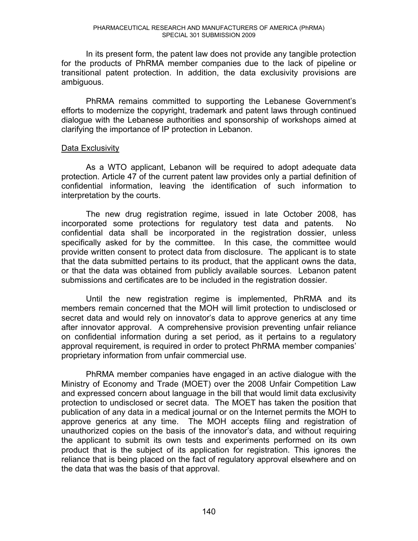In its present form, the patent law does not provide any tangible protection for the products of PhRMA member companies due to the lack of pipeline or transitional patent protection. In addition, the data exclusivity provisions are ambiguous.

PhRMA remains committed to supporting the Lebanese Government's efforts to modernize the copyright, trademark and patent laws through continued dialogue with the Lebanese authorities and sponsorship of workshops aimed at clarifying the importance of IP protection in Lebanon.

### Data Exclusivity

As a WTO applicant, Lebanon will be required to adopt adequate data protection. Article 47 of the current patent law provides only a partial definition of confidential information, leaving the identification of such information to interpretation by the courts.

The new drug registration regime, issued in late October 2008, has incorporated some protections for regulatory test data and patents. No confidential data shall be incorporated in the registration dossier, unless specifically asked for by the committee. In this case, the committee would provide written consent to protect data from disclosure. The applicant is to state that the data submitted pertains to its product, that the applicant owns the data, or that the data was obtained from publicly available sources. Lebanon patent submissions and certificates are to be included in the registration dossier.

Until the new registration regime is implemented, PhRMA and its members remain concerned that the MOH will limit protection to undisclosed or secret data and would rely on innovator's data to approve generics at any time after innovator approval. A comprehensive provision preventing unfair reliance on confidential information during a set period, as it pertains to a regulatory approval requirement, is required in order to protect PhRMA member companies' proprietary information from unfair commercial use.

PhRMA member companies have engaged in an active dialogue with the Ministry of Economy and Trade (MOET) over the 2008 Unfair Competition Law and expressed concern about language in the bill that would limit data exclusivity protection to undisclosed or secret data. The MOET has taken the position that publication of any data in a medical journal or on the Internet permits the MOH to approve generics at any time. The MOH accepts filing and registration of unauthorized copies on the basis of the innovator's data, and without requiring the applicant to submit its own tests and experiments performed on its own product that is the subject of its application for registration. This ignores the reliance that is being placed on the fact of regulatory approval elsewhere and on the data that was the basis of that approval.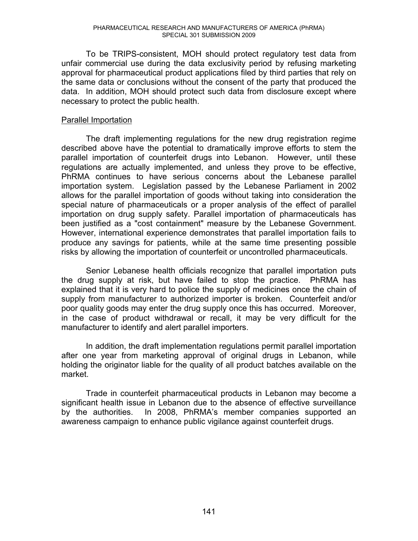To be TRIPS-consistent, MOH should protect regulatory test data from unfair commercial use during the data exclusivity period by refusing marketing approval for pharmaceutical product applications filed by third parties that rely on the same data or conclusions without the consent of the party that produced the data. In addition, MOH should protect such data from disclosure except where necessary to protect the public health.

### Parallel Importation

The draft implementing regulations for the new drug registration regime described above have the potential to dramatically improve efforts to stem the parallel importation of counterfeit drugs into Lebanon. However, until these regulations are actually implemented, and unless they prove to be effective, PhRMA continues to have serious concerns about the Lebanese parallel importation system. Legislation passed by the Lebanese Parliament in 2002 allows for the parallel importation of goods without taking into consideration the special nature of pharmaceuticals or a proper analysis of the effect of parallel importation on drug supply safety. Parallel importation of pharmaceuticals has been justified as a "cost containment" measure by the Lebanese Government. However, international experience demonstrates that parallel importation fails to produce any savings for patients, while at the same time presenting possible risks by allowing the importation of counterfeit or uncontrolled pharmaceuticals.

Senior Lebanese health officials recognize that parallel importation puts the drug supply at risk, but have failed to stop the practice. PhRMA has explained that it is very hard to police the supply of medicines once the chain of supply from manufacturer to authorized importer is broken. Counterfeit and/or poor quality goods may enter the drug supply once this has occurred. Moreover, in the case of product withdrawal or recall, it may be very difficult for the manufacturer to identify and alert parallel importers.

In addition, the draft implementation regulations permit parallel importation after one year from marketing approval of original drugs in Lebanon, while holding the originator liable for the quality of all product batches available on the market.

Trade in counterfeit pharmaceutical products in Lebanon may become a significant health issue in Lebanon due to the absence of effective surveillance by the authorities. In 2008, PhRMA's member companies supported an awareness campaign to enhance public vigilance against counterfeit drugs.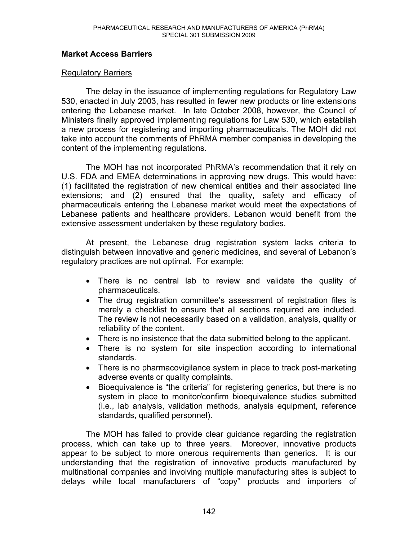# **Market Access Barriers**

# Regulatory Barriers

The delay in the issuance of implementing regulations for Regulatory Law 530, enacted in July 2003, has resulted in fewer new products or line extensions entering the Lebanese market. In late October 2008, however, the Council of Ministers finally approved implementing regulations for Law 530, which establish a new process for registering and importing pharmaceuticals. The MOH did not take into account the comments of PhRMA member companies in developing the content of the implementing regulations.

The MOH has not incorporated PhRMA's recommendation that it rely on U.S. FDA and EMEA determinations in approving new drugs. This would have: (1) facilitated the registration of new chemical entities and their associated line extensions; and (2) ensured that the quality, safety and efficacy of pharmaceuticals entering the Lebanese market would meet the expectations of Lebanese patients and healthcare providers. Lebanon would benefit from the extensive assessment undertaken by these regulatory bodies.

At present, the Lebanese drug registration system lacks criteria to distinguish between innovative and generic medicines, and several of Lebanon's regulatory practices are not optimal. For example:

- There is no central lab to review and validate the quality of pharmaceuticals.
- The drug registration committee's assessment of registration files is merely a checklist to ensure that all sections required are included. The review is not necessarily based on a validation, analysis, quality or reliability of the content.
- There is no insistence that the data submitted belong to the applicant.
- There is no system for site inspection according to international standards.
- There is no pharmacovigilance system in place to track post-marketing adverse events or quality complaints.
- Bioequivalence is "the criteria" for registering generics, but there is no system in place to monitor/confirm bioequivalence studies submitted (i.e., lab analysis, validation methods, analysis equipment, reference standards, qualified personnel).

The MOH has failed to provide clear guidance regarding the registration process, which can take up to three years. Moreover, innovative products appear to be subject to more onerous requirements than generics. It is our understanding that the registration of innovative products manufactured by multinational companies and involving multiple manufacturing sites is subject to delays while local manufacturers of "copy" products and importers of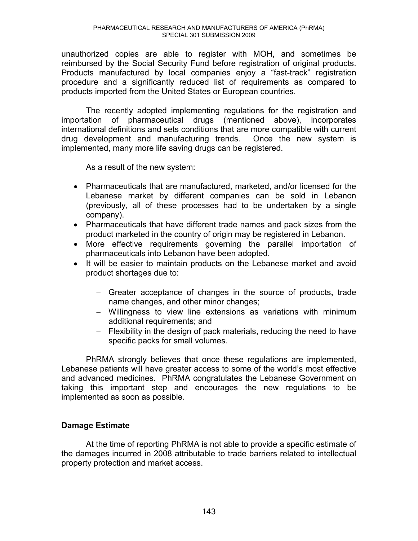unauthorized copies are able to register with MOH, and sometimes be reimbursed by the Social Security Fund before registration of original products. Products manufactured by local companies enjoy a "fast-track" registration procedure and a significantly reduced list of requirements as compared to products imported from the United States or European countries.

The recently adopted implementing regulations for the registration and importation of pharmaceutical drugs (mentioned above), incorporates international definitions and sets conditions that are more compatible with current drug development and manufacturing trends. Once the new system is implemented, many more life saving drugs can be registered.

As a result of the new system:

- Pharmaceuticals that are manufactured, marketed, and/or licensed for the Lebanese market by different companies can be sold in Lebanon (previously, all of these processes had to be undertaken by a single company).
- Pharmaceuticals that have different trade names and pack sizes from the product marketed in the country of origin may be registered in Lebanon.
- More effective requirements governing the parallel importation of pharmaceuticals into Lebanon have been adopted.
- It will be easier to maintain products on the Lebanese market and avoid product shortages due to:
	- Greater acceptance of changes in the source of products**,** trade name changes, and other minor changes;
	- Willingness to view line extensions as variations with minimum additional requirements; and
	- Flexibility in the design of pack materials, reducing the need to have specific packs for small volumes.

 PhRMA strongly believes that once these regulations are implemented, Lebanese patients will have greater access to some of the world's most effective and advanced medicines. PhRMA congratulates the Lebanese Government on taking this important step and encourages the new regulations to be implemented as soon as possible.

# **Damage Estimate**

At the time of reporting PhRMA is not able to provide a specific estimate of the damages incurred in 2008 attributable to trade barriers related to intellectual property protection and market access.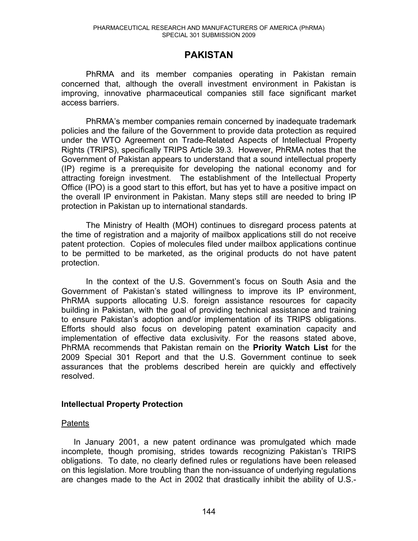# **PAKISTAN**

PhRMA and its member companies operating in Pakistan remain concerned that, although the overall investment environment in Pakistan is improving, innovative pharmaceutical companies still face significant market access barriers.

PhRMA's member companies remain concerned by inadequate trademark policies and the failure of the Government to provide data protection as required under the WTO Agreement on Trade-Related Aspects of Intellectual Property Rights (TRIPS), specifically TRIPS Article 39.3. However, PhRMA notes that the Government of Pakistan appears to understand that a sound intellectual property (IP) regime is a prerequisite for developing the national economy and for attracting foreign investment. The establishment of the Intellectual Property Office (IPO) is a good start to this effort, but has yet to have a positive impact on the overall IP environment in Pakistan. Many steps still are needed to bring IP protection in Pakistan up to international standards.

The Ministry of Health (MOH) continues to disregard process patents at the time of registration and a majority of mailbox applications still do not receive patent protection. Copies of molecules filed under mailbox applications continue to be permitted to be marketed, as the original products do not have patent protection.

In the context of the U.S. Government's focus on South Asia and the Government of Pakistan's stated willingness to improve its IP environment, PhRMA supports allocating U.S. foreign assistance resources for capacity building in Pakistan, with the goal of providing technical assistance and training to ensure Pakistan's adoption and/or implementation of its TRIPS obligations. Efforts should also focus on developing patent examination capacity and implementation of effective data exclusivity. For the reasons stated above, PhRMA recommends that Pakistan remain on the **Priority Watch List** for the 2009 Special 301 Report and that the U.S. Government continue to seek assurances that the problems described herein are quickly and effectively resolved.

# **Intellectual Property Protection**

# **Patents**

In January 2001, a new patent ordinance was promulgated which made incomplete, though promising, strides towards recognizing Pakistan's TRIPS obligations. To date, no clearly defined rules or regulations have been released on this legislation. More troubling than the non-issuance of underlying regulations are changes made to the Act in 2002 that drastically inhibit the ability of U.S.-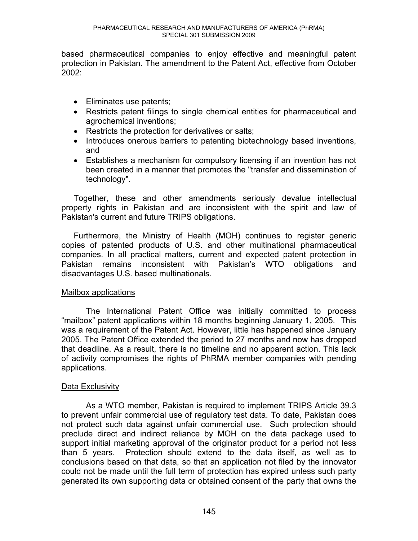based pharmaceutical companies to enjoy effective and meaningful patent protection in Pakistan. The amendment to the Patent Act, effective from October 2002:

- Eliminates use patents;
- Restricts patent filings to single chemical entities for pharmaceutical and agrochemical inventions;
- Restricts the protection for derivatives or salts;
- Introduces onerous barriers to patenting biotechnology based inventions, and
- Establishes a mechanism for compulsory licensing if an invention has not been created in a manner that promotes the "transfer and dissemination of technology".

Together, these and other amendments seriously devalue intellectual property rights in Pakistan and are inconsistent with the spirit and law of Pakistan's current and future TRIPS obligations.

Furthermore, the Ministry of Health (MOH) continues to register generic copies of patented products of U.S. and other multinational pharmaceutical companies. In all practical matters, current and expected patent protection in Pakistan remains inconsistent with Pakistan's WTO obligations and disadvantages U.S. based multinationals.

# Mailbox applications

The International Patent Office was initially committed to process "mailbox" patent applications within 18 months beginning January 1, 2005. This was a requirement of the Patent Act. However, little has happened since January 2005. The Patent Office extended the period to 27 months and now has dropped that deadline. As a result, there is no timeline and no apparent action. This lack of activity compromises the rights of PhRMA member companies with pending applications.

# Data Exclusivity

As a WTO member, Pakistan is required to implement TRIPS Article 39.3 to prevent unfair commercial use of regulatory test data. To date, Pakistan does not protect such data against unfair commercial use. Such protection should preclude direct and indirect reliance by MOH on the data package used to support initial marketing approval of the originator product for a period not less than 5 years. Protection should extend to the data itself, as well as to conclusions based on that data, so that an application not filed by the innovator could not be made until the full term of protection has expired unless such party generated its own supporting data or obtained consent of the party that owns the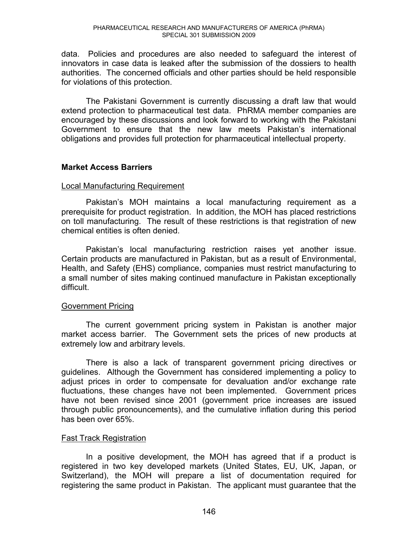data. Policies and procedures are also needed to safeguard the interest of innovators in case data is leaked after the submission of the dossiers to health authorities. The concerned officials and other parties should be held responsible for violations of this protection.

The Pakistani Government is currently discussing a draft law that would extend protection to pharmaceutical test data. PhRMA member companies are encouraged by these discussions and look forward to working with the Pakistani Government to ensure that the new law meets Pakistan's international obligations and provides full protection for pharmaceutical intellectual property.

# **Market Access Barriers**

# Local Manufacturing Requirement

Pakistan's MOH maintains a local manufacturing requirement as a prerequisite for product registration. In addition, the MOH has placed restrictions on toll manufacturing. The result of these restrictions is that registration of new chemical entities is often denied.

Pakistan's local manufacturing restriction raises yet another issue. Certain products are manufactured in Pakistan, but as a result of Environmental, Health, and Safety (EHS) compliance, companies must restrict manufacturing to a small number of sites making continued manufacture in Pakistan exceptionally difficult.

# Government Pricing

The current government pricing system in Pakistan is another major market access barrier. The Government sets the prices of new products at extremely low and arbitrary levels.

There is also a lack of transparent government pricing directives or guidelines. Although the Government has considered implementing a policy to adjust prices in order to compensate for devaluation and/or exchange rate fluctuations, these changes have not been implemented. Government prices have not been revised since 2001 (government price increases are issued through public pronouncements), and the cumulative inflation during this period has been over 65%.

# Fast Track Registration

In a positive development, the MOH has agreed that if a product is registered in two key developed markets (United States, EU, UK, Japan, or Switzerland), the MOH will prepare a list of documentation required for registering the same product in Pakistan. The applicant must guarantee that the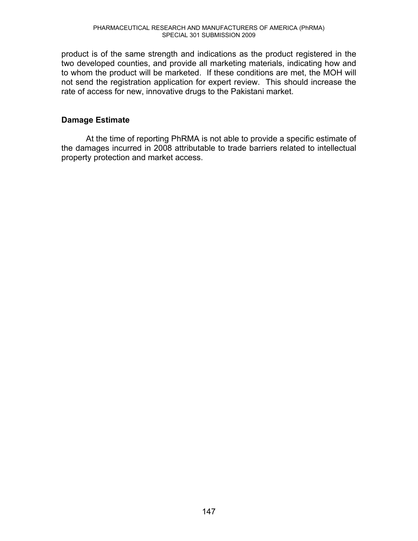product is of the same strength and indications as the product registered in the two developed counties, and provide all marketing materials, indicating how and to whom the product will be marketed. If these conditions are met, the MOH will not send the registration application for expert review. This should increase the rate of access for new, innovative drugs to the Pakistani market.

# **Damage Estimate**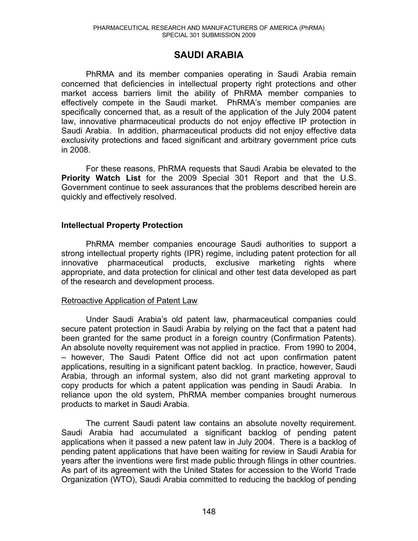# **SAUDI ARABIA**

PhRMA and its member companies operating in Saudi Arabia remain concerned that deficiencies in intellectual property right protections and other market access barriers limit the ability of PhRMA member companies to effectively compete in the Saudi market. PhRMA's member companies are specifically concerned that, as a result of the application of the July 2004 patent law, innovative pharmaceutical products do not enjoy effective IP protection in Saudi Arabia. In addition, pharmaceutical products did not enjoy effective data exclusivity protections and faced significant and arbitrary government price cuts in 2008.

 For these reasons, PhRMA requests that Saudi Arabia be elevated to the **Priority Watch List** for the 2009 Special 301 Report and that the U.S. Government continue to seek assurances that the problems described herein are quickly and effectively resolved.

#### **Intellectual Property Protection**

PhRMA member companies encourage Saudi authorities to support a strong intellectual property rights (IPR) regime, including patent protection for all innovative pharmaceutical products, exclusive marketing rights where appropriate, and data protection for clinical and other test data developed as part of the research and development process.

#### Retroactive Application of Patent Law

Under Saudi Arabia's old patent law, pharmaceutical companies could secure patent protection in Saudi Arabia by relying on the fact that a patent had been granted for the same product in a foreign country (Confirmation Patents). An absolute novelty requirement was not applied in practice. From 1990 to 2004, - however, The Saudi Patent Office did not act upon confirmation patent applications, resulting in a significant patent backlog. In practice, however, Saudi Arabia, through an informal system, also did not grant marketing approval to copy products for which a patent application was pending in Saudi Arabia. In reliance upon the old system, PhRMA member companies brought numerous products to market in Saudi Arabia.

The current Saudi patent law contains an absolute novelty requirement. Saudi Arabia had accumulated a significant backlog of pending patent applications when it passed a new patent law in July 2004. There is a backlog of pending patent applications that have been waiting for review in Saudi Arabia for years after the inventions were first made public through filings in other countries. As part of its agreement with the United States for accession to the World Trade Organization (WTO), Saudi Arabia committed to reducing the backlog of pending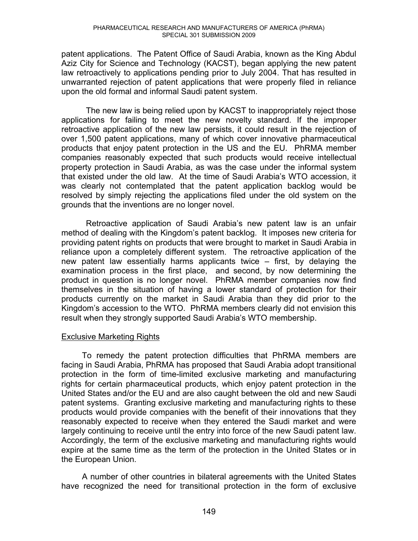patent applications. The Patent Office of Saudi Arabia, known as the King Abdul Aziz City for Science and Technology (KACST), began applying the new patent law retroactively to applications pending prior to July 2004. That has resulted in unwarranted rejection of patent applications that were properly filed in reliance upon the old formal and informal Saudi patent system.

The new law is being relied upon by KACST to inappropriately reject those applications for failing to meet the new novelty standard. If the improper retroactive application of the new law persists, it could result in the rejection of over 1,500 patent applications, many of which cover innovative pharmaceutical products that enjoy patent protection in the US and the EU. PhRMA member companies reasonably expected that such products would receive intellectual property protection in Saudi Arabia, as was the case under the informal system that existed under the old law. At the time of Saudi Arabia's WTO accession, it was clearly not contemplated that the patent application backlog would be resolved by simply rejecting the applications filed under the old system on the grounds that the inventions are no longer novel.

Retroactive application of Saudi Arabia's new patent law is an unfair method of dealing with the Kingdom's patent backlog. It imposes new criteria for providing patent rights on products that were brought to market in Saudi Arabia in reliance upon a completely different system. The retroactive application of the new patent law essentially harms applicants twice  $-$  first, by delaying the examination process in the first place, and second, by now determining the product in question is no longer novel. PhRMA member companies now find themselves in the situation of having a lower standard of protection for their products currently on the market in Saudi Arabia than they did prior to the Kingdom's accession to the WTO. PhRMA members clearly did not envision this result when they strongly supported Saudi Arabia's WTO membership.

# Exclusive Marketing Rights

To remedy the patent protection difficulties that PhRMA members are facing in Saudi Arabia, PhRMA has proposed that Saudi Arabia adopt transitional protection in the form of time-limited exclusive marketing and manufacturing rights for certain pharmaceutical products, which enjoy patent protection in the United States and/or the EU and are also caught between the old and new Saudi patent systems. Granting exclusive marketing and manufacturing rights to these products would provide companies with the benefit of their innovations that they reasonably expected to receive when they entered the Saudi market and were largely continuing to receive until the entry into force of the new Saudi patent law. Accordingly, the term of the exclusive marketing and manufacturing rights would expire at the same time as the term of the protection in the United States or in the European Union.

A number of other countries in bilateral agreements with the United States have recognized the need for transitional protection in the form of exclusive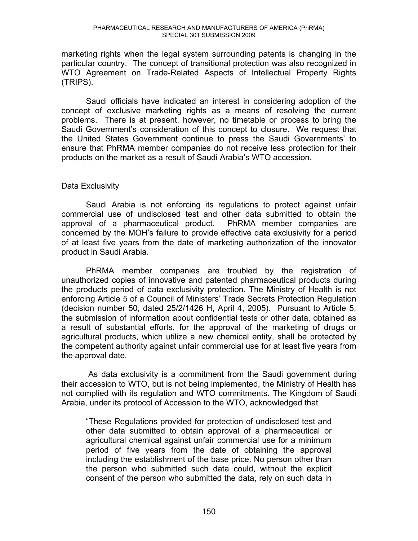marketing rights when the legal system surrounding patents is changing in the particular country. The concept of transitional protection was also recognized in WTO Agreement on Trade-Related Aspects of Intellectual Property Rights (TRIPS).

Saudi officials have indicated an interest in considering adoption of the concept of exclusive marketing rights as a means of resolving the current problems. There is at present, however, no timetable or process to bring the Saudi Government's consideration of this concept to closure. We request that the United States Government continue to press the Saudi Governments' to ensure that PhRMA member companies do not receive less protection for their products on the market as a result of Saudi Arabia's WTO accession.

# Data Exclusivity

Saudi Arabia is not enforcing its regulations to protect against unfair commercial use of undisclosed test and other data submitted to obtain the approval of a pharmaceutical product. PhRMA member companies are concerned by the MOH's failure to provide effective data exclusivity for a period of at least five years from the date of marketing authorization of the innovator product in Saudi Arabia.

PhRMA member companies are troubled by the registration of unauthorized copies of innovative and patented pharmaceutical products during the products period of data exclusivity protection. The Ministry of Health is not enforcing Article 5 of a Council of Ministers' Trade Secrets Protection Regulation (decision number 50, dated 25/2/1426 H, April 4, 2005). Pursuant to Article 5, the submission of information about confidential tests or other data, obtained as a result of substantial efforts, for the approval of the marketing of drugs or agricultural products, which utilize a new chemical entity, shall be protected by the competent authority against unfair commercial use for at least five years from the approval date.

 As data exclusivity is a commitment from the Saudi government during their accession to WTO, but is not being implemented, the Ministry of Health has not complied with its regulation and WTO commitments. The Kingdom of Saudi Arabia, under its protocol of Accession to the WTO, acknowledged that

"These Regulations provided for protection of undisclosed test and other data submitted to obtain approval of a pharmaceutical or agricultural chemical against unfair commercial use for a minimum period of five years from the date of obtaining the approval including the establishment of the base price. No person other than the person who submitted such data could, without the explicit consent of the person who submitted the data, rely on such data in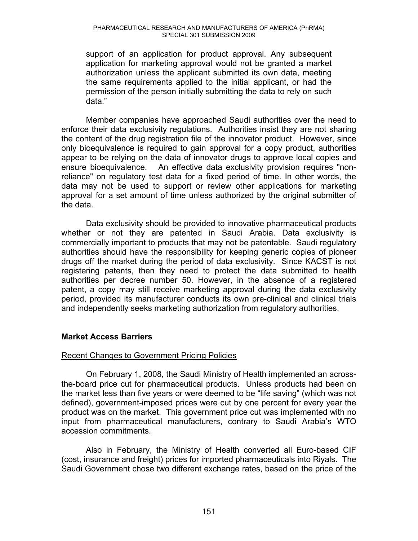support of an application for product approval. Any subsequent application for marketing approval would not be granted a market authorization unless the applicant submitted its own data, meeting the same requirements applied to the initial applicant, or had the permission of the person initially submitting the data to rely on such data."

Member companies have approached Saudi authorities over the need to enforce their data exclusivity regulations. Authorities insist they are not sharing the content of the drug registration file of the innovator product. However, since only bioequivalence is required to gain approval for a copy product, authorities appear to be relying on the data of innovator drugs to approve local copies and ensure bioequivalence. An effective data exclusivity provision requires "nonreliance" on regulatory test data for a fixed period of time. In other words, the data may not be used to support or review other applications for marketing approval for a set amount of time unless authorized by the original submitter of the data.

Data exclusivity should be provided to innovative pharmaceutical products whether or not they are patented in Saudi Arabia. Data exclusivity is commercially important to products that may not be patentable. Saudi regulatory authorities should have the responsibility for keeping generic copies of pioneer drugs off the market during the period of data exclusivity. Since KACST is not registering patents, then they need to protect the data submitted to health authorities per decree number 50. However, in the absence of a registered patent, a copy may still receive marketing approval during the data exclusivity period, provided its manufacturer conducts its own pre-clinical and clinical trials and independently seeks marketing authorization from regulatory authorities.

# **Market Access Barriers**

# Recent Changes to Government Pricing Policies

On February 1, 2008, the Saudi Ministry of Health implemented an acrossthe-board price cut for pharmaceutical products. Unless products had been on the market less than five years or were deemed to be "life saving" (which was not defined), government-imposed prices were cut by one percent for every year the product was on the market. This government price cut was implemented with no input from pharmaceutical manufacturers, contrary to Saudi Arabia's WTO accession commitments.

Also in February, the Ministry of Health converted all Euro-based CIF (cost, insurance and freight) prices for imported pharmaceuticals into Riyals. The Saudi Government chose two different exchange rates, based on the price of the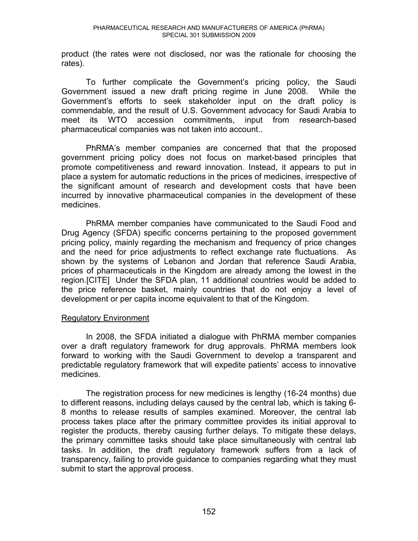product (the rates were not disclosed, nor was the rationale for choosing the rates).

To further complicate the Government's pricing policy, the Saudi Government issued a new draft pricing regime in June 2008. While the Government's efforts to seek stakeholder input on the draft policy is commendable, and the result of U.S. Government advocacy for Saudi Arabia to meet its WTO accession commitments, input from research-based pharmaceutical companies was not taken into account..

PhRMA's member companies are concerned that that the proposed government pricing policy does not focus on market-based principles that promote competitiveness and reward innovation. Instead, it appears to put in place a system for automatic reductions in the prices of medicines, irrespective of the significant amount of research and development costs that have been incurred by innovative pharmaceutical companies in the development of these medicines.

PhRMA member companies have communicated to the Saudi Food and Drug Agency (SFDA) specific concerns pertaining to the proposed government pricing policy, mainly regarding the mechanism and frequency of price changes and the need for price adjustments to reflect exchange rate fluctuations. As shown by the systems of Lebanon and Jordan that reference Saudi Arabia, prices of pharmaceuticals in the Kingdom are already among the lowest in the region.[CITE] Under the SFDA plan, 11 additional countries would be added to the price reference basket, mainly countries that do not enjoy a level of development or per capita income equivalent to that of the Kingdom.

# Regulatory Environment

In 2008, the SFDA initiated a dialogue with PhRMA member companies over a draft regulatory framework for drug approvals. PhRMA members look forward to working with the Saudi Government to develop a transparent and predictable regulatory framework that will expedite patients' access to innovative medicines.

The registration process for new medicines is lengthy (16-24 months) due to different reasons, including delays caused by the central lab, which is taking 6- 8 months to release results of samples examined. Moreover, the central lab process takes place after the primary committee provides its initial approval to register the products, thereby causing further delays. To mitigate these delays, the primary committee tasks should take place simultaneously with central lab tasks. In addition, the draft regulatory framework suffers from a lack of transparency, failing to provide guidance to companies regarding what they must submit to start the approval process.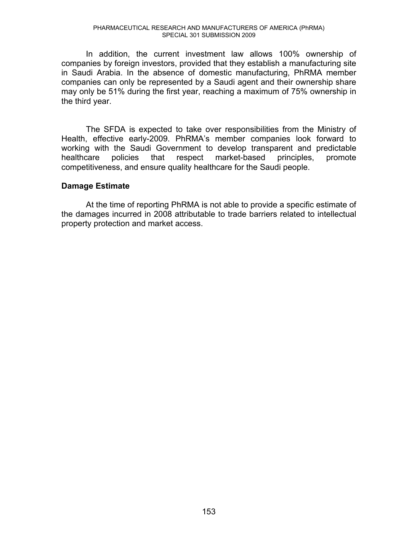In addition, the current investment law allows 100% ownership of companies by foreign investors, provided that they establish a manufacturing site in Saudi Arabia. In the absence of domestic manufacturing, PhRMA member companies can only be represented by a Saudi agent and their ownership share may only be 51% during the first year, reaching a maximum of 75% ownership in the third year.

The SFDA is expected to take over responsibilities from the Ministry of Health, effective early-2009. PhRMA's member companies look forward to working with the Saudi Government to develop transparent and predictable healthcare policies that respect market-based principles, promote competitiveness, and ensure quality healthcare for the Saudi people.

#### **Damage Estimate**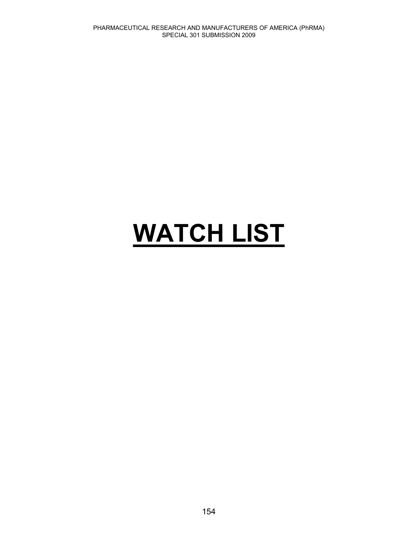# **WATCH LIST**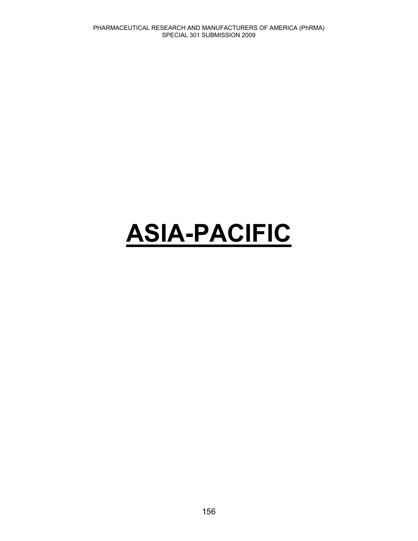# **ASIA-PACIFIC**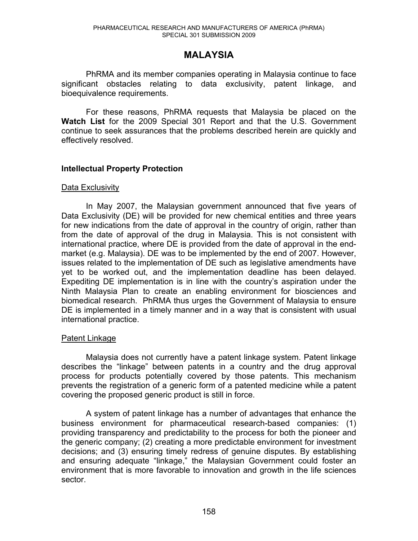# **MALAYSIA**

PhRMA and its member companies operating in Malaysia continue to face significant obstacles relating to data exclusivity, patent linkage, and bioequivalence requirements.

 For these reasons, PhRMA requests that Malaysia be placed on the **Watch List** for the 2009 Special 301 Report and that the U.S. Government continue to seek assurances that the problems described herein are quickly and effectively resolved.

# **Intellectual Property Protection**

#### Data Exclusivity

In May 2007, the Malaysian government announced that five years of Data Exclusivity (DE) will be provided for new chemical entities and three years for new indications from the date of approval in the country of origin, rather than from the date of approval of the drug in Malaysia. This is not consistent with international practice, where DE is provided from the date of approval in the endmarket (e.g. Malaysia). DE was to be implemented by the end of 2007. However, issues related to the implementation of DE such as legislative amendments have yet to be worked out, and the implementation deadline has been delayed. Expediting DE implementation is in line with the country's aspiration under the Ninth Malaysia Plan to create an enabling environment for biosciences and biomedical research. PhRMA thus urges the Government of Malaysia to ensure DE is implemented in a timely manner and in a way that is consistent with usual international practice.

# Patent Linkage

Malaysia does not currently have a patent linkage system. Patent linkage describes the "linkage" between patents in a country and the drug approval process for products potentially covered by those patents. This mechanism prevents the registration of a generic form of a patented medicine while a patent covering the proposed generic product is still in force.

A system of patent linkage has a number of advantages that enhance the business environment for pharmaceutical research-based companies: (1) providing transparency and predictability to the process for both the pioneer and the generic company; (2) creating a more predictable environment for investment decisions; and (3) ensuring timely redress of genuine disputes. By establishing and ensuring adequate "linkage," the Malaysian Government could foster an environment that is more favorable to innovation and growth in the life sciences sector.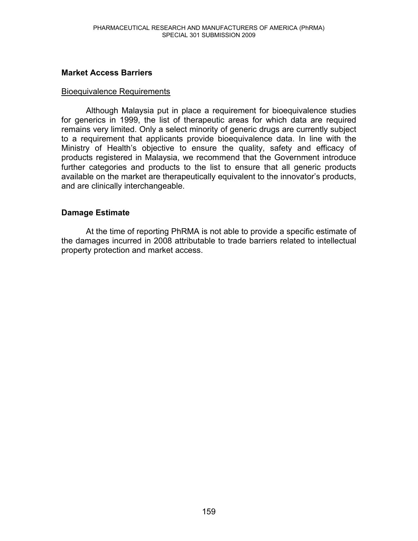# **Market Access Barriers**

### Bioequivalence Requirements

Although Malaysia put in place a requirement for bioequivalence studies for generics in 1999, the list of therapeutic areas for which data are required remains very limited. Only a select minority of generic drugs are currently subject to a requirement that applicants provide bioequivalence data. In line with the Ministry of Health's objective to ensure the quality, safety and efficacy of products registered in Malaysia, we recommend that the Government introduce further categories and products to the list to ensure that all generic products available on the market are therapeutically equivalent to the innovator's products, and are clinically interchangeable.

# **Damage Estimate**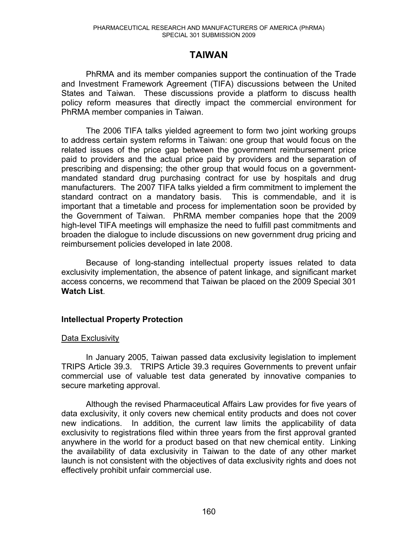# **TAIWAN**

PhRMA and its member companies support the continuation of the Trade and Investment Framework Agreement (TIFA) discussions between the United States and Taiwan. These discussions provide a platform to discuss health policy reform measures that directly impact the commercial environment for PhRMA member companies in Taiwan.

The 2006 TIFA talks yielded agreement to form two joint working groups to address certain system reforms in Taiwan: one group that would focus on the related issues of the price gap between the government reimbursement price paid to providers and the actual price paid by providers and the separation of prescribing and dispensing; the other group that would focus on a governmentmandated standard drug purchasing contract for use by hospitals and drug manufacturers. The 2007 TIFA talks yielded a firm commitment to implement the standard contract on a mandatory basis. This is commendable, and it is important that a timetable and process for implementation soon be provided by the Government of Taiwan. PhRMA member companies hope that the 2009 high-level TIFA meetings will emphasize the need to fulfill past commitments and broaden the dialogue to include discussions on new government drug pricing and reimbursement policies developed in late 2008.

Because of long-standing intellectual property issues related to data exclusivity implementation, the absence of patent linkage, and significant market access concerns, we recommend that Taiwan be placed on the 2009 Special 301 **Watch List**.

# **Intellectual Property Protection**

# Data Exclusivity

In January 2005, Taiwan passed data exclusivity legislation to implement TRIPS Article 39.3. TRIPS Article 39.3 requires Governments to prevent unfair commercial use of valuable test data generated by innovative companies to secure marketing approval.

Although the revised Pharmaceutical Affairs Law provides for five years of data exclusivity, it only covers new chemical entity products and does not cover new indications. In addition, the current law limits the applicability of data exclusivity to registrations filed within three years from the first approval granted anywhere in the world for a product based on that new chemical entity. Linking the availability of data exclusivity in Taiwan to the date of any other market launch is not consistent with the objectives of data exclusivity rights and does not effectively prohibit unfair commercial use.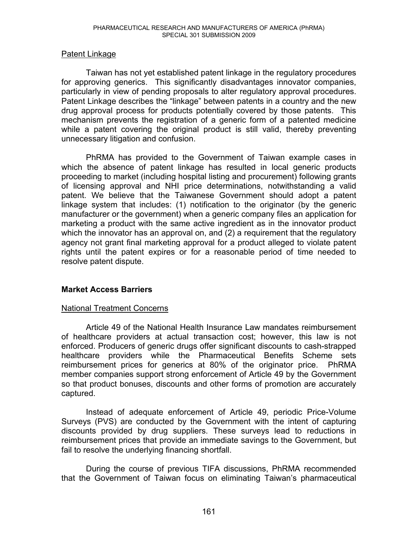# Patent Linkage

Taiwan has not yet established patent linkage in the regulatory procedures for approving generics. This significantly disadvantages innovator companies, particularly in view of pending proposals to alter regulatory approval procedures. Patent Linkage describes the "linkage" between patents in a country and the new drug approval process for products potentially covered by those patents. This mechanism prevents the registration of a generic form of a patented medicine while a patent covering the original product is still valid, thereby preventing unnecessary litigation and confusion.

PhRMA has provided to the Government of Taiwan example cases in which the absence of patent linkage has resulted in local generic products proceeding to market (including hospital listing and procurement) following grants of licensing approval and NHI price determinations, notwithstanding a valid patent. We believe that the Taiwanese Government should adopt a patent linkage system that includes: (1) notification to the originator (by the generic manufacturer or the government) when a generic company files an application for marketing a product with the same active ingredient as in the innovator product which the innovator has an approval on, and (2) a requirement that the regulatory agency not grant final marketing approval for a product alleged to violate patent rights until the patent expires or for a reasonable period of time needed to resolve patent dispute.

# **Market Access Barriers**

# National Treatment Concerns

Article 49 of the National Health Insurance Law mandates reimbursement of healthcare providers at actual transaction cost; however, this law is not enforced. Producers of generic drugs offer significant discounts to cash-strapped healthcare providers while the Pharmaceutical Benefits Scheme sets reimbursement prices for generics at 80% of the originator price. PhRMA member companies support strong enforcement of Article 49 by the Government so that product bonuses, discounts and other forms of promotion are accurately captured.

Instead of adequate enforcement of Article 49, periodic Price-Volume Surveys (PVS) are conducted by the Government with the intent of capturing discounts provided by drug suppliers. These surveys lead to reductions in reimbursement prices that provide an immediate savings to the Government, but fail to resolve the underlying financing shortfall.

During the course of previous TIFA discussions, PhRMA recommended that the Government of Taiwan focus on eliminating Taiwan's pharmaceutical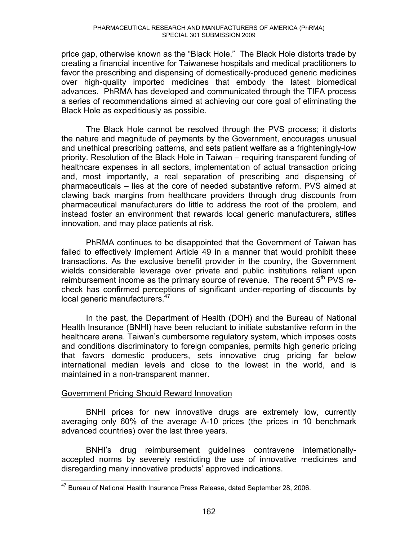price gap, otherwise known as the "Black Hole." The Black Hole distorts trade by creating a financial incentive for Taiwanese hospitals and medical practitioners to favor the prescribing and dispensing of domestically-produced generic medicines over high-quality imported medicines that embody the latest biomedical advances. PhRMA has developed and communicated through the TIFA process a series of recommendations aimed at achieving our core goal of eliminating the Black Hole as expeditiously as possible.

The Black Hole cannot be resolved through the PVS process; it distorts the nature and magnitude of payments by the Government, encourages unusual and unethical prescribing patterns, and sets patient welfare as a frighteningly-low priority. Resolution of the Black Hole in Taiwan – requiring transparent funding of healthcare expenses in all sectors, implementation of actual transaction pricing and, most importantly, a real separation of prescribing and dispensing of pharmaceuticals – lies at the core of needed substantive reform. PVS aimed at clawing back margins from healthcare providers through drug discounts from pharmaceutical manufacturers do little to address the root of the problem, and instead foster an environment that rewards local generic manufacturers, stifles innovation, and may place patients at risk.

PhRMA continues to be disappointed that the Government of Taiwan has failed to effectively implement Article 49 in a manner that would prohibit these transactions. As the exclusive benefit provider in the country, the Government wields considerable leverage over private and public institutions reliant upon reimbursement income as the primary source of revenue. The recent  $5<sup>th</sup>$  PVS recheck has confirmed perceptions of significant under-reporting of discounts by local generic manufacturers.<sup>47</sup>

In the past, the Department of Health (DOH) and the Bureau of National Health Insurance (BNHI) have been reluctant to initiate substantive reform in the healthcare arena. Taiwan's cumbersome regulatory system, which imposes costs and conditions discriminatory to foreign companies, permits high generic pricing that favors domestic producers, sets innovative drug pricing far below international median levels and close to the lowest in the world, and is maintained in a non-transparent manner.

# Government Pricing Should Reward Innovation

BNHI prices for new innovative drugs are extremely low, currently averaging only 60% of the average A-10 prices (the prices in 10 benchmark advanced countries) over the last three years.

BNHI's drug reimbursement guidelines contravene internationallyaccepted norms by severely restricting the use of innovative medicines and disregarding many innovative products' approved indications.

 $\overline{a}$  $47$  Bureau of National Health Insurance Press Release, dated September 28, 2006.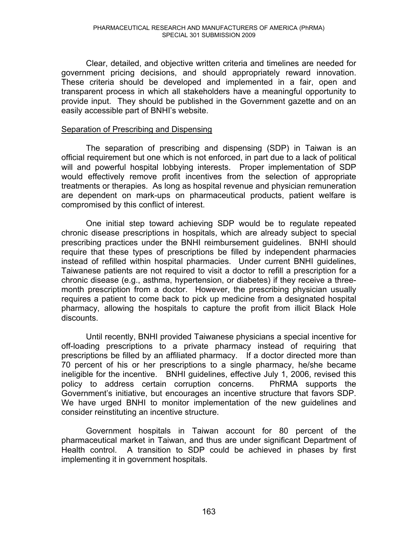Clear, detailed, and objective written criteria and timelines are needed for government pricing decisions, and should appropriately reward innovation. These criteria should be developed and implemented in a fair, open and transparent process in which all stakeholders have a meaningful opportunity to provide input. They should be published in the Government gazette and on an easily accessible part of BNHI's website.

#### Separation of Prescribing and Dispensing

The separation of prescribing and dispensing (SDP) in Taiwan is an official requirement but one which is not enforced, in part due to a lack of political will and powerful hospital lobbying interests. Proper implementation of SDP would effectively remove profit incentives from the selection of appropriate treatments or therapies. As long as hospital revenue and physician remuneration are dependent on mark-ups on pharmaceutical products, patient welfare is compromised by this conflict of interest.

One initial step toward achieving SDP would be to regulate repeated chronic disease prescriptions in hospitals, which are already subject to special prescribing practices under the BNHI reimbursement guidelines. BNHI should require that these types of prescriptions be filled by independent pharmacies instead of refilled within hospital pharmacies. Under current BNHI guidelines, Taiwanese patients are not required to visit a doctor to refill a prescription for a chronic disease (e.g., asthma, hypertension, or diabetes) if they receive a threemonth prescription from a doctor. However, the prescribing physician usually requires a patient to come back to pick up medicine from a designated hospital pharmacy, allowing the hospitals to capture the profit from illicit Black Hole discounts.

Until recently, BNHI provided Taiwanese physicians a special incentive for off-loading prescriptions to a private pharmacy instead of requiring that prescriptions be filled by an affiliated pharmacy. If a doctor directed more than 70 percent of his or her prescriptions to a single pharmacy, he/she became ineligible for the incentive. BNHI guidelines, effective July 1, 2006, revised this policy to address certain corruption concerns. PhRMA supports the Government's initiative, but encourages an incentive structure that favors SDP. We have urged BNHI to monitor implementation of the new guidelines and consider reinstituting an incentive structure.

Government hospitals in Taiwan account for 80 percent of the pharmaceutical market in Taiwan, and thus are under significant Department of Health control. A transition to SDP could be achieved in phases by first implementing it in government hospitals.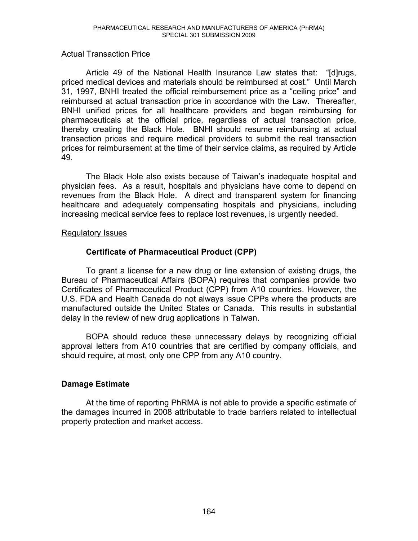# Actual Transaction Price

Article 49 of the National Health Insurance Law states that: "[d]rugs, priced medical devices and materials should be reimbursed at cost." Until March 31, 1997. BNHI treated the official reimbursement price as a "ceiling price" and reimbursed at actual transaction price in accordance with the Law. Thereafter, BNHI unified prices for all healthcare providers and began reimbursing for pharmaceuticals at the official price, regardless of actual transaction price, thereby creating the Black Hole. BNHI should resume reimbursing at actual transaction prices and require medical providers to submit the real transaction prices for reimbursement at the time of their service claims, as required by Article 49.

The Black Hole also exists because of Taiwan's inadequate hospital and physician fees. As a result, hospitals and physicians have come to depend on revenues from the Black Hole. A direct and transparent system for financing healthcare and adequately compensating hospitals and physicians, including increasing medical service fees to replace lost revenues, is urgently needed.

#### Regulatory Issues

# **Certificate of Pharmaceutical Product (CPP)**

To grant a license for a new drug or line extension of existing drugs, the Bureau of Pharmaceutical Affairs (BOPA) requires that companies provide two Certificates of Pharmaceutical Product (CPP) from A10 countries. However, the U.S. FDA and Health Canada do not always issue CPPs where the products are manufactured outside the United States or Canada. This results in substantial delay in the review of new drug applications in Taiwan.

BOPA should reduce these unnecessary delays by recognizing official approval letters from A10 countries that are certified by company officials, and should require, at most, only one CPP from any A10 country.

# **Damage Estimate**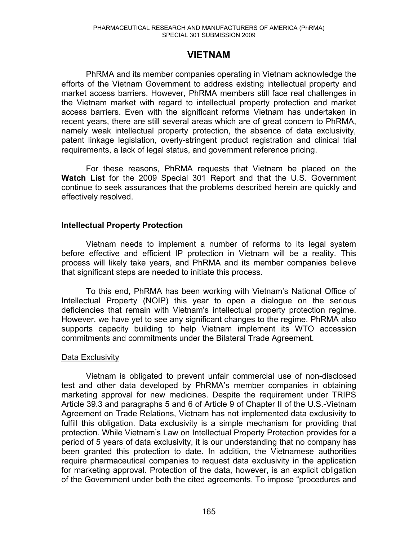# **VIETNAM**

 PhRMA and its member companies operating in Vietnam acknowledge the efforts of the Vietnam Government to address existing intellectual property and market access barriers. However, PhRMA members still face real challenges in the Vietnam market with regard to intellectual property protection and market access barriers. Even with the significant reforms Vietnam has undertaken in recent years, there are still several areas which are of great concern to PhRMA, namely weak intellectual property protection, the absence of data exclusivity, patent linkage legislation, overly-stringent product registration and clinical trial requirements, a lack of legal status, and government reference pricing.

 For these reasons, PhRMA requests that Vietnam be placed on the **Watch List** for the 2009 Special 301 Report and that the U.S. Government continue to seek assurances that the problems described herein are quickly and effectively resolved.

# **Intellectual Property Protection**

Vietnam needs to implement a number of reforms to its legal system before effective and efficient IP protection in Vietnam will be a reality. This process will likely take years, and PhRMA and its member companies believe that significant steps are needed to initiate this process.

To this end, PhRMA has been working with Vietnam's National Office of Intellectual Property (NOIP) this year to open a dialogue on the serious deficiencies that remain with Vietnam's intellectual property protection regime. However, we have yet to see any significant changes to the regime. PhRMA also supports capacity building to help Vietnam implement its WTO accession commitments and commitments under the Bilateral Trade Agreement.

# Data Exclusivity

Vietnam is obligated to prevent unfair commercial use of non-disclosed test and other data developed by PhRMA's member companies in obtaining marketing approval for new medicines. Despite the requirement under TRIPS Article 39.3 and paragraphs 5 and 6 of Article 9 of Chapter II of the U.S.-Vietnam Agreement on Trade Relations, Vietnam has not implemented data exclusivity to fulfill this obligation. Data exclusivity is a simple mechanism for providing that protection. While Vietnam's Law on Intellectual Property Protection provides for a period of 5 years of data exclusivity, it is our understanding that no company has been granted this protection to date. In addition, the Vietnamese authorities require pharmaceutical companies to request data exclusivity in the application for marketing approval. Protection of the data, however, is an explicit obligation of the Government under both the cited agreements. To impose "procedures and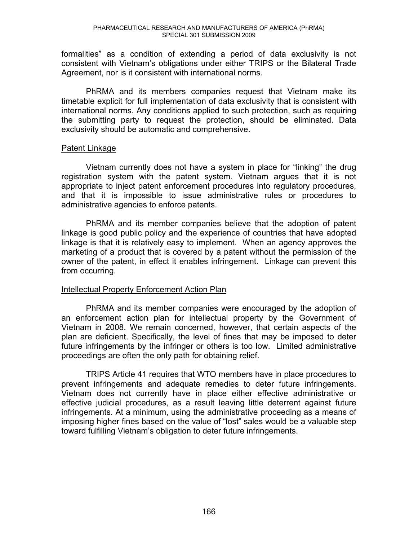formalities" as a condition of extending a period of data exclusivity is not consistent with Vietnam's obligations under either TRIPS or the Bilateral Trade Agreement, nor is it consistent with international norms.

PhRMA and its members companies request that Vietnam make its timetable explicit for full implementation of data exclusivity that is consistent with international norms. Any conditions applied to such protection, such as requiring the submitting party to request the protection, should be eliminated. Data exclusivity should be automatic and comprehensive.

#### Patent Linkage

Vietnam currently does not have a system in place for "linking" the drug registration system with the patent system. Vietnam argues that it is not appropriate to inject patent enforcement procedures into regulatory procedures, and that it is impossible to issue administrative rules or procedures to administrative agencies to enforce patents.

PhRMA and its member companies believe that the adoption of patent linkage is good public policy and the experience of countries that have adopted linkage is that it is relatively easy to implement. When an agency approves the marketing of a product that is covered by a patent without the permission of the owner of the patent, in effect it enables infringement. Linkage can prevent this from occurring.

# Intellectual Property Enforcement Action Plan

PhRMA and its member companies were encouraged by the adoption of an enforcement action plan for intellectual property by the Government of Vietnam in 2008. We remain concerned, however, that certain aspects of the plan are deficient. Specifically, the level of fines that may be imposed to deter future infringements by the infringer or others is too low. Limited administrative proceedings are often the only path for obtaining relief.

TRIPS Article 41 requires that WTO members have in place procedures to prevent infringements and adequate remedies to deter future infringements. Vietnam does not currently have in place either effective administrative or effective judicial procedures, as a result leaving little deterrent against future infringements. At a minimum, using the administrative proceeding as a means of imposing higher fines based on the value of "lost" sales would be a valuable step toward fulfilling Vietnam's obligation to deter future infringements.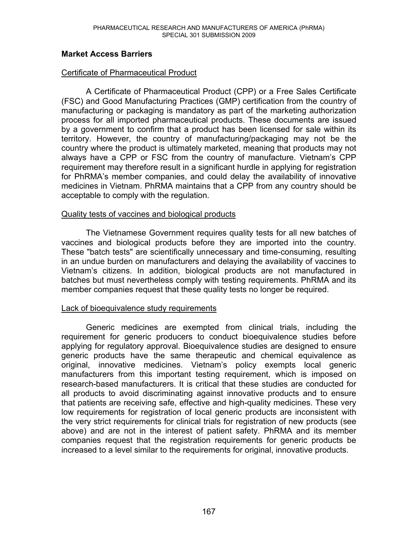# **Market Access Barriers**

### Certificate of Pharmaceutical Product

A Certificate of Pharmaceutical Product (CPP) or a Free Sales Certificate (FSC) and Good Manufacturing Practices (GMP) certification from the country of manufacturing or packaging is mandatory as part of the marketing authorization process for all imported pharmaceutical products. These documents are issued by a government to confirm that a product has been licensed for sale within its territory. However, the country of manufacturing/packaging may not be the country where the product is ultimately marketed, meaning that products may not always have a CPP or FSC from the country of manufacture. Vietnam's CPP requirement may therefore result in a significant hurdle in applying for registration for PhRMA's member companies, and could delay the availability of innovative medicines in Vietnam. PhRMA maintains that a CPP from any country should be acceptable to comply with the regulation.

#### Quality tests of vaccines and biological products

The Vietnamese Government requires quality tests for all new batches of vaccines and biological products before they are imported into the country. These "batch tests" are scientifically unnecessary and time-consuming, resulting in an undue burden on manufacturers and delaying the availability of vaccines to Vietnam's citizens. In addition, biological products are not manufactured in batches but must nevertheless comply with testing requirements. PhRMA and its member companies request that these quality tests no longer be required.

# Lack of bioequivalence study requirements

Generic medicines are exempted from clinical trials, including the requirement for generic producers to conduct bioequivalence studies before applying for regulatory approval. Bioequivalence studies are designed to ensure generic products have the same therapeutic and chemical equivalence as original, innovative medicines. Vietnam's policy exempts local generic manufacturers from this important testing requirement, which is imposed on research-based manufacturers. It is critical that these studies are conducted for all products to avoid discriminating against innovative products and to ensure that patients are receiving safe, effective and high-quality medicines. These very low requirements for registration of local generic products are inconsistent with the very strict requirements for clinical trials for registration of new products (see above) and are not in the interest of patient safety. PhRMA and its member companies request that the registration requirements for generic products be increased to a level similar to the requirements for original, innovative products.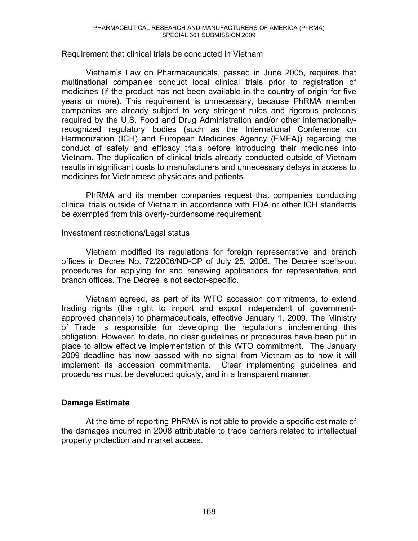#### Requirement that clinical trials be conducted in Vietnam

Vietnam's Law on Pharmaceuticals, passed in June 2005, requires that multinational companies conduct local clinical trials prior to registration of medicines (if the product has not been available in the country of origin for five years or more). This requirement is unnecessary, because PhRMA member companies are already subject to very stringent rules and rigorous protocols required by the U.S. Food and Drug Administration and/or other internationallyrecognized regulatory bodies (such as the International Conference on Harmonization (ICH) and European Medicines Agency (EMEA)) regarding the conduct of safety and efficacy trials before introducing their medicines into Vietnam. The duplication of clinical trials already conducted outside of Vietnam results in significant costs to manufacturers and unnecessary delays in access to medicines for Vietnamese physicians and patients.

PhRMA and its member companies request that companies conducting clinical trials outside of Vietnam in accordance with FDA or other ICH standards be exempted from this overly-burdensome requirement.

#### Investment restrictions/Legal status

Vietnam modified its regulations for foreign representative and branch offices in Decree No. 72/2006/ND-CP of July 25, 2006. The Decree spells-out procedures for applying for and renewing applications for representative and branch offices. The Decree is not sector-specific.

Vietnam agreed, as part of its WTO accession commitments, to extend trading rights (the right to import and export independent of governmentapproved channels) to pharmaceuticals, effective January 1, 2009. The Ministry of Trade is responsible for developing the regulations implementing this obligation. However, to date, no clear guidelines or procedures have been put in place to allow effective implementation of this WTO commitment. The January 2009 deadline has now passed with no signal from Vietnam as to how it will implement its accession commitments. Clear implementing guidelines and procedures must be developed quickly, and in a transparent manner.

# **Damage Estimate**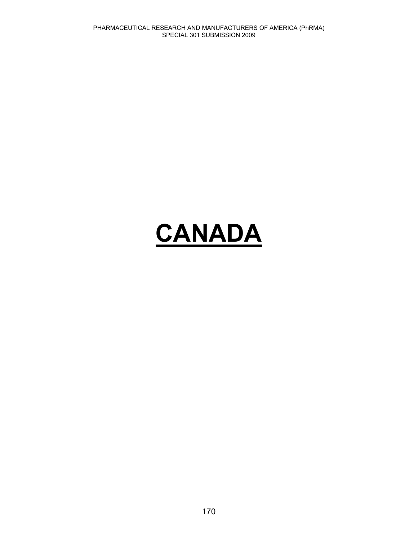# **CANADA**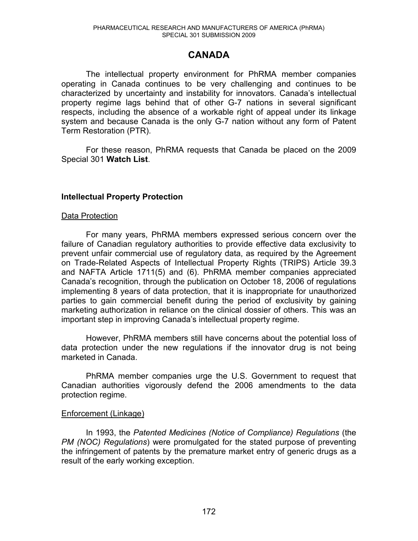# **CANADA**

The intellectual property environment for PhRMA member companies operating in Canada continues to be very challenging and continues to be characterized by uncertainty and instability for innovators. Canada's intellectual property regime lags behind that of other G-7 nations in several significant respects, including the absence of a workable right of appeal under its linkage system and because Canada is the only G-7 nation without any form of Patent Term Restoration (PTR).

For these reason, PhRMA requests that Canada be placed on the 2009 Special 301 **Watch List**.

# **Intellectual Property Protection**

#### Data Protection

For many years, PhRMA members expressed serious concern over the failure of Canadian regulatory authorities to provide effective data exclusivity to prevent unfair commercial use of regulatory data, as required by the Agreement on Trade-Related Aspects of Intellectual Property Rights (TRIPS) Article 39.3 and NAFTA Article 1711(5) and (6). PhRMA member companies appreciated Canada's recognition, through the publication on October 18, 2006 of regulations implementing 8 years of data protection, that it is inappropriate for unauthorized parties to gain commercial benefit during the period of exclusivity by gaining marketing authorization in reliance on the clinical dossier of others. This was an important step in improving Canada's intellectual property regime.

However, PhRMA members still have concerns about the potential loss of data protection under the new regulations if the innovator drug is not being marketed in Canada.

PhRMA member companies urge the U.S. Government to request that Canadian authorities vigorously defend the 2006 amendments to the data protection regime.

# Enforcement (Linkage)

 In 1993, the *Patented Medicines (Notice of Compliance) Regulations* (the *PM (NOC) Regulations*) were promulgated for the stated purpose of preventing the infringement of patents by the premature market entry of generic drugs as a result of the early working exception.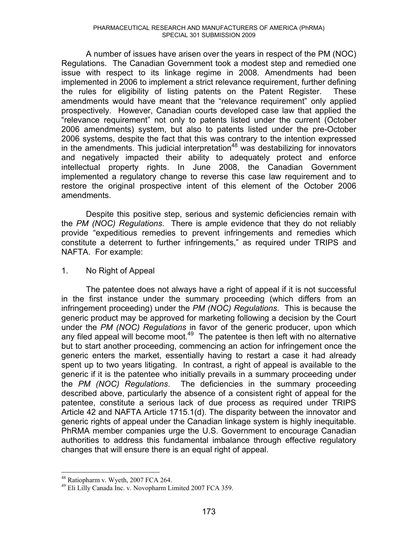A number of issues have arisen over the years in respect of the PM (NOC) Regulations. The Canadian Government took a modest step and remedied one issue with respect to its linkage regime in 2008. Amendments had been implemented in 2006 to implement a strict relevance requirement, further defining the rules for eligibility of listing patents on the Patent Register. These amendments would have meant that the "relevance requirement" only applied prospectively. However, Canadian courts developed case law that applied the "relevance requirement" not only to patents listed under the current (October 2006 amendments) system, but also to patents listed under the pre-October 2006 systems, despite the fact that this was contrary to the intention expressed in the amendments. This judicial interpretation<sup>48</sup> was destabilizing for innovators and negatively impacted their ability to adequately protect and enforce intellectual property rights. In June 2008, the Canadian Government implemented a regulatory change to reverse this case law requirement and to restore the original prospective intent of this element of the October 2006 amendments.

 Despite this positive step, serious and systemic deficiencies remain with the *PM (NOC) Regulations*. There is ample evidence that they do not reliably provide "expeditious remedies to prevent infringements and remedies which constitute a deterrent to further infringements," as required under TRIPS and NAFTA. For example:

# 1. No Right of Appeal

 The patentee does not always have a right of appeal if it is not successful in the first instance under the summary proceeding (which differs from an infringement proceeding) under the *PM (NOC) Regulations*. This is because the generic product may be approved for marketing following a decision by the Court under the *PM (NOC) Regulations* in favor of the generic producer, upon which any filed appeal will become moot.<sup>49</sup> The patentee is then left with no alternative but to start another proceeding, commencing an action for infringement once the generic enters the market, essentially having to restart a case it had already spent up to two years litigating. In contrast, a right of appeal is available to the generic if it is the patentee who initially prevails in a summary proceeding under the *PM (NOC) Regulations*. The deficiencies in the summary proceeding described above, particularly the absence of a consistent right of appeal for the patentee, constitute a serious lack of due process as required under TRIPS Article 42 and NAFTA Article 1715.1(d). The disparity between the innovator and generic rights of appeal under the Canadian linkage system is highly inequitable. PhRMA member companies urge the U.S. Government to encourage Canadian authorities to address this fundamental imbalance through effective regulatory changes that will ensure there is an equal right of appeal.

 $\overline{a}$ 

<sup>48</sup> Ratiopharm v. Wyeth, 2007 FCA 264.

<sup>49</sup> Eli Lilly Canada Inc. v. Novopharm Limited 2007 FCA 359.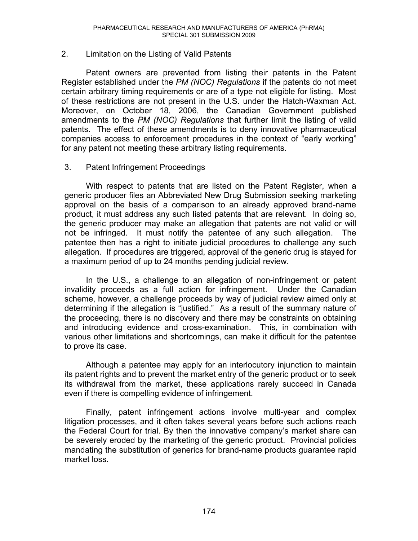# 2. Limitation on the Listing of Valid Patents

 Patent owners are prevented from listing their patents in the Patent Register established under the *PM (NOC) Regulations* if the patents do not meet certain arbitrary timing requirements or are of a type not eligible for listing. Most of these restrictions are not present in the U.S. under the Hatch-Waxman Act. Moreover, on October 18, 2006, the Canadian Government published amendments to the *PM (NOC) Regulations* that further limit the listing of valid patents. The effect of these amendments is to deny innovative pharmaceutical companies access to enforcement procedures in the context of "early working" for any patent not meeting these arbitrary listing requirements.

#### 3. Patent Infringement Proceedings

 With respect to patents that are listed on the Patent Register, when a generic producer files an Abbreviated New Drug Submission seeking marketing approval on the basis of a comparison to an already approved brand-name product, it must address any such listed patents that are relevant. In doing so, the generic producer may make an allegation that patents are not valid or will not be infringed. It must notify the patentee of any such allegation. The patentee then has a right to initiate judicial procedures to challenge any such allegation. If procedures are triggered, approval of the generic drug is stayed for a maximum period of up to 24 months pending judicial review.

 In the U.S., a challenge to an allegation of non-infringement or patent invalidity proceeds as a full action for infringement. Under the Canadian scheme, however, a challenge proceeds by way of judicial review aimed only at determining if the allegation is "justified." As a result of the summary nature of the proceeding, there is no discovery and there may be constraints on obtaining and introducing evidence and cross-examination. This, in combination with various other limitations and shortcomings, can make it difficult for the patentee to prove its case.

 Although a patentee may apply for an interlocutory injunction to maintain its patent rights and to prevent the market entry of the generic product or to seek its withdrawal from the market, these applications rarely succeed in Canada even if there is compelling evidence of infringement.

 Finally, patent infringement actions involve multi-year and complex litigation processes, and it often takes several years before such actions reach the Federal Court for trial. By then the innovative company's market share can be severely eroded by the marketing of the generic product. Provincial policies mandating the substitution of generics for brand-name products guarantee rapid market loss.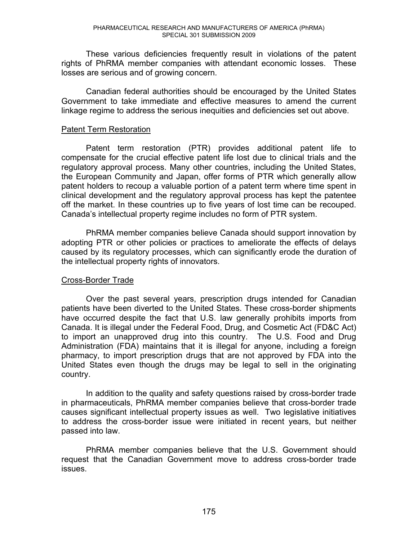These various deficiencies frequently result in violations of the patent rights of PhRMA member companies with attendant economic losses. These losses are serious and of growing concern.

 Canadian federal authorities should be encouraged by the United States Government to take immediate and effective measures to amend the current linkage regime to address the serious inequities and deficiencies set out above.

# Patent Term Restoration

Patent term restoration (PTR) provides additional patent life to compensate for the crucial effective patent life lost due to clinical trials and the regulatory approval process. Many other countries, including the United States, the European Community and Japan, offer forms of PTR which generally allow patent holders to recoup a valuable portion of a patent term where time spent in clinical development and the regulatory approval process has kept the patentee off the market. In these countries up to five years of lost time can be recouped. Canada's intellectual property regime includes no form of PTR system.

PhRMA member companies believe Canada should support innovation by adopting PTR or other policies or practices to ameliorate the effects of delays caused by its regulatory processes, which can significantly erode the duration of the intellectual property rights of innovators.

# Cross-Border Trade

Over the past several years, prescription drugs intended for Canadian patients have been diverted to the United States. These cross-border shipments have occurred despite the fact that U.S. law generally prohibits imports from Canada. It is illegal under the Federal Food, Drug, and Cosmetic Act (FD&C Act) to import an unapproved drug into this country. The U.S. Food and Drug Administration (FDA) maintains that it is illegal for anyone, including a foreign pharmacy, to import prescription drugs that are not approved by FDA into the United States even though the drugs may be legal to sell in the originating country.

In addition to the quality and safety questions raised by cross-border trade in pharmaceuticals, PhRMA member companies believe that cross-border trade causes significant intellectual property issues as well. Two legislative initiatives to address the cross-border issue were initiated in recent years, but neither passed into law.

PhRMA member companies believe that the U.S. Government should request that the Canadian Government move to address cross-border trade issues.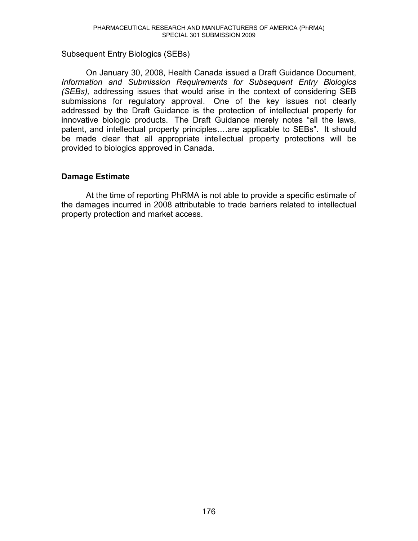#### Subsequent Entry Biologics (SEBs)

On January 30, 2008, Health Canada issued a Draft Guidance Document, *Information and Submission Requirements for Subsequent Entry Biologics (SEBs),* addressing issues that would arise in the context of considering SEB submissions for regulatory approval. One of the key issues not clearly addressed by the Draft Guidance is the protection of intellectual property for innovative biologic products. The Draft Guidance merely notes "all the laws, patent, and intellectual property principles...are applicable to SEBs". It should be made clear that all appropriate intellectual property protections will be provided to biologics approved in Canada.

# **Damage Estimate**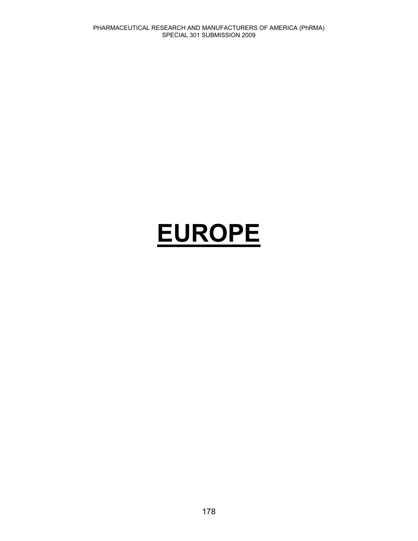# **EUROPE**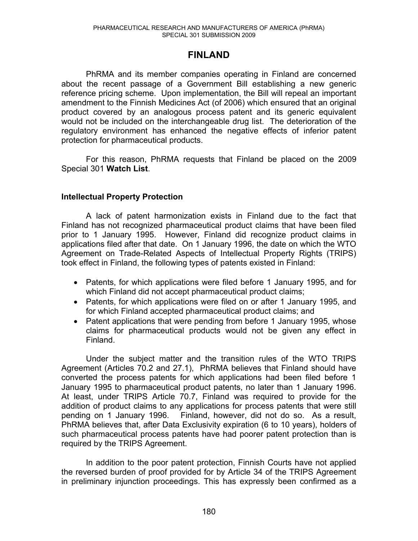## **FINLAND**

 PhRMA and its member companies operating in Finland are concerned about the recent passage of a Government Bill establishing a new generic reference pricing scheme. Upon implementation, the Bill will repeal an important amendment to the Finnish Medicines Act (of 2006) which ensured that an original product covered by an analogous process patent and its generic equivalent would not be included on the interchangeable drug list. The deterioration of the regulatory environment has enhanced the negative effects of inferior patent protection for pharmaceutical products.

 For this reason, PhRMA requests that Finland be placed on the 2009 Special 301 **Watch List**.

## **Intellectual Property Protection**

A lack of patent harmonization exists in Finland due to the fact that Finland has not recognized pharmaceutical product claims that have been filed prior to 1 January 1995. However, Finland did recognize product claims in applications filed after that date. On 1 January 1996, the date on which the WTO Agreement on Trade-Related Aspects of Intellectual Property Rights (TRIPS) took effect in Finland, the following types of patents existed in Finland:

- Patents, for which applications were filed before 1 January 1995, and for which Finland did not accept pharmaceutical product claims;
- Patents, for which applications were filed on or after 1 January 1995, and for which Finland accepted pharmaceutical product claims; and
- Patent applications that were pending from before 1 January 1995, whose claims for pharmaceutical products would not be given any effect in Finland.

Under the subject matter and the transition rules of the WTO TRIPS Agreement (Articles 70.2 and 27.1), PhRMA believes that Finland should have converted the process patents for which applications had been filed before 1 January 1995 to pharmaceutical product patents, no later than 1 January 1996. At least, under TRIPS Article 70.7, Finland was required to provide for the addition of product claims to any applications for process patents that were still pending on 1 January 1996. Finland, however, did not do so. As a result, PhRMA believes that, after Data Exclusivity expiration (6 to 10 years), holders of such pharmaceutical process patents have had poorer patent protection than is required by the TRIPS Agreement.

In addition to the poor patent protection, Finnish Courts have not applied the reversed burden of proof provided for by Article 34 of the TRIPS Agreement in preliminary injunction proceedings. This has expressly been confirmed as a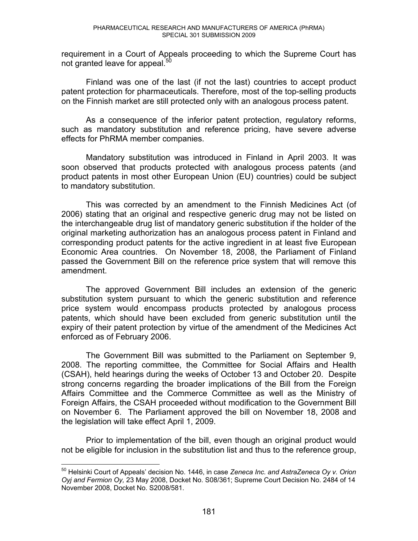requirement in a Court of Appeals proceeding to which the Supreme Court has not granted leave for appeal.<sup>5</sup>

Finland was one of the last (if not the last) countries to accept product patent protection for pharmaceuticals. Therefore, most of the top-selling products on the Finnish market are still protected only with an analogous process patent.

As a consequence of the inferior patent protection, regulatory reforms, such as mandatory substitution and reference pricing, have severe adverse effects for PhRMA member companies.

Mandatory substitution was introduced in Finland in April 2003. It was soon observed that products protected with analogous process patents (and product patents in most other European Union (EU) countries) could be subject to mandatory substitution.

This was corrected by an amendment to the Finnish Medicines Act (of 2006) stating that an original and respective generic drug may not be listed on the interchangeable drug list of mandatory generic substitution if the holder of the original marketing authorization has an analogous process patent in Finland and corresponding product patents for the active ingredient in at least five European Economic Area countries. On November 18, 2008, the Parliament of Finland passed the Government Bill on the reference price system that will remove this amendment.

The approved Government Bill includes an extension of the generic substitution system pursuant to which the generic substitution and reference price system would encompass products protected by analogous process patents, which should have been excluded from generic substitution until the expiry of their patent protection by virtue of the amendment of the Medicines Act enforced as of February 2006.

The Government Bill was submitted to the Parliament on September 9, 2008. The reporting committee, the Committee for Social Affairs and Health (CSAH), held hearings during the weeks of October 13 and October 20. Despite strong concerns regarding the broader implications of the Bill from the Foreign Affairs Committee and the Commerce Committee as well as the Ministry of Foreign Affairs, the CSAH proceeded without modification to the Government Bill on November 6. The Parliament approved the bill on November 18, 2008 and the legislation will take effect April 1, 2009.

Prior to implementation of the bill, even though an original product would not be eligible for inclusion in the substitution list and thus to the reference group,

 $\overline{a}$ <sup>50</sup> Helsinki Court of Appeals' decision No. 1446, in case *Zeneca Inc. and AstraZeneca Oy v. Orion Oyj and Fermion Oy,* 23 May 2008, Docket No. S08/361; Supreme Court Decision No. 2484 of 14 November 2008, Docket No. S2008/581.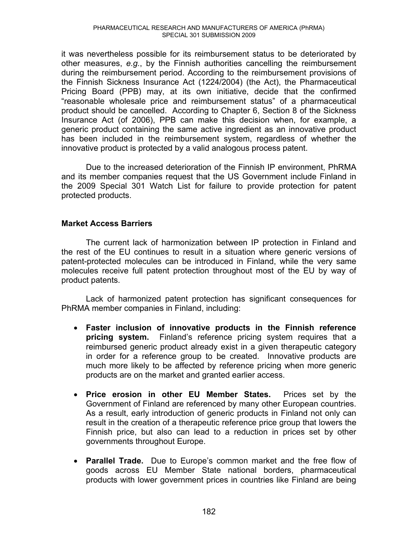it was nevertheless possible for its reimbursement status to be deteriorated by other measures, *e.g.*, by the Finnish authorities cancelling the reimbursement during the reimbursement period. According to the reimbursement provisions of the Finnish Sickness Insurance Act (1224/2004) (the Act), the Pharmaceutical Pricing Board (PPB) may, at its own initiative, decide that the confirmed "reasonable wholesale price and reimbursement status" of a pharmaceutical product should be cancelled. According to Chapter 6, Section 8 of the Sickness Insurance Act (of 2006), PPB can make this decision when, for example, a generic product containing the same active ingredient as an innovative product has been included in the reimbursement system, regardless of whether the innovative product is protected by a valid analogous process patent.

Due to the increased deterioration of the Finnish IP environment, PhRMA and its member companies request that the US Government include Finland in the 2009 Special 301 Watch List for failure to provide protection for patent protected products.

## **Market Access Barriers**

The current lack of harmonization between IP protection in Finland and the rest of the EU continues to result in a situation where generic versions of patent-protected molecules can be introduced in Finland, while the very same molecules receive full patent protection throughout most of the EU by way of product patents.

Lack of harmonized patent protection has significant consequences for PhRMA member companies in Finland, including:

- x **Faster inclusion of innovative products in the Finnish reference pricing system.** Finland's reference pricing system requires that a reimbursed generic product already exist in a given therapeutic category in order for a reference group to be created. Innovative products are much more likely to be affected by reference pricing when more generic products are on the market and granted earlier access.
- **Price erosion in other EU Member States.** Prices set by the Government of Finland are referenced by many other European countries. As a result, early introduction of generic products in Finland not only can result in the creation of a therapeutic reference price group that lowers the Finnish price, but also can lead to a reduction in prices set by other governments throughout Europe.
- **Parallel Trade.** Due to Europe's common market and the free flow of goods across EU Member State national borders, pharmaceutical products with lower government prices in countries like Finland are being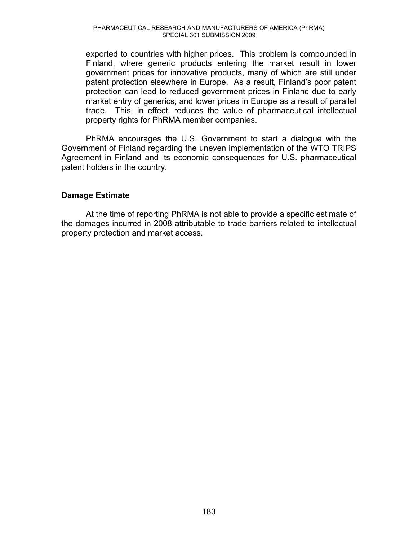exported to countries with higher prices. This problem is compounded in Finland, where generic products entering the market result in lower government prices for innovative products, many of which are still under patent protection elsewhere in Europe. As a result, Finland's poor patent protection can lead to reduced government prices in Finland due to early market entry of generics, and lower prices in Europe as a result of parallel trade. This, in effect, reduces the value of pharmaceutical intellectual property rights for PhRMA member companies.

PhRMA encourages the U.S. Government to start a dialogue with the Government of Finland regarding the uneven implementation of the WTO TRIPS Agreement in Finland and its economic consequences for U.S. pharmaceutical patent holders in the country.

## **Damage Estimate**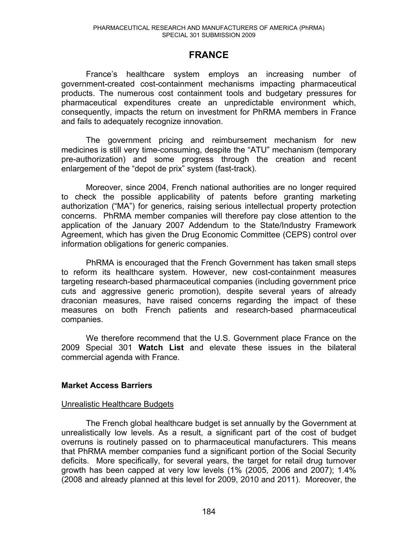## **FRANCE**

France's healthcare system employs an increasing number of government-created cost-containment mechanisms impacting pharmaceutical products. The numerous cost containment tools and budgetary pressures for pharmaceutical expenditures create an unpredictable environment which, consequently, impacts the return on investment for PhRMA members in France and fails to adequately recognize innovation.

The government pricing and reimbursement mechanism for new medicines is still very time-consuming, despite the "ATU" mechanism (temporary pre-authorization) and some progress through the creation and recent enlargement of the "depot de prix" system (fast-track).

 Moreover, since 2004, French national authorities are no longer required to check the possible applicability of patents before granting marketing authorization ("MA") for generics, raising serious intellectual property protection concerns. PhRMA member companies will therefore pay close attention to the application of the January 2007 Addendum to the State/Industry Framework Agreement, which has given the Drug Economic Committee (CEPS) control over information obligations for generic companies.

PhRMA is encouraged that the French Government has taken small steps to reform its healthcare system. However, new cost-containment measures targeting research-based pharmaceutical companies (including government price cuts and aggressive generic promotion), despite several years of already draconian measures, have raised concerns regarding the impact of these measures on both French patients and research-based pharmaceutical companies.

We therefore recommend that the U.S. Government place France on the 2009 Special 301 **Watch List** and elevate these issues in the bilateral commercial agenda with France.

## **Market Access Barriers**

## Unrealistic Healthcare Budgets

The French global healthcare budget is set annually by the Government at unrealistically low levels. As a result, a significant part of the cost of budget overruns is routinely passed on to pharmaceutical manufacturers. This means that PhRMA member companies fund a significant portion of the Social Security deficits. More specifically, for several years, the target for retail drug turnover growth has been capped at very low levels (1% (2005, 2006 and 2007); 1.4% (2008 and already planned at this level for 2009, 2010 and 2011). Moreover, the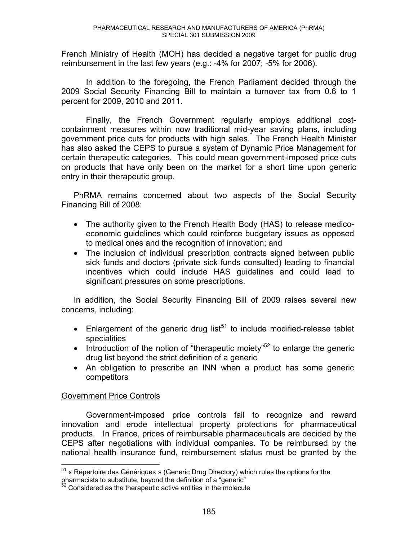French Ministry of Health (MOH) has decided a negative target for public drug reimbursement in the last few years (e.g.: -4% for 2007; -5% for 2006).

 In addition to the foregoing, the French Parliament decided through the 2009 Social Security Financing Bill to maintain a turnover tax from 0.6 to 1 percent for 2009, 2010 and 2011.

 Finally, the French Government regularly employs additional costcontainment measures within now traditional mid-year saving plans, including government price cuts for products with high sales. The French Health Minister has also asked the CEPS to pursue a system of Dynamic Price Management for certain therapeutic categories. This could mean government-imposed price cuts on products that have only been on the market for a short time upon generic entry in their therapeutic group.

PhRMA remains concerned about two aspects of the Social Security Financing Bill of 2008:

- The authority given to the French Health Body (HAS) to release medicoeconomic guidelines which could reinforce budgetary issues as opposed to medical ones and the recognition of innovation; and
- The inclusion of individual prescription contracts signed between public sick funds and doctors (private sick funds consulted) leading to financial incentives which could include HAS guidelines and could lead to significant pressures on some prescriptions.

In addition, the Social Security Financing Bill of 2009 raises several new concerns, including:

- Enlargement of the generic drug list<sup>51</sup> to include modified-release tablet specialities
- Introduction of the notion of "therapeutic moiety"<sup>52</sup> to enlarge the generic drug list beyond the strict definition of a generic
- An obligation to prescribe an INN when a product has some generic competitors

## Government Price Controls

Government-imposed price controls fail to recognize and reward innovation and erode intellectual property protections for pharmaceutical products. In France, prices of reimbursable pharmaceuticals are decided by the CEPS after negotiations with individual companies. To be reimbursed by the national health insurance fund, reimbursement status must be granted by the

 $\overline{a}$ <sup>51</sup> « Répertoire des Génériques » (Generic Drug Directory) which rules the options for the pharmacists to substitute, beyond the definition of a "generic"

 $2^2$  Considered as the therapeutic active entities in the molecule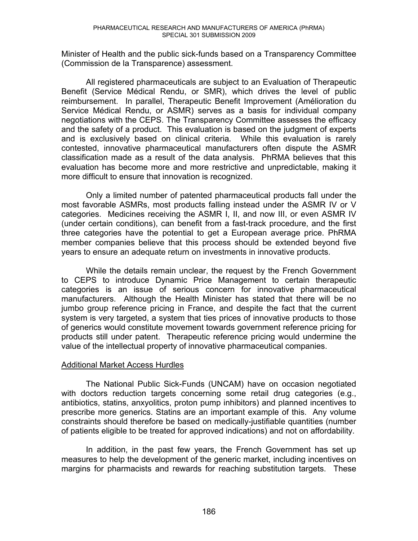Minister of Health and the public sick-funds based on a Transparency Committee (Commission de la Transparence) assessment.

All registered pharmaceuticals are subject to an Evaluation of Therapeutic Benefit (Service Médical Rendu, or SMR), which drives the level of public reimbursement. In parallel, Therapeutic Benefit Improvement (Amélioration du Service Médical Rendu, or ASMR) serves as a basis for individual company negotiations with the CEPS. The Transparency Committee assesses the efficacy and the safety of a product. This evaluation is based on the judgment of experts and is exclusively based on clinical criteria. While this evaluation is rarely contested, innovative pharmaceutical manufacturers often dispute the ASMR classification made as a result of the data analysis. PhRMA believes that this evaluation has become more and more restrictive and unpredictable, making it more difficult to ensure that innovation is recognized.

Only a limited number of patented pharmaceutical products fall under the most favorable ASMRs, most products falling instead under the ASMR IV or V categories. Medicines receiving the ASMR I, II, and now III, or even ASMR IV (under certain conditions), can benefit from a fast-track procedure, and the first three categories have the potential to get a European average price. PhRMA member companies believe that this process should be extended beyond five years to ensure an adequate return on investments in innovative products.

While the details remain unclear, the request by the French Government to CEPS to introduce Dynamic Price Management to certain therapeutic categories is an issue of serious concern for innovative pharmaceutical manufacturers. Although the Health Minister has stated that there will be no jumbo group reference pricing in France, and despite the fact that the current system is very targeted, a system that ties prices of innovative products to those of generics would constitute movement towards government reference pricing for products still under patent. Therapeutic reference pricing would undermine the value of the intellectual property of innovative pharmaceutical companies.

## Additional Market Access Hurdles

 The National Public Sick-Funds (UNCAM) have on occasion negotiated with doctors reduction targets concerning some retail drug categories (e.g., antibiotics, statins, anxyolitics, proton pump inhibitors) and planned incentives to prescribe more generics. Statins are an important example of this. Any volume constraints should therefore be based on medically-justifiable quantities (number of patients eligible to be treated for approved indications) and not on affordability.

 In addition, in the past few years, the French Government has set up measures to help the development of the generic market, including incentives on margins for pharmacists and rewards for reaching substitution targets. These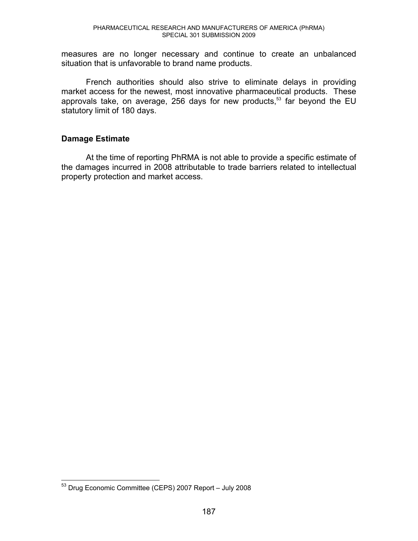measures are no longer necessary and continue to create an unbalanced situation that is unfavorable to brand name products.

French authorities should also strive to eliminate delays in providing market access for the newest, most innovative pharmaceutical products. These approvals take, on average, 256 days for new products, $53$  far beyond the EU statutory limit of 180 days.

## **Damage Estimate**

At the time of reporting PhRMA is not able to provide a specific estimate of the damages incurred in 2008 attributable to trade barriers related to intellectual property protection and market access.

 $\overline{a}$ 

 $53$  Drug Economic Committee (CEPS) 2007 Report - July 2008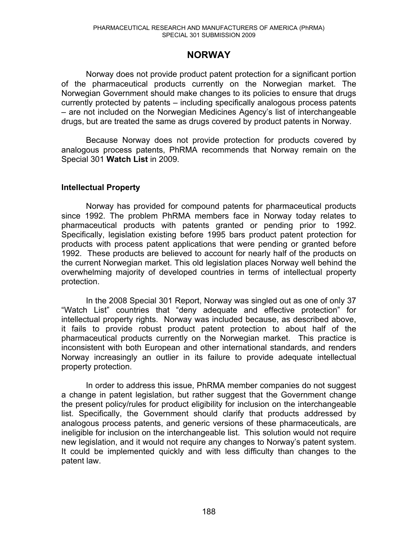## **NORWAY**

 Norway does not provide product patent protection for a significant portion of the pharmaceutical products currently on the Norwegian market. The Norwegian Government should make changes to its policies to ensure that drugs currently protected by patents  $-$  including specifically analogous process patents - are not included on the Norwegian Medicines Agency's list of interchangeable drugs, but are treated the same as drugs covered by product patents in Norway.

Because Norway does not provide protection for products covered by analogous process patents, PhRMA recommends that Norway remain on the Special 301 **Watch List** in 2009.

## **Intellectual Property**

Norway has provided for compound patents for pharmaceutical products since 1992. The problem PhRMA members face in Norway today relates to pharmaceutical products with patents granted or pending prior to 1992. Specifically, legislation existing before 1995 bars product patent protection for products with process patent applications that were pending or granted before 1992. These products are believed to account for nearly half of the products on the current Norwegian market. This old legislation places Norway well behind the overwhelming majority of developed countries in terms of intellectual property protection.

In the 2008 Special 301 Report, Norway was singled out as one of only 37 "Watch List" countries that "deny adequate and effective protection" for intellectual property rights. Norway was included because, as described above, it fails to provide robust product patent protection to about half of the pharmaceutical products currently on the Norwegian market. This practice is inconsistent with both European and other international standards, and renders Norway increasingly an outlier in its failure to provide adequate intellectual property protection.

In order to address this issue, PhRMA member companies do not suggest a change in patent legislation, but rather suggest that the Government change the present policy/rules for product eligibility for inclusion on the interchangeable list. Specifically, the Government should clarify that products addressed by analogous process patents, and generic versions of these pharmaceuticals, are ineligible for inclusion on the interchangeable list. This solution would not require new legislation, and it would not require any changes to Norway's patent system. It could be implemented quickly and with less difficulty than changes to the patent law.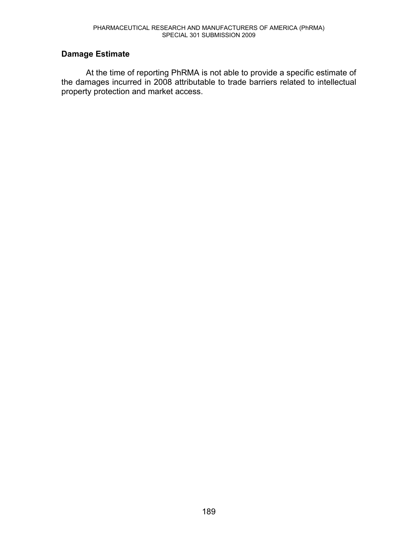## **Damage Estimate**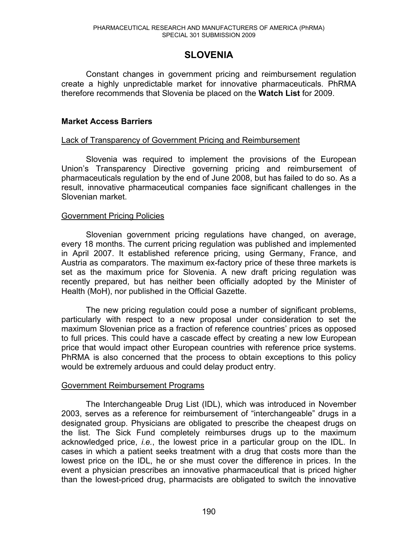# **SLOVENIA**

Constant changes in government pricing and reimbursement regulation create a highly unpredictable market for innovative pharmaceuticals. PhRMA therefore recommends that Slovenia be placed on the **Watch List** for 2009.

## **Market Access Barriers**

## Lack of Transparency of Government Pricing and Reimbursement

Slovenia was required to implement the provisions of the European Union's Transparency Directive governing pricing and reimbursement of pharmaceuticals regulation by the end of June 2008, but has failed to do so. As a result, innovative pharmaceutical companies face significant challenges in the Slovenian market.

#### Government Pricing Policies

Slovenian government pricing regulations have changed, on average, every 18 months. The current pricing regulation was published and implemented in April 2007. It established reference pricing, using Germany, France, and Austria as comparators. The maximum ex-factory price of these three markets is set as the maximum price for Slovenia. A new draft pricing regulation was recently prepared, but has neither been officially adopted by the Minister of Health (MoH), nor published in the Official Gazette.

The new pricing regulation could pose a number of significant problems, particularly with respect to a new proposal under consideration to set the maximum Slovenian price as a fraction of reference countries' prices as opposed to full prices. This could have a cascade effect by creating a new low European price that would impact other European countries with reference price systems. PhRMA is also concerned that the process to obtain exceptions to this policy would be extremely arduous and could delay product entry.

#### Government Reimbursement Programs

The Interchangeable Drug List (IDL), which was introduced in November 2003, serves as a reference for reimbursement of "interchangeable" drugs in a designated group. Physicians are obligated to prescribe the cheapest drugs on the list. The Sick Fund completely reimburses drugs up to the maximum acknowledged price, *i.e.*, the lowest price in a particular group on the IDL. In cases in which a patient seeks treatment with a drug that costs more than the lowest price on the IDL, he or she must cover the difference in prices. In the event a physician prescribes an innovative pharmaceutical that is priced higher than the lowest-priced drug, pharmacists are obligated to switch the innovative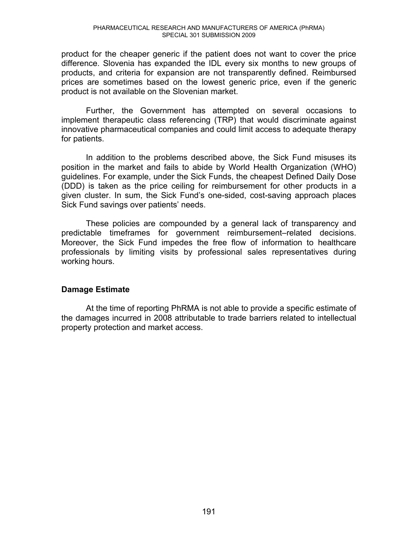product for the cheaper generic if the patient does not want to cover the price difference. Slovenia has expanded the IDL every six months to new groups of products, and criteria for expansion are not transparently defined. Reimbursed prices are sometimes based on the lowest generic price, even if the generic product is not available on the Slovenian market.

 Further, the Government has attempted on several occasions to implement therapeutic class referencing (TRP) that would discriminate against innovative pharmaceutical companies and could limit access to adequate therapy for patients.

 In addition to the problems described above, the Sick Fund misuses its position in the market and fails to abide by World Health Organization (WHO) guidelines. For example, under the Sick Funds, the cheapest Defined Daily Dose (DDD) is taken as the price ceiling for reimbursement for other products in a given cluster. In sum, the Sick Fund's one-sided, cost-saving approach places Sick Fund savings over patients' needs.

These policies are compounded by a general lack of transparency and predictable timeframes for government reimbursement-related decisions. Moreover, the Sick Fund impedes the free flow of information to healthcare professionals by limiting visits by professional sales representatives during working hours.

## **Damage Estimate**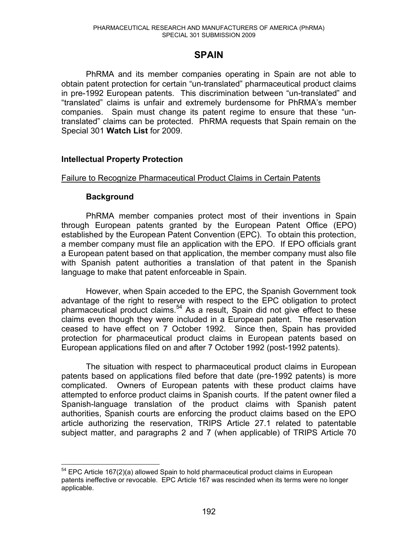## **SPAIN**

 PhRMA and its member companies operating in Spain are not able to obtain patent protection for certain "un-translated" pharmaceutical product claims in pre-1992 European patents. This discrimination between "un-translated" and "translated" claims is unfair and extremely burdensome for PhRMA's member companies. Spain must change its patent regime to ensure that these "untranslated" claims can be protected. PhRMA requests that Spain remain on the Special 301 **Watch List** for 2009.

## **Intellectual Property Protection**

#### Failure to Recognize Pharmaceutical Product Claims in Certain Patents

#### **Background**

 $\overline{a}$ 

 PhRMA member companies protect most of their inventions in Spain through European patents granted by the European Patent Office (EPO) established by the European Patent Convention (EPC). To obtain this protection, a member company must file an application with the EPO. If EPO officials grant a European patent based on that application, the member company must also file with Spanish patent authorities a translation of that patent in the Spanish language to make that patent enforceable in Spain.

 However, when Spain acceded to the EPC, the Spanish Government took advantage of the right to reserve with respect to the EPC obligation to protect pharmaceutical product claims.<sup>54</sup> As a result, Spain did not give effect to these claims even though they were included in a European patent. The reservation ceased to have effect on 7 October 1992. Since then, Spain has provided protection for pharmaceutical product claims in European patents based on European applications filed on and after 7 October 1992 (post-1992 patents).

 The situation with respect to pharmaceutical product claims in European patents based on applications filed before that date (pre-1992 patents) is more complicated. Owners of European patents with these product claims have attempted to enforce product claims in Spanish courts. If the patent owner filed a Spanish-language translation of the product claims with Spanish patent authorities, Spanish courts are enforcing the product claims based on the EPO article authorizing the reservation, TRIPS Article 27.1 related to patentable subject matter, and paragraphs 2 and 7 (when applicable) of TRIPS Article 70

 $54$  EPC Article 167(2)(a) allowed Spain to hold pharmaceutical product claims in European patents ineffective or revocable. EPC Article 167 was rescinded when its terms were no longer applicable.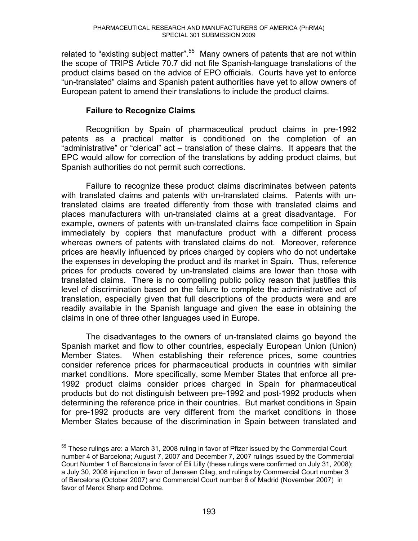related to "existing subject matter".<sup>55</sup> Many owners of patents that are not within the scope of TRIPS Article 70.7 did not file Spanish-language translations of the product claims based on the advice of EPO officials. Courts have yet to enforce "un-translated" claims and Spanish patent authorities have yet to allow owners of European patent to amend their translations to include the product claims.

## **Failure to Recognize Claims**

 Recognition by Spain of pharmaceutical product claims in pre-1992 patents as a practical matter is conditioned on the completion of an "administrative" or "clerical" act – translation of these claims. It appears that the EPC would allow for correction of the translations by adding product claims, but Spanish authorities do not permit such corrections.

 Failure to recognize these product claims discriminates between patents with translated claims and patents with un-translated claims. Patents with untranslated claims are treated differently from those with translated claims and places manufacturers with un-translated claims at a great disadvantage. For example, owners of patents with un-translated claims face competition in Spain immediately by copiers that manufacture product with a different process whereas owners of patents with translated claims do not. Moreover, reference prices are heavily influenced by prices charged by copiers who do not undertake the expenses in developing the product and its market in Spain. Thus, reference prices for products covered by un-translated claims are lower than those with translated claims. There is no compelling public policy reason that justifies this level of discrimination based on the failure to complete the administrative act of translation, especially given that full descriptions of the products were and are readily available in the Spanish language and given the ease in obtaining the claims in one of three other languages used in Europe.

 The disadvantages to the owners of un-translated claims go beyond the Spanish market and flow to other countries, especially European Union (Union) Member States. When establishing their reference prices, some countries consider reference prices for pharmaceutical products in countries with similar market conditions. More specifically, some Member States that enforce all pre-1992 product claims consider prices charged in Spain for pharmaceutical products but do not distinguish between pre-1992 and post-1992 products when determining the reference price in their countries. But market conditions in Spain for pre-1992 products are very different from the market conditions in those Member States because of the discrimination in Spain between translated and

 $\overline{a}$  $55$  These rulings are: a March 31, 2008 ruling in favor of Pfizer issued by the Commercial Court number 4 of Barcelona; August 7, 2007 and December 7, 2007 rulings issued by the Commercial Court Number 1 of Barcelona in favor of Eli Lilly (these rulings were confirmed on July 31, 2008); a July 30, 2008 injunction in favor of Janssen Cilag, and rulings by Commercial Court number 3 of Barcelona (October 2007) and Commercial Court number 6 of Madrid (November 2007) in favor of Merck Sharp and Dohme.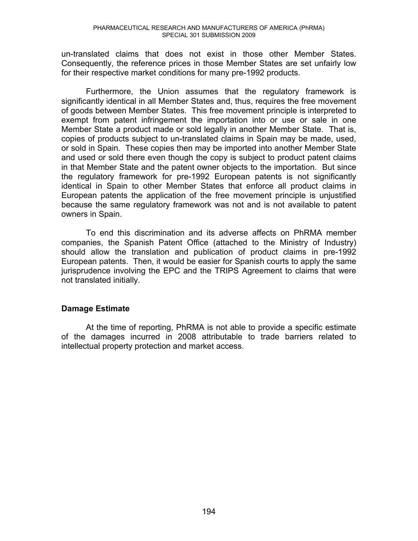un-translated claims that does not exist in those other Member States. Consequently, the reference prices in those Member States are set unfairly low for their respective market conditions for many pre-1992 products.

 Furthermore, the Union assumes that the regulatory framework is significantly identical in all Member States and, thus, requires the free movement of goods between Member States. This free movement principle is interpreted to exempt from patent infringement the importation into or use or sale in one Member State a product made or sold legally in another Member State. That is, copies of products subject to un-translated claims in Spain may be made, used, or sold in Spain. These copies then may be imported into another Member State and used or sold there even though the copy is subject to product patent claims in that Member State and the patent owner objects to the importation. But since the regulatory framework for pre-1992 European patents is not significantly identical in Spain to other Member States that enforce all product claims in European patents the application of the free movement principle is unjustified because the same regulatory framework was not and is not available to patent owners in Spain.

 To end this discrimination and its adverse affects on PhRMA member companies, the Spanish Patent Office (attached to the Ministry of Industry) should allow the translation and publication of product claims in pre-1992 European patents. Then, it would be easier for Spanish courts to apply the same jurisprudence involving the EPC and the TRIPS Agreement to claims that were not translated initially.

## **Damage Estimate**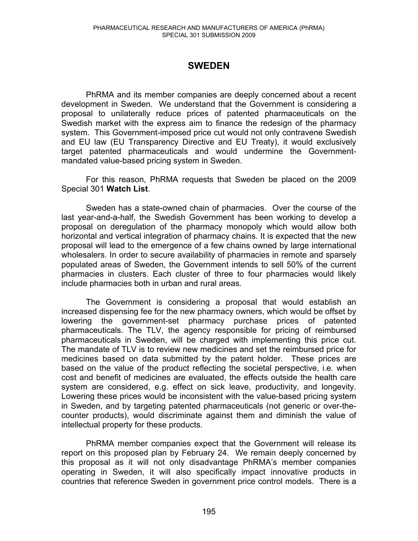# **SWEDEN**

 PhRMA and its member companies are deeply concerned about a recent development in Sweden. We understand that the Government is considering a proposal to unilaterally reduce prices of patented pharmaceuticals on the Swedish market with the express aim to finance the redesign of the pharmacy system. This Government-imposed price cut would not only contravene Swedish and EU law (EU Transparency Directive and EU Treaty), it would exclusively target patented pharmaceuticals and would undermine the Governmentmandated value-based pricing system in Sweden.

 For this reason, PhRMA requests that Sweden be placed on the 2009 Special 301 **Watch List**.

Sweden has a state-owned chain of pharmacies. Over the course of the last year-and-a-half, the Swedish Government has been working to develop a proposal on deregulation of the pharmacy monopoly which would allow both horizontal and vertical integration of pharmacy chains. It is expected that the new proposal will lead to the emergence of a few chains owned by large international wholesalers. In order to secure availability of pharmacies in remote and sparsely populated areas of Sweden, the Government intends to sell 50% of the current pharmacies in clusters. Each cluster of three to four pharmacies would likely include pharmacies both in urban and rural areas.

The Government is considering a proposal that would establish an increased dispensing fee for the new pharmacy owners, which would be offset by lowering the government-set pharmacy purchase prices of patented pharmaceuticals. The TLV, the agency responsible for pricing of reimbursed pharmaceuticals in Sweden, will be charged with implementing this price cut. The mandate of TLV is to review new medicines and set the reimbursed price for medicines based on data submitted by the patent holder. These prices are based on the value of the product reflecting the societal perspective, i.e. when cost and benefit of medicines are evaluated, the effects outside the health care system are considered, e.g. effect on sick leave, productivity, and longevity. Lowering these prices would be inconsistent with the value-based pricing system in Sweden, and by targeting patented pharmaceuticals (not generic or over-thecounter products), would discriminate against them and diminish the value of intellectual property for these products.

PhRMA member companies expect that the Government will release its report on this proposed plan by February 24. We remain deeply concerned by this proposal as it will not only disadvantage PhRMA's member companies operating in Sweden, it will also specifically impact innovative products in countries that reference Sweden in government price control models. There is a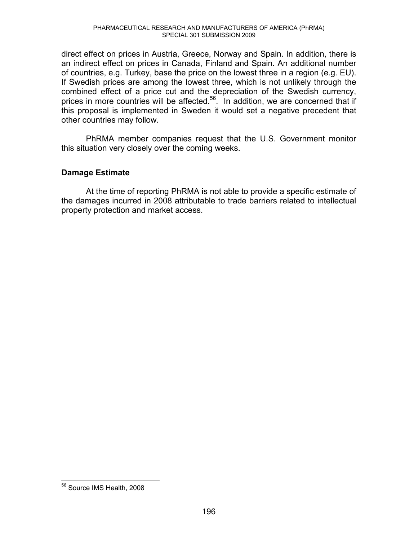direct effect on prices in Austria, Greece, Norway and Spain. In addition, there is an indirect effect on prices in Canada, Finland and Spain. An additional number of countries, e.g. Turkey, base the price on the lowest three in a region (e.g. EU). If Swedish prices are among the lowest three, which is not unlikely through the combined effect of a price cut and the depreciation of the Swedish currency, prices in more countries will be affected.<sup>56</sup>. In addition, we are concerned that if this proposal is implemented in Sweden it would set a negative precedent that other countries may follow.

PhRMA member companies request that the U.S. Government monitor this situation very closely over the coming weeks.

## **Damage Estimate**

At the time of reporting PhRMA is not able to provide a specific estimate of the damages incurred in 2008 attributable to trade barriers related to intellectual property protection and market access.

 $\overline{a}$ 

<sup>&</sup>lt;sup>56</sup> Source IMS Health, 2008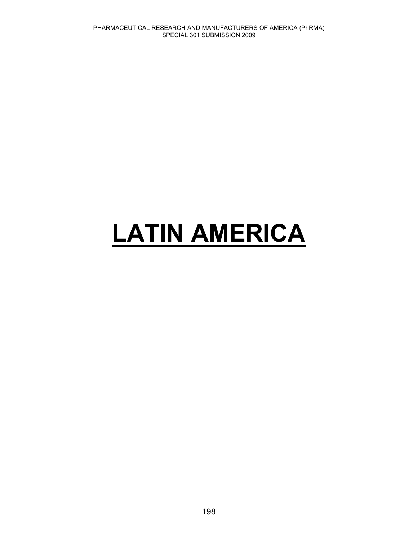# **LATIN AMERICA**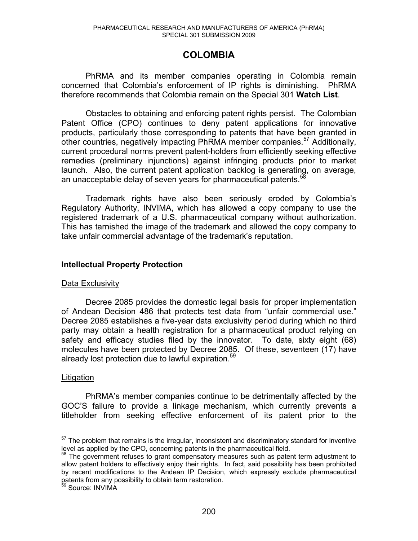# **COLOMBIA**

PhRMA and its member companies operating in Colombia remain concerned that Colombia's enforcement of IP rights is diminishing. PhRMA therefore recommends that Colombia remain on the Special 301 **Watch List**.

Obstacles to obtaining and enforcing patent rights persist. The Colombian Patent Office (CPO) continues to deny patent applications for innovative products, particularly those corresponding to patents that have been granted in other countries, negatively impacting PhRMA member companies.<sup>57</sup> Additionally, current procedural norms prevent patent-holders from efficiently seeking effective remedies (preliminary injunctions) against infringing products prior to market launch. Also, the current patent application backlog is generating, on average, an unacceptable delay of seven years for pharmaceutical patents.<sup>5</sup>

Trademark rights have also been seriously eroded by Colombia's Regulatory Authority, INVIMA, which has allowed a copy company to use the registered trademark of a U.S. pharmaceutical company without authorization. This has tarnished the image of the trademark and allowed the copy company to take unfair commercial advantage of the trademark's reputation.

## **Intellectual Property Protection**

## Data Exclusivity

Decree 2085 provides the domestic legal basis for proper implementation of Andean Decision 486 that protects test data from "unfair commercial use." Decree 2085 establishes a five-year data exclusivity period during which no third party may obtain a health registration for a pharmaceutical product relying on safety and efficacy studies filed by the innovator. To date, sixty eight (68) molecules have been protected by Decree 2085. Of these, seventeen (17) have already lost protection due to lawful expiration.<sup>59</sup>

## Litigation

PhRMA's member companies continue to be detrimentally affected by the GOC'S failure to provide a linkage mechanism, which currently prevents a titleholder from seeking effective enforcement of its patent prior to the

 $\overline{a}$  $57$  The problem that remains is the irregular, inconsistent and discriminatory standard for inventive level as applied by the CPO, concerning patents in the pharmaceutical field.

<sup>&</sup>lt;sup>58</sup> The government refuses to grant compensatory measures such as patent term adjustment to allow patent holders to effectively enjoy their rights. In fact, said possibility has been prohibited by recent modifications to the Andean IP Decision, which expressly exclude pharmaceutical patents from any possibility to obtain term restoration.

<sup>59</sup> Source: INVIMA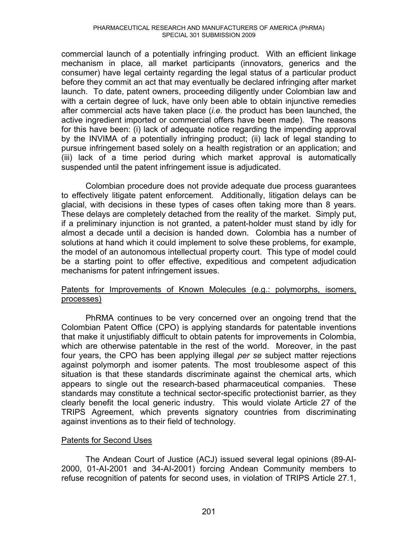commercial launch of a potentially infringing product. With an efficient linkage mechanism in place, all market participants (innovators, generics and the consumer) have legal certainty regarding the legal status of a particular product before they commit an act that may eventually be declared infringing after market launch. To date, patent owners, proceeding diligently under Colombian law and with a certain degree of luck, have only been able to obtain injunctive remedies after commercial acts have taken place (*i.e*. the product has been launched, the active ingredient imported or commercial offers have been made). The reasons for this have been: (i) lack of adequate notice regarding the impending approval by the INVIMA of a potentially infringing product; (ii) lack of legal standing to pursue infringement based solely on a health registration or an application; and (iii) lack of a time period during which market approval is automatically suspended until the patent infringement issue is adjudicated.

Colombian procedure does not provide adequate due process guarantees to effectively litigate patent enforcement. Additionally, litigation delays can be glacial, with decisions in these types of cases often taking more than 8 years. These delays are completely detached from the reality of the market. Simply put, if a preliminary injunction is not granted, a patent-holder must stand by idly for almost a decade until a decision is handed down. Colombia has a number of solutions at hand which it could implement to solve these problems, for example, the model of an autonomous intellectual property court. This type of model could be a starting point to offer effective, expeditious and competent adjudication mechanisms for patent infringement issues.

## Patents for Improvements of Known Molecules (e.g.: polymorphs, isomers, processes)

PhRMA continues to be very concerned over an ongoing trend that the Colombian Patent Office (CPO) is applying standards for patentable inventions that make it unjustifiably difficult to obtain patents for improvements in Colombia, which are otherwise patentable in the rest of the world. Moreover, in the past four years, the CPO has been applying illegal *per se* subject matter rejections against polymorph and isomer patents. The most troublesome aspect of this situation is that these standards discriminate against the chemical arts, which appears to single out the research-based pharmaceutical companies. These standards may constitute a technical sector-specific protectionist barrier, as they clearly benefit the local generic industry. This would violate Article 27 of the TRIPS Agreement, which prevents signatory countries from discriminating against inventions as to their field of technology.

## Patents for Second Uses

The Andean Court of Justice (ACJ) issued several legal opinions (89-AI-2000, 01-AI-2001 and 34-AI-2001) forcing Andean Community members to refuse recognition of patents for second uses, in violation of TRIPS Article 27.1,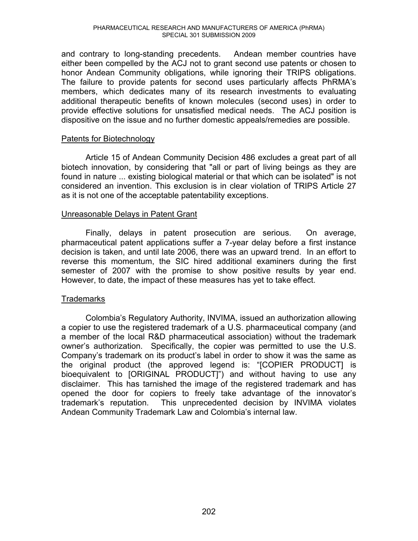and contrary to long-standing precedents. Andean member countries have either been compelled by the ACJ not to grant second use patents or chosen to honor Andean Community obligations, while ignoring their TRIPS obligations. The failure to provide patents for second uses particularly affects PhRMA's members, which dedicates many of its research investments to evaluating additional therapeutic benefits of known molecules (second uses) in order to provide effective solutions for unsatisfied medical needs. The ACJ position is dispositive on the issue and no further domestic appeals/remedies are possible.

## Patents for Biotechnology

Article 15 of Andean Community Decision 486 excludes a great part of all biotech innovation, by considering that "all or part of living beings as they are found in nature ... existing biological material or that which can be isolated" is not considered an invention. This exclusion is in clear violation of TRIPS Article 27 as it is not one of the acceptable patentability exceptions.

#### Unreasonable Delays in Patent Grant

Finally, delays in patent prosecution are serious. On average, pharmaceutical patent applications suffer a 7-year delay before a first instance decision is taken, and until late 2006, there was an upward trend. In an effort to reverse this momentum, the SIC hired additional examiners during the first semester of 2007 with the promise to show positive results by year end. However, to date, the impact of these measures has yet to take effect.

## **Trademarks**

Colombia's Regulatory Authority, INVIMA, issued an authorization allowing a copier to use the registered trademark of a U.S. pharmaceutical company (and a member of the local R&D pharmaceutical association) without the trademark owner's authorization. Specifically, the copier was permitted to use the U.S. Company's trademark on its product's label in order to show it was the same as the original product (the approved legend is: "[COPIER PRODUCT] is bioequivalent to [ORIGINAL PRODUCT]") and without having to use any disclaimer. This has tarnished the image of the registered trademark and has opened the door for copiers to freely take advantage of the innovator's trademark's reputation. This unprecedented decision by INVIMA violates Andean Community Trademark Law and Colombia's internal law.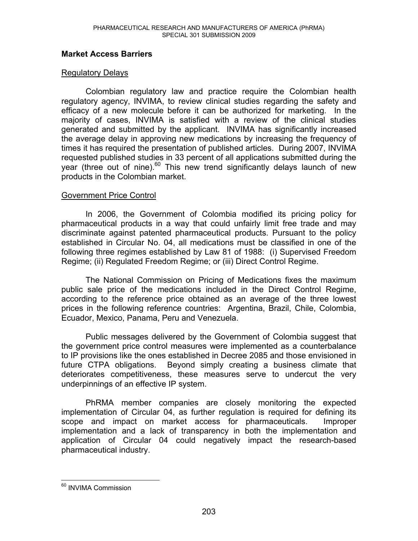## **Market Access Barriers**

## Regulatory Delays

Colombian regulatory law and practice require the Colombian health regulatory agency, INVIMA, to review clinical studies regarding the safety and efficacy of a new molecule before it can be authorized for marketing. In the majority of cases, INVIMA is satisfied with a review of the clinical studies generated and submitted by the applicant. INVIMA has significantly increased the average delay in approving new medications by increasing the frequency of times it has required the presentation of published articles. During 2007, INVIMA requested published studies in 33 percent of all applications submitted during the year (three out of nine).<sup>60</sup> This new trend significantly delays launch of new products in the Colombian market.

## Government Price Control

In 2006, the Government of Colombia modified its pricing policy for pharmaceutical products in a way that could unfairly limit free trade and may discriminate against patented pharmaceutical products. Pursuant to the policy established in Circular No. 04, all medications must be classified in one of the following three regimes established by Law 81 of 1988: (i) Supervised Freedom Regime; (ii) Regulated Freedom Regime; or (iii) Direct Control Regime.

The National Commission on Pricing of Medications fixes the maximum public sale price of the medications included in the Direct Control Regime, according to the reference price obtained as an average of the three lowest prices in the following reference countries: Argentina, Brazil, Chile, Colombia, Ecuador, Mexico, Panama, Peru and Venezuela.

Public messages delivered by the Government of Colombia suggest that the government price control measures were implemented as a counterbalance to IP provisions like the ones established in Decree 2085 and those envisioned in future CTPA obligations. Beyond simply creating a business climate that deteriorates competitiveness, these measures serve to undercut the very underpinnings of an effective IP system.

PhRMA member companies are closely monitoring the expected implementation of Circular 04, as further regulation is required for defining its scope and impact on market access for pharmaceuticals. Improper implementation and a lack of transparency in both the implementation and application of Circular 04 could negatively impact the research-based pharmaceutical industry.

 $\overline{a}$ 

<sup>&</sup>lt;sup>60</sup> INVIMA Commission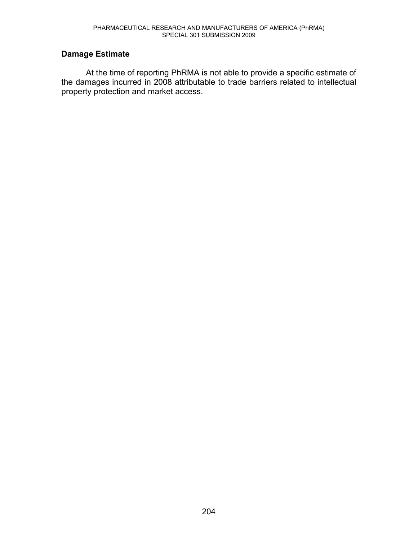## **Damage Estimate**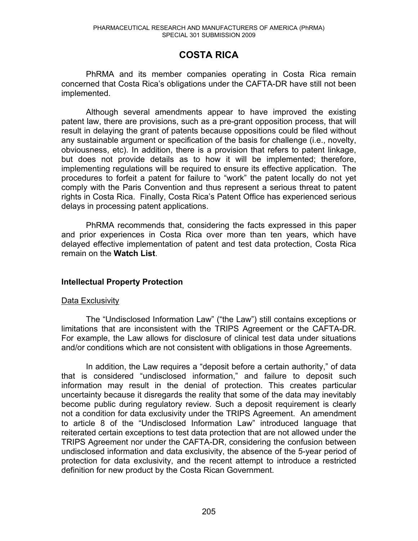# **COSTA RICA**

 PhRMA and its member companies operating in Costa Rica remain concerned that Costa Rica's obligations under the CAFTA-DR have still not been implemented.

Although several amendments appear to have improved the existing patent law, there are provisions, such as a pre-grant opposition process, that will result in delaying the grant of patents because oppositions could be filed without any sustainable argument or specification of the basis for challenge (i.e., novelty, obviousness, etc). In addition, there is a provision that refers to patent linkage, but does not provide details as to how it will be implemented; therefore, implementing regulations will be required to ensure its effective application. The procedures to forfeit a patent for failure to "work" the patent locally do not yet comply with the Paris Convention and thus represent a serious threat to patent rights in Costa Rica. Finally, Costa Rica's Patent Office has experienced serious delays in processing patent applications.

PhRMA recommends that, considering the facts expressed in this paper and prior experiences in Costa Rica over more than ten years, which have delayed effective implementation of patent and test data protection, Costa Rica remain on the **Watch List**.

## **Intellectual Property Protection**

## Data Exclusivity

The "Undisclosed Information Law" ("the Law") still contains exceptions or limitations that are inconsistent with the TRIPS Agreement or the CAFTA-DR. For example, the Law allows for disclosure of clinical test data under situations and/or conditions which are not consistent with obligations in those Agreements.

In addition, the Law requires a "deposit before a certain authority," of data that is considered "undisclosed information," and failure to deposit such information may result in the denial of protection. This creates particular uncertainty because it disregards the reality that some of the data may inevitably become public during regulatory review. Such a deposit requirement is clearly not a condition for data exclusivity under the TRIPS Agreement. An amendment to article 8 of the "Undisclosed Information Law" introduced language that reiterated certain exceptions to test data protection that are not allowed under the TRIPS Agreement nor under the CAFTA-DR, considering the confusion between undisclosed information and data exclusivity, the absence of the 5-year period of protection for data exclusivity, and the recent attempt to introduce a restricted definition for new product by the Costa Rican Government.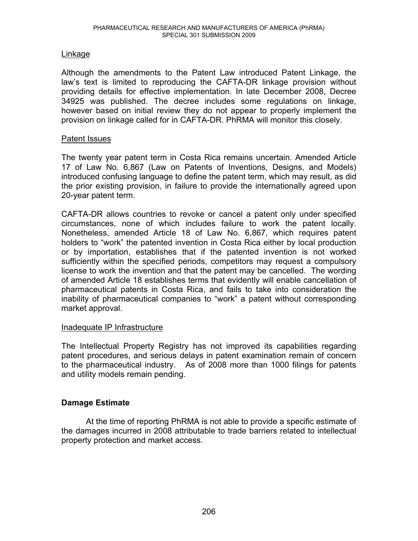## Linkage

Although the amendments to the Patent Law introduced Patent Linkage, the law's text is limited to reproducing the CAFTA-DR linkage provision without providing details for effective implementation. In late December 2008, Decree 34925 was published. The decree includes some regulations on linkage, however based on initial review they do not appear to properly implement the provision on linkage called for in CAFTA-DR. PhRMA will monitor this closely.

#### Patent Issues

The twenty year patent term in Costa Rica remains uncertain. Amended Article 17 of Law No. 6,867 (Law on Patents of Inventions, Designs, and Models) introduced confusing language to define the patent term, which may result, as did the prior existing provision, in failure to provide the internationally agreed upon 20-year patent term.

CAFTA-DR allows countries to revoke or cancel a patent only under specified circumstances, none of which includes failure to work the patent locally. Nonetheless, amended Article 18 of Law No. 6,867, which requires patent holders to "work" the patented invention in Costa Rica either by local production or by importation, establishes that if the patented invention is not worked sufficiently within the specified periods, competitors may request a compulsory license to work the invention and that the patent may be cancelled. The wording of amended Article 18 establishes terms that evidently will enable cancellation of pharmaceutical patents in Costa Rica, and fails to take into consideration the inability of pharmaceutical companies to "work" a patent without corresponding market approval.

## Inadequate IP Infrastructure

The Intellectual Property Registry has not improved its capabilities regarding patent procedures, and serious delays in patent examination remain of concern to the pharmaceutical industry. As of 2008 more than 1000 filings for patents and utility models remain pending.

## **Damage Estimate**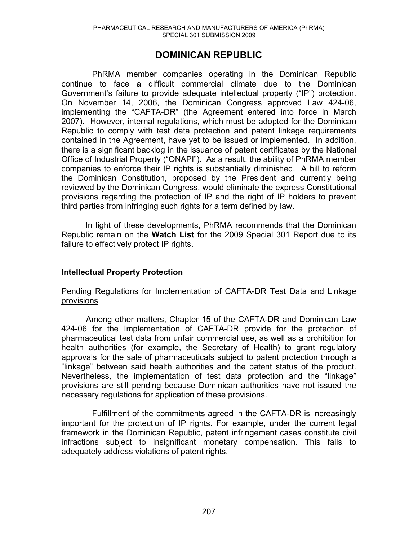## **DOMINICAN REPUBLIC**

PhRMA member companies operating in the Dominican Republic continue to face a difficult commercial climate due to the Dominican Government's failure to provide adequate intellectual property ("IP") protection. On November 14, 2006, the Dominican Congress approved Law 424-06, implementing the "CAFTA-DR" (the Agreement entered into force in March 2007). However, internal regulations, which must be adopted for the Dominican Republic to comply with test data protection and patent linkage requirements contained in the Agreement, have yet to be issued or implemented. In addition, there is a significant backlog in the issuance of patent certificates by the National Office of Industrial Property ("ONAPI"). As a result, the ability of PhRMA member companies to enforce their IP rights is substantially diminished. A bill to reform the Dominican Constitution, proposed by the President and currently being reviewed by the Dominican Congress, would eliminate the express Constitutional provisions regarding the protection of IP and the right of IP holders to prevent third parties from infringing such rights for a term defined by law.

In light of these developments, PhRMA recommends that the Dominican Republic remain on the **Watch List** for the 2009 Special 301 Report due to its failure to effectively protect IP rights.

## **Intellectual Property Protection**

## Pending Regulations for Implementation of CAFTA-DR Test Data and Linkage provisions

 Among other matters, Chapter 15 of the CAFTA-DR and Dominican Law 424-06 for the Implementation of CAFTA-DR provide for the protection of pharmaceutical test data from unfair commercial use, as well as a prohibition for health authorities (for example, the Secretary of Health) to grant regulatory approvals for the sale of pharmaceuticals subject to patent protection through a "linkage" between said health authorities and the patent status of the product. Nevertheless, the implementation of test data protection and the "linkage" provisions are still pending because Dominican authorities have not issued the necessary regulations for application of these provisions.

Fulfillment of the commitments agreed in the CAFTA-DR is increasingly important for the protection of IP rights. For example, under the current legal framework in the Dominican Republic, patent infringement cases constitute civil infractions subject to insignificant monetary compensation. This fails to adequately address violations of patent rights.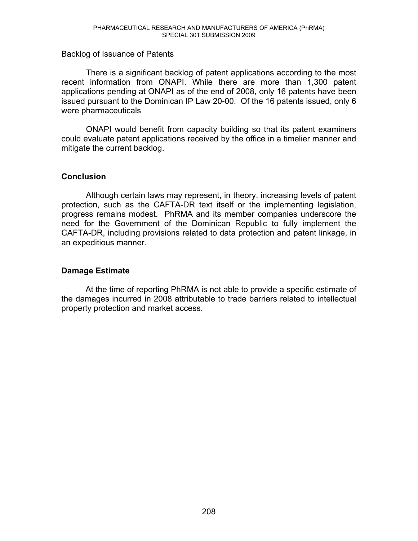#### Backlog of Issuance of Patents

 There is a significant backlog of patent applications according to the most recent information from ONAPI. While there are more than 1,300 patent applications pending at ONAPI as of the end of 2008, only 16 patents have been issued pursuant to the Dominican IP Law 20-00. Of the 16 patents issued, only 6 were pharmaceuticals

 ONAPI would benefit from capacity building so that its patent examiners could evaluate patent applications received by the office in a timelier manner and mitigate the current backlog.

## **Conclusion**

 Although certain laws may represent, in theory, increasing levels of patent protection, such as the CAFTA-DR text itself or the implementing legislation, progress remains modest. PhRMA and its member companies underscore the need for the Government of the Dominican Republic to fully implement the CAFTA-DR, including provisions related to data protection and patent linkage, in an expeditious manner.

## **Damage Estimate**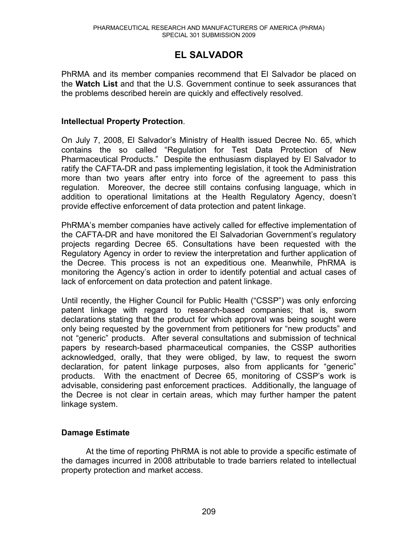# **EL SALVADOR**

PhRMA and its member companies recommend that El Salvador be placed on the **Watch List** and that the U.S. Government continue to seek assurances that the problems described herein are quickly and effectively resolved.

## **Intellectual Property Protection**.

On July 7, 2008, El Salvador's Ministry of Health issued Decree No. 65, which contains the so called "Regulation for Test Data Protection of New Pharmaceutical Products." Despite the enthusiasm displayed by El Salvador to ratify the CAFTA-DR and pass implementing legislation, it took the Administration more than two years after entry into force of the agreement to pass this regulation. Moreover, the decree still contains confusing language, which in addition to operational limitations at the Health Regulatory Agency, doesn't provide effective enforcement of data protection and patent linkage.

PhRMA's member companies have actively called for effective implementation of the CAFTA-DR and have monitored the El Salvadorian Government's regulatory projects regarding Decree 65. Consultations have been requested with the Regulatory Agency in order to review the interpretation and further application of the Decree. This process is not an expeditious one. Meanwhile, PhRMA is monitoring the Agency's action in order to identify potential and actual cases of lack of enforcement on data protection and patent linkage.

Until recently, the Higher Council for Public Health ("CSSP") was only enforcing patent linkage with regard to research-based companies; that is, sworn declarations stating that the product for which approval was being sought were only being requested by the government from petitioners for "new products" and not "generic" products. After several consultations and submission of technical papers by research-based pharmaceutical companies, the CSSP authorities acknowledged, orally, that they were obliged, by law, to request the sworn declaration, for patent linkage purposes, also from applicants for "generic" products. With the enactment of Decree 65, monitoring of CSSP's work is advisable, considering past enforcement practices. Additionally, the language of the Decree is not clear in certain areas, which may further hamper the patent linkage system.

## **Damage Estimate**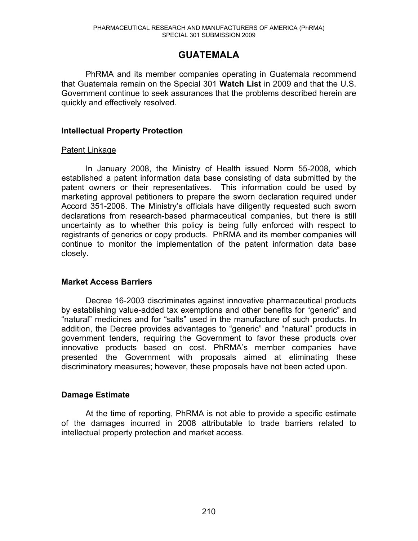# **GUATEMALA**

PhRMA and its member companies operating in Guatemala recommend that Guatemala remain on the Special 301 **Watch List** in 2009 and that the U.S. Government continue to seek assurances that the problems described herein are quickly and effectively resolved.

## **Intellectual Property Protection**

#### Patent Linkage

In January 2008, the Ministry of Health issued Norm 55-2008, which established a patent information data base consisting of data submitted by the patent owners or their representatives. This information could be used by marketing approval petitioners to prepare the sworn declaration required under Accord 351-2006. The Ministry's officials have diligently requested such sworn declarations from research-based pharmaceutical companies, but there is still uncertainty as to whether this policy is being fully enforced with respect to registrants of generics or copy products. PhRMA and its member companies will continue to monitor the implementation of the patent information data base closely.

## **Market Access Barriers**

Decree 16-2003 discriminates against innovative pharmaceutical products by establishing value-added tax exemptions and other benefits for "generic" and "natural" medicines and for "salts" used in the manufacture of such products. In addition, the Decree provides advantages to "generic" and "natural" products in government tenders, requiring the Government to favor these products over innovative products based on cost. PhRMA's member companies have presented the Government with proposals aimed at eliminating these discriminatory measures; however, these proposals have not been acted upon.

## **Damage Estimate**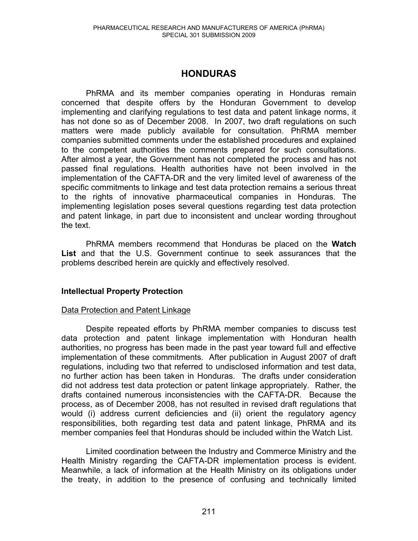# **HONDURAS**

PhRMA and its member companies operating in Honduras remain concerned that despite offers by the Honduran Government to develop implementing and clarifying regulations to test data and patent linkage norms, it has not done so as of December 2008. In 2007, two draft regulations on such matters were made publicly available for consultation. PhRMA member companies submitted comments under the established procedures and explained to the competent authorities the comments prepared for such consultations. After almost a year, the Government has not completed the process and has not passed final regulations. Health authorities have not been involved in the implementation of the CAFTA-DR and the very limited level of awareness of the specific commitments to linkage and test data protection remains a serious threat to the rights of innovative pharmaceutical companies in Honduras. The implementing legislation poses several questions regarding test data protection and patent linkage, in part due to inconsistent and unclear wording throughout the text.

 PhRMA members recommend that Honduras be placed on the **Watch List** and that the U.S. Government continue to seek assurances that the problems described herein are quickly and effectively resolved.

## **Intellectual Property Protection**

#### Data Protection and Patent Linkage

Despite repeated efforts by PhRMA member companies to discuss test data protection and patent linkage implementation with Honduran health authorities, no progress has been made in the past year toward full and effective implementation of these commitments. After publication in August 2007 of draft regulations, including two that referred to undisclosed information and test data, no further action has been taken in Honduras. The drafts under consideration did not address test data protection or patent linkage appropriately. Rather, the drafts contained numerous inconsistencies with the CAFTA-DR. Because the process, as of December 2008, has not resulted in revised draft regulations that would (i) address current deficiencies and (ii) orient the regulatory agency responsibilities, both regarding test data and patent linkage, PhRMA and its member companies feel that Honduras should be included within the Watch List.

Limited coordination between the Industry and Commerce Ministry and the Health Ministry regarding the CAFTA-DR implementation process is evident. Meanwhile, a lack of information at the Health Ministry on its obligations under the treaty, in addition to the presence of confusing and technically limited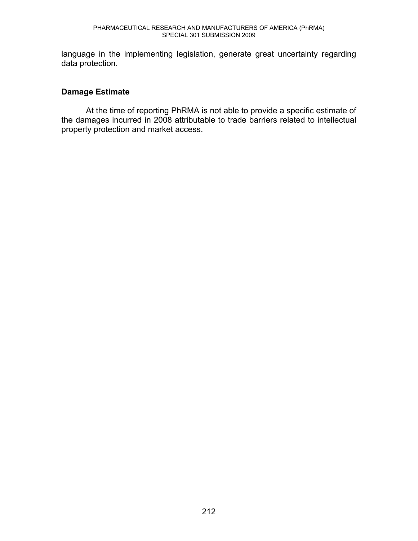language in the implementing legislation, generate great uncertainty regarding data protection.

## **Damage Estimate**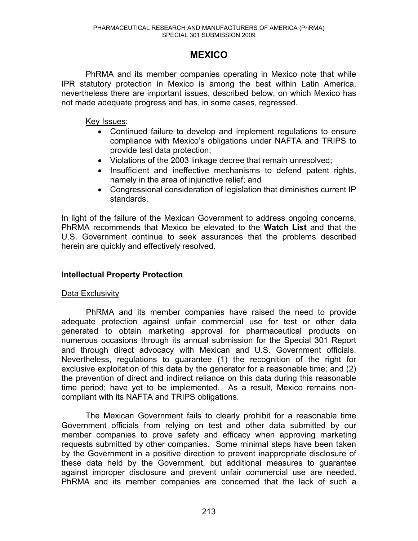# **MEXICO**

PhRMA and its member companies operating in Mexico note that while IPR statutory protection in Mexico is among the best within Latin America, nevertheless there are important issues, described below, on which Mexico has not made adequate progress and has, in some cases, regressed.

Key Issues:

- Continued failure to develop and implement regulations to ensure compliance with Mexico's obligations under NAFTA and TRIPS to provide test data protection;
- Violations of the 2003 linkage decree that remain unresolved;
- Insufficient and ineffective mechanisms to defend patent rights, namely in the area of injunctive relief; and
- Congressional consideration of legislation that diminishes current IP standards.

In light of the failure of the Mexican Government to address ongoing concerns, PhRMA recommends that Mexico be elevated to the **Watch List** and that the U.S. Government continue to seek assurances that the problems described herein are quickly and effectively resolved.

## **Intellectual Property Protection**

## Data Exclusivity

 PhRMA and its member companies have raised the need to provide adequate protection against unfair commercial use for test or other data generated to obtain marketing approval for pharmaceutical products on numerous occasions through its annual submission for the Special 301 Report and through direct advocacy with Mexican and U.S. Government officials. Nevertheless, regulations to guarantee (1) the recognition of the right for exclusive exploitation of this data by the generator for a reasonable time; and (2) the prevention of direct and indirect reliance on this data during this reasonable time period; have yet to be implemented. As a result, Mexico remains noncompliant with its NAFTA and TRIPS obligations.

The Mexican Government fails to clearly prohibit for a reasonable time Government officials from relying on test and other data submitted by our member companies to prove safety and efficacy when approving marketing requests submitted by other companies. Some minimal steps have been taken by the Government in a positive direction to prevent inappropriate disclosure of these data held by the Government, but additional measures to guarantee against improper disclosure and prevent unfair commercial use are needed. PhRMA and its member companies are concerned that the lack of such a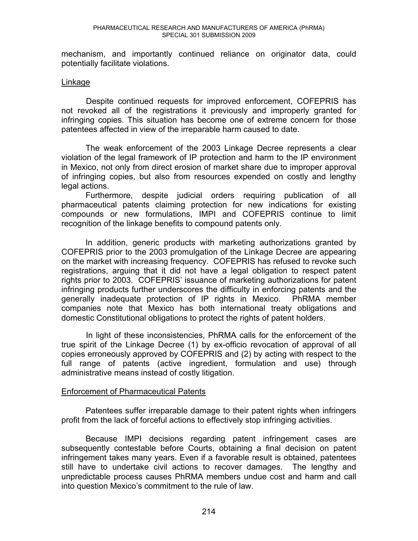mechanism, and importantly continued reliance on originator data, could potentially facilitate violations.

#### **Linkage**

 Despite continued requests for improved enforcement, COFEPRIS has not revoked all of the registrations it previously and improperly granted for infringing copies. This situation has become one of extreme concern for those patentees affected in view of the irreparable harm caused to date.

The weak enforcement of the 2003 Linkage Decree represents a clear violation of the legal framework of IP protection and harm to the IP environment in Mexico, not only from direct erosion of market share due to improper approval of infringing copies, but also from resources expended on costly and lengthy legal actions.

Furthermore, despite judicial orders requiring publication of all pharmaceutical patents claiming protection for new indications for existing compounds or new formulations, IMPI and COFEPRIS continue to limit recognition of the linkage benefits to compound patents only.

In addition, generic products with marketing authorizations granted by COFEPRIS prior to the 2003 promulgation of the Linkage Decree are appearing on the market with increasing frequency. COFEPRIS has refused to revoke such registrations, arguing that it did not have a legal obligation to respect patent rights prior to 2003. COFEPRIS' issuance of marketing authorizations for patent infringing products further underscores the difficulty in enforcing patents and the generally inadequate protection of IP rights in Mexico. PhRMA member companies note that Mexico has both international treaty obligations and domestic Constitutional obligations to protect the rights of patent holders.

 In light of these inconsistencies, PhRMA calls for the enforcement of the true spirit of the Linkage Decree (1) by ex-officio revocation of approval of all copies erroneously approved by COFEPRIS and (2) by acting with respect to the full range of patents (active ingredient, formulation and use) through administrative means instead of costly litigation.

## Enforcement of Pharmaceutical Patents

Patentees suffer irreparable damage to their patent rights when infringers profit from the lack of forceful actions to effectively stop infringing activities.

Because IMPI decisions regarding patent infringement cases are subsequently contestable before Courts, obtaining a final decision on patent infringement takes many years. Even if a favorable result is obtained, patentees still have to undertake civil actions to recover damages. The lengthy and unpredictable process causes PhRMA members undue cost and harm and call into question Mexico's commitment to the rule of law.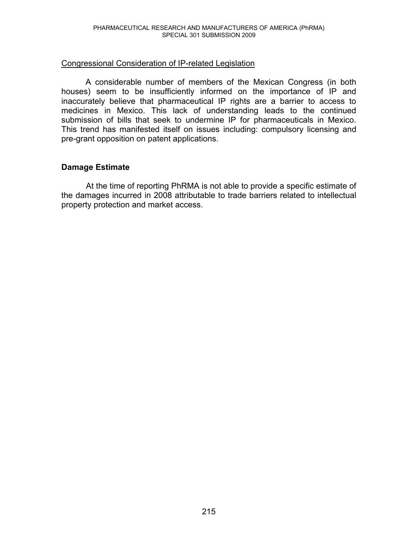## Congressional Consideration of IP-related Legislation

A considerable number of members of the Mexican Congress (in both houses) seem to be insufficiently informed on the importance of IP and inaccurately believe that pharmaceutical IP rights are a barrier to access to medicines in Mexico. This lack of understanding leads to the continued submission of bills that seek to undermine IP for pharmaceuticals in Mexico. This trend has manifested itself on issues including: compulsory licensing and pre-grant opposition on patent applications.

## **Damage Estimate**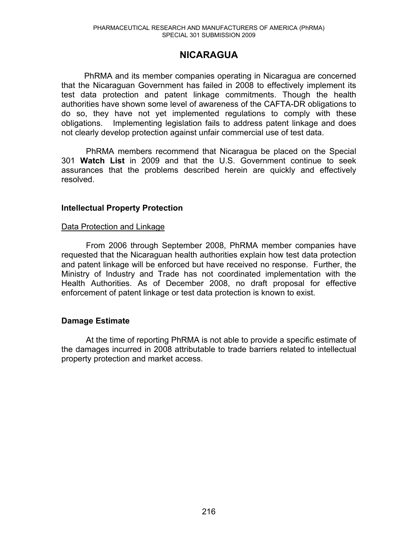# **NICARAGUA**

 PhRMA and its member companies operating in Nicaragua are concerned that the Nicaraguan Government has failed in 2008 to effectively implement its test data protection and patent linkage commitments. Though the health authorities have shown some level of awareness of the CAFTA-DR obligations to do so, they have not yet implemented regulations to comply with these obligations. Implementing legislation fails to address patent linkage and does not clearly develop protection against unfair commercial use of test data.

 PhRMA members recommend that Nicaragua be placed on the Special 301 **Watch List** in 2009 and that the U.S. Government continue to seek assurances that the problems described herein are quickly and effectively resolved.

#### **Intellectual Property Protection**

#### Data Protection and Linkage

From 2006 through September 2008, PhRMA member companies have requested that the Nicaraguan health authorities explain how test data protection and patent linkage will be enforced but have received no response. Further, the Ministry of Industry and Trade has not coordinated implementation with the Health Authorities. As of December 2008, no draft proposal for effective enforcement of patent linkage or test data protection is known to exist.

# **Damage Estimate**

At the time of reporting PhRMA is not able to provide a specific estimate of the damages incurred in 2008 attributable to trade barriers related to intellectual property protection and market access.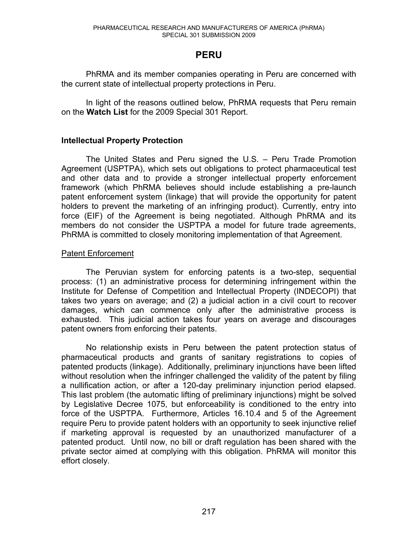# **PERU**

PhRMA and its member companies operating in Peru are concerned with the current state of intellectual property protections in Peru.

In light of the reasons outlined below, PhRMA requests that Peru remain on the **Watch List** for the 2009 Special 301 Report.

# **Intellectual Property Protection**

The United States and Peru signed the U.S.  $-$  Peru Trade Promotion Agreement (USPTPA), which sets out obligations to protect pharmaceutical test and other data and to provide a stronger intellectual property enforcement framework (which PhRMA believes should include establishing a pre-launch patent enforcement system (linkage) that will provide the opportunity for patent holders to prevent the marketing of an infringing product). Currently, entry into force (EIF) of the Agreement is being negotiated. Although PhRMA and its members do not consider the USPTPA a model for future trade agreements, PhRMA is committed to closely monitoring implementation of that Agreement.

# Patent Enforcement

The Peruvian system for enforcing patents is a two-step, sequential process: (1) an administrative process for determining infringement within the Institute for Defense of Competition and Intellectual Property (INDECOPI) that takes two years on average; and (2) a judicial action in a civil court to recover damages, which can commence only after the administrative process is exhausted. This judicial action takes four years on average and discourages patent owners from enforcing their patents.

No relationship exists in Peru between the patent protection status of pharmaceutical products and grants of sanitary registrations to copies of patented products (linkage). Additionally, preliminary injunctions have been lifted without resolution when the infringer challenged the validity of the patent by filing a nullification action, or after a 120-day preliminary injunction period elapsed. This last problem (the automatic lifting of preliminary injunctions) might be solved by Legislative Decree 1075, but enforceability is conditioned to the entry into force of the USPTPA. Furthermore, Articles 16.10.4 and 5 of the Agreement require Peru to provide patent holders with an opportunity to seek injunctive relief if marketing approval is requested by an unauthorized manufacturer of a patented product. Until now, no bill or draft regulation has been shared with the private sector aimed at complying with this obligation. PhRMA will monitor this effort closely.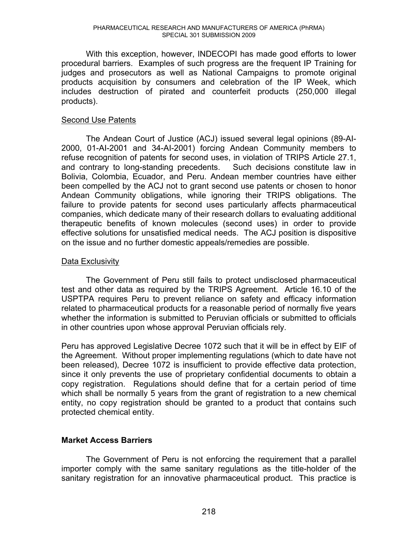With this exception, however, INDECOPI has made good efforts to lower procedural barriers. Examples of such progress are the frequent IP Training for judges and prosecutors as well as National Campaigns to promote original products acquisition by consumers and celebration of the IP Week, which includes destruction of pirated and counterfeit products (250,000 illegal products).

# Second Use Patents

The Andean Court of Justice (ACJ) issued several legal opinions (89-AI-2000, 01-AI-2001 and 34-AI-2001) forcing Andean Community members to refuse recognition of patents for second uses, in violation of TRIPS Article 27.1, and contrary to long-standing precedents. Such decisions constitute law in Bolivia, Colombia, Ecuador, and Peru. Andean member countries have either been compelled by the ACJ not to grant second use patents or chosen to honor Andean Community obligations, while ignoring their TRIPS obligations. The failure to provide patents for second uses particularly affects pharmaceutical companies, which dedicate many of their research dollars to evaluating additional therapeutic benefits of known molecules (second uses) in order to provide effective solutions for unsatisfied medical needs. The ACJ position is dispositive on the issue and no further domestic appeals/remedies are possible.

# Data Exclusivity

 The Government of Peru still fails to protect undisclosed pharmaceutical test and other data as required by the TRIPS Agreement. Article 16.10 of the USPTPA requires Peru to prevent reliance on safety and efficacy information related to pharmaceutical products for a reasonable period of normally five years whether the information is submitted to Peruvian officials or submitted to officials in other countries upon whose approval Peruvian officials rely.

Peru has approved Legislative Decree 1072 such that it will be in effect by EIF of the Agreement. Without proper implementing regulations (which to date have not been released), Decree 1072 is insufficient to provide effective data protection, since it only prevents the use of proprietary confidential documents to obtain a copy registration. Regulations should define that for a certain period of time which shall be normally 5 years from the grant of registration to a new chemical entity, no copy registration should be granted to a product that contains such protected chemical entity.

# **Market Access Barriers**

The Government of Peru is not enforcing the requirement that a parallel importer comply with the same sanitary regulations as the title-holder of the sanitary registration for an innovative pharmaceutical product. This practice is